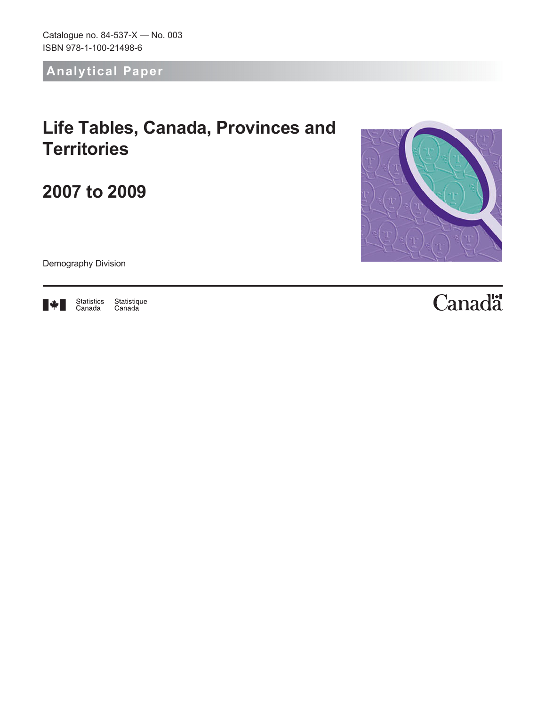Catalogue no. 84‑537‑X — No. 003 ISBN 978-1-100-21498-6

**Analytical Paper**

# **Life Tables, Canada, Provinces and Territories**

**2007 to 2009**



Demography Division



Statistique<br>Canada Statistics<br>Canada

# Canadä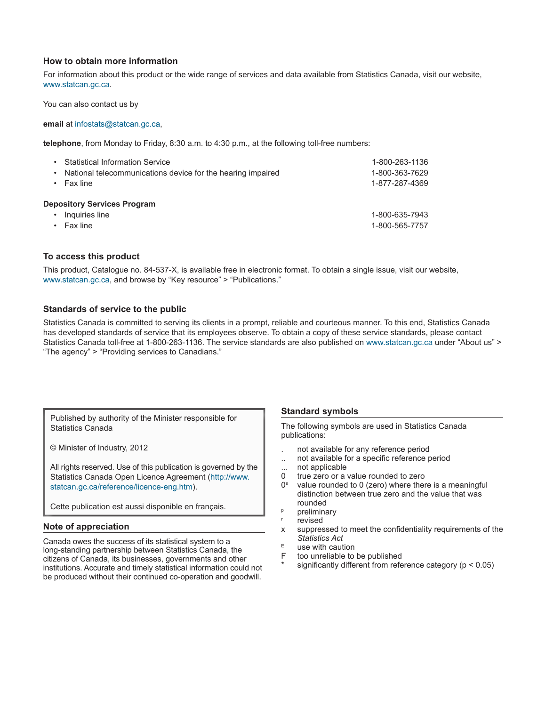#### **How to obtain more information**

For information about this product or the wide range of services and data available from Statistics Canada, visit our website, [www.statcan.gc.ca.](http://www.statcan.gc.ca/)

You can also contact us by

**email** at [infostats@statcan.gc.ca,](mailto:infostats%40statcan.gc.ca?subject=)

**telephone**, from Monday to Friday, 8:30 a.m. to 4:30 p.m., at the following toll-free numbers:

| <b>Statistical Information Service</b>                           | 1-800-263-1136                   |
|------------------------------------------------------------------|----------------------------------|
| National telecommunications device for the hearing impaired      | 1-800-363-7629                   |
| Fax line                                                         | 1-877-287-4369                   |
| <b>Depository Services Program</b><br>Inquiries line<br>Fax line | 1-800-635-7943<br>1-800-565-7757 |

#### **To access this product**

This product, Catalogue no. 84-537-X, is available free in electronic format. To obtain a single issue, visit our website, www.statcan.gc.ca, and browse by "Key resource" > "Publications."

#### **Standards of service to the public**

Statistics Canada is committed to serving its clients in a prompt, reliable and courteous manner. To this end, Statistics Canada has developed standards of service that its employees observe. To obtain a copy of these service standards, please contact Statistics Canada toll-free at 1-800-263-1136. The service standards are also published on [www.statcan.gc.ca](http://www.statcan.gc.ca/) under "About us" > "The agency" > "Providing services to Canadians."

Published by authority of the Minister responsible for Statistics Canada

© Minister of Industry, 2012

All rights reserved. Use of this publication is governed by the Statistics Canada Open Licence Agreement [\(http://www.](http://www.statcan.gc.ca/reference/licence-eng.htm) [statcan.gc.ca/reference/licence-eng.htm](http://www.statcan.gc.ca/reference/licence-eng.htm)).

Cette publication est aussi disponible en français.

#### **Note of appreciation**

Canada owes the success of its statistical system to a long‑standing partnership between Statistics Canada, the citizens of Canada, its businesses, governments and other institutions. Accurate and timely statistical information could not be produced without their continued co-operation and goodwill.

#### **Standard symbols**

The following symbols are used in Statistics Canada publications:

- . not available for any reference period
- not available for a specific reference period
- ... not applicable<br>0 true zero or a
- 0 true zero or a value rounded to zero<br> $0^{\circ}$  value rounded to 0 (zero) where they
- value rounded to 0 (zero) where there is a meaningful distinction between true zero and the value that was rounded
- **p** preliminary
- revised
- x suppressed to meet the confidentiality requirements of the *Statistics Act*
- $E$  use with caution<br>F too unreliable to
- too unreliable to be published
- significantly different from reference category ( $p < 0.05$ )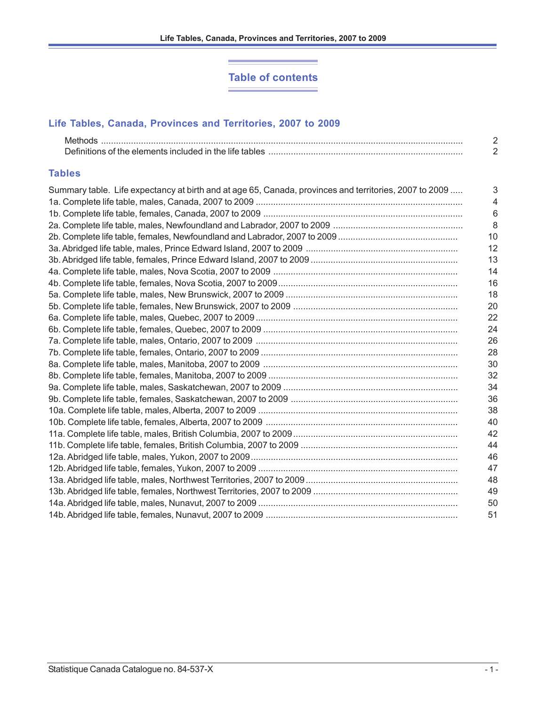# **Table of contents**

**Service** 

# **Life Tables, Canada, Provinces and Territories, 2007 to 2009**

| <b>Methods</b> |  |
|----------------|--|
|                |  |

# **Tables**

| Summary table. Life expectancy at birth and at age 65, Canada, provinces and territories, 2007 to 2009 | 3  |
|--------------------------------------------------------------------------------------------------------|----|
|                                                                                                        | 4  |
|                                                                                                        | 6  |
|                                                                                                        | 8  |
|                                                                                                        | 10 |
|                                                                                                        | 12 |
|                                                                                                        | 13 |
|                                                                                                        | 14 |
|                                                                                                        | 16 |
|                                                                                                        | 18 |
|                                                                                                        | 20 |
|                                                                                                        | 22 |
|                                                                                                        | 24 |
|                                                                                                        | 26 |
|                                                                                                        | 28 |
|                                                                                                        | 30 |
|                                                                                                        | 32 |
|                                                                                                        | 34 |
|                                                                                                        | 36 |
|                                                                                                        | 38 |
|                                                                                                        | 40 |
|                                                                                                        | 42 |
|                                                                                                        | 44 |
|                                                                                                        | 46 |
|                                                                                                        | 47 |
|                                                                                                        | 48 |
|                                                                                                        | 49 |
|                                                                                                        | 50 |
|                                                                                                        | 51 |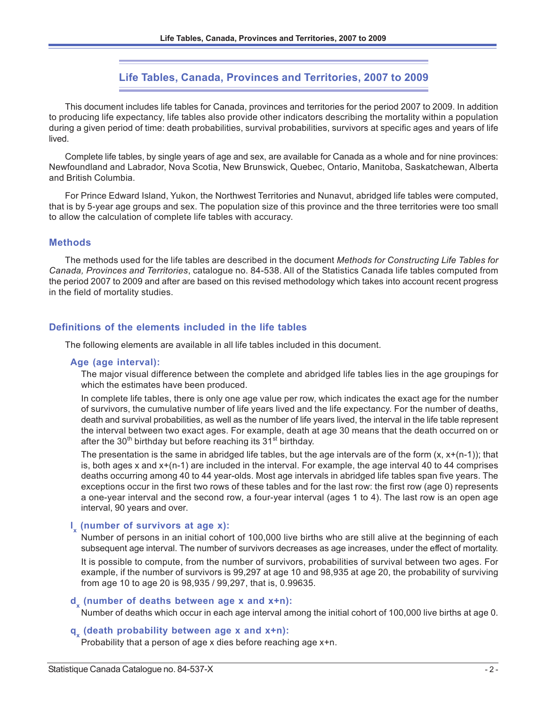# **Life Tables, Canada, Provinces and Territories, 2007 to 2009**

This document includes life tables for Canada, provinces and territories for the period 2007 to 2009. In addition to producing life expectancy, life tables also provide other indicators describing the mortality within a population during a given period of time: death probabilities, survival probabilities, survivors at specific ages and years of life lived.

Complete life tables, by single years of age and sex, are available for Canada as a whole and for nine provinces: Newfoundland and Labrador, Nova Scotia, New Brunswick, Quebec, Ontario, Manitoba, Saskatchewan, Alberta and British Columbia.

For Prince Edward Island, Yukon, the Northwest Territories and Nunavut, abridged life tables were computed, that is by 5-year age groups and sex. The population size of this province and the three territories were too small to allow the calculation of complete life tables with accuracy.

#### **Methods**

The methods used for the life tables are described in the document *Methods for Constructing Life Tables for Canada, Provinces and Territories*, catalogue no. 84-538. All of the Statistics Canada life tables computed from the period 2007 to 2009 and after are based on this revised methodology which takes into account recent progress in the field of mortality studies.

#### **Definitions of the elements included in the life tables**

The following elements are available in all life tables included in this document.

#### **Age (age interval):**

The major visual difference between the complete and abridged life tables lies in the age groupings for which the estimates have been produced.

In complete life tables, there is only one age value per row, which indicates the exact age for the number of survivors, the cumulative number of life years lived and the life expectancy. For the number of deaths, death and survival probabilities, as well as the number of life years lived, the interval in the life table represent the interval between two exact ages. For example, death at age 30 means that the death occurred on or after the 30<sup>th</sup> birthday but before reaching its 31<sup>st</sup> birthday.

The presentation is the same in abridged life tables, but the age intervals are of the form  $(x, x+(n-1))$ ; that is, both ages x and x+(n-1) are included in the interval. For example, the age interval 40 to 44 comprises deaths occurring among 40 to 44 year-olds. Most age intervals in abridged life tables span five years. The exceptions occur in the first two rows of these tables and for the last row: the first row (age 0) represents a one-year interval and the second row, a four-year interval (ages 1 to 4). The last row is an open age interval, 90 years and over.

# **l x (number of survivors at age x):**

Number of persons in an initial cohort of 100,000 live births who are still alive at the beginning of each subsequent age interval. The number of survivors decreases as age increases, under the effect of mortality.

It is possible to compute, from the number of survivors, probabilities of survival between two ages. For example, if the number of survivors is 99,297 at age 10 and 98,935 at age 20, the probability of surviving from age 10 to age 20 is 98,935 / 99,297, that is, 0.99635.

# **d<sub>x</sub>** (number of deaths between age **x** and **x+n**):

Number of deaths which occur in each age interval among the initial cohort of 100,000 live births at age 0.

# **q<sub>x</sub>** (death probability between age **x** and **x+n**):

Probability that a person of age x dies before reaching age x+n.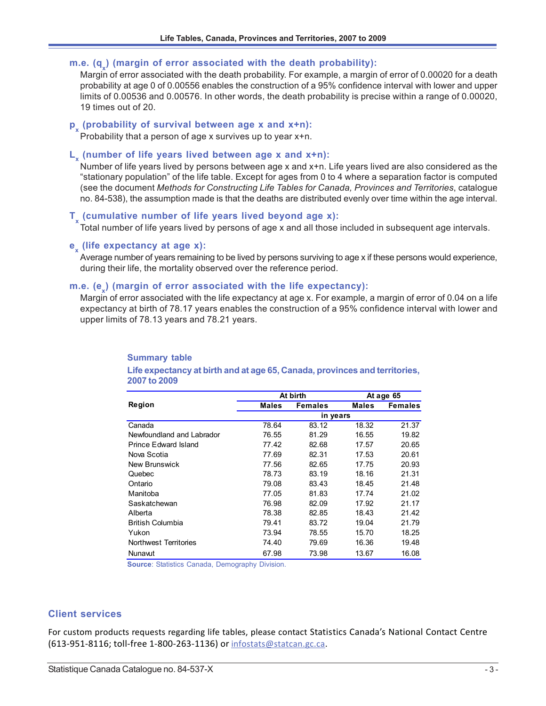# m.e. (q<sub>x</sub>) (margin of error associated with the death probability):

Margin of error associated with the death probability. For example, a margin of error of 0.00020 for a death probability at age 0 of 0.00556 enables the construction of a 95% confidence interval with lower and upper limits of 0.00536 and 0.00576. In other words, the death probability is precise within a range of 0.00020, 19 times out of 20.

# **px (probability of survival between age x and x+n):**

Probability that a person of age x survives up to year x+n.

# **Lx (number of life years lived between age x and x+n):**

Number of life years lived by persons between age x and x+n. Life years lived are also considered as the "stationary population" of the life table. Except for ages from 0 to 4 where a separation factor is computed (see the document *Methods for Constructing Life Tables for Canada, Provinces and Territories*, catalogue no. 84-538), the assumption made is that the deaths are distributed evenly over time within the age interval.

# **Tx (cumulative number of life years lived beyond age x):**

Total number of life years lived by persons of age x and all those included in subsequent age intervals.

# **ex (life expectancy at age x):**

Average number of years remaining to be lived by persons surviving to age x if these persons would experience, during their life, the mortality observed over the reference period.

# m.e. (e<sub>x</sub>) (margin of error associated with the life expectancy):

Margin of error associated with the life expectancy at age x. For example, a margin of error of 0.04 on a life expectancy at birth of 78.17 years enables the construction of a 95% confidence interval with lower and upper limits of 78.13 years and 78.21 years.

# **Summary table**

#### **Life expectancy at birth and at age 65, Canada, provinces and territories, 2007 to 2009**

|                           |              | At birth       |              | At age 65      |  |  |
|---------------------------|--------------|----------------|--------------|----------------|--|--|
| Region                    | <b>Males</b> | <b>Females</b> | <b>Males</b> | <b>Females</b> |  |  |
|                           |              | in years       |              |                |  |  |
| Canada                    | 78.64        | 83.12          | 18.32        | 21.37          |  |  |
| Newfoundland and Labrador | 76.55        | 81.29          | 16.55        | 19.82          |  |  |
| Prince Edward Island      | 77.42        | 82.68          | 17.57        | 20.65          |  |  |
| Nova Scotia               | 77.69        | 82.31          | 17.53        | 20.61          |  |  |
| New Brunswick             | 77.56        | 82.65          | 17.75        | 20.93          |  |  |
| Quebec                    | 78.73        | 83.19          | 18.16        | 21.31          |  |  |
| Ontario                   | 79.08        | 83.43          | 18.45        | 21.48          |  |  |
| Manitoba                  | 77.05        | 81.83          | 17.74        | 21.02          |  |  |
| Saskatchewan              | 76.98        | 82.09          | 17.92        | 21.17          |  |  |
| Alberta                   | 78.38        | 82.85          | 18.43        | 21.42          |  |  |
| <b>British Columbia</b>   | 79.41        | 83.72          | 19.04        | 21.79          |  |  |
| Yukon                     | 73.94        | 78.55          | 15.70        | 18.25          |  |  |
| Northwest Territories     | 74.40        | 79.69          | 16.36        | 19.48          |  |  |
| Nunavut                   | 67.98        | 73.98          | 13.67        | 16.08          |  |  |

**Source**: Statistics Canada, Demography Division.

#### **Client services**

For custom products requests regarding life tables, please contact Statistics Canada's National Contact Centre (613-951-8116; toll-free 1-800-263-1136) or infostats@statcan.gc.ca.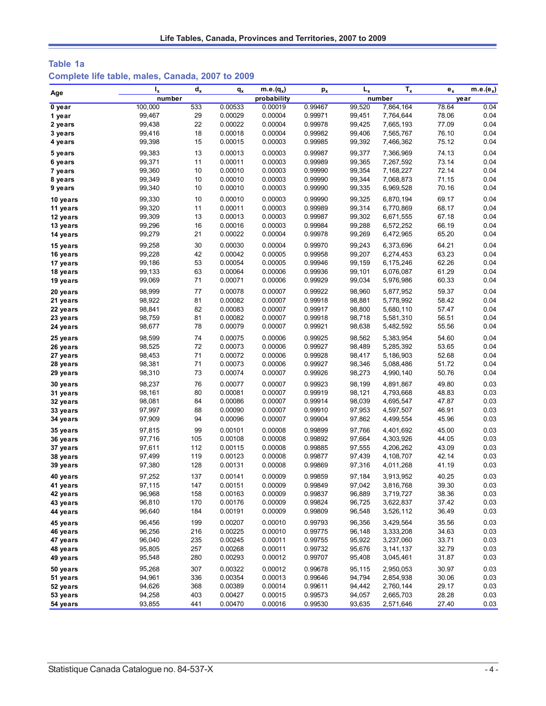## **Table 1a Complete life table, males, Canada, 2007 to 2009**

|          | $I_{x}$          | $d_{x}$  | $q_{x}$            | $m.e.(q_x)$        | $p_{x}$            | $L_{x}$          | $T_{x}$                | $e_{x}$        | $m.e.(e_x)$  |
|----------|------------------|----------|--------------------|--------------------|--------------------|------------------|------------------------|----------------|--------------|
| Age      | number           |          |                    | probability        |                    |                  | number                 |                | year         |
| 0 year   | 100,000          | 533      | 0.00533            | 0.00019            | 0.99467            | 99,520           | 7,864,164              | 78.64          | 0.04         |
| 1 year   | 99,467           | 29       | 0.00029            | 0.00004            | 0.99971            | 99,451           | 7,764,644              | 78.06          | 0.04         |
| 2 years  | 99,438           | 22       | 0.00022            | 0.00004            | 0.99978            | 99,425           | 7,665,193              | 77.09          | 0.04         |
| 3 years  | 99,416           | 18       | 0.00018            | 0.00004            | 0.99982            | 99,406           | 7,565,767              | 76.10          | 0.04         |
| 4 years  | 99,398           | 15       | 0.00015            | 0.00003            | 0.99985            | 99,392           | 7,466,362              | 75.12          | 0.04         |
| 5 years  | 99,383           | 13       | 0.00013            | 0.00003            | 0.99987            | 99,377           | 7,366,969              | 74.13          | 0.04         |
| 6 years  | 99,371           | 11       | 0.00011            | 0.00003            | 0.99989            | 99,365           | 7,267,592              | 73.14          | 0.04         |
| 7 years  | 99,360           | 10       | 0.00010            | 0.00003            | 0.99990            | 99,354           | 7,168,227              | 72.14          | 0.04         |
| 8 years  | 99,349           | 10       | 0.00010            | 0.00003            | 0.99990            | 99,344           | 7,068,873              | 71.15          | 0.04         |
| 9 years  | 99,340           | 10       | 0.00010            | 0.00003            | 0.99990            | 99,335           | 6,969,528              | 70.16          | 0.04         |
| 10 years | 99,330           | 10       | 0.00010            | 0.00003            | 0.99990            | 99.325           | 6,870,194              | 69.17          | 0.04         |
| 11 years | 99,320           | 11       | 0.00011            | 0.00003            | 0.99989            | 99,314           | 6,770,869              | 68.17          | 0.04         |
| 12 years | 99,309           | 13       | 0.00013            | 0.00003            | 0.99987            | 99,302           | 6,671,555              | 67.18          | 0.04         |
| 13 years | 99,296           | 16       | 0.00016            | 0.00003            | 0.99984            | 99,288           | 6,572,252              | 66.19          | 0.04         |
| 14 years | 99,279           | 21       | 0.00022            | 0.00004            | 0.99978            | 99,269           | 6,472,965              | 65.20          | 0.04         |
| 15 years | 99,258           | 30       | 0.00030            | 0.00004            | 0.99970            | 99,243           | 6,373,696              | 64.21          | 0.04         |
| 16 years | 99,228           | 42       | 0.00042            | 0.00005            | 0.99958            | 99,207           | 6,274,453              | 63.23          | 0.04         |
| 17 years | 99,186           | 53       | 0.00054            | 0.00005            | 0.99946            | 99,159           | 6,175,246              | 62.26          | 0.04         |
| 18 years | 99,133           | 63       | 0.00064            | 0.00006            | 0.99936            | 99,101           | 6,076,087              | 61.29          | 0.04         |
| 19 years | 99,069           | 71       | 0.00071            | 0.00006            | 0.99929            | 99,034           | 5,976,986              | 60.33          | 0.04         |
|          |                  |          |                    |                    |                    |                  |                        |                |              |
| 20 years | 98,999           | 77       | 0.00078            | 0.00007            | 0.99922            | 98,960           | 5,877,952              | 59.37          | 0.04         |
| 21 years | 98,922           | 81<br>82 | 0.00082            | 0.00007            | 0.99918<br>0.99917 | 98,881           | 5,778,992              | 58.42          | 0.04<br>0.04 |
| 22 years | 98,841<br>98,759 | 81       | 0.00083<br>0.00082 | 0.00007<br>0.00007 | 0.99918            | 98,800<br>98,718 | 5,680,110<br>5,581,310 | 57.47<br>56.51 | 0.04         |
| 23 years | 98,677           | 78       | 0.00079            | 0.00007            | 0.99921            | 98,638           | 5,482,592              | 55.56          | 0.04         |
| 24 years |                  |          |                    |                    |                    |                  |                        |                |              |
| 25 years | 98,599           | 74       | 0.00075            | 0.00006            | 0.99925            | 98,562           | 5,383,954              | 54.60          | 0.04         |
| 26 years | 98,525           | 72       | 0.00073            | 0.00006            | 0.99927            | 98,489           | 5,285,392              | 53.65          | 0.04         |
| 27 years | 98,453           | 71       | 0.00072            | 0.00006            | 0.99928            | 98,417           | 5,186,903              | 52.68          | 0.04         |
| 28 years | 98,381           | 71       | 0.00073            | 0.00006            | 0.99927            | 98,346           | 5,088,486              | 51.72          | 0.04         |
| 29 years | 98,310           | 73       | 0.00074            | 0.00007            | 0.99926            | 98,273           | 4,990,140              | 50.76          | 0.04         |
| 30 years | 98,237           | 76       | 0.00077            | 0.00007            | 0.99923            | 98,199           | 4,891,867              | 49.80          | 0.03         |
| 31 years | 98,161           | 80       | 0.00081            | 0.00007            | 0.99919            | 98,121           | 4,793,668              | 48.83          | 0.03         |
| 32 years | 98,081           | 84       | 0.00086            | 0.00007            | 0.99914            | 98,039           | 4,695,547              | 47.87          | 0.03         |
| 33 years | 97,997           | 88       | 0.00090            | 0.00007            | 0.99910            | 97,953           | 4,597,507              | 46.91          | 0.03         |
| 34 years | 97,909           | 94       | 0.00096            | 0.00007            | 0.99904            | 97,862           | 4,499,554              | 45.96          | 0.03         |
| 35 years | 97,815           | 99       | 0.00101            | 0.00008            | 0.99899            | 97,766           | 4,401,692              | 45.00          | 0.03         |
| 36 years | 97,716           | 105      | 0.00108            | 0.00008            | 0.99892            | 97,664           | 4,303,926              | 44.05          | 0.03         |
| 37 years | 97,611           | 112      | 0.00115            | 0.00008            | 0.99885            | 97,555           | 4,206,262              | 43.09          | 0.03         |
| 38 years | 97,499           | 119      | 0.00123            | 0.00008            | 0.99877            | 97,439           | 4,108,707              | 42.14          | 0.03         |
| 39 years | 97,380           | 128      | 0.00131            | 0.00008            | 0.99869            | 97,316           | 4,011,268              | 41.19          | 0.03         |
| 40 years | 97,252           | 137      | 0.00141            | 0.00009            | 0.99859            | 97,184           | 3,913,952              | 40.25          | 0.03         |
| 41 years | 97,115           | 147      | 0.00151            | 0.00009            | 0.99849            | 97,042           | 3,816,768              | 39.30          | 0.03         |
| 42 years | 96,968           | 158      | 0.00163            | 0.00009            | 0.99837            | 96,889           | 3,719,727              | 38.36          | 0.03         |
| 43 years | 96,810           | 170      | 0.00176            | 0.00009            | 0.99824            | 96,725           | 3,622,837              | 37.42          | 0.03         |
| 44 years | 96,640           | 184      | 0.00191            | 0.00009            | 0.99809            | 96,548           | 3,526,112              | 36.49          | 0.03         |
| 45 years | 96,456           | 199      | 0.00207            | 0.00010            | 0.99793            | 96,356           | 3,429,564              | 35.56          | 0.03         |
| 46 years | 96,256           | 216      | 0.00225            | 0.00010            | 0.99775            | 96,148           | 3,333,208              | 34.63          | 0.03         |
| 47 years | 96,040           | 235      | 0.00245            | 0.00011            | 0.99755            | 95,922           | 3,237,060              | 33.71          | 0.03         |
| 48 years | 95,805           | 257      | 0.00268            | 0.00011            | 0.99732            | 95,676           | 3, 141, 137            | 32.79          | 0.03         |
| 49 years | 95,548           | 280      | 0.00293            | 0.00012            | 0.99707            | 95,408           | 3,045,461              | 31.87          | 0.03         |
| 50 years | 95,268           | 307      | 0.00322            | 0.00012            | 0.99678            | 95,115           | 2,950,053              | 30.97          | 0.03         |
| 51 years | 94,961           | 336      | 0.00354            | 0.00013            | 0.99646            | 94,794           | 2,854,938              | 30.06          | 0.03         |
| 52 years | 94,626           | 368      | 0.00389            | 0.00014            | 0.99611            | 94,442           | 2,760,144              | 29.17          | 0.03         |
| 53 years | 94,258           | 403      | 0.00427            | 0.00015            | 0.99573            | 94,057           | 2,665,703              | 28.28          | 0.03         |
| 54 years | 93,855           | 441      | 0.00470            | 0.00016            | 0.99530            | 93,635           | 2,571,646              | 27.40          | 0.03         |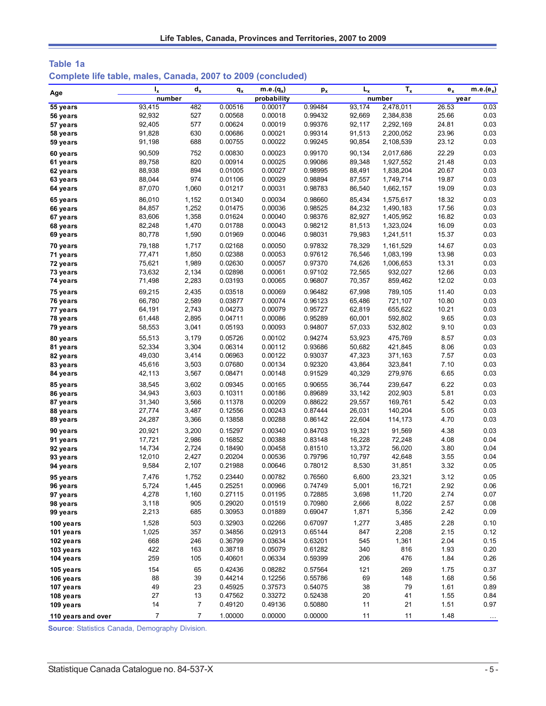| Table 1a                                                     |  |  |  |  |
|--------------------------------------------------------------|--|--|--|--|
| Complete life table, males, Canada, 2007 to 2009 (concluded) |  |  |  |  |

| Age                  | $I_{x}$          | $d_{x}$        | $q_{x}$            | $m.e.(q_x)$        | $p_{x}$            | $L_{x}$          | $T_{x}$            | $e_{x}$       | $m.e.(e_x)$  |
|----------------------|------------------|----------------|--------------------|--------------------|--------------------|------------------|--------------------|---------------|--------------|
|                      | number           |                |                    | probability        |                    |                  | number             |               | year         |
| 55 years             | 93,415           | 482            | 0.00516            | 0.00017            | 0.99484            | 93,174           | 2,478,011          | 26.53         | 0.03         |
| 56 years             | 92,932           | 527            | 0.00568            | 0.00018            | 0.99432            | 92,669           | 2,384,838          | 25.66         | 0.03         |
| 57 years             | 92,405           | 577            | 0.00624            | 0.00019            | 0.99376            | 92,117           | 2,292,169          | 24.81         | 0.03         |
| 58 years             | 91,828           | 630            | 0.00686            | 0.00021            | 0.99314            | 91,513           | 2,200,052          | 23.96         | 0.03         |
| 59 years             | 91,198           | 688            | 0.00755            | 0.00022            | 0.99245            | 90,854           | 2,108,539          | 23.12         | 0.03         |
| 60 years             | 90,509           | 752            | 0.00830            | 0.00023            | 0.99170            | 90,134           | 2,017,686          | 22.29         | 0.03         |
| 61 years             | 89,758           | 820            | 0.00914            | 0.00025            | 0.99086            | 89,348           | 1,927,552          | 21.48         | 0.03         |
| 62 years             | 88,938           | 894            | 0.01005            | 0.00027            | 0.98995            | 88,491           | 1,838,204          | 20.67         | 0.03         |
| 63 years             | 88,044           | 974            | 0.01106            | 0.00029            | 0.98894            | 87,557           | 1,749,714          | 19.87         | 0.03         |
| 64 years             | 87,070           | 1,060          | 0.01217            | 0.00031            | 0.98783            | 86,540           | 1,662,157          | 19.09         | 0.03         |
| 65 years             | 86,010           | 1,152          | 0.01340            | 0.00034            | 0.98660            | 85,434           | 1,575,617          | 18.32         | 0.03         |
| 66 years             | 84,857           | 1,252          | 0.01475            | 0.00036            | 0.98525            | 84,232           | 1,490,183          | 17.56         | 0.03         |
| 67 years             | 83,606           | 1,358          | 0.01624            | 0.00040            | 0.98376            | 82,927           | 1,405,952          | 16.82         | 0.03         |
| 68 years             | 82,248           | 1,470          | 0.01788            | 0.00043            | 0.98212            | 81,513           | 1,323,024          | 16.09         | 0.03         |
| 69 years             | 80,778           | 1,590          | 0.01969            | 0.00046            | 0.98031            | 79,983           | 1,241,511          | 15.37         | 0.03         |
| 70 years             | 79,188           | 1,717          | 0.02168            | 0.00050            | 0.97832            | 78,329           | 1,161,529          | 14.67         | 0.03         |
| 71 years             | 77,471           | 1,850          | 0.02388            | 0.00053            | 0.97612            | 76,546           | 1,083,199          | 13.98         | 0.03         |
| 72 years             | 75,621           | 1,989          | 0.02630            | 0.00057            | 0.97370            | 74,626           | 1,006,653          | 13.31         | 0.03         |
| 73 years             | 73,632           | 2,134          | 0.02898            | 0.00061            | 0.97102            | 72,565           | 932,027            | 12.66         | 0.03         |
| 74 years             | 71,498           | 2,283          | 0.03193            | 0.00065            | 0.96807            | 70,357           | 859,462            | 12.02         | 0.03         |
| 75 years             | 69,215           | 2,435          | 0.03518            | 0.00069            | 0.96482            | 67,998           | 789.105            | 11.40         | 0.03         |
| 76 years             | 66,780           | 2,589          | 0.03877            | 0.00074            | 0.96123            | 65,486           | 721,107            | 10.80         | 0.03         |
| 77 years             | 64,191           | 2,743<br>2,895 | 0.04273<br>0.04711 | 0.00079<br>0.00086 | 0.95727<br>0.95289 | 62,819<br>60,001 | 655,622<br>592,802 | 10.21<br>9.65 | 0.03<br>0.03 |
| 78 years<br>79 years | 61,448<br>58,553 | 3,041          | 0.05193            | 0.00093            | 0.94807            | 57,033           | 532,802            | 9.10          | 0.03         |
|                      |                  |                |                    |                    |                    |                  |                    |               |              |
| 80 years             | 55,513           | 3,179          | 0.05726            | 0.00102            | 0.94274            | 53,923           | 475,769            | 8.57          | 0.03<br>0.03 |
| 81 years             | 52,334<br>49,030 | 3,304<br>3,414 | 0.06314<br>0.06963 | 0.00112<br>0.00122 | 0.93686<br>0.93037 | 50,682<br>47,323 | 421,845<br>371,163 | 8.06<br>7.57  | 0.03         |
| 82 years<br>83 years | 45,616           | 3,503          | 0.07680            | 0.00134            | 0.92320            | 43,864           | 323,841            | 7.10          | 0.03         |
| 84 years             | 42,113           | 3,567          | 0.08471            | 0.00148            | 0.91529            | 40,329           | 279,976            | 6.65          | 0.03         |
| 85 years             | 38,545           | 3,602          | 0.09345            | 0.00165            | 0.90655            | 36,744           | 239,647            | 6.22          | 0.03         |
| 86 years             | 34,943           | 3,603          | 0.10311            | 0.00186            | 0.89689            | 33,142           | 202,903            | 5.81          | 0.03         |
| 87 years             | 31,340           | 3,566          | 0.11378            | 0.00209            | 0.88622            | 29,557           | 169,761            | 5.42          | 0.03         |
| 88 years             | 27,774           | 3,487          | 0.12556            | 0.00243            | 0.87444            | 26,031           | 140,204            | 5.05          | 0.03         |
| 89 years             | 24,287           | 3,366          | 0.13858            | 0.00288            | 0.86142            | 22,604           | 114,173            | 4.70          | 0.03         |
| 90 years             | 20,921           | 3,200          | 0.15297            | 0.00340            | 0.84703            | 19,321           | 91,569             | 4.38          | 0.03         |
| 91 years             | 17,721           | 2,986          | 0.16852            | 0.00388            | 0.83148            | 16,228           | 72,248             | 4.08          | 0.04         |
| 92 years             | 14,734           | 2,724          | 0.18490            | 0.00458            | 0.81510            | 13,372           | 56,020             | 3.80          | 0.04         |
| 93 years             | 12,010           | 2,427          | 0.20204            | 0.00536            | 0.79796            | 10,797           | 42,648             | 3.55          | 0.04         |
| 94 years             | 9,584            | 2,107          | 0.21988            | 0.00646            | 0.78012            | 8,530            | 31,851             | 3.32          | 0.05         |
| 95 years             | 7,476            | 1,752          | 0.23440            | 0.00782            | 0.76560            | 6,600            | 23,321             | 3.12          | 0.05         |
| 96 years             | 5,724            | 1,445          | 0.25251            | 0.00966            | 0.74749            | 5,001            | 16,721             | 2.92          | 0.06         |
| 97 years             | 4,278            | 1,160          | 0.27115            | 0.01195            | 0.72885            | 3,698            | 11,720             | 2.74          | 0.07         |
| 98 years             | 3,118            | 905            | 0.29020            | 0.01519            | 0.70980            | 2,666            | 8,022              | 2.57          | 0.08         |
| 99 years             | 2,213            | 685            | 0.30953            | 0.01889            | 0.69047            | 1,871            | 5,356              | 2.42          | 0.09         |
| 100 years            | 1,528            | 503            | 0.32903            | 0.02266            | 0.67097            | 1,277            | 3,485              | 2.28          | 0.10         |
| 101 years            | 1,025            | 357            | 0.34856            | 0.02913            | 0.65144            | 847              | 2,208              | 2.15          | 0.12         |
| 102 years            | 668              | 246            | 0.36799            | 0.03634            | 0.63201            | 545              | 1,361              | 2.04          | 0.15         |
| 103 years            | 422              | 163            | 0.38718            | 0.05079            | 0.61282            | 340              | 816                | 1.93          | 0.20         |
| 104 years            | 259              | 105            | 0.40601            | 0.06334            | 0.59399            | 206              | 476                | 1.84          | 0.26         |
| 105 years            | 154              | 65             | 0.42436            | 0.08282            | 0.57564            | 121              | 269                | 1.75          | 0.37         |
| 106 years            | 88               | 39             | 0.44214            | 0.12256            | 0.55786            | 69               | 148                | 1.68          | 0.56         |
| 107 years            | 49               | 23             | 0.45925            | 0.37573            | 0.54075            | 38               | 79                 | 1.61          | 0.89         |
| 108 years            | 27               | 13             | 0.47562            | 0.33272            | 0.52438            | 20               | 41                 | 1.55          | 0.84         |
| 109 years            | 14               | $\overline{7}$ | 0.49120            | 0.49136            | 0.50880            | 11               | 21                 | 1.51          | 0.97         |
| 110 years and over   | $\overline{7}$   | $\overline{7}$ | 1.00000            | 0.00000            | 0.00000            | 11               | 11                 | 1.48          | $\ldots$     |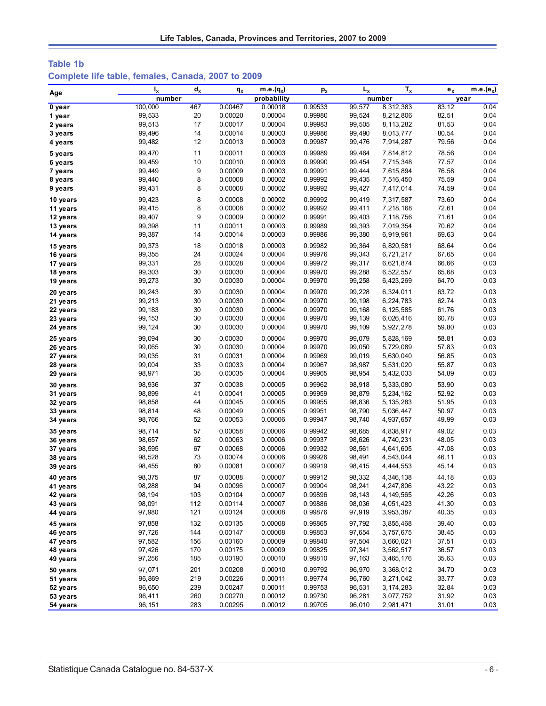# **Table 1b Complete life table, females, Canada, 2007 to 2009**

| Age                  | $I_{x}$ | $d_{x}$ | $q_{x}$ | $m.e.(q_x)$ | $p_{x}$ | $L_{x}$ | $T_{x}$     | $e_x$ | m.e.( $e_x$ ) |
|----------------------|---------|---------|---------|-------------|---------|---------|-------------|-------|---------------|
|                      | number  |         |         | probability |         |         | number      |       | year          |
| 0 year               | 100,000 | 467     | 0.00467 | 0.00018     | 0.99533 | 99,577  | 8,312,383   | 83.12 | 0.04          |
| 1 year               | 99,533  | 20      | 0.00020 | 0.00004     | 0.99980 | 99,524  | 8,212,806   | 82.51 | 0.04          |
| 2 years              | 99,513  | 17      | 0.00017 | 0.00004     | 0.99983 | 99,505  | 8,113,282   | 81.53 | 0.04          |
| 3 years              | 99,496  | 14      | 0.00014 | 0.00003     | 0.99986 | 99,490  | 8,013,777   | 80.54 | 0.04          |
| 4 years              | 99,482  | 12      | 0.00013 | 0.00003     | 0.99987 | 99,476  | 7,914,287   | 79.56 | 0.04          |
| 5 years              | 99,470  | 11      | 0.00011 | 0.00003     | 0.99989 | 99,464  | 7,814,812   | 78.56 | 0.04          |
| 6 years              | 99,459  | 10      | 0.00010 | 0.00003     | 0.99990 | 99,454  | 7,715,348   | 77.57 | 0.04          |
| 7 years              | 99,449  | 9       | 0.00009 | 0.00003     | 0.99991 | 99,444  | 7,615,894   | 76.58 | 0.04          |
| 8 years              | 99,440  | 8       | 0.00008 | 0.00002     | 0.99992 | 99,435  | 7,516,450   | 75.59 | 0.04          |
| 9 years              | 99,431  | 8       | 0.00008 | 0.00002     | 0.99992 | 99,427  | 7,417,014   | 74.59 | 0.04          |
| 10 years             | 99.423  | 8       | 0.00008 | 0.00002     | 0.99992 | 99,419  | 7,317,587   | 73.60 | 0.04          |
| 11 years             | 99,415  | 8       | 0.00008 | 0.00002     | 0.99992 | 99,411  | 7,218,168   | 72.61 | 0.04          |
| 12 years             | 99,407  | 9       | 0.00009 | 0.00002     | 0.99991 | 99,403  | 7,118,756   | 71.61 | 0.04          |
| 13 years             | 99,398  | 11      | 0.00011 | 0.00003     | 0.99989 | 99,393  | 7,019,354   | 70.62 | 0.04          |
| 14 years             | 99,387  | 14      | 0.00014 | 0.00003     | 0.99986 | 99,380  | 6,919,961   | 69.63 | 0.04          |
| 15 years             | 99,373  | 18      | 0.00018 | 0.00003     | 0.99982 | 99,364  | 6,820,581   | 68.64 | 0.04          |
| 16 years             | 99,355  | 24      | 0.00024 | 0.00004     | 0.99976 | 99,343  | 6,721,217   | 67.65 | 0.04          |
| 17 years             | 99,331  | 28      | 0.00028 | 0.00004     | 0.99972 | 99,317  | 6,621,874   | 66.66 | 0.03          |
| 18 years             | 99,303  | 30      | 0.00030 | 0.00004     | 0.99970 | 99,288  | 6,522,557   | 65.68 | 0.03          |
| 19 years             | 99,273  | 30      | 0.00030 | 0.00004     | 0.99970 | 99,258  | 6,423,269   | 64.70 | 0.03          |
|                      | 99,243  | 30      | 0.00030 | 0.00004     | 0.99970 | 99,228  | 6,324,011   | 63.72 | 0.03          |
| 20 years<br>21 years | 99,213  | 30      | 0.00030 | 0.00004     | 0.99970 | 99,198  | 6,224,783   | 62.74 | 0.03          |
| 22 years             | 99,183  | 30      | 0.00030 | 0.00004     | 0.99970 | 99,168  | 6,125,585   | 61.76 | 0.03          |
| 23 years             | 99,153  | 30      | 0.00030 | 0.00004     | 0.99970 | 99,139  | 6,026,416   | 60.78 | 0.03          |
| 24 years             | 99,124  | 30      | 0.00030 | 0.00004     | 0.99970 | 99,109  | 5,927,278   | 59.80 | 0.03          |
|                      |         |         |         |             |         |         |             |       |               |
| 25 years             | 99,094  | 30      | 0.00030 | 0.00004     | 0.99970 | 99,079  | 5,828,169   | 58.81 | 0.03          |
| 26 years             | 99,065  | 30      | 0.00030 | 0.00004     | 0.99970 | 99,050  | 5,729,089   | 57.83 | 0.03          |
| 27 years             | 99,035  | 31      | 0.00031 | 0.00004     | 0.99969 | 99,019  | 5,630,040   | 56.85 | 0.03          |
| 28 years             | 99,004  | 33      | 0.00033 | 0.00004     | 0.99967 | 98,987  | 5,531,020   | 55.87 | 0.03          |
| 29 years             | 98,971  | 35      | 0.00035 | 0.00004     | 0.99965 | 98,954  | 5,432,033   | 54.89 | 0.03          |
| 30 years             | 98,936  | 37      | 0.00038 | 0.00005     | 0.99962 | 98,918  | 5,333,080   | 53.90 | 0.03          |
| 31 years             | 98,899  | 41      | 0.00041 | 0.00005     | 0.99959 | 98,879  | 5,234,162   | 52.92 | 0.03          |
| 32 years             | 98,858  | 44      | 0.00045 | 0.00005     | 0.99955 | 98,836  | 5,135,283   | 51.95 | 0.03          |
| 33 years             | 98,814  | 48      | 0.00049 | 0.00005     | 0.99951 | 98,790  | 5,036,447   | 50.97 | 0.03          |
| 34 years             | 98,766  | 52      | 0.00053 | 0.00006     | 0.99947 | 98,740  | 4,937,657   | 49.99 | 0.03          |
| 35 years             | 98,714  | 57      | 0.00058 | 0.00006     | 0.99942 | 98,685  | 4,838,917   | 49.02 | 0.03          |
| 36 years             | 98,657  | 62      | 0.00063 | 0.00006     | 0.99937 | 98,626  | 4,740,231   | 48.05 | 0.03          |
| 37 years             | 98,595  | 67      | 0.00068 | 0.00006     | 0.99932 | 98,561  | 4,641,605   | 47.08 | 0.03          |
| 38 years             | 98,528  | 73      | 0.00074 | 0.00006     | 0.99926 | 98,491  | 4,543,044   | 46.11 | 0.03          |
| 39 years             | 98,455  | 80      | 0.00081 | 0.00007     | 0.99919 | 98,415  | 4,444,553   | 45.14 | 0.03          |
| 40 years             | 98,375  | 87      | 0.00088 | 0.00007     | 0.99912 | 98,332  | 4,346,138   | 44.18 | 0.03          |
| 41 years             | 98,288  | 94      | 0.00096 | 0.00007     | 0.99904 | 98,241  | 4,247,806   | 43.22 | 0.03          |
| 42 years             | 98,194  | 103     | 0.00104 | 0.00007     | 0.99896 | 98,143  | 4, 149, 565 | 42.26 | 0.03          |
| 43 years             | 98,091  | 112     | 0.00114 | 0.00007     | 0.99886 | 98,036  | 4,051,423   | 41.30 | 0.03          |
| 44 years             | 97,980  | 121     | 0.00124 | 0.00008     | 0.99876 | 97,919  | 3,953,387   | 40.35 | 0.03          |
| 45 years             | 97,858  | 132     | 0.00135 | 0.00008     | 0.99865 | 97,792  | 3,855,468   | 39.40 | 0.03          |
| 46 years             | 97,726  | 144     | 0.00147 | 0.00008     | 0.99853 | 97,654  | 3,757,675   | 38.45 | 0.03          |
| 47 years             | 97,582  | 156     | 0.00160 | 0.00009     | 0.99840 | 97,504  | 3,660,021   | 37.51 | 0.03          |
| 48 years             | 97,426  | 170     | 0.00175 | 0.00009     | 0.99825 | 97,341  | 3,562,517   | 36.57 | 0.03          |
| 49 years             | 97,256  | 185     | 0.00190 | 0.00010     | 0.99810 | 97,163  | 3,465,176   | 35.63 | 0.03          |
| 50 years             | 97,071  | 201     | 0.00208 | 0.00010     | 0.99792 | 96,970  | 3,368,012   | 34.70 | 0.03          |
| 51 years             | 96,869  | 219     | 0.00226 | 0.00011     | 0.99774 | 96,760  | 3,271,042   | 33.77 | 0.03          |
| 52 years             | 96,650  | 239     | 0.00247 | 0.00011     | 0.99753 | 96,531  | 3,174,283   | 32.84 | 0.03          |
| 53 years             | 96,411  | 260     | 0.00270 | 0.00012     | 0.99730 | 96,281  | 3,077,752   | 31.92 | 0.03          |
| 54 years             | 96,151  | 283     | 0.00295 | 0.00012     | 0.99705 | 96,010  | 2,981,471   | 31.01 | 0.03          |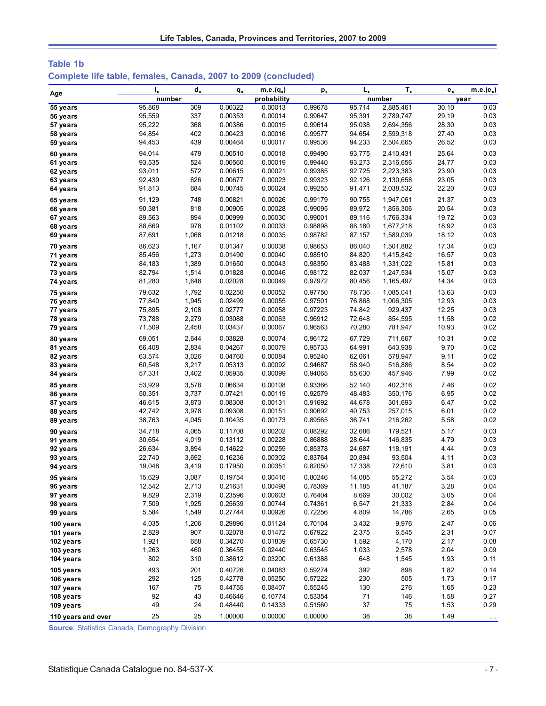| <b>Table 1b</b>                                                |  |  |  |
|----------------------------------------------------------------|--|--|--|
| Complete life table, females, Canada, 2007 to 2009 (concluded) |  |  |  |

| Age                    | I,               | $d_x$          | $q_{x}$            | $m.e.(q_x)$        | $p_{x}$            | $L_{x}$          | $T_{x}$          | $e_{x}$      | $m.e.(e_x)$  |
|------------------------|------------------|----------------|--------------------|--------------------|--------------------|------------------|------------------|--------------|--------------|
|                        | number           |                |                    | probability        |                    |                  | number           |              | year         |
| 55 years               | 95,868           | 309            | 0.00322            | 0.00013            | 0.99678            | 95,714           | 2,885,461        | 30.10        | 0.03         |
| 56 years               | 95,559           | 337            | 0.00353            | 0.00014            | 0.99647            | 95,391           | 2,789,747        | 29.19        | 0.03         |
| 57 years               | 95,222           | 368            | 0.00386            | 0.00015            | 0.99614            | 95,038           | 2,694,356        | 28.30        | 0.03         |
| 58 years               | 94,854           | 402            | 0.00423            | 0.00016            | 0.99577            | 94,654           | 2,599,318        | 27.40        | 0.03         |
| 59 years               | 94,453           | 439            | 0.00464            | 0.00017            | 0.99536            | 94,233           | 2,504,665        | 26.52        | 0.03         |
| 60 years               | 94,014           | 479            | 0.00510            | 0.00018            | 0.99490            | 93,775           | 2,410,431        | 25.64        | 0.03         |
| 61 years               | 93,535           | 524            | 0.00560            | 0.00019            | 0.99440            | 93,273           | 2,316,656        | 24.77        | 0.03         |
| 62 years               | 93,011           | 572            | 0.00615            | 0.00021            | 0.99385            | 92,725           | 2,223,383        | 23.90        | 0.03         |
| 63 years               | 92,439           | 626            | 0.00677            | 0.00023            | 0.99323            | 92,126           | 2,130,658        | 23.05        | 0.03         |
| 64 years               | 91,813           | 684            | 0.00745            | 0.00024            | 0.99255            | 91,471           | 2,038,532        | 22.20        | 0.03         |
| 65 years               | 91,129           | 748            | 0.00821            | 0.00026            | 0.99179            | 90,755           | 1,947,061        | 21.37        | 0.03         |
| 66 years               | 90,381           | 818            | 0.00905            | 0.00028            | 0.99095            | 89,972           | 1,856,306        | 20.54        | 0.03         |
| 67 years               | 89,563           | 894            | 0.00999            | 0.00030            | 0.99001            | 89,116           | 1,766,334        | 19.72        | 0.03         |
| 68 years               | 88,669           | 978            | 0.01102            | 0.00033            | 0.98898            | 88,180           | 1,677,218        | 18.92        | 0.03         |
| 69 years               | 87,691           | 1,068          | 0.01218            | 0.00035            | 0.98782            | 87,157           | 1,589,039        | 18.12        | 0.03         |
| 70 years               | 86,623           | 1,167          | 0.01347            | 0.00038            | 0.98653            | 86,040           | 1,501,882        | 17.34        | 0.03         |
| 71 years               | 85,456           | 1,273          | 0.01490            | 0.00040            | 0.98510            | 84,820           | 1,415,842        | 16.57        | 0.03         |
| 72 years               | 84,183           | 1,389          | 0.01650            | 0.00043            | 0.98350            | 83,488           | 1,331,022        | 15.81        | 0.03         |
| 73 years               | 82,794           | 1,514          | 0.01828            | 0.00046            | 0.98172            | 82,037           | 1,247,534        | 15.07        | 0.03         |
| 74 years               | 81,280           | 1,648          | 0.02028            | 0.00049            | 0.97972            | 80,456           | 1,165,497        | 14.34        | 0.03         |
| 75 years               | 79,632           | 1,792          | 0.02250            | 0.00052            | 0.97750            | 78,736           | 1,085,041        | 13.63        | 0.03         |
| 76 years               | 77,840           | 1,945          | 0.02499            | 0.00055            | 0.97501            | 76,868           | 1,006,305        | 12.93        | 0.03         |
| 77 years               | 75,895           | 2,108          | 0.02777            | 0.00058            | 0.97223            | 74,842           | 929,437          | 12.25        | 0.03         |
| 78 years               | 73,788           | 2,279          | 0.03088            | 0.00063            | 0.96912            | 72,648           | 854,595          | 11.58        | 0.02         |
| 79 years               | 71,509           | 2,458          | 0.03437            | 0.00067            | 0.96563            | 70,280           | 781,947          | 10.93        | 0.02         |
| 80 years               | 69.051           | 2,644          | 0.03828            | 0.00074            | 0.96172            | 67,729           | 711,667          | 10.31        | 0.02         |
| 81 years               | 66,408           | 2,834          | 0.04267            | 0.00079            | 0.95733            | 64,991           | 643,938          | 9.70         | 0.02         |
| 82 years               | 63,574           | 3,026          | 0.04760            | 0.00084            | 0.95240            | 62,061           | 578,947          | 9.11         | 0.02         |
| 83 years               | 60,548           | 3,217          | 0.05313            | 0.00092            | 0.94687            | 58,940           | 516,886          | 8.54         | 0.02         |
| 84 years               | 57,331           | 3,402          | 0.05935            | 0.00099            | 0.94065            | 55,630           | 457,946          | 7.99         | 0.02         |
| 85 years               | 53,929           | 3,578          | 0.06634            | 0.00108            | 0.93366            | 52,140           | 402,316          | 7.46         | 0.02         |
| 86 years               | 50,351           | 3,737          | 0.07421            | 0.00119            | 0.92579            | 48,483           | 350,176          | 6.95         | 0.02         |
| 87 years               | 46,615           | 3,873          | 0.08308            | 0.00131            | 0.91692            | 44,678           | 301,693          | 6.47         | 0.02         |
| 88 years               | 42,742           | 3,978          | 0.09308            | 0.00151            | 0.90692            | 40,753           | 257,015          | 6.01         | 0.02         |
| 89 years               | 38,763           | 4,045          | 0.10435            | 0.00173            | 0.89565            | 36,741           | 216,262          | 5.58         | 0.02         |
| 90 years               | 34,718           | 4,065          | 0.11708            | 0.00202            | 0.88292            | 32,686           | 179,521          | 5.17         | 0.03         |
| 91 years               | 30,654           | 4,019          | 0.13112            | 0.00228            | 0.86888            | 28,644           | 146,835          | 4.79         | 0.03         |
| 92 years               | 26,634           | 3,894          | 0.14622            | 0.00259            | 0.85378            | 24,687           | 118,191          | 4.44         | 0.03<br>0.03 |
| 93 years<br>94 years   | 22,740<br>19,048 | 3,692<br>3,419 | 0.16236<br>0.17950 | 0.00302<br>0.00351 | 0.83764<br>0.82050 | 20,894<br>17,338 | 93,504<br>72,610 | 4.11<br>3.81 | 0.03         |
|                        |                  |                |                    |                    |                    |                  |                  |              |              |
| 95 years               | 15,629           | 3,087          | 0.19754            | 0.00416            | 0.80246            | 14,085           | 55,272           | 3.54         | 0.03         |
| 96 years               | 12,542           | 2,713          | 0.21631            | 0.00498            | 0.78369            | 11,185           | 41,187           | 3.28         | 0.04         |
| 97 years<br>98 years   | 9,829<br>7,509   | 2,319<br>1,925 | 0.23596<br>0.25639 | 0.00603<br>0.00744 | 0.76404<br>0.74361 | 8,669<br>6,547   | 30,002<br>21,333 | 3.05<br>2.84 | 0.04<br>0.04 |
| 99 years               | 5,584            | 1,549          | 0.27744            | 0.00926            | 0.72256            | 4,809            | 14,786           | 2.65         | 0.05         |
|                        |                  |                |                    | 0.01124            |                    |                  |                  |              |              |
| 100 years              | 4,035<br>2,829   | 1,206<br>907   | 0.29896<br>0.32078 | 0.01472            | 0.70104<br>0.67922 | 3,432<br>2,375   | 9,976<br>6,545   | 2.47<br>2.31 | 0.06<br>0.07 |
| 101 years<br>102 years | 1,921            | 658            | 0.34270            | 0.01839            | 0.65730            | 1,592            | 4,170            | 2.17         | 0.08         |
| 103 years              | 1,263            | 460            | 0.36455            | 0.02440            | 0.63545            | 1,033            | 2,578            | 2.04         | 0.09         |
| 104 years              | 802              | 310            | 0.38612            | 0.03200            | 0.61388            | 648              | 1,545            | 1.93         | 0.11         |
|                        | 493              |                |                    |                    |                    |                  |                  |              |              |
| 105 years              | 292              | 201            | 0.40726<br>0.42778 | 0.04083<br>0.05250 | 0.59274<br>0.57222 | 392<br>230       | 898<br>505       | 1.82<br>1.73 | 0.14<br>0.17 |
| 106 years<br>107 years | 167              | 125<br>75      | 0.44755            | 0.08407            | 0.55245            | 130              | 276              | 1.65         | 0.23         |
| 108 years              | 92               | 43             | 0.46646            | 0.10774            | 0.53354            | 71               | 146              | 1.58         | 0.27         |
| 109 years              | 49               | 24             | 0.48440            | 0.14333            | 0.51560            | 37               | 75               | 1.53         | 0.29         |
|                        | 25               | 25             | 1.00000            | 0.00000            | 0.00000            | 38               | 38               | 1.49         |              |
| 110 years and over     |                  |                |                    |                    |                    |                  |                  |              | $\ldots$     |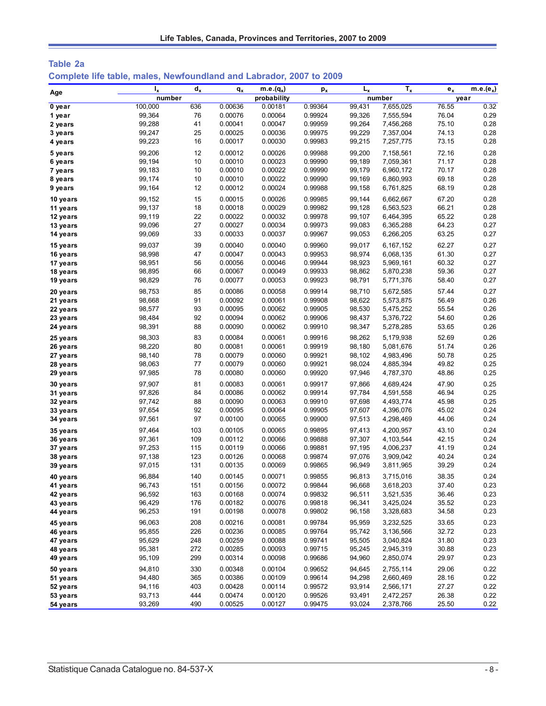| Table 2a |                                                                     |  |  |
|----------|---------------------------------------------------------------------|--|--|
|          | Complete life table, males, Newfoundland and Labrador, 2007 to 2009 |  |  |

|          | $I_{x}$ | $d_{x}$ | $q_{x}$ | $m.e.(q_x)$ | $p_{x}$ | $L_{x}$ | $T_{x}$   | $e_{x}$ | $m.e.(e_x)$ |
|----------|---------|---------|---------|-------------|---------|---------|-----------|---------|-------------|
| Age      | number  |         |         | probability |         |         | number    | year    |             |
| 0 year   | 100,000 | 636     | 0.00636 | 0.00181     | 0.99364 | 99,431  | 7,655,025 | 76.55   | 0.32        |
| 1 year   | 99,364  | 76      | 0.00076 | 0.00064     | 0.99924 | 99,326  | 7,555,594 | 76.04   | 0.29        |
| 2 years  | 99,288  | 41      | 0.00041 | 0.00047     | 0.99959 | 99,264  | 7,456,268 | 75.10   | 0.28        |
| 3 years  | 99,247  | 25      | 0.00025 | 0.00036     | 0.99975 | 99,229  | 7,357,004 | 74.13   | 0.28        |
| 4 years  | 99,223  | 16      | 0.00017 | 0.00030     | 0.99983 | 99,215  | 7,257,775 | 73.15   | 0.28        |
| 5 years  | 99,206  | 12      | 0.00012 | 0.00026     | 0.99988 | 99,200  | 7,158,561 | 72.16   | 0.28        |
| 6 years  | 99,194  | 10      | 0.00010 | 0.00023     | 0.99990 | 99,189  | 7,059,361 | 71.17   | 0.28        |
| 7 years  | 99,183  | 10      | 0.00010 | 0.00022     | 0.99990 | 99,179  | 6,960,172 | 70.17   | 0.28        |
| 8 years  | 99,174  | 10      | 0.00010 | 0.00022     | 0.99990 | 99,169  | 6,860,993 | 69.18   | 0.28        |
| 9 years  | 99,164  | 12      | 0.00012 | 0.00024     | 0.99988 | 99,158  | 6,761,825 | 68.19   | 0.28        |
| 10 years | 99,152  | 15      | 0.00015 | 0.00026     | 0.99985 | 99,144  | 6,662,667 | 67.20   | 0.28        |
| 11 years | 99,137  | 18      | 0.00018 | 0.00029     | 0.99982 | 99,128  | 6,563,523 | 66.21   | 0.28        |
| 12 years | 99,119  | 22      | 0.00022 | 0.00032     | 0.99978 | 99,107  | 6,464,395 | 65.22   | 0.28        |
| 13 years | 99,096  | 27      | 0.00027 | 0.00034     | 0.99973 | 99,083  | 6,365,288 | 64.23   | 0.27        |
| 14 years | 99,069  | 33      | 0.00033 | 0.00037     | 0.99967 | 99,053  | 6,266,205 | 63.25   | 0.27        |
| 15 years | 99,037  | 39      | 0.00040 | 0.00040     | 0.99960 | 99,017  | 6,167,152 | 62.27   | 0.27        |
| 16 years | 98,998  | 47      | 0.00047 | 0.00043     | 0.99953 | 98,974  | 6,068,135 | 61.30   | 0.27        |
| 17 years | 98,951  | 56      | 0.00056 | 0.00046     | 0.99944 | 98,923  | 5,969,161 | 60.32   | 0.27        |
| 18 years | 98,895  | 66      | 0.00067 | 0.00049     | 0.99933 | 98,862  | 5,870,238 | 59.36   | 0.27        |
| 19 years | 98,829  | 76      | 0.00077 | 0.00053     | 0.99923 | 98,791  | 5,771,376 | 58.40   | 0.27        |
| 20 years | 98,753  | 85      | 0.00086 | 0.00058     | 0.99914 | 98,710  | 5,672,585 | 57.44   | 0.27        |
| 21 years | 98,668  | 91      | 0.00092 | 0.00061     | 0.99908 | 98,622  | 5,573,875 | 56.49   | 0.26        |
| 22 years | 98,577  | 93      | 0.00095 | 0.00062     | 0.99905 | 98,530  | 5,475,252 | 55.54   | 0.26        |
| 23 years | 98,484  | 92      | 0.00094 | 0.00062     | 0.99906 | 98,437  | 5,376,722 | 54.60   | 0.26        |
| 24 years | 98,391  | 88      | 0.00090 | 0.00062     | 0.99910 | 98,347  | 5,278,285 | 53.65   | 0.26        |
| 25 years | 98,303  | 83      | 0.00084 | 0.00061     | 0.99916 | 98,262  | 5,179,938 | 52.69   | 0.26        |
| 26 years | 98,220  | 80      | 0.00081 | 0.00061     | 0.99919 | 98,180  | 5,081,676 | 51.74   | 0.26        |
| 27 years | 98,140  | 78      | 0.00079 | 0.00060     | 0.99921 | 98,102  | 4,983,496 | 50.78   | 0.25        |
| 28 years | 98,063  | 77      | 0.00079 | 0.00060     | 0.99921 | 98,024  | 4,885,394 | 49.82   | 0.25        |
| 29 years | 97,985  | 78      | 0.00080 | 0.00060     | 0.99920 | 97,946  | 4,787,370 | 48.86   | 0.25        |
| 30 years | 97,907  | 81      | 0.00083 | 0.00061     | 0.99917 | 97,866  | 4,689,424 | 47.90   | 0.25        |
| 31 years | 97,826  | 84      | 0.00086 | 0.00062     | 0.99914 | 97,784  | 4,591,558 | 46.94   | 0.25        |
| 32 years | 97,742  | 88      | 0.00090 | 0.00063     | 0.99910 | 97,698  | 4,493,774 | 45.98   | 0.25        |
| 33 years | 97,654  | 92      | 0.00095 | 0.00064     | 0.99905 | 97,607  | 4,396,076 | 45.02   | 0.24        |
| 34 years | 97,561  | 97      | 0.00100 | 0.00065     | 0.99900 | 97,513  | 4,298,469 | 44.06   | 0.24        |
| 35 years | 97,464  | 103     | 0.00105 | 0.00065     | 0.99895 | 97,413  | 4,200,957 | 43.10   | 0.24        |
| 36 years | 97,361  | 109     | 0.00112 | 0.00066     | 0.99888 | 97,307  | 4,103,544 | 42.15   | 0.24        |
| 37 years | 97,253  | 115     | 0.00119 | 0.00066     | 0.99881 | 97,195  | 4,006,237 | 41.19   | 0.24        |
| 38 years | 97,138  | 123     | 0.00126 | 0.00068     | 0.99874 | 97,076  | 3,909,042 | 40.24   | 0.24        |
| 39 years | 97,015  | 131     | 0.00135 | 0.00069     | 0.99865 | 96,949  | 3,811,965 | 39.29   | 0.24        |
| 40 years | 96,884  | 140     | 0.00145 | 0.00071     | 0.99855 | 96,813  | 3,715,016 | 38.35   | 0.24        |
| 41 years | 96,743  | 151     | 0.00156 | 0.00072     | 0.99844 | 96,668  | 3,618,203 | 37.40   | 0.23        |
| 42 years | 96,592  | 163     | 0.00168 | 0.00074     | 0.99832 | 96,511  | 3,521,535 | 36.46   | 0.23        |
| 43 years | 96,429  | 176     | 0.00182 | 0.00076     | 0.99818 | 96,341  | 3,425,024 | 35.52   | 0.23        |
| 44 years | 96,253  | 191     | 0.00198 | 0.00078     | 0.99802 | 96,158  | 3,328,683 | 34.58   | 0.23        |
| 45 years | 96,063  | 208     | 0.00216 | 0.00081     | 0.99784 | 95,959  | 3,232,525 | 33.65   | 0.23        |
| 46 years | 95,855  | 226     | 0.00236 | 0.00085     | 0.99764 | 95,742  | 3,136,566 | 32.72   | 0.23        |
| 47 years | 95,629  | 248     | 0.00259 | 0.00088     | 0.99741 | 95,505  | 3,040,824 | 31.80   | 0.23        |
| 48 years | 95,381  | 272     | 0.00285 | 0.00093     | 0.99715 | 95,245  | 2,945,319 | 30.88   | 0.23        |
| 49 years | 95,109  | 299     | 0.00314 | 0.00098     | 0.99686 | 94,960  | 2,850,074 | 29.97   | 0.23        |
| 50 years | 94,810  | 330     | 0.00348 | 0.00104     | 0.99652 | 94,645  | 2,755,114 | 29.06   | 0.22        |
| 51 years | 94,480  | 365     | 0.00386 | 0.00109     | 0.99614 | 94,298  | 2,660,469 | 28.16   | 0.22        |
| 52 years | 94,116  | 403     | 0.00428 | 0.00114     | 0.99572 | 93,914  | 2,566,171 | 27.27   | 0.22        |
| 53 years | 93,713  | 444     | 0.00474 | 0.00120     | 0.99526 | 93,491  | 2,472,257 | 26.38   | 0.22        |
| 54 years | 93,269  | 490     | 0.00525 | 0.00127     | 0.99475 | 93,024  | 2,378,766 | 25.50   | 0.22        |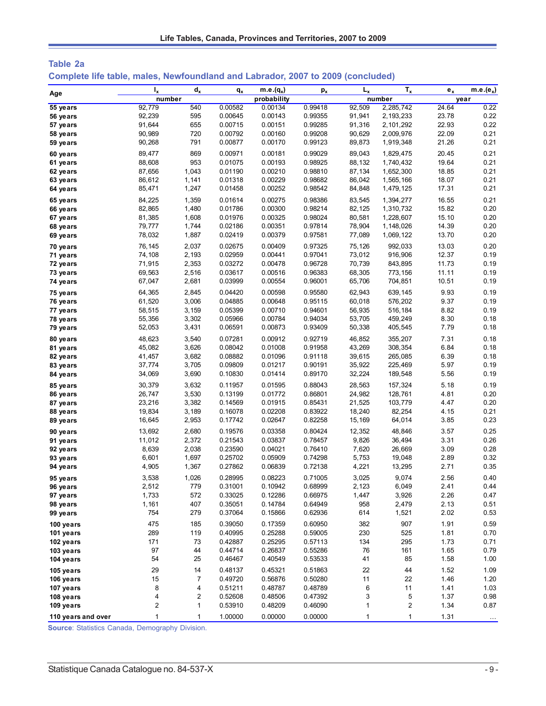| Table 2a |  |                                                                                 |  |  |  |
|----------|--|---------------------------------------------------------------------------------|--|--|--|
|          |  | Complete life table, males, Newfoundland and Labrador, 2007 to 2009 (concluded) |  |  |  |

| Age                | $I_{x}$      | $d_{x}$        | $q_{x}$ | $m.e.(q_x)$ | $p_{x}$ | $L_{\rm x}$ | $T_{x}$          | $e_{x}$ | $m.e.(e_x)$ |
|--------------------|--------------|----------------|---------|-------------|---------|-------------|------------------|---------|-------------|
|                    | number       |                |         | probability |         |             | number           |         | year        |
| 55 years           | 92,779       | 540            | 0.00582 | 0.00134     | 0.99418 | 92,509      | 2,285,742        | 24.64   | 0.22        |
| 56 years           | 92,239       | 595            | 0.00645 | 0.00143     | 0.99355 | 91,941      | 2,193,233        | 23.78   | 0.22        |
| 57 years           | 91,644       | 655            | 0.00715 | 0.00151     | 0.99285 | 91,316      | 2,101,292        | 22.93   | 0.22        |
| 58 years           | 90,989       | 720            | 0.00792 | 0.00160     | 0.99208 | 90,629      | 2,009,976        | 22.09   | 0.21        |
| 59 years           | 90,268       | 791            | 0.00877 | 0.00170     | 0.99123 | 89,873      | 1,919,348        | 21.26   | 0.21        |
| 60 years           | 89,477       | 869            | 0.00971 | 0.00181     | 0.99029 | 89,043      | 1,829,475        | 20.45   | 0.21        |
| 61 years           | 88,608       | 953            | 0.01075 | 0.00193     | 0.98925 | 88,132      | 1,740,432        | 19.64   | 0.21        |
| 62 years           | 87,656       | 1,043          | 0.01190 | 0.00210     | 0.98810 | 87,134      | 1,652,300        | 18.85   | 0.21        |
| 63 years           | 86,612       | 1,141          | 0.01318 | 0.00229     | 0.98682 | 86,042      | 1,565,166        | 18.07   | 0.21        |
| 64 years           | 85,471       | 1,247          | 0.01458 | 0.00252     | 0.98542 | 84,848      | 1,479,125        | 17.31   | 0.21        |
| 65 years           | 84,225       | 1,359          | 0.01614 | 0.00275     | 0.98386 | 83,545      | 1,394,277        | 16.55   | 0.21        |
| 66 years           | 82,865       | 1,480          | 0.01786 | 0.00300     | 0.98214 | 82,125      | 1,310,732        | 15.82   | 0.20        |
| 67 years           | 81,385       | 1,608          | 0.01976 | 0.00325     | 0.98024 | 80,581      | 1,228,607        | 15.10   | 0.20        |
| 68 years           | 79,777       | 1,744          | 0.02186 | 0.00351     | 0.97814 | 78,904      | 1,148,026        | 14.39   | 0.20        |
| 69 years           | 78,032       | 1,887          | 0.02419 | 0.00379     | 0.97581 | 77,089      | 1,069,122        | 13.70   | 0.20        |
| 70 years           | 76,145       | 2,037          | 0.02675 | 0.00409     | 0.97325 | 75,126      | 992,033          | 13.03   | 0.20        |
| 71 years           | 74,108       | 2,193          | 0.02959 | 0.00441     | 0.97041 | 73,012      | 916,906          | 12.37   | 0.19        |
| 72 years           | 71,915       | 2,353          | 0.03272 | 0.00478     | 0.96728 | 70,739      | 843,895          | 11.73   | 0.19        |
| 73 years           | 69,563       | 2,516          | 0.03617 | 0.00516     | 0.96383 | 68,305      | 773,156          | 11.11   | 0.19        |
| 74 years           | 67,047       | 2,681          | 0.03999 | 0.00554     | 0.96001 | 65,706      | 704,851          | 10.51   | 0.19        |
| 75 years           | 64,365       | 2,845          | 0.04420 | 0.00598     | 0.95580 | 62,943      | 639,145          | 9.93    | 0.19        |
| 76 years           | 61,520       | 3,006          | 0.04885 | 0.00648     | 0.95115 | 60,018      | 576,202          | 9.37    | 0.19        |
| 77 years           | 58,515       | 3,159          | 0.05399 | 0.00710     | 0.94601 | 56,935      | 516,184          | 8.82    | 0.19        |
| 78 years           | 55,356       | 3,302          | 0.05966 | 0.00784     | 0.94034 | 53,705      | 459,249          | 8.30    | 0.18        |
| 79 years           | 52,053       | 3,431          | 0.06591 | 0.00873     | 0.93409 | 50,338      | 405,545          | 7.79    | 0.18        |
| 80 years           | 48,623       | 3,540          | 0.07281 | 0.00912     | 0.92719 | 46,852      | 355,207          | 7.31    | 0.18        |
| 81 years           | 45,082       | 3,626          | 0.08042 | 0.01008     | 0.91958 | 43,269      | 308,354          | 6.84    | 0.18        |
| 82 years           | 41,457       | 3,682          | 0.08882 | 0.01096     | 0.91118 | 39,615      | 265,085          | 6.39    | 0.18        |
| 83 years           | 37,774       | 3,705          | 0.09809 | 0.01217     | 0.90191 | 35,922      | 225,469          | 5.97    | 0.19        |
| 84 years           | 34,069       | 3,690          | 0.10830 | 0.01414     | 0.89170 | 32,224      | 189,548          | 5.56    | 0.19        |
| 85 years           | 30,379       | 3,632          | 0.11957 | 0.01595     | 0.88043 | 28,563      | 157,324          | 5.18    | 0.19        |
| 86 years           | 26,747       | 3,530          | 0.13199 | 0.01772     | 0.86801 | 24,982      | 128,761          | 4.81    | 0.20        |
| 87 years           | 23,216       | 3,382          | 0.14569 | 0.01915     | 0.85431 | 21,525      | 103,779          | 4.47    | 0.20        |
| 88 years           | 19,834       | 3,189          | 0.16078 | 0.02208     | 0.83922 | 18,240      | 82,254           | 4.15    | 0.21        |
| 89 years           | 16,645       | 2,953          | 0.17742 | 0.02647     | 0.82258 | 15,169      | 64,014           | 3.85    | 0.23        |
| 90 years           | 13,692       | 2,680          | 0.19576 | 0.03358     | 0.80424 | 12,352      | 48,846           | 3.57    | 0.25        |
| 91 years           | 11,012       | 2,372          | 0.21543 | 0.03837     | 0.78457 | 9,826       | 36,494           | 3.31    | 0.26        |
| 92 years           | 8,639        | 2,038          | 0.23590 | 0.04021     | 0.76410 | 7,620       | 26,669           | 3.09    | 0.28        |
| 93 years           | 6,601        | 1,697          | 0.25702 | 0.05909     | 0.74298 | 5,753       | 19,048           | 2.89    | 0.32        |
| 94 years           | 4,905        | 1,367          | 0.27862 | 0.06839     | 0.72138 | 4,221       | 13,295           | 2.71    | 0.35        |
| 95 years           | 3,538        | 1,026          | 0.28995 | 0.08223     | 0.71005 | 3,025       | 9,074            | 2.56    | 0.40        |
| 96 years           | 2,512        | 779            | 0.31001 | 0.10942     | 0.68999 | 2,123       | 6,049            | 2.41    | 0.44        |
| 97 years           | 1,733        | 572            | 0.33025 | 0.12286     | 0.66975 | 1,447       | 3,926            | 2.26    | 0.47        |
| 98 years           | 1,161        | 407            | 0.35051 | 0.14784     | 0.64949 | 958         | 2,479            | 2.13    | 0.51        |
| 99 years           | 754          | 279            | 0.37064 | 0.15866     | 0.62936 | 614         | 1,521            | 2.02    | 0.53        |
| 100 years          | 475          | 185            | 0.39050 | 0.17359     | 0.60950 | 382         | 907              | 1.91    | 0.59        |
| 101 years          | 289          | 119            | 0.40995 | 0.25288     | 0.59005 | 230         | 525              | 1.81    | 0.70        |
| 102 years          | 171          | 73             | 0.42887 | 0.25295     | 0.57113 | 134         | 295              | 1.73    | 0.71        |
| 103 years          | 97           | 44             | 0.44714 | 0.26837     | 0.55286 | 76          | 161              | 1.65    | 0.79        |
| 104 years          | 54           | 25             | 0.46467 | 0.40549     | 0.53533 | 41          | 85               | 1.58    | 1.00        |
| 105 years          | 29           | 14             | 0.48137 | 0.45321     | 0.51863 | 22          | 44               | 1.52    | 1.09        |
| 106 years          | 15           | $\overline{7}$ | 0.49720 | 0.56876     | 0.50280 | 11          | 22               | 1.46    | 1.20        |
| 107 years          | 8            | 4              | 0.51211 | 0.48787     | 0.48789 | 6           | 11               | 1.41    | 1.03        |
| 108 years          | 4            | 2              | 0.52608 | 0.48506     | 0.47392 | 3           | 5                | 1.37    | 0.98        |
| 109 years          | 2            | $\mathbf{1}$   | 0.53910 | 0.48209     | 0.46090 | 1           | $\boldsymbol{2}$ | 1.34    | 0.87        |
| 110 years and over | $\mathbf{1}$ | $\mathbf{1}$   | 1.00000 | 0.00000     | 0.00000 | 1           | 1                | 1.31    | $\cdots$    |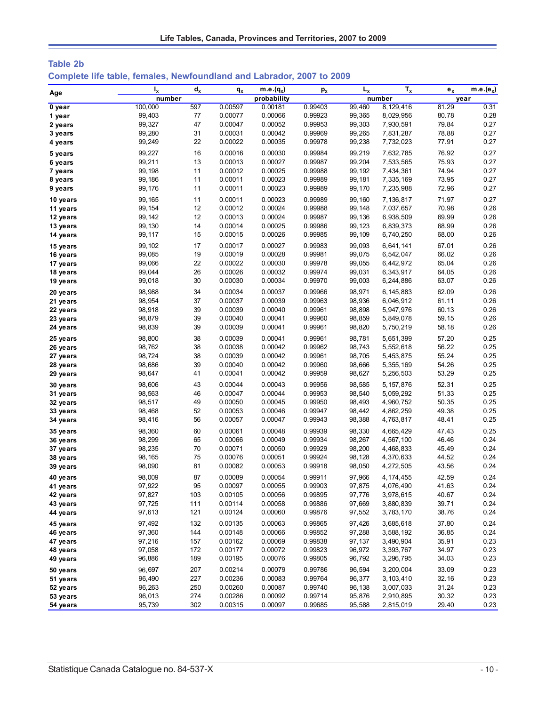| Table 2b                                                              |  |  |  |  |
|-----------------------------------------------------------------------|--|--|--|--|
| Complete life table, females, Newfoundland and Labrador, 2007 to 2009 |  |  |  |  |

|                      | $I_{x}$          | $d_{x}$  | $q_{x}$            | $m.e.(q_x)$        | $p_{x}$            | $L_{x}$          | $T_{x}$                | $e_{x}$        | $m.e.(e_x)$  |
|----------------------|------------------|----------|--------------------|--------------------|--------------------|------------------|------------------------|----------------|--------------|
| Age                  | number           |          |                    | probability        |                    |                  | number                 | year           |              |
| 0 year               | 100,000          | 597      | 0.00597            | 0.00181            | 0.99403            | 99,460           | 8,129,416              | 81.29          | 0.31         |
| 1 year               | 99,403           | 77       | 0.00077            | 0.00066            | 0.99923            | 99,365           | 8,029,956              | 80.78          | 0.28         |
| 2 years              | 99,327           | 47       | 0.00047            | 0.00052            | 0.99953            | 99,303           | 7,930,591              | 79.84          | 0.27         |
| 3 years              | 99,280           | 31       | 0.00031            | 0.00042            | 0.99969            | 99,265           | 7,831,287              | 78.88          | 0.27         |
| 4 years              | 99,249           | 22       | 0.00022            | 0.00035            | 0.99978            | 99,238           | 7,732,023              | 77.91          | 0.27         |
| 5 years              | 99,227           | 16       | 0.00016            | 0.00030            | 0.99984            | 99,219           | 7,632,785              | 76.92          | 0.27         |
| 6 years              | 99,211           | 13       | 0.00013            | 0.00027            | 0.99987            | 99,204           | 7,533,565              | 75.93          | 0.27         |
| 7 years              | 99,198           | 11       | 0.00012            | 0.00025            | 0.99988            | 99,192           | 7,434,361              | 74.94          | 0.27         |
| 8 years              | 99,186           | 11       | 0.00011            | 0.00023            | 0.99989            | 99,181           | 7,335,169              | 73.95          | 0.27         |
| 9 years              | 99,176           | 11       | 0.00011            | 0.00023            | 0.99989            | 99,170           | 7,235,988              | 72.96          | 0.27         |
| 10 years             | 99, 165          | 11       | 0.00011            | 0.00023            | 0.99989            | 99,160           | 7,136,817              | 71.97          | 0.27         |
| 11 years             | 99, 154          | 12       | 0.00012            | 0.00024            | 0.99988            | 99,148           | 7,037,657              | 70.98          | 0.26         |
| 12 years             | 99,142           | 12       | 0.00013            | 0.00024            | 0.99987            | 99,136           | 6,938,509              | 69.99          | 0.26         |
| 13 years             | 99,130           | 14       | 0.00014            | 0.00025            | 0.99986            | 99,123           | 6,839,373              | 68.99          | 0.26         |
| 14 years             | 99,117           | 15       | 0.00015            | 0.00026            | 0.99985            | 99,109           | 6,740,250              | 68.00          | 0.26         |
| 15 years             | 99,102           | 17       | 0.00017            | 0.00027            | 0.99983            | 99,093           | 6,641,141              | 67.01          | 0.26         |
| 16 years             | 99,085           | 19       | 0.00019            | 0.00028            | 0.99981            | 99,075           | 6,542,047              | 66.02          | 0.26         |
| 17 years             | 99,066           | 22       | 0.00022            | 0.00030            | 0.99978            | 99,055           | 6,442,972              | 65.04          | 0.26         |
| 18 years             | 99,044           | 26       | 0.00026            | 0.00032            | 0.99974            | 99,031           | 6,343,917              | 64.05          | 0.26         |
| 19 years             | 99,018           | 30       | 0.00030            | 0.00034            | 0.99970            | 99,003           | 6,244,886              | 63.07          | 0.26         |
|                      |                  | 34       | 0.00034            |                    | 0.99966            | 98,971           |                        | 62.09          | 0.26         |
| 20 years             | 98,988           |          |                    | 0.00037            |                    |                  | 6,145,883              |                |              |
| 21 years             | 98,954           | 37<br>39 | 0.00037<br>0.00039 | 0.00039<br>0.00040 | 0.99963<br>0.99961 | 98,936           | 6,046,912              | 61.11          | 0.26<br>0.26 |
| 22 years             | 98,918<br>98,879 | 39       | 0.00040            | 0.00041            | 0.99960            | 98,898<br>98,859 | 5,947,976              | 60.13<br>59.15 | 0.26         |
| 23 years<br>24 years | 98,839           | 39       | 0.00039            | 0.00041            | 0.99961            | 98,820           | 5,849,078<br>5,750,219 | 58.18          | 0.26         |
|                      |                  |          |                    |                    |                    |                  |                        |                |              |
| 25 years             | 98,800           | 38       | 0.00039            | 0.00041            | 0.99961            | 98,781           | 5,651,399              | 57.20          | 0.25         |
| 26 years             | 98,762           | 38       | 0.00038            | 0.00042            | 0.99962            | 98,743           | 5,552,618              | 56.22          | 0.25         |
| 27 years             | 98,724           | 38       | 0.00039            | 0.00042            | 0.99961            | 98,705           | 5,453,875              | 55.24          | 0.25         |
| 28 years             | 98,686           | 39       | 0.00040            | 0.00042            | 0.99960            | 98,666           | 5,355,169              | 54.26          | 0.25         |
| 29 years             | 98,647           | 41       | 0.00041            | 0.00042            | 0.99959            | 98,627           | 5,256,503              | 53.29          | 0.25         |
| 30 years             | 98,606           | 43       | 0.00044            | 0.00043            | 0.99956            | 98,585           | 5,157,876              | 52.31          | 0.25         |
| 31 years             | 98,563           | 46       | 0.00047            | 0.00044            | 0.99953            | 98,540           | 5,059,292              | 51.33          | 0.25         |
| 32 years             | 98,517           | 49       | 0.00050            | 0.00045            | 0.99950            | 98,493           | 4,960,752              | 50.35          | 0.25         |
| 33 years             | 98,468           | 52       | 0.00053            | 0.00046            | 0.99947            | 98,442           | 4,862,259              | 49.38          | 0.25         |
| 34 years             | 98,416           | 56       | 0.00057            | 0.00047            | 0.99943            | 98,388           | 4,763,817              | 48.41          | 0.25         |
| 35 years             | 98,360           | 60       | 0.00061            | 0.00048            | 0.99939            | 98,330           | 4,665,429              | 47.43          | 0.25         |
| 36 years             | 98,299           | 65       | 0.00066            | 0.00049            | 0.99934            | 98,267           | 4,567,100              | 46.46          | 0.24         |
| 37 years             | 98,235           | 70       | 0.00071            | 0.00050            | 0.99929            | 98,200           | 4,468,833              | 45.49          | 0.24         |
| 38 years             | 98,165           | 75       | 0.00076            | 0.00051            | 0.99924            | 98,128           | 4,370,633              | 44.52          | 0.24         |
| 39 years             | 98,090           | 81       | 0.00082            | 0.00053            | 0.99918            | 98,050           | 4,272,505              | 43.56          | 0.24         |
| 40 years             | 98,009           | 87       | 0.00089            | 0.00054            | 0.99911            | 97,966           | 4,174,455              | 42.59          | 0.24         |
| 41 years             | 97,922           | 95       | 0.00097            | 0.00055            | 0.99903            | 97,875           | 4,076,490              | 41.63          | 0.24         |
| 42 years             | 97,827           | 103      | 0.00105            | 0.00056            | 0.99895            | 97,776           | 3,978,615              | 40.67          | 0.24         |
| 43 years             | 97,725           | 111      | 0.00114            | 0.00058            | 0.99886            | 97,669           | 3,880,839              | 39.71          | 0.24         |
| 44 years             | 97,613           | 121      | 0.00124            | 0.00060            | 0.99876            | 97,552           | 3,783,170              | 38.76          | 0.24         |
| 45 years             | 97,492           | 132      | 0.00135            | 0.00063            | 0.99865            | 97,426           | 3,685,618              | 37.80          | 0.24         |
| 46 years             | 97,360           | 144      | 0.00148            | 0.00066            | 0.99852            | 97,288           | 3,588,192              | 36.85          | 0.24         |
| 47 years             | 97,216           | 157      | 0.00162            | 0.00069            | 0.99838            | 97,137           | 3,490,904              | 35.91          | 0.23         |
| 48 years             | 97,058           | 172      | 0.00177            | 0.00072            | 0.99823            | 96,972           | 3,393,767              | 34.97          | 0.23         |
| 49 years             | 96,886           | 189      | 0.00195            | 0.00076            | 0.99805            | 96,792           | 3,296,795              | 34.03          | 0.23         |
| 50 years             | 96,697           | 207      | 0.00214            | 0.00079            | 0.99786            | 96,594           | 3,200,004              | 33.09          | 0.23         |
| 51 years             | 96,490           | 227      | 0.00236            | 0.00083            | 0.99764            | 96,377           | 3,103,410              | 32.16          | 0.23         |
| 52 years             | 96,263           | 250      | 0.00260            | 0.00087            | 0.99740            | 96,138           | 3,007,033              | 31.24          | 0.23         |
| 53 years             | 96,013           | 274      | 0.00286            | 0.00092            | 0.99714            | 95,876           | 2,910,895              | 30.32          | 0.23         |
| 54 years             | 95,739           | 302      | 0.00315            | 0.00097            | 0.99685            | 95,588           | 2,815,019              | 29.40          | 0.23         |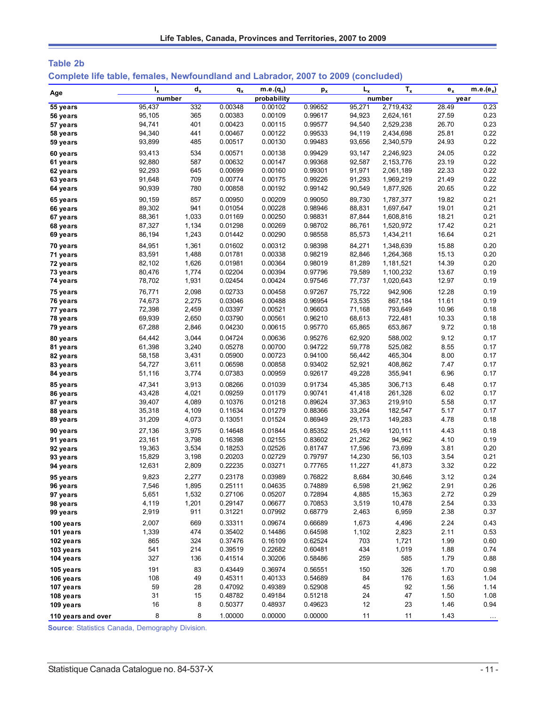| Table 2b                                                                          |  |  |  |
|-----------------------------------------------------------------------------------|--|--|--|
| Complete life table, females, Newfoundland and Labrador, 2007 to 2009 (concluded) |  |  |  |

| Age                    | $I_{x}$      | $d_{x}$    | $q_{x}$            | m.e. $(q_x)$       | $p_{x}$            | $L_{x}$      | $T_{x}$        | $\mathbf{e}_{\mathbf{x}}$ | $m.e.(e_x)$  |
|------------------------|--------------|------------|--------------------|--------------------|--------------------|--------------|----------------|---------------------------|--------------|
|                        | number       |            |                    | probability        |                    |              | number         |                           | year         |
| 55 years               | 95,437       | 332        | 0.00348            | 0.00102            | 0.99652            | 95,271       | 2,719,432      | 28.49                     | 0.23         |
| 56 years               | 95,105       | 365        | 0.00383            | 0.00109            | 0.99617            | 94,923       | 2,624,161      | 27.59                     | 0.23         |
| 57 years               | 94,741       | 401        | 0.00423            | 0.00115            | 0.99577            | 94,540       | 2,529,238      | 26.70                     | 0.23         |
| 58 years               | 94,340       | 441        | 0.00467            | 0.00122            | 0.99533            | 94,119       | 2,434,698      | 25.81                     | 0.22         |
| 59 years               | 93,899       | 485        | 0.00517            | 0.00130            | 0.99483            | 93,656       | 2,340,579      | 24.93                     | 0.22         |
| 60 years               | 93,413       | 534        | 0.00571            | 0.00138            | 0.99429            | 93,147       | 2,246,923      | 24.05                     | 0.22         |
| 61 years               | 92,880       | 587        | 0.00632            | 0.00147            | 0.99368            | 92,587       | 2,153,776      | 23.19                     | 0.22         |
| 62 years               | 92,293       | 645        | 0.00699            | 0.00160            | 0.99301            | 91,971       | 2,061,189      | 22.33                     | 0.22         |
| 63 years               | 91,648       | 709        | 0.00774            | 0.00175            | 0.99226            | 91,293       | 1,969,219      | 21.49                     | 0.22         |
| 64 years               | 90,939       | 780        | 0.00858            | 0.00192            | 0.99142            | 90,549       | 1,877,926      | 20.65                     | 0.22         |
| 65 years               | 90,159       | 857        | 0.00950            | 0.00209            | 0.99050            | 89,730       | 1,787,377      | 19.82                     | 0.21         |
| 66 years               | 89,302       | 941        | 0.01054            | 0.00228            | 0.98946            | 88,831       | 1,697,647      | 19.01                     | 0.21         |
| 67 years               | 88,361       | 1,033      | 0.01169            | 0.00250            | 0.98831            | 87,844       | 1,608,816      | 18.21                     | 0.21         |
| 68 years               | 87,327       | 1,134      | 0.01298            | 0.00269            | 0.98702            | 86,761       | 1,520,972      | 17.42                     | 0.21         |
| 69 years               | 86,194       | 1,243      | 0.01442            | 0.00290            | 0.98558            | 85,573       | 1,434,211      | 16.64                     | 0.21         |
| 70 years               | 84,951       | 1,361      | 0.01602            | 0.00312            | 0.98398            | 84,271       | 1,348,639      | 15.88                     | 0.20         |
| 71 years               | 83,591       | 1,488      | 0.01781            | 0.00338            | 0.98219            | 82,846       | 1,264,368      | 15.13                     | 0.20         |
| 72 years               | 82,102       | 1,626      | 0.01981            | 0.00364            | 0.98019            | 81,289       | 1,181,521      | 14.39                     | 0.20         |
| 73 years               | 80,476       | 1,774      | 0.02204            | 0.00394            | 0.97796            | 79,589       | 1,100,232      | 13.67                     | 0.19         |
| 74 years               | 78,702       | 1,931      | 0.02454            | 0.00424            | 0.97546            | 77,737       | 1,020,643      | 12.97                     | 0.19         |
| 75 years               | 76,771       | 2,098      | 0.02733            | 0.00458            | 0.97267            | 75,722       | 942,906        | 12.28                     | 0.19         |
| 76 years               | 74,673       | 2,275      | 0.03046            | 0.00488            | 0.96954            | 73,535       | 867,184        | 11.61                     | 0.19         |
| 77 years               | 72,398       | 2,459      | 0.03397            | 0.00521            | 0.96603            | 71,168       | 793,649        | 10.96                     | 0.18         |
| 78 years               | 69,939       | 2,650      | 0.03790            | 0.00561            | 0.96210            | 68,613       | 722,481        | 10.33                     | 0.18         |
| 79 years               | 67,288       | 2,846      | 0.04230            | 0.00615            | 0.95770            | 65,865       | 653,867        | 9.72                      | 0.18         |
| 80 years               | 64,442       | 3,044      | 0.04724            | 0.00636            | 0.95276            | 62,920       | 588,002        | 9.12                      | 0.17         |
| 81 years               | 61,398       | 3,240      | 0.05278            | 0.00700            | 0.94722            | 59,778       | 525,082        | 8.55                      | 0.17         |
| 82 years               | 58,158       | 3,431      | 0.05900            | 0.00723            | 0.94100            | 56,442       | 465,304        | 8.00                      | 0.17         |
| 83 years               | 54,727       | 3,611      | 0.06598            | 0.00858            | 0.93402            | 52,921       | 408,862        | 7.47                      | 0.17         |
| 84 years               | 51,116       | 3,774      | 0.07383            | 0.00959            | 0.92617            | 49,228       | 355,941        | 6.96                      | 0.17         |
| 85 years               | 47,341       | 3,913      | 0.08266            | 0.01039            | 0.91734            | 45,385       | 306,713        | 6.48                      | 0.17         |
| 86 years               | 43,428       | 4,021      | 0.09259            | 0.01179            | 0.90741            | 41,418       | 261,328        | 6.02                      | 0.17         |
| 87 years               | 39,407       | 4,089      | 0.10376            | 0.01218            | 0.89624            | 37,363       | 219,910        | 5.58                      | 0.17         |
| 88 years               | 35,318       | 4,109      | 0.11634            | 0.01279            | 0.88366            | 33,264       | 182,547        | 5.17                      | 0.17         |
| 89 years               | 31,209       | 4,073      | 0.13051            | 0.01524            | 0.86949            | 29,173       | 149,283        | 4.78                      | 0.18         |
|                        | 27,136       | 3,975      | 0.14648            | 0.01844            | 0.85352            | 25,149       | 120,111        | 4.43                      | 0.18         |
| 90 years<br>91 years   | 23,161       | 3,798      | 0.16398            | 0.02155            | 0.83602            | 21,262       | 94,962         | 4.10                      | 0.19         |
| 92 years               | 19,363       | 3,534      | 0.18253            | 0.02526            | 0.81747            | 17,596       | 73,699         | 3.81                      | 0.20         |
| 93 years               | 15,829       | 3,198      | 0.20203            | 0.02729            | 0.79797            | 14,230       | 56,103         | 3.54                      | 0.21         |
| 94 years               | 12,631       | 2,809      | 0.22235            | 0.03271            | 0.77765            | 11,227       | 41,873         | 3.32                      | 0.22         |
|                        | 9,823        | 2,277      | 0.23178            | 0.03989            | 0.76822            | 8,684        | 30,646         | 3.12                      | 0.24         |
| 95 years<br>96 years   | 7,546        | 1,895      | 0.25111            | 0.04635            | 0.74889            | 6,598        | 21,962         | 2.91                      | 0.26         |
| 97 years               | 5,651        | 1,532      | 0.27106            | 0.05207            | 0.72894            | 4,885        | 15,363         | 2.72                      | 0.29         |
| 98 years               | 4,119        | 1,201      | 0.29147            | 0.06677            | 0.70853            | 3,519        | 10,478         | 2.54                      | 0.33         |
| 99 years               | 2,919        | 911        | 0.31221            | 0.07992            | 0.68779            | 2,463        | 6,959          | 2.38                      | 0.37         |
|                        |              |            |                    |                    |                    |              |                |                           |              |
| 100 years              | 2,007        | 669<br>474 | 0.33311<br>0.35402 | 0.09674<br>0.14486 | 0.66689            | 1,673        | 4,496          | 2.24                      | 0.43         |
| 101 years              | 1,339<br>865 | 324        | 0.37476            | 0.16109            | 0.64598<br>0.62524 | 1,102<br>703 | 2,823          | 2.11<br>1.99              | 0.53         |
| 102 years<br>103 years | 541          | 214        | 0.39519            | 0.22682            | 0.60481            | 434          | 1,721<br>1,019 | 1.88                      | 0.60<br>0.74 |
| 104 years              | 327          | 136        | 0.41514            | 0.30206            | 0.58486            | 259          | 585            | 1.79                      | 0.88         |
|                        |              |            |                    |                    |                    |              |                |                           |              |
| 105 years              | 191          | 83         | 0.43449            | 0.36974            | 0.56551            | 150          | 326            | 1.70                      | 0.98         |
| 106 years              | 108          | 49         | 0.45311            | 0.40133            | 0.54689            | 84           | 176            | 1.63                      | 1.04         |
| 107 years              | 59<br>31     | 28         | 0.47092            | 0.49389            | 0.52908            | 45           | 92             | 1.56                      | 1.14         |
| 108 years              |              | 15         | 0.48782            | 0.49184            | 0.51218            | 24<br>12     | 47             | 1.50                      | 1.08<br>0.94 |
| 109 years              | 16           | 8          | 0.50377            | 0.48937            | 0.49623            |              | 23             | 1.46                      |              |
| 110 years and over     | 8            | 8          | 1.00000            | 0.00000            | 0.00000            | 11           | 11             | 1.43                      |              |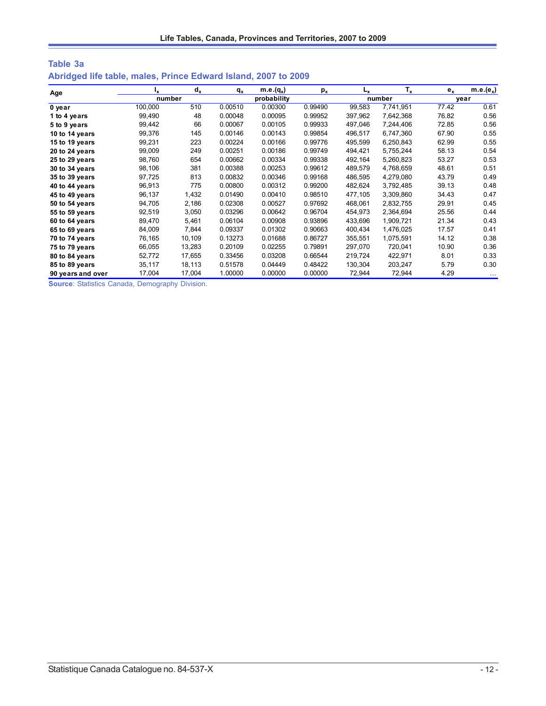| Table 3a                                                       |  |  |  |  |  |
|----------------------------------------------------------------|--|--|--|--|--|
| Abridged life table, males, Prince Edward Island, 2007 to 2009 |  |  |  |  |  |

| Age               | ı,      | $d_x$  | $q_{x}$ | $m.e.(q_x)$ | $p_{x}$ | L <sub>x</sub> | $T_{x}$   | $e_{x}$ | $m.e.(e_x)$ |
|-------------------|---------|--------|---------|-------------|---------|----------------|-----------|---------|-------------|
|                   |         | number |         | probability |         |                | number    | vear    |             |
| 0 year            | 100,000 | 510    | 0.00510 | 0.00300     | 0.99490 | 99,583         | 7,741,951 | 77.42   | 0.61        |
| 1 to 4 years      | 99,490  | 48     | 0.00048 | 0.00095     | 0.99952 | 397,962        | 7,642,368 | 76.82   | 0.56        |
| 5 to 9 years      | 99,442  | 66     | 0.00067 | 0.00105     | 0.99933 | 497,046        | 7,244,406 | 72.85   | 0.56        |
| 10 to 14 years    | 99,376  | 145    | 0.00146 | 0.00143     | 0.99854 | 496,517        | 6,747,360 | 67.90   | 0.55        |
| 15 to 19 years    | 99,231  | 223    | 0.00224 | 0.00166     | 0.99776 | 495.599        | 6,250,843 | 62.99   | 0.55        |
| 20 to 24 years    | 99,009  | 249    | 0.00251 | 0.00186     | 0.99749 | 494,421        | 5,755,244 | 58.13   | 0.54        |
| 25 to 29 years    | 98,760  | 654    | 0.00662 | 0.00334     | 0.99338 | 492,164        | 5,260,823 | 53.27   | 0.53        |
| 30 to 34 years    | 98,106  | 381    | 0.00388 | 0.00253     | 0.99612 | 489.579        | 4,768,659 | 48.61   | 0.51        |
| 35 to 39 years    | 97,725  | 813    | 0.00832 | 0.00346     | 0.99168 | 486,595        | 4,279,080 | 43.79   | 0.49        |
| 40 to 44 years    | 96,913  | 775    | 0.00800 | 0.00312     | 0.99200 | 482,624        | 3,792,485 | 39.13   | 0.48        |
| 45 to 49 years    | 96,137  | 1,432  | 0.01490 | 0.00410     | 0.98510 | 477,105        | 3,309,860 | 34.43   | 0.47        |
| 50 to 54 years    | 94,705  | 2,186  | 0.02308 | 0.00527     | 0.97692 | 468,061        | 2,832,755 | 29.91   | 0.45        |
| 55 to 59 years    | 92,519  | 3,050  | 0.03296 | 0.00642     | 0.96704 | 454,973        | 2,364,694 | 25.56   | 0.44        |
| 60 to 64 years    | 89,470  | 5,461  | 0.06104 | 0.00908     | 0.93896 | 433,696        | 1,909,721 | 21.34   | 0.43        |
| 65 to 69 years    | 84,009  | 7,844  | 0.09337 | 0.01302     | 0.90663 | 400,434        | 1,476,025 | 17.57   | 0.41        |
| 70 to 74 years    | 76,165  | 10,109 | 0.13273 | 0.01688     | 0.86727 | 355,551        | 1,075,591 | 14.12   | 0.38        |
| 75 to 79 years    | 66,055  | 13,283 | 0.20109 | 0.02255     | 0.79891 | 297,070        | 720,041   | 10.90   | 0.36        |
| 80 to 84 years    | 52,772  | 17,655 | 0.33456 | 0.03208     | 0.66544 | 219,724        | 422,971   | 8.01    | 0.33        |
| 85 to 89 years    | 35,117  | 18,113 | 0.51578 | 0.04449     | 0.48422 | 130,304        | 203,247   | 5.79    | 0.30        |
| 90 years and over | 17,004  | 17,004 | 1.00000 | 0.00000     | 0.00000 | 72,944         | 72,944    | 4.29    | $\cdots$    |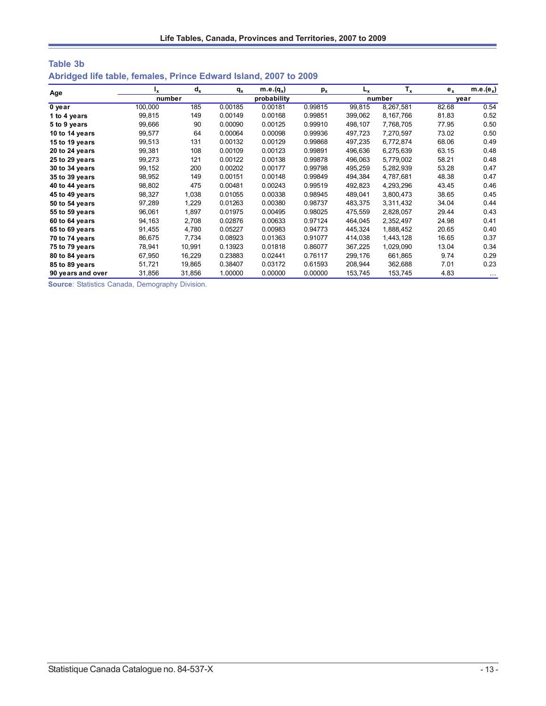| <b>Table 3b</b> |                                                                  |  |  |  |
|-----------------|------------------------------------------------------------------|--|--|--|
|                 | Abridged life table, females, Prince Edward Island, 2007 to 2009 |  |  |  |

| Age               | Ιx.     | $d_{x}$ | $q_{x}$ | $m.e.(q_x)$ | $p_{x}$ | L <sub>x</sub> | $T_{x}$   | $e_x$ | $m.e.(e_x)$ |
|-------------------|---------|---------|---------|-------------|---------|----------------|-----------|-------|-------------|
|                   | number  |         |         | probability |         |                | number    |       | vear        |
| 0 year            | 100,000 | 185     | 0.00185 | 0.00181     | 0.99815 | 99.815         | 8,267,581 | 82.68 | 0.54        |
| 1 to 4 years      | 99,815  | 149     | 0.00149 | 0.00168     | 0.99851 | 399,062        | 8,167,766 | 81.83 | 0.52        |
| 5 to 9 years      | 99,666  | 90      | 0.00090 | 0.00125     | 0.99910 | 498,107        | 7,768,705 | 77.95 | 0.50        |
| 10 to 14 years    | 99,577  | 64      | 0.00064 | 0.00098     | 0.99936 | 497,723        | 7,270,597 | 73.02 | 0.50        |
| 15 to 19 years    | 99,513  | 131     | 0.00132 | 0.00129     | 0.99868 | 497.235        | 6,772,874 | 68.06 | 0.49        |
| 20 to 24 years    | 99,381  | 108     | 0.00109 | 0.00123     | 0.99891 | 496,636        | 6,275,639 | 63.15 | 0.48        |
| 25 to 29 years    | 99,273  | 121     | 0.00122 | 0.00138     | 0.99878 | 496,063        | 5,779,002 | 58.21 | 0.48        |
| 30 to 34 years    | 99,152  | 200     | 0.00202 | 0.00177     | 0.99798 | 495,259        | 5,282,939 | 53.28 | 0.47        |
| 35 to 39 years    | 98,952  | 149     | 0.00151 | 0.00148     | 0.99849 | 494,384        | 4,787,681 | 48.38 | 0.47        |
| 40 to 44 years    | 98,802  | 475     | 0.00481 | 0.00243     | 0.99519 | 492,823        | 4,293,296 | 43.45 | 0.46        |
| 45 to 49 years    | 98,327  | 1,038   | 0.01055 | 0.00338     | 0.98945 | 489,041        | 3,800,473 | 38.65 | 0.45        |
| 50 to 54 years    | 97,289  | 1,229   | 0.01263 | 0.00380     | 0.98737 | 483,375        | 3,311,432 | 34.04 | 0.44        |
| 55 to 59 years    | 96,061  | 1,897   | 0.01975 | 0.00495     | 0.98025 | 475,559        | 2,828,057 | 29.44 | 0.43        |
| 60 to 64 years    | 94,163  | 2,708   | 0.02876 | 0.00633     | 0.97124 | 464,045        | 2,352,497 | 24.98 | 0.41        |
| 65 to 69 years    | 91,455  | 4,780   | 0.05227 | 0.00983     | 0.94773 | 445,324        | 1,888,452 | 20.65 | 0.40        |
| 70 to 74 years    | 86,675  | 7,734   | 0.08923 | 0.01363     | 0.91077 | 414,038        | 1,443,128 | 16.65 | 0.37        |
| 75 to 79 years    | 78,941  | 10,991  | 0.13923 | 0.01818     | 0.86077 | 367,225        | 1,029,090 | 13.04 | 0.34        |
| 80 to 84 years    | 67,950  | 16,229  | 0.23883 | 0.02441     | 0.76117 | 299,176        | 661,865   | 9.74  | 0.29        |
| 85 to 89 years    | 51,721  | 19,865  | 0.38407 | 0.03172     | 0.61593 | 208,944        | 362,688   | 7.01  | 0.23        |
| 90 years and over | 31,856  | 31,856  | 1.00000 | 0.00000     | 0.00000 | 153,745        | 153,745   | 4.83  | $\cdots$    |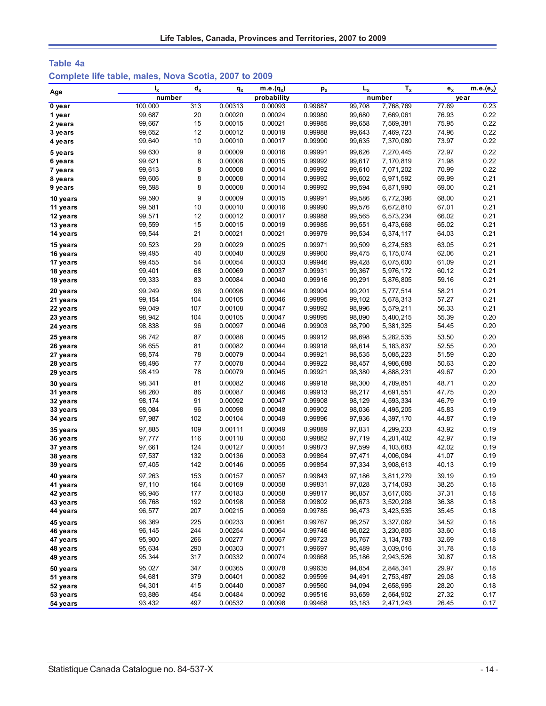| Table 4a                                              |  |  |  |  |
|-------------------------------------------------------|--|--|--|--|
| Complete life table, males, Nova Scotia, 2007 to 2009 |  |  |  |  |

| Age      | ı,      | $\mathbf{d}_{\mathbf{x}}$ | $q_{x}$ | $m.e.(q_x)$ | $p_{x}$ | $L_{x}$ | $\overline{T_x}$ | $e_{x}$ | $m.e.(e_x)$ |
|----------|---------|---------------------------|---------|-------------|---------|---------|------------------|---------|-------------|
|          | number  |                           |         | probability |         |         | number           | year    |             |
| 0 year   | 100,000 | 313                       | 0.00313 | 0.00093     | 0.99687 | 99,708  | 7,768,769        | 77.69   | 0.23        |
| 1 year   | 99,687  | 20                        | 0.00020 | 0.00024     | 0.99980 | 99,680  | 7,669,061        | 76.93   | 0.22        |
| 2 years  | 99,667  | 15                        | 0.00015 | 0.00021     | 0.99985 | 99,658  | 7,569,381        | 75.95   | 0.22        |
| 3 years  | 99,652  | 12                        | 0.00012 | 0.00019     | 0.99988 | 99,643  | 7,469,723        | 74.96   | 0.22        |
| 4 years  | 99,640  | 10                        | 0.00010 | 0.00017     | 0.99990 | 99,635  | 7,370,080        | 73.97   | 0.22        |
| 5 years  | 99,630  | 9                         | 0.00009 | 0.00016     | 0.99991 | 99,626  | 7,270,445        | 72.97   | 0.22        |
| 6 years  | 99,621  | 8                         | 0.00008 | 0.00015     | 0.99992 | 99,617  | 7,170,819        | 71.98   | 0.22        |
| 7 years  | 99,613  | 8                         | 0.00008 | 0.00014     | 0.99992 | 99,610  | 7,071,202        | 70.99   | 0.22        |
| 8 years  | 99,606  | 8                         | 0.00008 | 0.00014     | 0.99992 | 99,602  | 6,971,592        | 69.99   | 0.21        |
| 9 years  | 99,598  | 8                         | 0.00008 | 0.00014     | 0.99992 | 99,594  | 6,871,990        | 69.00   | 0.21        |
| 10 years | 99,590  | 9                         | 0.00009 | 0.00015     | 0.99991 | 99.586  | 6,772,396        | 68.00   | 0.21        |
| 11 years | 99,581  | 10                        | 0.00010 | 0.00016     | 0.99990 | 99,576  | 6,672,810        | 67.01   | 0.21        |
| 12 years | 99,571  | 12                        | 0.00012 | 0.00017     | 0.99988 | 99,565  | 6,573,234        | 66.02   | 0.21        |
| 13 years | 99,559  | 15                        | 0.00015 | 0.00019     | 0.99985 | 99,551  | 6,473,668        | 65.02   | 0.21        |
| 14 years | 99,544  | 21                        | 0.00021 | 0.00021     | 0.99979 | 99,534  | 6,374,117        | 64.03   | 0.21        |
| 15 years | 99,523  | 29                        | 0.00029 | 0.00025     | 0.99971 | 99,509  | 6,274,583        | 63.05   | 0.21        |
| 16 years | 99,495  | 40                        | 0.00040 | 0.00029     | 0.99960 | 99,475  | 6,175,074        | 62.06   | 0.21        |
| 17 years | 99,455  | 54                        | 0.00054 | 0.00033     | 0.99946 | 99,428  | 6,075,600        | 61.09   | 0.21        |
| 18 years | 99,401  | 68                        | 0.00069 | 0.00037     | 0.99931 | 99,367  | 5,976,172        | 60.12   | 0.21        |
| 19 years | 99,333  | 83                        | 0.00084 | 0.00040     | 0.99916 | 99,291  | 5,876,805        | 59.16   | 0.21        |
| 20 years | 99,249  | 96                        | 0.00096 | 0.00044     | 0.99904 | 99,201  | 5,777,514        | 58.21   | 0.21        |
| 21 years | 99,154  | 104                       | 0.00105 | 0.00046     | 0.99895 | 99,102  | 5,678,313        | 57.27   | 0.21        |
| 22 years | 99,049  | 107                       | 0.00108 | 0.00047     | 0.99892 | 98,996  | 5,579,211        | 56.33   | 0.21        |
| 23 years | 98,942  | 104                       | 0.00105 | 0.00047     | 0.99895 | 98,890  | 5,480,215        | 55.39   | 0.20        |
| 24 years | 98,838  | 96                        | 0.00097 | 0.00046     | 0.99903 | 98,790  | 5,381,325        | 54.45   | 0.20        |
| 25 years | 98,742  | 87                        | 0.00088 | 0.00045     | 0.99912 | 98,698  | 5,282,535        | 53.50   | 0.20        |
| 26 years | 98,655  | 81                        | 0.00082 | 0.00044     | 0.99918 | 98,614  | 5,183,837        | 52.55   | 0.20        |
| 27 years | 98,574  | 78                        | 0.00079 | 0.00044     | 0.99921 | 98,535  | 5,085,223        | 51.59   | 0.20        |
| 28 years | 98,496  | 77                        | 0.00078 | 0.00044     | 0.99922 | 98,457  | 4,986,688        | 50.63   | 0.20        |
| 29 years | 98,419  | 78                        | 0.00079 | 0.00045     | 0.99921 | 98,380  | 4,888,231        | 49.67   | 0.20        |
| 30 years | 98,341  | 81                        | 0.00082 | 0.00046     | 0.99918 | 98,300  | 4,789,851        | 48.71   | 0.20        |
| 31 years | 98,260  | 86                        | 0.00087 | 0.00046     | 0.99913 | 98,217  | 4,691,551        | 47.75   | 0.20        |
| 32 years | 98,174  | 91                        | 0.00092 | 0.00047     | 0.99908 | 98,129  | 4,593,334        | 46.79   | 0.19        |
| 33 years | 98,084  | 96                        | 0.00098 | 0.00048     | 0.99902 | 98,036  | 4,495,205        | 45.83   | 0.19        |
| 34 years | 97,987  | 102                       | 0.00104 | 0.00049     | 0.99896 | 97,936  | 4,397,170        | 44.87   | 0.19        |
| 35 years | 97,885  | 109                       | 0.00111 | 0.00049     | 0.99889 | 97,831  | 4,299,233        | 43.92   | 0.19        |
| 36 years | 97,777  | 116                       | 0.00118 | 0.00050     | 0.99882 | 97,719  | 4,201,402        | 42.97   | 0.19        |
| 37 years | 97,661  | 124                       | 0.00127 | 0.00051     | 0.99873 | 97,599  | 4,103,683        | 42.02   | 0.19        |
| 38 years | 97,537  | 132                       | 0.00136 | 0.00053     | 0.99864 | 97,471  | 4,006,084        | 41.07   | 0.19        |
| 39 years | 97,405  | 142                       | 0.00146 | 0.00055     | 0.99854 | 97,334  | 3,908,613        | 40.13   | 0.19        |
| 40 years | 97,263  | 153                       | 0.00157 | 0.00057     | 0.99843 | 97,186  | 3,811,279        | 39.19   | 0.19        |
| 41 years | 97,110  | 164                       | 0.00169 | 0.00058     | 0.99831 | 97,028  | 3,714,093        | 38.25   | 0.18        |
| 42 years | 96,946  | 177                       | 0.00183 | 0.00058     | 0.99817 | 96,857  | 3,617,065        | 37.31   | 0.18        |
| 43 years | 96,768  | 192                       | 0.00198 | 0.00058     | 0.99802 | 96,673  | 3,520,208        | 36.38   | 0.18        |
| 44 years | 96,577  | 207                       | 0.00215 | 0.00059     | 0.99785 | 96,473  | 3,423,535        | 35.45   | 0.18        |
| 45 years | 96,369  | 225                       | 0.00233 | 0.00061     | 0.99767 | 96,257  | 3,327,062        | 34.52   | 0.18        |
| 46 years | 96,145  | 244                       | 0.00254 | 0.00064     | 0.99746 | 96,022  | 3,230,805        | 33.60   | 0.18        |
| 47 years | 95,900  | 266                       | 0.00277 | 0.00067     | 0.99723 | 95,767  | 3, 134, 783      | 32.69   | 0.18        |
| 48 years | 95,634  | 290                       | 0.00303 | 0.00071     | 0.99697 | 95,489  | 3,039,016        | 31.78   | 0.18        |
| 49 years | 95,344  | 317                       | 0.00332 | 0.00074     | 0.99668 | 95,186  | 2,943,526        | 30.87   | 0.18        |
| 50 years | 95,027  | 347                       | 0.00365 | 0.00078     | 0.99635 | 94,854  | 2,848,341        | 29.97   | 0.18        |
| 51 years | 94,681  | 379                       | 0.00401 | 0.00082     | 0.99599 | 94,491  | 2,753,487        | 29.08   | 0.18        |
| 52 years | 94,301  | 415                       | 0.00440 | 0.00087     | 0.99560 | 94,094  | 2,658,995        | 28.20   | 0.18        |
| 53 years | 93,886  | 454                       | 0.00484 | 0.00092     | 0.99516 | 93,659  | 2,564,902        | 27.32   | 0.17        |
| 54 years | 93,432  | 497                       | 0.00532 | 0.00098     | 0.99468 | 93,183  | 2,471,243        | 26.45   | 0.17        |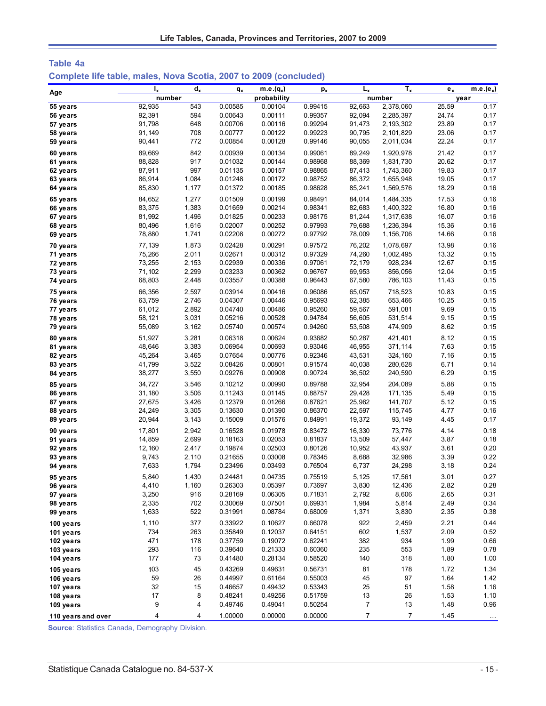| Table 4a                                                          |  |  |  |  |  |
|-------------------------------------------------------------------|--|--|--|--|--|
| Complete life table, males, Nova Scotia, 2007 to 2009 (concluded) |  |  |  |  |  |

| Age                    | $I_{x}$          | $d_{x}$        | $q_{x}$            | $m.e.(q_x)$        | $p_{x}$            | $L_{x}$          | $T_{x}$                | $e_{x}$        | $m.e.(e_x)$  |
|------------------------|------------------|----------------|--------------------|--------------------|--------------------|------------------|------------------------|----------------|--------------|
|                        | number           |                |                    | probability        |                    |                  | number                 |                | year         |
| 55 years               | 92,935           | 543            | 0.00585            | 0.00104            | 0.99415            | 92,663           | 2,378,060              | 25.59          | 0.17         |
| 56 years               | 92,391           | 594            | 0.00643            | 0.00111            | 0.99357            | 92,094           | 2,285,397              | 24.74          | 0.17         |
| 57 years               | 91,798           | 648            | 0.00706            | 0.00116            | 0.99294            | 91,473           | 2,193,302              | 23.89          | 0.17         |
| 58 years               | 91,149           | 708            | 0.00777            | 0.00122            | 0.99223            | 90,795           | 2,101,829              | 23.06          | 0.17         |
| 59 years               | 90,441           | 772            | 0.00854            | 0.00128            | 0.99146            | 90,055           | 2,011,034              | 22.24          | 0.17         |
| 60 years               | 89,669           | 842            | 0.00939            | 0.00134            | 0.99061            | 89,249           | 1,920,978              | 21.42          | 0.17         |
| 61 years               | 88,828           | 917            | 0.01032            | 0.00144            | 0.98968            | 88,369           | 1,831,730              | 20.62          | 0.17         |
| 62 years               | 87,911           | 997            | 0.01135            | 0.00157            | 0.98865            | 87,413           | 1,743,360              | 19.83          | 0.17         |
| 63 years               | 86,914<br>85,830 | 1,084<br>1,177 | 0.01248<br>0.01372 | 0.00172<br>0.00185 | 0.98752<br>0.98628 | 86,372<br>85,241 | 1,655,948<br>1,569,576 | 19.05<br>18.29 | 0.17<br>0.16 |
| 64 years               |                  |                |                    |                    |                    |                  |                        |                |              |
| 65 years               | 84,652           | 1,277<br>1,383 | 0.01509            | 0.00199<br>0.00214 | 0.98491<br>0.98341 | 84,014           | 1,484,335              | 17.53<br>16.80 | 0.16<br>0.16 |
| 66 years               | 83,375<br>81,992 | 1,496          | 0.01659<br>0.01825 | 0.00233            | 0.98175            | 82,683<br>81,244 | 1,400,322<br>1,317,638 | 16.07          | 0.16         |
| 67 years<br>68 years   | 80,496           | 1,616          | 0.02007            | 0.00252            | 0.97993            | 79,688           | 1,236,394              | 15.36          | 0.16         |
| 69 years               | 78,880           | 1,741          | 0.02208            | 0.00272            | 0.97792            | 78,009           | 1,156,706              | 14.66          | 0.16         |
|                        |                  |                |                    |                    |                    |                  |                        |                |              |
| 70 years<br>71 years   | 77,139<br>75,266 | 1,873<br>2,011 | 0.02428<br>0.02671 | 0.00291<br>0.00312 | 0.97572<br>0.97329 | 76,202<br>74,260 | 1,078,697<br>1,002,495 | 13.98<br>13.32 | 0.16<br>0.15 |
| 72 years               | 73,255           | 2,153          | 0.02939            | 0.00336            | 0.97061            | 72,179           | 928,234                | 12.67          | 0.15         |
| 73 years               | 71,102           | 2,299          | 0.03233            | 0.00362            | 0.96767            | 69,953           | 856,056                | 12.04          | 0.15         |
| 74 years               | 68,803           | 2,448          | 0.03557            | 0.00388            | 0.96443            | 67,580           | 786,103                | 11.43          | 0.15         |
| 75 years               | 66,356           | 2,597          | 0.03914            | 0.00416            | 0.96086            | 65,057           | 718,523                | 10.83          | 0.15         |
| 76 years               | 63,759           | 2,746          | 0.04307            | 0.00446            | 0.95693            | 62,385           | 653,466                | 10.25          | 0.15         |
| 77 years               | 61,012           | 2,892          | 0.04740            | 0.00486            | 0.95260            | 59,567           | 591,081                | 9.69           | 0.15         |
| 78 years               | 58,121           | 3,031          | 0.05216            | 0.00528            | 0.94784            | 56,605           | 531,514                | 9.15           | 0.15         |
| 79 years               | 55,089           | 3,162          | 0.05740            | 0.00574            | 0.94260            | 53,508           | 474,909                | 8.62           | 0.15         |
| 80 years               | 51,927           | 3,281          | 0.06318            | 0.00624            | 0.93682            | 50,287           | 421,401                | 8.12           | 0.15         |
| 81 years               | 48,646           | 3,383          | 0.06954            | 0.00693            | 0.93046            | 46,955           | 371,114                | 7.63           | 0.15         |
| 82 years               | 45,264           | 3,465          | 0.07654            | 0.00776            | 0.92346            | 43,531           | 324,160                | 7.16           | 0.15         |
| 83 years               | 41,799           | 3,522          | 0.08426            | 0.00801            | 0.91574            | 40,038           | 280,628                | 6.71           | 0.14         |
| 84 years               | 38,277           | 3,550          | 0.09276            | 0.00908            | 0.90724            | 36,502           | 240,590                | 6.29           | 0.15         |
| 85 years               | 34,727           | 3,546          | 0.10212            | 0.00990            | 0.89788            | 32,954           | 204,089                | 5.88           | 0.15         |
| 86 years               | 31,180           | 3,506          | 0.11243            | 0.01145            | 0.88757            | 29,428           | 171,135                | 5.49           | 0.15         |
| 87 years               | 27,675           | 3,426          | 0.12379            | 0.01266            | 0.87621            | 25,962           | 141,707                | 5.12           | 0.15         |
| 88 years<br>89 years   | 24,249<br>20,944 | 3,305<br>3,143 | 0.13630<br>0.15009 | 0.01390<br>0.01576 | 0.86370<br>0.84991 | 22,597<br>19,372 | 115,745<br>93,149      | 4.77<br>4.45   | 0.16<br>0.17 |
|                        |                  |                | 0.16528            | 0.01978            |                    |                  |                        |                | 0.18         |
| 90 years<br>91 years   | 17,801<br>14,859 | 2,942<br>2,699 | 0.18163            | 0.02053            | 0.83472<br>0.81837 | 16,330<br>13,509 | 73,776<br>57,447       | 4.14<br>3.87   | 0.18         |
| 92 years               | 12,160           | 2,417          | 0.19874            | 0.02503            | 0.80126            | 10,952           | 43,937                 | 3.61           | 0.20         |
| 93 years               | 9,743            | 2,110          | 0.21655            | 0.03008            | 0.78345            | 8,688            | 32,986                 | 3.39           | 0.22         |
| 94 years               | 7,633            | 1,794          | 0.23496            | 0.03493            | 0.76504            | 6,737            | 24,298                 | 3.18           | 0.24         |
| 95 years               | 5,840            | 1,430          | 0.24481            | 0.04735            | 0.75519            | 5,125            | 17,561                 | 3.01           | 0.27         |
| 96 years               | 4,410            | 1,160          | 0.26303            | 0.05397            | 0.73697            | 3,830            | 12,436                 | 2.82           | 0.28         |
| 97 years               | 3,250            | 916            | 0.28169            | 0.06305            | 0.71831            | 2,792            | 8,606                  | 2.65           | 0.31         |
| 98 years               | 2,335            | 702            | 0.30069            | 0.07501            | 0.69931            | 1,984            | 5,814                  | 2.49           | 0.34         |
| 99 years               | 1,633            | 522            | 0.31991            | 0.08784            | 0.68009            | 1,371            | 3,830                  | 2.35           | 0.38         |
| 100 years              | 1,110            | 377            | 0.33922            | 0.10627            | 0.66078            | 922              | 2,459                  | 2.21           | 0.44         |
| 101 years              | 734              | 263            | 0.35849            | 0.12037            | 0.64151            | 602              | 1,537                  | 2.09           | 0.52         |
| 102 years              | 471              | 178            | 0.37759            | 0.19072            | 0.62241            | 382              | 934                    | 1.99           | 0.66         |
| 103 years              | 293              | 116            | 0.39640            | 0.21333            | 0.60360            | 235              | 553                    | 1.89           | 0.78         |
| 104 years              | 177              | 73             | 0.41480            | 0.28134            | 0.58520            | 140              | 318                    | 1.80           | 1.00         |
| 105 years              | 103              | 45             | 0.43269            | 0.49631            | 0.56731            | 81               | 178                    | 1.72           | 1.34         |
| 106 years              | 59               | 26             | 0.44997            | 0.61164            | 0.55003            | 45               | 97                     | 1.64           | 1.42         |
| 107 years              | 32<br>17         | 15<br>8        | 0.46657<br>0.48241 | 0.49432<br>0.49256 | 0.53343<br>0.51759 | 25<br>13         | 51<br>26               | 1.58<br>1.53   | 1.16<br>1.10 |
| 108 years<br>109 years | 9                | 4              | 0.49746            | 0.49041            | 0.50254            | 7                | 13                     | 1.48           | 0.96         |
| 110 years and over     | 4                | 4              | 1.00000            | 0.00000            | 0.00000            | $\overline{7}$   | $\overline{7}$         | 1.45           |              |
|                        |                  |                |                    |                    |                    |                  |                        |                | $\ldots$     |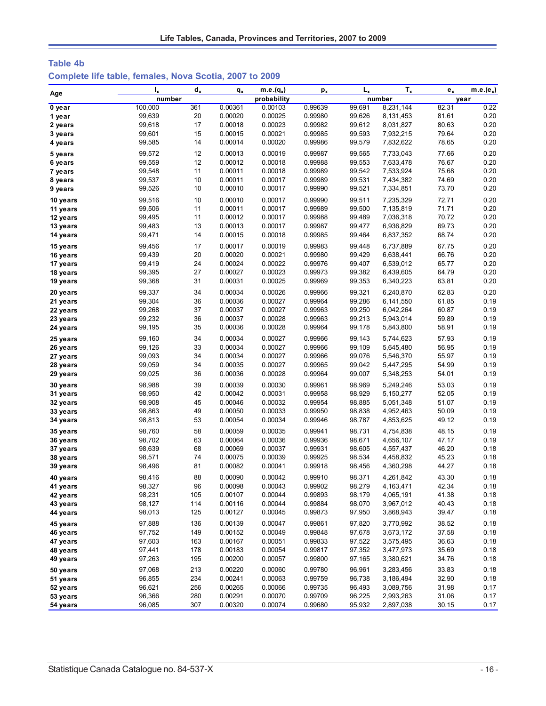| Table 4b                                                |  |  |  |  |
|---------------------------------------------------------|--|--|--|--|
| Complete life table, females, Nova Scotia, 2007 to 2009 |  |  |  |  |

| Age                  | ı,               | $d_x$     | $q_{x}$            | $\overline{\mathsf{m.e.}}(q_x)$ | $p_{x}$            | L <sub>x</sub>   | $T_{x}$                | $e_{x}$        | $m.e.(e_x)$  |
|----------------------|------------------|-----------|--------------------|---------------------------------|--------------------|------------------|------------------------|----------------|--------------|
|                      | number           |           |                    | probability                     |                    |                  | number                 |                | year         |
| $0$ year             | 100,000          | 361       | 0.00361            | 0.00103                         | 0.99639            | 99,691           | 8,231,144              | 82.31          | 0.22         |
| 1 year               | 99,639           | 20        | 0.00020            | 0.00025                         | 0.99980            | 99,626           | 8,131,453              | 81.61          | 0.20         |
| 2 years              | 99,618           | 17        | 0.00018            | 0.00023                         | 0.99982            | 99,612           | 8,031,827              | 80.63          | 0.20         |
| 3 years              | 99,601           | 15        | 0.00015            | 0.00021                         | 0.99985            | 99,593           | 7,932,215              | 79.64          | 0.20         |
| 4 years              | 99,585           | 14        | 0.00014            | 0.00020                         | 0.99986            | 99,579           | 7,832,622              | 78.65          | 0.20         |
| 5 years              | 99,572           | 12        | 0.00013            | 0.00019                         | 0.99987            | 99,565           | 7,733,043              | 77.66          | 0.20         |
| 6 years              | 99,559           | 12        | 0.00012            | 0.00018                         | 0.99988            | 99,553           | 7,633,478              | 76.67          | 0.20         |
| 7 years              | 99,548           | 11        | 0.00011            | 0.00018                         | 0.99989            | 99,542           | 7,533,924              | 75.68          | 0.20         |
| 8 years              | 99,537           | 10        | 0.00011            | 0.00017                         | 0.99989            | 99,531           | 7,434,382              | 74.69          | 0.20         |
| 9 years              | 99,526           | 10        | 0.00010            | 0.00017                         | 0.99990            | 99,521           | 7,334,851              | 73.70          | 0.20         |
| 10 years             | 99,516           | 10        | 0.00010            | 0.00017                         | 0.99990            | 99,511           | 7,235,329              | 72.71          | 0.20         |
| 11 years             | 99,506           | 11        | 0.00011            | 0.00017                         | 0.99989            | 99,500           | 7,135,819              | 71.71          | 0.20         |
| 12 years             | 99,495           | 11        | 0.00012            | 0.00017                         | 0.99988            | 99,489           | 7,036,318              | 70.72          | 0.20         |
| 13 years             | 99,483           | 13        | 0.00013            | 0.00017                         | 0.99987            | 99,477           | 6,936,829              | 69.73          | 0.20         |
| 14 years             | 99,471           | 14        | 0.00015            | 0.00018                         | 0.99985            | 99,464           | 6,837,352              | 68.74          | 0.20         |
|                      |                  |           |                    |                                 |                    |                  |                        |                |              |
| 15 years             | 99,456           | 17        | 0.00017            | 0.00019                         | 0.99983            | 99,448           | 6,737,889              | 67.75          | 0.20         |
| 16 years             | 99,439           | 20        | 0.00020            | 0.00021                         | 0.99980            | 99,429           | 6,638,441              | 66.76          | 0.20         |
| 17 years             | 99,419           | 24        | 0.00024            | 0.00022                         | 0.99976            | 99,407           | 6,539,012              | 65.77          | 0.20         |
| 18 years             | 99,395           | 27        | 0.00027            | 0.00023                         | 0.99973            | 99,382           | 6,439,605              | 64.79          | 0.20         |
| 19 years             | 99,368           | 31        | 0.00031            | 0.00025                         | 0.99969            | 99,353           | 6,340,223              | 63.81          | 0.20         |
| 20 years             | 99,337           | 34        | 0.00034            | 0.00026                         | 0.99966            | 99,321           | 6,240,870              | 62.83          | 0.20         |
| 21 years             | 99,304           | 36        | 0.00036            | 0.00027                         | 0.99964            | 99,286           | 6,141,550              | 61.85          | 0.19         |
| 22 years             | 99,268           | 37        | 0.00037            | 0.00027                         | 0.99963            | 99,250           | 6,042,264              | 60.87          | 0.19         |
| 23 years             | 99,232           | 36        | 0.00037            | 0.00028                         | 0.99963            | 99,213           | 5,943,014              | 59.89          | 0.19         |
| 24 years             | 99,195           | 35        | 0.00036            | 0.00028                         | 0.99964            | 99,178           | 5,843,800              | 58.91          | 0.19         |
| 25 years             | 99,160           | 34        | 0.00034            | 0.00027                         | 0.99966            | 99,143           | 5,744,623              | 57.93          | 0.19         |
| 26 years             | 99,126           | 33        | 0.00034            | 0.00027                         | 0.99966            | 99,109           | 5,645,480              | 56.95          | 0.19         |
| 27 years             | 99,093           | 34        | 0.00034            | 0.00027                         | 0.99966            | 99,076           | 5,546,370              | 55.97          | 0.19         |
| 28 years             | 99,059           | 34        | 0.00035            | 0.00027                         | 0.99965            | 99,042           | 5,447,295              | 54.99          | 0.19         |
| 29 years             | 99,025           | 36        | 0.00036            | 0.00028                         | 0.99964            | 99,007           | 5,348,253              | 54.01          | 0.19         |
| 30 years             | 98,988           | 39        | 0.00039            | 0.00030                         | 0.99961            | 98,969           | 5,249,246              | 53.03          | 0.19         |
| 31 years             | 98,950           | 42        | 0.00042            | 0.00031                         | 0.99958            | 98,929           | 5,150,277              | 52.05          | 0.19         |
| 32 years             | 98,908           | 45        | 0.00046            | 0.00032                         | 0.99954            | 98,885           | 5,051,348              | 51.07          | 0.19         |
| 33 years             | 98,863           | 49        | 0.00050            | 0.00033                         | 0.99950            | 98,838           | 4,952,463              | 50.09          | 0.19         |
| 34 years             | 98,813           | 53        | 0.00054            | 0.00034                         | 0.99946            | 98,787           | 4,853,625              | 49.12          | 0.19         |
| 35 years             | 98,760           | 58        | 0.00059            | 0.00035                         | 0.99941            | 98,731           | 4,754,838              | 48.15          | 0.19         |
| 36 years             | 98,702           | 63        | 0.00064            | 0.00036                         | 0.99936            | 98,671           | 4,656,107              | 47.17          | 0.19         |
| 37 years             | 98,639           | 68        | 0.00069            | 0.00037                         | 0.99931            | 98,605           | 4,557,437              | 46.20          | 0.18         |
| 38 years             | 98,571           | 74        | 0.00075            | 0.00039                         | 0.99925            | 98,534           | 4,458,832              | 45.23          | 0.18         |
| 39 years             | 98,496           | 81        | 0.00082            | 0.00041                         | 0.99918            | 98,456           | 4,360,298              | 44.27          | 0.18         |
|                      |                  | 88        |                    |                                 | 0.99910            |                  |                        |                | 0.18         |
| 40 years             | 98,416           |           | 0.00090            | 0.00042                         |                    | 98,371           | 4,261,842              | 43.30          |              |
| 41 years             | 98,327<br>98,231 | 96<br>105 | 0.00098<br>0.00107 | 0.00043<br>0.00044              | 0.99902<br>0.99893 | 98,279<br>98,179 | 4,163,471<br>4,065,191 | 42.34<br>41.38 | 0.18<br>0.18 |
| 42 years<br>43 years | 98,127           | 114       | 0.00116            | 0.00044                         | 0.99884            | 98,070           | 3,967,012              | 40.43          | 0.18         |
|                      | 98,013           | 125       | 0.00127            | 0.00045                         | 0.99873            | 97,950           | 3,868,943              | 39.47          | 0.18         |
| 44 years             |                  |           |                    |                                 |                    |                  |                        |                |              |
| 45 years             | 97,888           | 136       | 0.00139            | 0.00047                         | 0.99861            | 97,820           | 3,770,992              | 38.52          | 0.18         |
| 46 years             | 97,752           | 149       | 0.00152            | 0.00049                         | 0.99848            | 97,678           | 3,673,172              | 37.58          | 0.18         |
| 47 years             | 97,603           | 163       | 0.00167            | 0.00051                         | 0.99833            | 97,522           | 3,575,495              | 36.63          | 0.18         |
| 48 years             | 97,441           | 178       | 0.00183            | 0.00054                         | 0.99817            | 97,352           | 3,477,973              | 35.69          | 0.18         |
| 49 years             | 97,263           | 195       | 0.00200            | 0.00057                         | 0.99800            | 97,165           | 3,380,621              | 34.76          | 0.18         |
| 50 years             | 97,068           | 213       | 0.00220            | 0.00060                         | 0.99780            | 96,961           | 3,283,456              | 33.83          | 0.18         |
| 51 years             | 96,855           | 234       | 0.00241            | 0.00063                         | 0.99759            | 96,738           | 3,186,494              | 32.90          | 0.18         |
| 52 years             | 96,621           | 256       | 0.00265            | 0.00066                         | 0.99735            | 96,493           | 3,089,756              | 31.98          | 0.17         |
| 53 years             | 96,366           | 280       | 0.00291            | 0.00070                         | 0.99709            | 96,225           | 2,993,263              | 31.06          | 0.17         |
| 54 years             | 96,085           | 307       | 0.00320            | 0.00074                         | 0.99680            | 95,932           | 2,897,038              | 30.15          | 0.17         |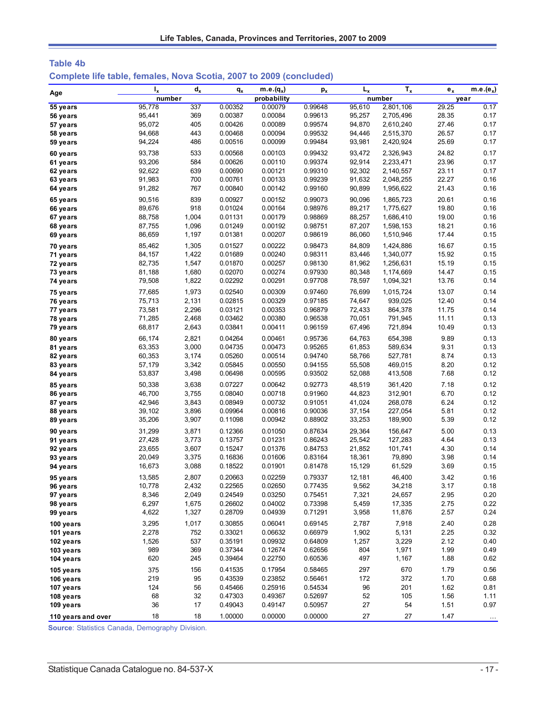| Table 4b                                                            |  |  |  |  |  |
|---------------------------------------------------------------------|--|--|--|--|--|
| Complete life table, females, Nova Scotia, 2007 to 2009 (concluded) |  |  |  |  |  |

| Age                    | $I_{x}$ | $d_{x}$ | $q_{x}$ | $m.e.(q_x)$ | $p_{x}$ | $L_{x}$ | $T_{x}$   | $e_x$ | m.e.( $e_x$ )        |
|------------------------|---------|---------|---------|-------------|---------|---------|-----------|-------|----------------------|
|                        | number  |         |         | probability |         |         | number    |       | year                 |
| 55 years               | 95,778  | 337     | 0.00352 | 0.00079     | 0.99648 | 95.610  | 2,801,106 | 29.25 | 0.17                 |
| 56 years               | 95,441  | 369     | 0.00387 | 0.00084     | 0.99613 | 95,257  | 2,705,496 | 28.35 | 0.17                 |
| 57 years               | 95,072  | 405     | 0.00426 | 0.00089     | 0.99574 | 94,870  | 2,610,240 | 27.46 | 0.17                 |
| 58 years               | 94,668  | 443     | 0.00468 | 0.00094     | 0.99532 | 94,446  | 2,515,370 | 26.57 | 0.17                 |
| 59 years               | 94,224  | 486     | 0.00516 | 0.00099     | 0.99484 | 93,981  | 2,420,924 | 25.69 | 0.17                 |
| 60 years               | 93,738  | 533     | 0.00568 | 0.00103     | 0.99432 | 93,472  | 2,326,943 | 24.82 | 0.17                 |
| 61 years               | 93,206  | 584     | 0.00626 | 0.00110     | 0.99374 | 92,914  | 2,233,471 | 23.96 | 0.17                 |
| 62 years               | 92,622  | 639     | 0.00690 | 0.00121     | 0.99310 | 92,302  | 2,140,557 | 23.11 | 0.17                 |
| 63 years               | 91,983  | 700     | 0.00761 | 0.00133     | 0.99239 | 91,632  | 2,048,255 | 22.27 | 0.16                 |
| 64 years               | 91,282  | 767     | 0.00840 | 0.00142     | 0.99160 | 90,899  | 1,956,622 | 21.43 | 0.16                 |
| 65 years               | 90,516  | 839     | 0.00927 | 0.00152     | 0.99073 | 90,096  | 1,865,723 | 20.61 | 0.16                 |
| 66 years               | 89,676  | 918     | 0.01024 | 0.00164     | 0.98976 | 89,217  | 1,775,627 | 19.80 | 0.16                 |
| 67 years               | 88,758  | 1,004   | 0.01131 | 0.00179     | 0.98869 | 88,257  | 1,686,410 | 19.00 | 0.16                 |
| 68 years               | 87,755  | 1,096   | 0.01249 | 0.00192     | 0.98751 | 87,207  | 1,598,153 | 18.21 | 0.16                 |
| 69 years               | 86,659  | 1,197   | 0.01381 | 0.00207     | 0.98619 | 86,060  | 1,510,946 | 17.44 | 0.15                 |
| 70 years               | 85,462  | 1,305   | 0.01527 | 0.00222     | 0.98473 | 84,809  | 1,424,886 | 16.67 | 0.15                 |
| 71 years               | 84,157  | 1,422   | 0.01689 | 0.00240     | 0.98311 | 83,446  | 1,340,077 | 15.92 | 0.15                 |
| 72 years               | 82,735  | 1,547   | 0.01870 | 0.00257     | 0.98130 | 81,962  | 1,256,631 | 15.19 | 0.15                 |
| 73 years               | 81,188  | 1,680   | 0.02070 | 0.00274     | 0.97930 | 80,348  | 1,174,669 | 14.47 | 0.15                 |
| 74 years               | 79,508  | 1,822   | 0.02292 | 0.00291     | 0.97708 | 78,597  | 1,094,321 | 13.76 | 0.14                 |
| 75 years               | 77,685  | 1,973   | 0.02540 | 0.00309     | 0.97460 | 76,699  | 1,015,724 | 13.07 | 0.14                 |
| 76 years               | 75,713  | 2,131   | 0.02815 | 0.00329     | 0.97185 | 74,647  | 939,025   | 12.40 | 0.14                 |
| 77 years               | 73,581  | 2,296   | 0.03121 | 0.00353     | 0.96879 | 72,433  | 864,378   | 11.75 | 0.14                 |
| 78 years               | 71,285  | 2,468   | 0.03462 | 0.00380     | 0.96538 | 70,051  | 791,945   | 11.11 | 0.13                 |
| 79 years               | 68,817  | 2,643   | 0.03841 | 0.00411     | 0.96159 | 67,496  | 721,894   | 10.49 | 0.13                 |
| 80 years               | 66,174  | 2,821   | 0.04264 | 0.00461     | 0.95736 | 64,763  | 654,398   | 9.89  | 0.13                 |
| 81 years               | 63,353  | 3,000   | 0.04735 | 0.00473     | 0.95265 | 61,853  | 589,634   | 9.31  | 0.13                 |
| 82 years               | 60,353  | 3,174   | 0.05260 | 0.00514     | 0.94740 | 58,766  | 527,781   | 8.74  | 0.13                 |
| 83 years               | 57,179  | 3,342   | 0.05845 | 0.00550     | 0.94155 | 55,508  | 469,015   | 8.20  | 0.12                 |
| 84 years               | 53,837  | 3,498   | 0.06498 | 0.00595     | 0.93502 | 52,088  | 413,508   | 7.68  | 0.12                 |
| 85 years               | 50,338  | 3,638   | 0.07227 | 0.00642     | 0.92773 | 48,519  | 361,420   | 7.18  | 0.12                 |
| 86 years               | 46,700  | 3,755   | 0.08040 | 0.00718     | 0.91960 | 44,823  | 312,901   | 6.70  | 0.12                 |
| 87 years               | 42,946  | 3,843   | 0.08949 | 0.00732     | 0.91051 | 41,024  | 268,078   | 6.24  | 0.12                 |
| 88 years               | 39,102  | 3,896   | 0.09964 | 0.00816     | 0.90036 | 37,154  | 227,054   | 5.81  | 0.12                 |
| 89 years               | 35,206  | 3,907   | 0.11098 | 0.00942     | 0.88902 | 33,253  | 189,900   | 5.39  | 0.12                 |
| 90 years               | 31,299  | 3,871   | 0.12366 | 0.01050     | 0.87634 | 29,364  | 156,647   | 5.00  | 0.13                 |
| 91 years               | 27,428  | 3,773   | 0.13757 | 0.01231     | 0.86243 | 25,542  | 127,283   | 4.64  | 0.13                 |
| 92 years               | 23,655  | 3,607   | 0.15247 | 0.01376     | 0.84753 | 21,852  | 101,741   | 4.30  | 0.14                 |
| 93 years               | 20,049  | 3,375   | 0.16836 | 0.01606     | 0.83164 | 18,361  | 79,890    | 3.98  | 0.14                 |
| 94 years               | 16,673  | 3,088   | 0.18522 | 0.01901     | 0.81478 | 15,129  | 61,529    | 3.69  | 0.15                 |
| 95 years               | 13,585  | 2,807   | 0.20663 | 0.02259     | 0.79337 | 12,181  | 46,400    | 3.42  | 0.16                 |
| 96 years               | 10,778  | 2,432   | 0.22565 | 0.02650     | 0.77435 | 9,562   | 34,218    | 3.17  | 0.18                 |
| 97 years               | 8,346   | 2,049   | 0.24549 | 0.03250     | 0.75451 | 7,321   | 24,657    | 2.95  | 0.20                 |
| 98 years               | 6,297   | 1,675   | 0.26602 | 0.04002     | 0.73398 | 5,459   | 17,335    | 2.75  | 0.22                 |
| 99 years               | 4,622   | 1,327   | 0.28709 | 0.04939     | 0.71291 | 3,958   | 11,876    | 2.57  | 0.24                 |
| 100 years              | 3,295   | 1,017   | 0.30855 | 0.06041     | 0.69145 | 2,787   | 7,918     | 2.40  | 0.28                 |
| 101 years              | 2,278   | 752     | 0.33021 | 0.06632     | 0.66979 | 1,902   | 5,131     | 2.25  | 0.32                 |
| 102 years              | 1,526   | 537     | 0.35191 | 0.09932     | 0.64809 | 1,257   | 3,229     | 2.12  | 0.40                 |
| 103 years              | 989     | 369     | 0.37344 | 0.12674     | 0.62656 | 804     | 1,971     | 1.99  | 0.49                 |
| 104 years              | 620     | 245     | 0.39464 | 0.22750     | 0.60536 | 497     | 1,167     | 1.88  | 0.62                 |
|                        | 375     | 156     | 0.41535 | 0.17954     | 0.58465 | 297     | 670       | 1.79  | 0.56                 |
| 105 years<br>106 years | 219     | 95      | 0.43539 | 0.23852     | 0.56461 | 172     | 372       | 1.70  | 0.68                 |
| 107 years              | 124     | 56      | 0.45466 | 0.25916     | 0.54534 | 96      | 201       | 1.62  | 0.81                 |
| 108 years              | 68      | 32      | 0.47303 | 0.49367     | 0.52697 | 52      | 105       | 1.56  | 1.11                 |
| 109 years              | 36      | 17      | 0.49043 | 0.49147     | 0.50957 | 27      | 54        | 1.51  | 0.97                 |
| 110 years and over     | 18      | 18      | 1.00000 | 0.00000     | 0.00000 | 27      | $27\,$    | 1.47  |                      |
|                        |         |         |         |             |         |         |           |       | $\sim$ $\sim$ $\sim$ |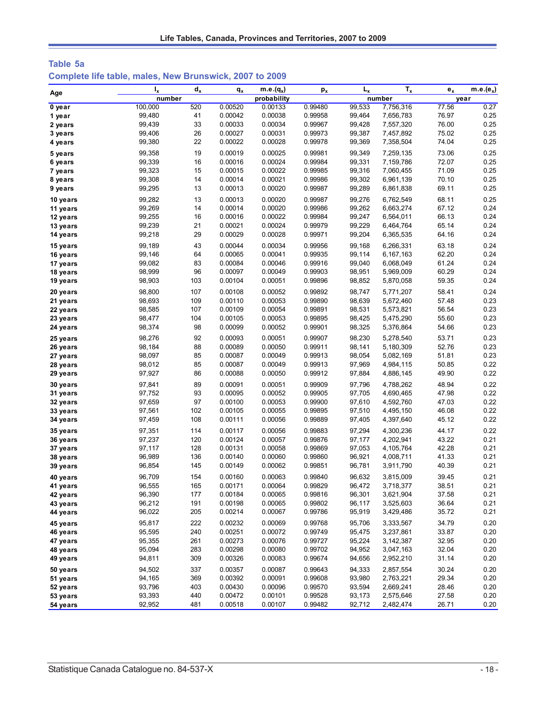| Table 5a |  |                                                         |  |
|----------|--|---------------------------------------------------------|--|
|          |  | Complete life table, males, New Brunswick, 2007 to 2009 |  |

| Age      | $I_{x}$ | $d_{x}$ | $q_{x}$ | $m.e.(q_x)$ | $p_{x}$ | $L_{x}$ | $T_{x}$   | $e_x$ | $\overline{\mathsf{m}}$ .e. $(e_x)$ |
|----------|---------|---------|---------|-------------|---------|---------|-----------|-------|-------------------------------------|
|          | number  |         |         | probability |         |         | number    | year  |                                     |
| 0 year   | 100,000 | 520     | 0.00520 | 0.00133     | 0.99480 | 99,533  | 7,756,316 | 77.56 | 0.27                                |
| 1 year   | 99,480  | 41      | 0.00042 | 0.00038     | 0.99958 | 99,464  | 7,656,783 | 76.97 | 0.25                                |
| 2 years  | 99,439  | 33      | 0.00033 | 0.00034     | 0.99967 | 99,428  | 7,557,320 | 76.00 | 0.25                                |
| 3 years  | 99,406  | 26      | 0.00027 | 0.00031     | 0.99973 | 99,387  | 7,457,892 | 75.02 | 0.25                                |
| 4 years  | 99,380  | 22      | 0.00022 | 0.00028     | 0.99978 | 99,369  | 7,358,504 | 74.04 | 0.25                                |
| 5 years  | 99,358  | 19      | 0.00019 | 0.00025     | 0.99981 | 99,349  | 7,259,135 | 73.06 | 0.25                                |
| 6 years  | 99,339  | 16      | 0.00016 | 0.00024     | 0.99984 | 99,331  | 7,159,786 | 72.07 | 0.25                                |
| 7 years  | 99,323  | 15      | 0.00015 | 0.00022     | 0.99985 | 99,316  | 7,060,455 | 71.09 | 0.25                                |
| 8 years  | 99,308  | 14      | 0.00014 | 0.00021     | 0.99986 | 99,302  | 6,961,139 | 70.10 | 0.25                                |
| 9 years  | 99,295  | 13      | 0.00013 | 0.00020     | 0.99987 | 99,289  | 6,861,838 | 69.11 | 0.25                                |
| 10 years | 99,282  | 13      | 0.00013 | 0.00020     | 0.99987 | 99,276  | 6,762,549 | 68.11 | 0.25                                |
| 11 years | 99,269  | 14      | 0.00014 | 0.00020     | 0.99986 | 99,262  | 6,663,274 | 67.12 | 0.24                                |
| 12 years | 99,255  | 16      | 0.00016 | 0.00022     | 0.99984 | 99,247  | 6,564,011 | 66.13 | 0.24                                |
| 13 years | 99,239  | 21      | 0.00021 | 0.00024     | 0.99979 | 99,229  | 6,464,764 | 65.14 | 0.24                                |
| 14 years | 99,218  | 29      | 0.00029 | 0.00028     | 0.99971 | 99,204  | 6,365,535 | 64.16 | 0.24                                |
| 15 years | 99,189  | 43      | 0.00044 | 0.00034     | 0.99956 | 99,168  | 6,266,331 | 63.18 | 0.24                                |
| 16 years | 99,146  | 64      | 0.00065 | 0.00041     | 0.99935 | 99,114  | 6,167,163 | 62.20 | 0.24                                |
| 17 years | 99,082  | 83      | 0.00084 | 0.00046     | 0.99916 | 99,040  | 6,068,049 | 61.24 | 0.24                                |
| 18 years | 98,999  | 96      | 0.00097 | 0.00049     | 0.99903 | 98,951  | 5,969,009 | 60.29 | 0.24                                |
| 19 years | 98,903  | 103     | 0.00104 | 0.00051     | 0.99896 | 98,852  | 5,870,058 | 59.35 | 0.24                                |
| 20 years | 98,800  | 107     | 0.00108 | 0.00052     | 0.99892 | 98,747  | 5,771,207 | 58.41 | 0.24                                |
| 21 years | 98,693  | 109     | 0.00110 | 0.00053     | 0.99890 | 98,639  | 5,672,460 | 57.48 | 0.23                                |
| 22 years | 98,585  | 107     | 0.00109 | 0.00054     | 0.99891 | 98,531  | 5,573,821 | 56.54 | 0.23                                |
| 23 years | 98,477  | 104     | 0.00105 | 0.00053     | 0.99895 | 98,425  | 5,475,290 | 55.60 | 0.23                                |
| 24 years | 98,374  | 98      | 0.00099 | 0.00052     | 0.99901 | 98,325  | 5,376,864 | 54.66 | 0.23                                |
| 25 years | 98,276  | 92      | 0.00093 | 0.00051     | 0.99907 | 98,230  | 5,278,540 | 53.71 | 0.23                                |
| 26 years | 98,184  | 88      | 0.00089 | 0.00050     | 0.99911 | 98,141  | 5,180,309 | 52.76 | 0.23                                |
| 27 years | 98,097  | 85      | 0.00087 | 0.00049     | 0.99913 | 98,054  | 5,082,169 | 51.81 | 0.23                                |
| 28 years | 98,012  | 85      | 0.00087 | 0.00049     | 0.99913 | 97,969  | 4,984,115 | 50.85 | 0.22                                |
| 29 years | 97,927  | 86      | 0.00088 | 0.00050     | 0.99912 | 97,884  | 4,886,145 | 49.90 | 0.22                                |
| 30 years | 97,841  | 89      | 0.00091 | 0.00051     | 0.99909 | 97,796  | 4,788,262 | 48.94 | 0.22                                |
| 31 years | 97,752  | 93      | 0.00095 | 0.00052     | 0.99905 | 97,705  | 4,690,465 | 47.98 | 0.22                                |
| 32 years | 97,659  | 97      | 0.00100 | 0.00053     | 0.99900 | 97,610  | 4,592,760 | 47.03 | 0.22                                |
| 33 years | 97,561  | 102     | 0.00105 | 0.00055     | 0.99895 | 97,510  | 4,495,150 | 46.08 | 0.22                                |
| 34 years | 97,459  | 108     | 0.00111 | 0.00056     | 0.99889 | 97,405  | 4,397,640 | 45.12 | 0.22                                |
| 35 years | 97,351  | 114     | 0.00117 | 0.00056     | 0.99883 | 97,294  | 4,300,236 | 44.17 | 0.22                                |
| 36 years | 97,237  | 120     | 0.00124 | 0.00057     | 0.99876 | 97,177  | 4,202,941 | 43.22 | 0.21                                |
| 37 years | 97,117  | 128     | 0.00131 | 0.00058     | 0.99869 | 97,053  | 4,105,764 | 42.28 | 0.21                                |
| 38 years | 96,989  | 136     | 0.00140 | 0.00060     | 0.99860 | 96,921  | 4,008,711 | 41.33 | 0.21                                |
| 39 years | 96,854  | 145     | 0.00149 | 0.00062     | 0.99851 | 96,781  | 3,911,790 | 40.39 | 0.21                                |
| 40 years | 96,709  | 154     | 0.00160 | 0.00063     | 0.99840 | 96,632  | 3,815,009 | 39.45 | 0.21                                |
| 41 years | 96,555  | 165     | 0.00171 | 0.00064     | 0.99829 | 96,472  | 3,718,377 | 38.51 | 0.21                                |
| 42 years | 96,390  | 177     | 0.00184 | 0.00065     | 0.99816 | 96,301  | 3,621,904 | 37.58 | 0.21                                |
| 43 years | 96,212  | 191     | 0.00198 | 0.00065     | 0.99802 | 96,117  | 3,525,603 | 36.64 | 0.21                                |
| 44 years | 96,022  | 205     | 0.00214 | 0.00067     | 0.99786 | 95,919  | 3,429,486 | 35.72 | 0.21                                |
| 45 years | 95,817  | 222     | 0.00232 | 0.00069     | 0.99768 | 95,706  | 3,333,567 | 34.79 | 0.20                                |
| 46 years | 95,595  | 240     | 0.00251 | 0.00072     | 0.99749 | 95,475  | 3,237,861 | 33.87 | 0.20                                |
| 47 years | 95,355  | 261     | 0.00273 | 0.00076     | 0.99727 | 95,224  | 3,142,387 | 32.95 | 0.20                                |
| 48 years | 95,094  | 283     | 0.00298 | 0.00080     | 0.99702 | 94,952  | 3,047,163 | 32.04 | 0.20                                |
| 49 years | 94,811  | 309     | 0.00326 | 0.00083     | 0.99674 | 94,656  | 2,952,210 | 31.14 | 0.20                                |
| 50 years | 94,502  | 337     | 0.00357 | 0.00087     | 0.99643 | 94,333  | 2,857,554 | 30.24 | 0.20                                |
| 51 years | 94,165  | 369     | 0.00392 | 0.00091     | 0.99608 | 93,980  | 2,763,221 | 29.34 | 0.20                                |
| 52 years | 93,796  | 403     | 0.00430 | 0.00096     | 0.99570 | 93,594  | 2,669,241 | 28.46 | 0.20                                |
| 53 years | 93,393  | 440     | 0.00472 | 0.00101     | 0.99528 | 93,173  | 2,575,646 | 27.58 | 0.20                                |
| 54 years | 92,952  | 481     | 0.00518 | 0.00107     | 0.99482 | 92,712  | 2,482,474 | 26.71 | 0.20                                |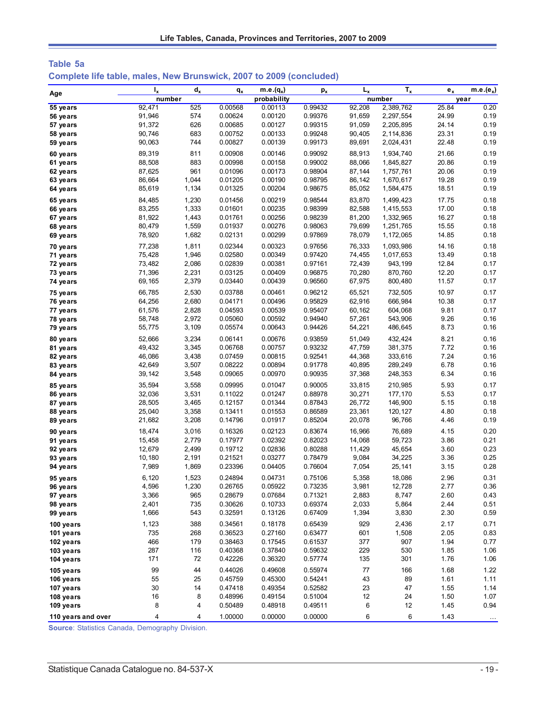| Table 5a |  |  |  |                                                                     |
|----------|--|--|--|---------------------------------------------------------------------|
|          |  |  |  | Complete life table, males, New Brunswick, 2007 to 2009 (concluded) |

| Age                  | $I_{x}$          | $d_x$          | $q_{x}$            | $m.e.(q_x)$        | $p_{x}$            | $L_{x}$          | $T_{x}$            | $e_{x}$        | $\overline{\mathsf{m.e.}}(\mathsf{e}_x)$ |
|----------------------|------------------|----------------|--------------------|--------------------|--------------------|------------------|--------------------|----------------|------------------------------------------|
|                      | number           |                |                    | probability        |                    |                  | number             |                | year                                     |
| 55 years             | 92,471           | 525            | 0.00568            | 0.00113            | 0.99432            | 92,208           | 2,389,762          | 25.84          | 0.20                                     |
| 56 years             | 91,946           | 574            | 0.00624            | 0.00120            | 0.99376            | 91,659           | 2,297,554          | 24.99          | 0.19                                     |
| 57 years             | 91,372           | 626            | 0.00685            | 0.00127            | 0.99315            | 91,059           | 2,205,895          | 24.14          | 0.19                                     |
| 58 years             | 90,746           | 683            | 0.00752            | 0.00133            | 0.99248            | 90,405           | 2,114,836          | 23.31          | 0.19                                     |
| 59 years             | 90,063           | 744            | 0.00827            | 0.00139            | 0.99173            | 89,691           | 2,024,431          | 22.48          | 0.19                                     |
| 60 years             | 89,319           | 811            | 0.00908            | 0.00146            | 0.99092            | 88,913           | 1,934,740          | 21.66          | 0.19                                     |
| 61 years             | 88,508           | 883            | 0.00998            | 0.00158            | 0.99002            | 88,066           | 1,845,827          | 20.86          | 0.19                                     |
| 62 years             | 87,625           | 961            | 0.01096            | 0.00173            | 0.98904            | 87,144           | 1,757,761          | 20.06          | 0.19                                     |
| 63 years             | 86,664           | 1,044          | 0.01205            | 0.00190            | 0.98795            | 86,142           | 1,670,617          | 19.28          | 0.19                                     |
| 64 years             | 85,619           | 1,134          | 0.01325            | 0.00204            | 0.98675            | 85,052           | 1,584,475          | 18.51          | 0.19                                     |
| 65 years             | 84,485           | 1,230          | 0.01456            | 0.00219            | 0.98544            | 83,870           | 1,499,423          | 17.75          | 0.18                                     |
| 66 years             | 83,255           | 1,333          | 0.01601            | 0.00235            | 0.98399            | 82,588           | 1,415,553          | 17.00          | 0.18                                     |
| 67 years             | 81,922           | 1,443          | 0.01761            | 0.00256<br>0.00276 | 0.98239            | 81,200           | 1,332,965          | 16.27          | 0.18<br>0.18                             |
| 68 years             | 80,479<br>78,920 | 1,559<br>1,682 | 0.01937<br>0.02131 | 0.00299            | 0.98063<br>0.97869 | 79,699<br>78,079 | 1,251,765          | 15.55<br>14.85 | 0.18                                     |
| 69 years             |                  |                |                    |                    |                    |                  | 1,172,065          |                |                                          |
| 70 years             | 77,238           | 1,811          | 0.02344            | 0.00323            | 0.97656            | 76,333           | 1,093,986          | 14.16          | 0.18                                     |
| 71 years             | 75,428           | 1,946          | 0.02580            | 0.00349            | 0.97420            | 74,455           | 1,017,653          | 13.49          | 0.18                                     |
| 72 years             | 73,482           | 2,086          | 0.02839            | 0.00381            | 0.97161            | 72,439           | 943,199            | 12.84          | 0.17                                     |
| 73 years             | 71,396           | 2,231          | 0.03125            | 0.00409            | 0.96875            | 70,280           | 870,760            | 12.20          | 0.17                                     |
| 74 years             | 69,165           | 2,379          | 0.03440            | 0.00439            | 0.96560            | 67,975           | 800,480            | 11.57          | 0.17                                     |
| 75 years             | 66,785           | 2,530          | 0.03788            | 0.00461            | 0.96212            | 65,521           | 732,505            | 10.97          | 0.17                                     |
| 76 years             | 64,256           | 2,680          | 0.04171            | 0.00496            | 0.95829            | 62,916           | 666,984            | 10.38          | 0.17                                     |
| 77 years             | 61,576<br>58,748 | 2,828<br>2,972 | 0.04593<br>0.05060 | 0.00539<br>0.00592 | 0.95407<br>0.94940 | 60,162<br>57,261 | 604,068<br>543,906 | 9.81<br>9.26   | 0.17<br>0.16                             |
| 78 years<br>79 years | 55,775           | 3,109          | 0.05574            | 0.00643            | 0.94426            | 54,221           | 486,645            | 8.73           | 0.16                                     |
|                      |                  |                |                    |                    |                    |                  | 432.424            |                |                                          |
| 80 years             | 52,666<br>49,432 | 3,234<br>3,345 | 0.06141<br>0.06768 | 0.00676<br>0.00757 | 0.93859<br>0.93232 | 51,049<br>47,759 | 381,375            | 8.21<br>7.72   | 0.16<br>0.16                             |
| 81 years             | 46,086           | 3,438          | 0.07459            | 0.00815            | 0.92541            | 44,368           | 333,616            | 7.24           | 0.16                                     |
| 82 years<br>83 years | 42,649           | 3,507          | 0.08222            | 0.00894            | 0.91778            | 40,895           | 289,249            | 6.78           | 0.16                                     |
| 84 years             | 39,142           | 3,548          | 0.09065            | 0.00970            | 0.90935            | 37,368           | 248,353            | 6.34           | 0.16                                     |
| 85 years             | 35,594           | 3,558          | 0.09995            | 0.01047            | 0.90005            | 33,815           | 210,985            | 5.93           | 0.17                                     |
| 86 years             | 32,036           | 3,531          | 0.11022            | 0.01247            | 0.88978            | 30,271           | 177,170            | 5.53           | 0.17                                     |
| 87 years             | 28,505           | 3,465          | 0.12157            | 0.01344            | 0.87843            | 26,772           | 146,900            | 5.15           | 0.18                                     |
| 88 years             | 25,040           | 3,358          | 0.13411            | 0.01553            | 0.86589            | 23,361           | 120, 127           | 4.80           | 0.18                                     |
| 89 years             | 21,682           | 3,208          | 0.14796            | 0.01917            | 0.85204            | 20,078           | 96,766             | 4.46           | 0.19                                     |
| 90 years             | 18,474           | 3,016          | 0.16326            | 0.02123            | 0.83674            | 16,966           | 76,689             | 4.15           | 0.20                                     |
| 91 years             | 15,458           | 2,779          | 0.17977            | 0.02392            | 0.82023            | 14,068           | 59,723             | 3.86           | 0.21                                     |
| 92 years             | 12,679           | 2,499          | 0.19712            | 0.02836            | 0.80288            | 11,429           | 45,654             | 3.60           | 0.23                                     |
| 93 years             | 10,180           | 2,191          | 0.21521            | 0.03277            | 0.78479            | 9,084            | 34,225             | 3.36           | 0.25                                     |
| 94 years             | 7,989            | 1,869          | 0.23396            | 0.04405            | 0.76604            | 7,054            | 25,141             | 3.15           | 0.28                                     |
| 95 years             | 6,120            | 1,523          | 0.24894            | 0.04731            | 0.75106            | 5,358            | 18,086             | 2.96           | 0.31                                     |
| 96 years             | 4,596            | 1,230          | 0.26765            | 0.05922            | 0.73235            | 3,981            | 12,728             | 2.77           | 0.36                                     |
| 97 years             | 3,366            | 965            | 0.28679            | 0.07684            | 0.71321            | 2,883            | 8,747              | 2.60           | 0.43                                     |
| 98 years             | 2,401            | 735            | 0.30626            | 0.10733            | 0.69374            | 2,033            | 5,864              | 2.44           | 0.51                                     |
| 99 years             | 1,666            | 543            | 0.32591            | 0.13126            | 0.67409            | 1,394            | 3,830              | 2.30           | 0.59                                     |
| 100 years            | 1,123            | 388            | 0.34561            | 0.18178            | 0.65439            | 929              | 2,436              | 2.17           | 0.71                                     |
| 101 years            | 735              | 268            | 0.36523            | 0.27160            | 0.63477            | 601              | 1,508              | 2.05           | 0.83                                     |
| 102 years            | 466              | 179            | 0.38463            | 0.17545            | 0.61537            | 377              | 907                | 1.94           | 0.77                                     |
| 103 years            | 287              | 116            | 0.40368            | 0.37840            | 0.59632            | 229              | 530                | 1.85           | 1.06                                     |
| 104 years            | 171              | 72             | 0.42226            | 0.36320            | 0.57774            | 135              | 301                | 1.76           | 1.06                                     |
| 105 years            | 99               | 44             | 0.44026            | 0.49608            | 0.55974            | 77               | 166                | 1.68           | 1.22                                     |
| 106 years            | 55               | 25             | 0.45759            | 0.45300            | 0.54241            | 43               | 89                 | 1.61           | 1.11                                     |
| 107 years            | 30               | 14             | 0.47418            | 0.49354            | 0.52582            | 23               | 47                 | 1.55           | 1.14                                     |
| 108 years            | 16               | 8              | 0.48996            | 0.49154            | 0.51004            | 12               | 24                 | 1.50           | 1.07                                     |
| 109 years            | 8                | 4              | 0.50489            | 0.48918            | 0.49511            | 6                | 12                 | 1.45           | 0.94                                     |
| 110 years and over   | 4                | 4              | 1.00000            | 0.00000            | 0.00000            | 6                | 6                  | 1.43           | $\cdots$                                 |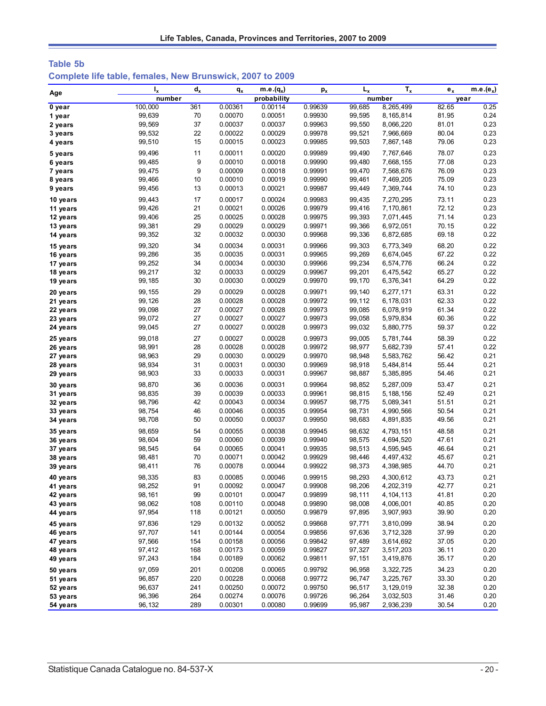| Table 5b |  |                                                           |  |  |
|----------|--|-----------------------------------------------------------|--|--|
|          |  | Complete life table, females, New Brunswick, 2007 to 2009 |  |  |

| Age      | $I_{x}$ | $d_{x}$ | $q_{x}$ | $m.e.(q_x)$ | $p_{x}$ | $L_{x}$ | $T_{x}$     | $e_x$ | m.e.( $e_x$ ) |
|----------|---------|---------|---------|-------------|---------|---------|-------------|-------|---------------|
|          | number  |         |         | probability |         |         | number      |       | year          |
| 0 year   | 100,000 | 361     | 0.00361 | 0.00114     | 0.99639 | 99,685  | 8,265,499   | 82.65 | 0.25          |
| 1 year   | 99,639  | 70      | 0.00070 | 0.00051     | 0.99930 | 99,595  | 8,165,814   | 81.95 | 0.24          |
| 2 years  | 99,569  | 37      | 0.00037 | 0.00037     | 0.99963 | 99,550  | 8,066,220   | 81.01 | 0.23          |
| 3 years  | 99,532  | 22      | 0.00022 | 0.00029     | 0.99978 | 99,521  | 7,966,669   | 80.04 | 0.23          |
| 4 years  | 99,510  | 15      | 0.00015 | 0.00023     | 0.99985 | 99,503  | 7,867,148   | 79.06 | 0.23          |
| 5 years  | 99,496  | 11      | 0.00011 | 0.00020     | 0.99989 | 99,490  | 7,767,646   | 78.07 | 0.23          |
| 6 years  | 99,485  | 9       | 0.00010 | 0.00018     | 0.99990 | 99,480  | 7,668,155   | 77.08 | 0.23          |
| 7 years  | 99,475  | 9       | 0.00009 | 0.00018     | 0.99991 | 99,470  | 7,568,676   | 76.09 | 0.23          |
| 8 years  | 99,466  | 10      | 0.00010 | 0.00019     | 0.99990 | 99,461  | 7,469,205   | 75.09 | 0.23          |
| 9 years  | 99,456  | 13      | 0.00013 | 0.00021     | 0.99987 | 99,449  | 7,369,744   | 74.10 | 0.23          |
| 10 years | 99,443  | 17      | 0.00017 | 0.00024     | 0.99983 | 99,435  | 7,270,295   | 73.11 | 0.23          |
| 11 years | 99,426  | 21      | 0.00021 | 0.00026     | 0.99979 | 99,416  | 7,170,861   | 72.12 | 0.23          |
| 12 years | 99,406  | 25      | 0.00025 | 0.00028     | 0.99975 | 99,393  | 7,071,445   | 71.14 | 0.23          |
| 13 years | 99,381  | 29      | 0.00029 | 0.00029     | 0.99971 | 99,366  | 6,972,051   | 70.15 | 0.22          |
| 14 years | 99,352  | 32      | 0.00032 | 0.00030     | 0.99968 | 99,336  | 6,872,685   | 69.18 | 0.22          |
| 15 years | 99,320  | 34      | 0.00034 | 0.00031     | 0.99966 | 99,303  | 6,773,349   | 68.20 | 0.22          |
| 16 years | 99,286  | 35      | 0.00035 | 0.00031     | 0.99965 | 99,269  | 6,674,045   | 67.22 | 0.22          |
| 17 years | 99,252  | 34      | 0.00034 | 0.00030     | 0.99966 | 99,234  | 6,574,776   | 66.24 | 0.22          |
| 18 years | 99,217  | 32      | 0.00033 | 0.00029     | 0.99967 | 99,201  | 6,475,542   | 65.27 | 0.22          |
| 19 years | 99,185  | 30      | 0.00030 | 0.00029     | 0.99970 | 99,170  | 6,376,341   | 64.29 | 0.22          |
| 20 years | 99, 155 | 29      | 0.00029 | 0.00028     | 0.99971 | 99,140  | 6,277,171   | 63.31 | 0.22          |
| 21 years | 99,126  | 28      | 0.00028 | 0.00028     | 0.99972 | 99,112  | 6,178,031   | 62.33 | 0.22          |
| 22 years | 99,098  | 27      | 0.00027 | 0.00028     | 0.99973 | 99,085  | 6,078,919   | 61.34 | 0.22          |
| 23 years | 99,072  | 27      | 0.00027 | 0.00027     | 0.99973 | 99,058  | 5,979,834   | 60.36 | 0.22          |
| 24 years | 99,045  | 27      | 0.00027 | 0.00028     | 0.99973 | 99,032  | 5,880,775   | 59.37 | 0.22          |
| 25 years | 99,018  | 27      | 0.00027 | 0.00028     | 0.99973 | 99,005  | 5,781,744   | 58.39 | 0.22          |
| 26 years | 98,991  | 28      | 0.00028 | 0.00028     | 0.99972 | 98,977  | 5,682,739   | 57.41 | 0.22          |
| 27 years | 98,963  | 29      | 0.00030 | 0.00029     | 0.99970 | 98,948  | 5,583,762   | 56.42 | 0.21          |
| 28 years | 98,934  | 31      | 0.00031 | 0.00030     | 0.99969 | 98,918  | 5,484,814   | 55.44 | 0.21          |
| 29 years | 98,903  | 33      | 0.00033 | 0.00031     | 0.99967 | 98,887  | 5,385,895   | 54.46 | 0.21          |
| 30 years | 98,870  | 36      | 0.00036 | 0.00031     | 0.99964 | 98,852  | 5,287,009   | 53.47 | 0.21          |
| 31 years | 98,835  | 39      | 0.00039 | 0.00033     | 0.99961 | 98,815  | 5,188,156   | 52.49 | 0.21          |
| 32 years | 98,796  | 42      | 0.00043 | 0.00034     | 0.99957 | 98,775  | 5,089,341   | 51.51 | 0.21          |
| 33 years | 98,754  | 46      | 0.00046 | 0.00035     | 0.99954 | 98,731  | 4,990,566   | 50.54 | 0.21          |
| 34 years | 98,708  | 50      | 0.00050 | 0.00037     | 0.99950 | 98,683  | 4,891,835   | 49.56 | 0.21          |
| 35 years | 98,659  | 54      | 0.00055 | 0.00038     | 0.99945 | 98,632  | 4,793,151   | 48.58 | 0.21          |
| 36 years | 98,604  | 59      | 0.00060 | 0.00039     | 0.99940 | 98,575  | 4,694,520   | 47.61 | 0.21          |
| 37 years | 98,545  | 64      | 0.00065 | 0.00041     | 0.99935 | 98,513  | 4,595,945   | 46.64 | 0.21          |
| 38 years | 98,481  | 70      | 0.00071 | 0.00042     | 0.99929 | 98,446  | 4,497,432   | 45.67 | 0.21          |
| 39 years | 98,411  | 76      | 0.00078 | 0.00044     | 0.99922 | 98,373  | 4,398,985   | 44.70 | 0.21          |
| 40 years | 98,335  | 83      | 0.00085 | 0.00046     | 0.99915 | 98,293  | 4,300,612   | 43.73 | 0.21          |
| 41 years | 98,252  | 91      | 0.00092 | 0.00047     | 0.99908 | 98,206  | 4,202,319   | 42.77 | 0.21          |
| 42 years | 98,161  | 99      | 0.00101 | 0.00047     | 0.99899 | 98,111  | 4, 104, 113 | 41.81 | 0.20          |
| 43 years | 98,062  | 108     | 0.00110 | 0.00048     | 0.99890 | 98,008  | 4,006,001   | 40.85 | 0.20          |
| 44 years | 97,954  | 118     | 0.00121 | 0.00050     | 0.99879 | 97,895  | 3,907,993   | 39.90 | 0.20          |
| 45 years | 97,836  | 129     | 0.00132 | 0.00052     | 0.99868 | 97,771  | 3,810,099   | 38.94 | 0.20          |
| 46 years | 97,707  | 141     | 0.00144 | 0.00054     | 0.99856 | 97,636  | 3,712,328   | 37.99 | 0.20          |
| 47 years | 97,566  | 154     | 0.00158 | 0.00056     | 0.99842 | 97,489  | 3,614,692   | 37.05 | 0.20          |
| 48 years | 97,412  | 168     | 0.00173 | 0.00059     | 0.99827 | 97,327  | 3,517,203   | 36.11 | 0.20          |
| 49 years | 97,243  | 184     | 0.00189 | 0.00062     | 0.99811 | 97,151  | 3,419,876   | 35.17 | 0.20          |
| 50 years | 97,059  | 201     | 0.00208 | 0.00065     | 0.99792 | 96,958  | 3,322,725   | 34.23 | 0.20          |
| 51 years | 96,857  | 220     | 0.00228 | 0.00068     | 0.99772 | 96,747  | 3,225,767   | 33.30 | 0.20          |
| 52 years | 96,637  | 241     | 0.00250 | 0.00072     | 0.99750 | 96,517  | 3,129,019   | 32.38 | 0.20          |
| 53 years | 96,396  | 264     | 0.00274 | 0.00076     | 0.99726 | 96,264  | 3,032,503   | 31.46 | 0.20          |
| 54 years | 96,132  | 289     | 0.00301 | 0.00080     | 0.99699 | 95,987  | 2,936,239   | 30.54 | 0.20          |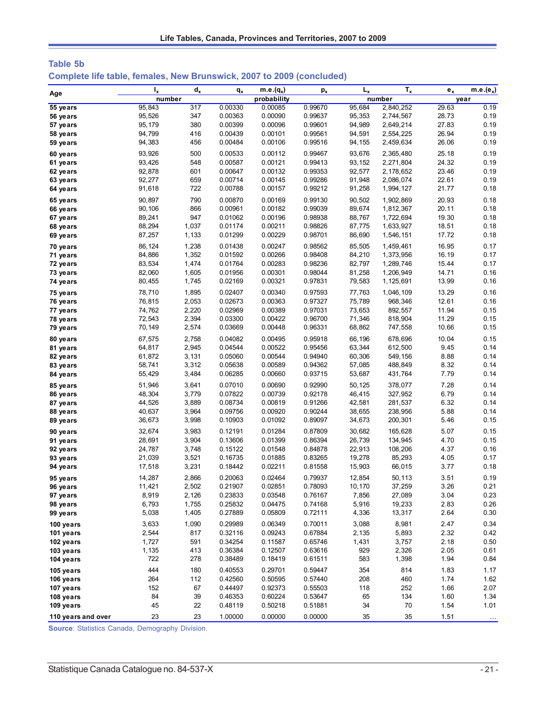| Table 5b |  |                                                                              |  |  |  |
|----------|--|------------------------------------------------------------------------------|--|--|--|
|          |  | <b>Complete life table, females, New Brunswick, 2007 to 2009 (concluded)</b> |  |  |  |

| Age                | $I_{x}$ | $d_{x}$ | $q_{x}$ | $m.e.(q_x)$ | $\mathbf{p}_{\mathbf{x}}$ | $L_{x}$ | $T_{x}$   | $e_{x}$ | $m.e.(e_x)$ |
|--------------------|---------|---------|---------|-------------|---------------------------|---------|-----------|---------|-------------|
|                    | number  |         |         | probability |                           |         | number    |         | year        |
| 55 years           | 95.843  | 317     | 0.00330 | 0.00085     | 0.99670                   | 95,684  | 2,840,252 | 29.63   | 0.19        |
| 56 years           | 95,526  | 347     | 0.00363 | 0.00090     | 0.99637                   | 95,353  | 2,744,567 | 28.73   | 0.19        |
| 57 years           | 95,179  | 380     | 0.00399 | 0.00096     | 0.99601                   | 94,989  | 2,649,214 | 27.83   | 0.19        |
| 58 years           | 94,799  | 416     | 0.00439 | 0.00101     | 0.99561                   | 94,591  | 2,554,225 | 26.94   | 0.19        |
| 59 years           | 94,383  | 456     | 0.00484 | 0.00106     | 0.99516                   | 94,155  | 2,459,634 | 26.06   | 0.19        |
| 60 years           | 93,926  | 500     | 0.00533 | 0.00112     | 0.99467                   | 93,676  | 2,365,480 | 25.18   | 0.19        |
| 61 years           | 93,426  | 548     | 0.00587 | 0.00121     | 0.99413                   | 93,152  | 2,271,804 | 24.32   | 0.19        |
| 62 years           | 92,878  | 601     | 0.00647 | 0.00132     | 0.99353                   | 92,577  | 2,178,652 | 23.46   | 0.19        |
| 63 years           | 92,277  | 659     | 0.00714 | 0.00145     | 0.99286                   | 91,948  | 2,086,074 | 22.61   | 0.19        |
| 64 years           | 91,618  | 722     | 0.00788 | 0.00157     | 0.99212                   | 91,258  | 1,994,127 | 21.77   | 0.18        |
| 65 years           | 90,897  | 790     | 0.00870 | 0.00169     | 0.99130                   | 90,502  | 1,902,869 | 20.93   | 0.18        |
| 66 years           | 90,106  | 866     | 0.00961 | 0.00182     | 0.99039                   | 89,674  | 1,812,367 | 20.11   | 0.18        |
| 67 years           | 89,241  | 947     | 0.01062 | 0.00196     | 0.98938                   | 88,767  | 1,722,694 | 19.30   | 0.18        |
| 68 years           | 88,294  | 1,037   | 0.01174 | 0.00211     | 0.98826                   | 87,775  | 1,633,927 | 18.51   | 0.18        |
| 69 years           | 87,257  | 1,133   | 0.01299 | 0.00229     | 0.98701                   | 86,690  | 1,546,151 | 17.72   | 0.18        |
| 70 years           | 86,124  | 1,238   | 0.01438 | 0.00247     | 0.98562                   | 85,505  | 1,459,461 | 16.95   | 0.17        |
| 71 years           | 84,886  | 1,352   | 0.01592 | 0.00266     | 0.98408                   | 84,210  | 1,373,956 | 16.19   | 0.17        |
| 72 years           | 83,534  | 1,474   | 0.01764 | 0.00283     | 0.98236                   | 82,797  | 1,289,746 | 15.44   | 0.17        |
| 73 years           | 82,060  | 1,605   | 0.01956 | 0.00301     | 0.98044                   | 81,258  | 1,206,949 | 14.71   | 0.16        |
| 74 years           | 80,455  | 1,745   | 0.02169 | 0.00321     | 0.97831                   | 79,583  | 1,125,691 | 13.99   | 0.16        |
| 75 years           | 78,710  | 1,895   | 0.02407 | 0.00340     | 0.97593                   | 77,763  | 1,046,109 | 13.29   | 0.16        |
| 76 years           | 76,815  | 2,053   | 0.02673 | 0.00363     | 0.97327                   | 75,789  | 968,346   | 12.61   | 0.16        |
| 77 years           | 74,762  | 2,220   | 0.02969 | 0.00389     | 0.97031                   | 73,653  | 892,557   | 11.94   | 0.15        |
| 78 years           | 72,543  | 2,394   | 0.03300 | 0.00422     | 0.96700                   | 71,346  | 818,904   | 11.29   | 0.15        |
| 79 years           | 70,149  | 2,574   | 0.03669 | 0.00448     | 0.96331                   | 68,862  | 747,558   | 10.66   | 0.15        |
| 80 years           | 67,575  | 2,758   | 0.04082 | 0.00495     | 0.95918                   | 66,196  | 678,696   | 10.04   | 0.15        |
| 81 years           | 64,817  | 2,945   | 0.04544 | 0.00522     | 0.95456                   | 63,344  | 612,500   | 9.45    | 0.14        |
| 82 years           | 61,872  | 3,131   | 0.05060 | 0.00544     | 0.94940                   | 60,306  | 549,156   | 8.88    | 0.14        |
| 83 years           | 58,741  | 3,312   | 0.05638 | 0.00589     | 0.94362                   | 57,085  | 488,849   | 8.32    | 0.14        |
| 84 years           | 55,429  | 3,484   | 0.06285 | 0.00660     | 0.93715                   | 53,687  | 431,764   | 7.79    | 0.14        |
| 85 years           | 51,946  | 3,641   | 0.07010 | 0.00690     | 0.92990                   | 50,125  | 378,077   | 7.28    | 0.14        |
| 86 years           | 48,304  | 3,779   | 0.07822 | 0.00739     | 0.92178                   | 46,415  | 327,952   | 6.79    | 0.14        |
| 87 years           | 44,526  | 3,889   | 0.08734 | 0.00819     | 0.91266                   | 42,581  | 281,537   | 6.32    | 0.14        |
| 88 years           | 40,637  | 3,964   | 0.09756 | 0.00920     | 0.90244                   | 38,655  | 238,956   | 5.88    | 0.14        |
| 89 years           | 36,673  | 3,998   | 0.10903 | 0.01092     | 0.89097                   | 34,673  | 200,301   | 5.46    | 0.15        |
| 90 years           | 32,674  | 3,983   | 0.12191 | 0.01284     | 0.87809                   | 30,682  | 165,628   | 5.07    | 0.15        |
| 91 years           | 28,691  | 3,904   | 0.13606 | 0.01399     | 0.86394                   | 26,739  | 134,945   | 4.70    | 0.15        |
| 92 years           | 24,787  | 3,748   | 0.15122 | 0.01548     | 0.84878                   | 22,913  | 108,206   | 4.37    | 0.16        |
| 93 years           | 21,039  | 3,521   | 0.16735 | 0.01885     | 0.83265                   | 19,278  | 85,293    | 4.05    | 0.17        |
| 94 years           | 17,518  | 3,231   | 0.18442 | 0.02211     | 0.81558                   | 15,903  | 66,015    | 3.77    | 0.18        |
| 95 years           | 14,287  | 2,866   | 0.20063 | 0.02464     | 0.79937                   | 12,854  | 50,113    | 3.51    | 0.19        |
| 96 years           | 11,421  | 2,502   | 0.21907 | 0.02851     | 0.78093                   | 10,170  | 37,259    | 3.26    | 0.21        |
| 97 years           | 8,919   | 2,126   | 0.23833 | 0.03548     | 0.76167                   | 7,856   | 27,089    | 3.04    | 0.23        |
| 98 years           | 6,793   | 1,755   | 0.25832 | 0.04475     | 0.74168                   | 5,916   | 19,233    | 2.83    | 0.26        |
| 99 years           | 5,038   | 1,405   | 0.27889 | 0.05809     | 0.72111                   | 4,336   | 13,317    | 2.64    | 0.30        |
| 100 years          | 3,633   | 1,090   | 0.29989 | 0.06349     | 0.70011                   | 3,088   | 8,981     | 2.47    | 0.34        |
| 101 years          | 2,544   | 817     | 0.32116 | 0.09243     | 0.67884                   | 2,135   | 5,893     | 2.32    | 0.42        |
| 102 years          | 1,727   | 591     | 0.34254 | 0.11587     | 0.65746                   | 1,431   | 3,757     | 2.18    | 0.50        |
| 103 years          | 1,135   | 413     | 0.36384 | 0.12507     | 0.63616                   | 929     | 2,326     | 2.05    | 0.61        |
| 104 years          | 722     | 278     | 0.38489 | 0.18419     | 0.61511                   | 583     | 1,398     | 1.94    | 0.84        |
| 105 years          | 444     | 180     | 0.40553 | 0.29701     | 0.59447                   | 354     | 814       | 1.83    | 1.17        |
| 106 years          | 264     | 112     | 0.42560 | 0.50595     | 0.57440                   | 208     | 460       | 1.74    | 1.62        |
| 107 years          | 152     | 67      | 0.44497 | 0.92373     | 0.55503                   | 118     | 252       | 1.66    | 2.07        |
| 108 years          | 84      | 39      | 0.46353 | 0.60224     | 0.53647                   | 65      | 134       | 1.60    | 1.34        |
| 109 years          | 45      | 22      | 0.48119 | 0.50218     | 0.51881                   | 34      | 70        | 1.54    | 1.01        |
| 110 years and over | 23      | 23      | 1.00000 | 0.00000     | 0.00000                   | 35      | 35        | 1.51    | $\cdots$    |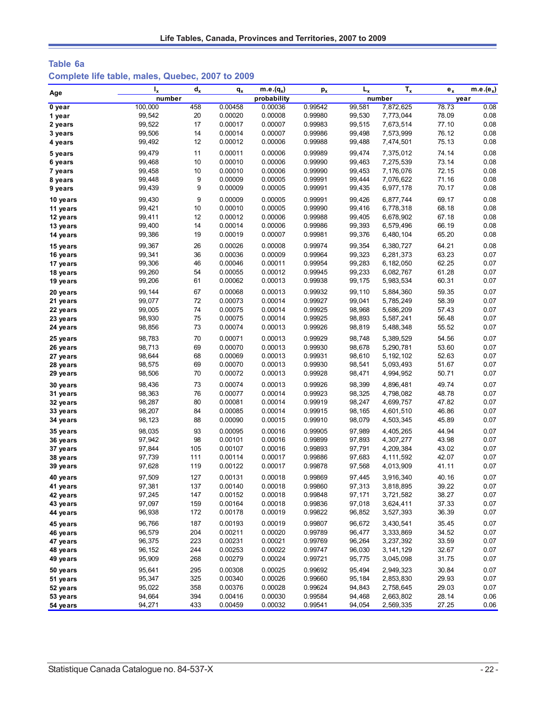# **Table 6a Complete life table, males, Quebec, 2007 to 2009**

|          | $I_{x}$ | $d_{x}$ | $q_{x}$ | m.e. $(q_x)$ | $p_{x}$ | $L_{x}$ | $T_{x}$     | $e_x$ | $m.e.(e_x)$ |
|----------|---------|---------|---------|--------------|---------|---------|-------------|-------|-------------|
| Age      | number  |         |         | probability  |         |         | number      | year  |             |
| 0 year   | 100,000 | 458     | 0.00458 | 0.00036      | 0.99542 | 99,581  | 7,872,625   | 78.73 | 0.08        |
| 1 year   | 99,542  | 20      | 0.00020 | 0.00008      | 0.99980 | 99,530  | 7,773,044   | 78.09 | 0.08        |
| 2 years  | 99,522  | 17      | 0.00017 | 0.00007      | 0.99983 | 99,515  | 7,673,514   | 77.10 | 0.08        |
| 3 years  | 99,506  | 14      | 0.00014 | 0.00007      | 0.99986 | 99,498  | 7,573,999   | 76.12 | 0.08        |
| 4 years  | 99,492  | 12      | 0.00012 | 0.00006      | 0.99988 | 99,488  | 7,474,501   | 75.13 | 0.08        |
| 5 years  | 99,479  | 11      | 0.00011 | 0.00006      | 0.99989 | 99,474  | 7,375,012   | 74.14 | 0.08        |
| 6 years  | 99,468  | 10      | 0.00010 | 0.00006      | 0.99990 | 99,463  | 7,275,539   | 73.14 | 0.08        |
| 7 years  | 99,458  | 10      | 0.00010 | 0.00006      | 0.99990 | 99,453  | 7,176,076   | 72.15 | 0.08        |
| 8 years  | 99,448  | 9       | 0.00009 | 0.00005      | 0.99991 | 99,444  | 7,076,622   | 71.16 | 0.08        |
| 9 years  | 99,439  | 9       | 0.00009 | 0.00005      | 0.99991 | 99,435  | 6,977,178   | 70.17 | 0.08        |
| 10 years | 99,430  | 9       | 0.00009 | 0.00005      | 0.99991 | 99,426  | 6,877,744   | 69.17 | 0.08        |
| 11 years | 99,421  | 10      | 0.00010 | 0.00005      | 0.99990 | 99,416  | 6,778,318   | 68.18 | 0.08        |
| 12 years | 99,411  | 12      | 0.00012 | 0.00006      | 0.99988 | 99,405  | 6,678,902   | 67.18 | 0.08        |
| 13 years | 99,400  | 14      | 0.00014 | 0.00006      | 0.99986 | 99,393  | 6,579,496   | 66.19 | 0.08        |
| 14 years | 99,386  | 19      | 0.00019 | 0.00007      | 0.99981 | 99,376  | 6,480,104   | 65.20 | 0.08        |
| 15 years | 99,367  | 26      | 0.00026 | 0.00008      | 0.99974 | 99,354  | 6,380,727   | 64.21 | 0.08        |
| 16 years | 99,341  | 36      | 0.00036 | 0.00009      | 0.99964 | 99,323  | 6,281,373   | 63.23 | 0.07        |
| 17 years | 99,306  | 46      | 0.00046 | 0.00011      | 0.99954 | 99,283  | 6,182,050   | 62.25 | 0.07        |
| 18 years | 99,260  | 54      | 0.00055 | 0.00012      | 0.99945 | 99,233  | 6,082,767   | 61.28 | 0.07        |
| 19 years | 99,206  | 61      | 0.00062 | 0.00013      | 0.99938 | 99,175  | 5,983,534   | 60.31 | 0.07        |
| 20 years | 99,144  | 67      | 0.00068 | 0.00013      | 0.99932 | 99,110  | 5,884,360   | 59.35 | 0.07        |
| 21 years | 99,077  | 72      | 0.00073 | 0.00014      | 0.99927 | 99,041  | 5,785,249   | 58.39 | 0.07        |
| 22 years | 99,005  | 74      | 0.00075 | 0.00014      | 0.99925 | 98,968  | 5,686,209   | 57.43 | 0.07        |
| 23 years | 98,930  | 75      | 0.00075 | 0.00014      | 0.99925 | 98,893  | 5,587,241   | 56.48 | 0.07        |
| 24 years | 98,856  | 73      | 0.00074 | 0.00013      | 0.99926 | 98,819  | 5,488,348   | 55.52 | 0.07        |
| 25 years | 98,783  | 70      | 0.00071 | 0.00013      | 0.99929 | 98,748  | 5,389,529   | 54.56 | 0.07        |
| 26 years | 98,713  | 69      | 0.00070 | 0.00013      | 0.99930 | 98,678  | 5,290,781   | 53.60 | 0.07        |
| 27 years | 98,644  | 68      | 0.00069 | 0.00013      | 0.99931 | 98,610  | 5, 192, 102 | 52.63 | 0.07        |
| 28 years | 98,575  | 69      | 0.00070 | 0.00013      | 0.99930 | 98,541  | 5,093,493   | 51.67 | 0.07        |
| 29 years | 98,506  | 70      | 0.00072 | 0.00013      | 0.99928 | 98,471  | 4,994,952   | 50.71 | 0.07        |
| 30 years | 98,436  | 73      | 0.00074 | 0.00013      | 0.99926 | 98,399  | 4,896,481   | 49.74 | 0.07        |
| 31 years | 98,363  | 76      | 0.00077 | 0.00014      | 0.99923 | 98,325  | 4,798,082   | 48.78 | 0.07        |
| 32 years | 98,287  | 80      | 0.00081 | 0.00014      | 0.99919 | 98,247  | 4,699,757   | 47.82 | 0.07        |
| 33 years | 98,207  | 84      | 0.00085 | 0.00014      | 0.99915 | 98,165  | 4,601,510   | 46.86 | 0.07        |
| 34 years | 98,123  | 88      | 0.00090 | 0.00015      | 0.99910 | 98,079  | 4,503,345   | 45.89 | 0.07        |
| 35 years | 98,035  | 93      | 0.00095 | 0.00016      | 0.99905 | 97,989  | 4,405,265   | 44.94 | 0.07        |
| 36 years | 97,942  | 98      | 0.00101 | 0.00016      | 0.99899 | 97,893  | 4,307,277   | 43.98 | 0.07        |
| 37 years | 97,844  | 105     | 0.00107 | 0.00016      | 0.99893 | 97,791  | 4,209,384   | 43.02 | 0.07        |
| 38 years | 97,739  | 111     | 0.00114 | 0.00017      | 0.99886 | 97,683  | 4,111,592   | 42.07 | 0.07        |
| 39 years | 97,628  | 119     | 0.00122 | 0.00017      | 0.99878 | 97,568  | 4,013,909   | 41.11 | 0.07        |
| 40 years | 97,509  | 127     | 0.00131 | 0.00018      | 0.99869 | 97,445  | 3,916,340   | 40.16 | 0.07        |
| 41 years | 97,381  | 137     | 0.00140 | 0.00018      | 0.99860 | 97,313  | 3,818,895   | 39.22 | 0.07        |
| 42 years | 97,245  | 147     | 0.00152 | 0.00018      | 0.99848 | 97,171  | 3,721,582   | 38.27 | 0.07        |
| 43 years | 97,097  | 159     | 0.00164 | 0.00018      | 0.99836 | 97,018  | 3,624,411   | 37.33 | 0.07        |
| 44 years | 96,938  | 172     | 0.00178 | 0.00019      | 0.99822 | 96,852  | 3,527,393   | 36.39 | 0.07        |
| 45 years | 96,766  | 187     | 0.00193 | 0.00019      | 0.99807 | 96,672  | 3,430,541   | 35.45 | 0.07        |
| 46 years | 96,579  | 204     | 0.00211 | 0.00020      | 0.99789 | 96,477  | 3,333,869   | 34.52 | 0.07        |
| 47 years | 96,375  | 223     | 0.00231 | 0.00021      | 0.99769 | 96,264  | 3,237,392   | 33.59 | 0.07        |
| 48 years | 96,152  | 244     | 0.00253 | 0.00022      | 0.99747 | 96,030  | 3, 141, 129 | 32.67 | 0.07        |
| 49 years | 95,909  | 268     | 0.00279 | 0.00024      | 0.99721 | 95,775  | 3,045,098   | 31.75 | 0.07        |
| 50 years | 95,641  | 295     | 0.00308 | 0.00025      | 0.99692 | 95,494  | 2,949,323   | 30.84 | 0.07        |
| 51 years | 95,347  | 325     | 0.00340 | 0.00026      | 0.99660 | 95,184  | 2,853,830   | 29.93 | 0.07        |
| 52 years | 95,022  | 358     | 0.00376 | 0.00028      | 0.99624 | 94,843  | 2,758,645   | 29.03 | 0.07        |
| 53 years | 94,664  | 394     | 0.00416 | 0.00030      | 0.99584 | 94,468  | 2,663,802   | 28.14 | 0.06        |
| 54 years | 94,271  | 433     | 0.00459 | 0.00032      | 0.99541 | 94,054  | 2,569,335   | 27.25 | 0.06        |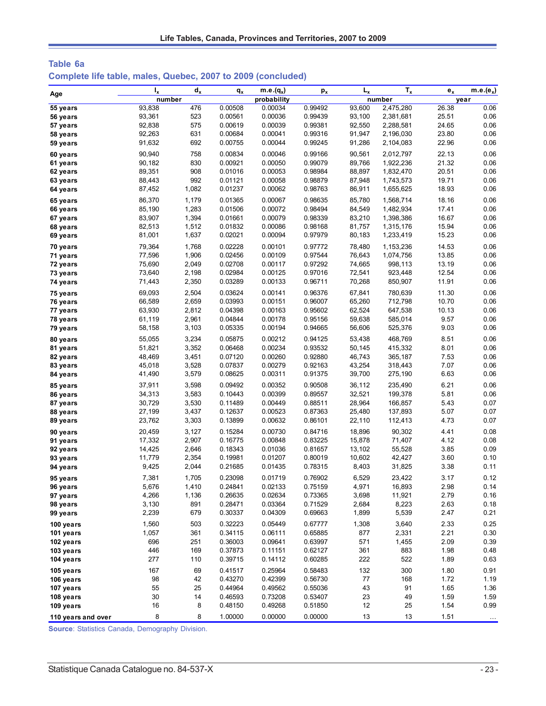| Table 6a |  |  |  |                                                              |
|----------|--|--|--|--------------------------------------------------------------|
|          |  |  |  | Complete life table, males, Quebec, 2007 to 2009 (concluded) |

| Age                    | $I_{x}$   | $d_{x}$  | $q_{x}$            | m.e. $(q_x)$       | $p_{x}$            | $L_{x}$   | $T_{x}$    | $e_{x}$      | $m.e.(e_x)$          |
|------------------------|-----------|----------|--------------------|--------------------|--------------------|-----------|------------|--------------|----------------------|
|                        | number    |          |                    | probability        |                    |           | number     |              | year                 |
| 55 years               | 93,838    | 476      | 0.00508            | 0.00034            | 0.99492            | 93,600    | 2,475,280  | 26.38        | 0.06                 |
| 56 years               | 93,361    | 523      | 0.00561            | 0.00036            | 0.99439            | 93,100    | 2,381,681  | 25.51        | 0.06                 |
| 57 years               | 92,838    | 575      | 0.00619            | 0.00039            | 0.99381            | 92,550    | 2,288,581  | 24.65        | 0.06                 |
| 58 years               | 92,263    | 631      | 0.00684            | 0.00041            | 0.99316            | 91,947    | 2,196,030  | 23.80        | 0.06                 |
| 59 years               | 91,632    | 692      | 0.00755            | 0.00044            | 0.99245            | 91,286    | 2,104,083  | 22.96        | 0.06                 |
| 60 years               | 90,940    | 758      | 0.00834            | 0.00046            | 0.99166            | 90,561    | 2,012,797  | 22.13        | 0.06                 |
| 61 years               | 90,182    | 830      | 0.00921            | 0.00050            | 0.99079            | 89,766    | 1,922,236  | 21.32        | 0.06                 |
| 62 years               | 89,351    | 908      | 0.01016            | 0.00053            | 0.98984            | 88,897    | 1,832,470  | 20.51        | 0.06                 |
| 63 years               | 88,443    | 992      | 0.01121            | 0.00058            | 0.98879            | 87,948    | 1,743,573  | 19.71        | 0.06                 |
| 64 years               | 87,452    | 1,082    | 0.01237            | 0.00062            | 0.98763            | 86,911    | 1,655,625  | 18.93        | 0.06                 |
| 65 years               | 86,370    | 1,179    | 0.01365            | 0.00067            | 0.98635            | 85,780    | 1,568,714  | 18.16        | 0.06                 |
| 66 years               | 85,190    | 1,283    | 0.01506            | 0.00072            | 0.98494            | 84,549    | 1,482,934  | 17.41        | 0.06                 |
| 67 years               | 83,907    | 1,394    | 0.01661            | 0.00079            | 0.98339            | 83,210    | 1,398,386  | 16.67        | 0.06                 |
| 68 years               | 82,513    | 1,512    | 0.01832            | 0.00086            | 0.98168            | 81,757    | 1,315,176  | 15.94        | 0.06                 |
| 69 years               | 81,001    | 1,637    | 0.02021            | 0.00094            | 0.97979            | 80,183    | 1,233,419  | 15.23        | 0.06                 |
| 70 years               | 79,364    | 1,768    | 0.02228            | 0.00101            | 0.97772            | 78,480    | 1,153,236  | 14.53        | 0.06                 |
| 71 years               | 77,596    | 1,906    | 0.02456            | 0.00109            | 0.97544            | 76,643    | 1,074,756  | 13.85        | 0.06                 |
| 72 years               | 75,690    | 2,049    | 0.02708            | 0.00117            | 0.97292            | 74,665    | 998,113    | 13.19        | 0.06                 |
| 73 years               | 73,640    | 2,198    | 0.02984            | 0.00125            | 0.97016            | 72,541    | 923,448    | 12.54        | 0.06                 |
| 74 years               | 71,443    | 2,350    | 0.03289            | 0.00133            | 0.96711            | 70,268    | 850,907    | 11.91        | 0.06                 |
| 75 years               | 69,093    | 2,504    | 0.03624            | 0.00141            | 0.96376            | 67,841    | 780,639    | 11.30        | 0.06                 |
| 76 years               | 66,589    | 2,659    | 0.03993            | 0.00151            | 0.96007            | 65,260    | 712,798    | 10.70        | 0.06                 |
| 77 years               | 63,930    | 2,812    | 0.04398            | 0.00163            | 0.95602            | 62,524    | 647,538    | 10.13        | 0.06                 |
| 78 years               | 61,119    | 2,961    | 0.04844            | 0.00178            | 0.95156            | 59,638    | 585,014    | 9.57         | 0.06                 |
| 79 years               | 58,158    | 3,103    | 0.05335            | 0.00194            | 0.94665            | 56,606    | 525,376    | 9.03         | 0.06                 |
| 80 years               | 55,055    | 3,234    | 0.05875            | 0.00212            | 0.94125            | 53,438    | 468.769    | 8.51         | 0.06                 |
| 81 years               | 51,821    | 3,352    | 0.06468            | 0.00234            | 0.93532            | 50,145    | 415,332    | 8.01         | 0.06                 |
| 82 years               | 48,469    | 3,451    | 0.07120            | 0.00260            | 0.92880            | 46,743    | 365,187    | 7.53         | 0.06                 |
| 83 years               | 45,018    | 3,528    | 0.07837            | 0.00279            | 0.92163            | 43,254    | 318,443    | 7.07         | 0.06                 |
| 84 years               | 41,490    | 3,579    | 0.08625            | 0.00311            | 0.91375            | 39,700    | 275,190    | 6.63         | 0.06                 |
| 85 years               | 37,911    | 3,598    | 0.09492            | 0.00352            | 0.90508            | 36,112    | 235,490    | 6.21         | 0.06                 |
| 86 years               | 34,313    | 3,583    | 0.10443            | 0.00399            | 0.89557            | 32,521    | 199,378    | 5.81         | 0.06                 |
| 87 years               | 30,729    | 3,530    | 0.11489            | 0.00449            | 0.88511            | 28,964    | 166,857    | 5.43         | 0.07                 |
| 88 years               | 27,199    | 3,437    | 0.12637            | 0.00523            | 0.87363            | 25,480    | 137,893    | 5.07         | 0.07                 |
| 89 years               | 23,762    | 3,303    | 0.13899            | 0.00632            | 0.86101            | 22,110    | 112,413    | 4.73         | 0.07                 |
| 90 years               | 20,459    | 3,127    | 0.15284            | 0.00730            | 0.84716            | 18,896    | 90,302     | 4.41         | 0.08                 |
| 91 years               | 17,332    | 2,907    | 0.16775            | 0.00848            | 0.83225            | 15,878    | 71,407     | 4.12         | 0.08                 |
| 92 years               | 14,425    | 2,646    | 0.18343            | 0.01036            | 0.81657            | 13,102    | 55,528     | 3.85         | 0.09                 |
| 93 years               | 11,779    | 2,354    | 0.19981            | 0.01207            | 0.80019            | 10,602    | 42,427     | 3.60         | 0.10                 |
| 94 years               | 9,425     | 2,044    | 0.21685            | 0.01435            | 0.78315            | 8,403     | 31,825     | 3.38         | 0.11                 |
| 95 years               | 7,381     | 1,705    | 0.23098            | 0.01719            | 0.76902            | 6,529     | 23,422     | 3.17         | 0.12                 |
| 96 years               | 5,676     | 1,410    | 0.24841            | 0.02133            | 0.75159            | 4,971     | 16,893     | 2.98         | 0.14                 |
| 97 years               | 4,266     | 1,136    | 0.26635            | 0.02634            | 0.73365            | 3,698     | 11,921     | 2.79         | 0.16                 |
| 98 years               | 3,130     | 891      | 0.28471            | 0.03364            | 0.71529            | 2,684     | 8,223      | 2.63         | 0.18                 |
| 99 years               | 2,239     | 679      | 0.30337            | 0.04309            | 0.69663            | 1,899     | 5,539      | 2.47         | 0.21                 |
| 100 years              | 1,560     | 503      | 0.32223            | 0.05449            | 0.67777            | 1,308     | 3,640      | 2.33         | 0.25                 |
| 101 years              | 1,057     | 361      | 0.34115            | 0.06111            | 0.65885            | 877       | 2,331      | 2.21         | 0.30                 |
| 102 years              | 696       | 251      | 0.36003            | 0.09641            | 0.63997            | 571       | 1,455      | 2.09         | 0.39                 |
| 103 years              | 446       | 169      | 0.37873            | 0.11151            | 0.62127            | 361       | 883        | 1.98         | 0.48                 |
| 104 years              | 277       | 110      | 0.39715            | 0.14112            | 0.60285            | 222       | 522        | 1.89         | 0.63                 |
|                        |           |          |                    |                    |                    |           |            |              |                      |
| 105 years              | 167<br>98 | 69       | 0.41517<br>0.43270 | 0.25964<br>0.42399 | 0.58483            | 132<br>77 | 300<br>168 | 1.80<br>1.72 | 0.91<br>1.19         |
| 106 years              | 55        | 42<br>25 | 0.44964            | 0.49562            | 0.56730<br>0.55036 | 43        | 91         | 1.65         | 1.36                 |
| 107 years              | $30\,$    | 14       | 0.46593            | 0.73208            | 0.53407            | 23        | 49         | 1.59         | 1.59                 |
| 108 years<br>109 years | 16        | 8        | 0.48150            | 0.49268            | 0.51850            | 12        | 25         | 1.54         | 0.99                 |
|                        |           |          |                    |                    |                    |           |            |              |                      |
| 110 years and over     | 8         | 8        | 1.00000            | 0.00000            | 0.00000            | 13        | 13         | 1.51         | $\sim$ $\sim$ $\sim$ |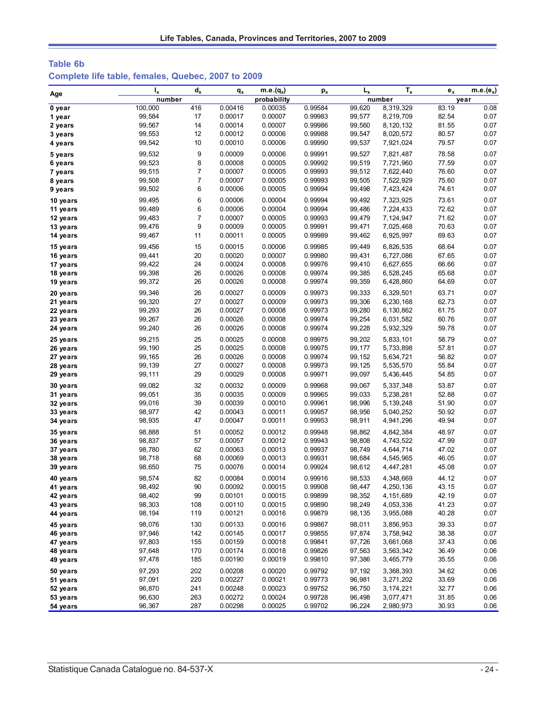# **Table 6b Complete life table, females, Quebec, 2007 to 2009**

| Age                  | $I_{x}$          | $d_{x}$        | $q_{x}$            | $\overline{\mathsf{m}}$ .e. $(q_x)$ | $p_{x}$            | $L_{x}$          | $T_{x}$                | $e_{x}$        | $m.e.(e_x)$  |
|----------------------|------------------|----------------|--------------------|-------------------------------------|--------------------|------------------|------------------------|----------------|--------------|
|                      | number           |                |                    | probability                         |                    |                  | number                 |                | year         |
| 0 year               | 100,000          | 416            | 0.00416            | 0.00035                             | 0.99584            | 99,620           | 8,319,329              | 83.19          | 0.08         |
| 1 year               | 99,584           | 17             | 0.00017            | 0.00007                             | 0.99983            | 99,577           | 8,219,709              | 82.54          | 0.07         |
| 2 years              | 99,567           | 14             | 0.00014            | 0.00007                             | 0.99986            | 99,560           | 8,120,132              | 81.55          | 0.07         |
| 3 years              | 99,553           | 12             | 0.00012            | 0.00006                             | 0.99988            | 99,547           | 8,020,572              | 80.57          | 0.07         |
| 4 years              | 99,542           | 10             | 0.00010            | 0.00006                             | 0.99990            | 99,537           | 7,921,024              | 79.57          | 0.07         |
| 5 years              | 99,532           | 9              | 0.00009            | 0.00006                             | 0.99991            | 99,527           | 7,821,487              | 78.58          | 0.07         |
| 6 years              | 99,523           | 8              | 0.00008            | 0.00005                             | 0.99992            | 99,519           | 7,721,960              | 77.59          | 0.07         |
| 7 years              | 99,515           | $\overline{7}$ | 0.00007            | 0.00005                             | 0.99993            | 99,512           | 7,622,440              | 76.60          | 0.07         |
| 8 years              | 99,508           | $\overline{7}$ | 0.00007            | 0.00005                             | 0.99993            | 99,505           | 7,522,929              | 75.60          | 0.07         |
| 9 years              | 99,502           | 6              | 0.00006            | 0.00005                             | 0.99994            | 99,498           | 7,423,424              | 74.61          | 0.07         |
| 10 years             | 99,495           | 6              | 0.00006            | 0.00004                             | 0.99994            | 99,492           | 7,323,925              | 73.61          | 0.07         |
| 11 years             | 99,489           | 6              | 0.00006            | 0.00004                             | 0.99994            | 99,486           | 7,224,433              | 72.62          | 0.07         |
| 12 years             | 99,483           | $\overline{7}$ | 0.00007            | 0.00005                             | 0.99993            | 99,479           | 7,124,947              | 71.62          | 0.07         |
| 13 years             | 99,476           | 9              | 0.00009            | 0.00005                             | 0.99991            | 99,471           | 7,025,468              | 70.63          | 0.07         |
| 14 years             | 99,467           | 11             | 0.00011            | 0.00005                             | 0.99989            | 99,462           | 6,925,997              | 69.63          | 0.07         |
| 15 years             | 99,456           | 15             | 0.00015            | 0.00006                             | 0.99985            | 99,449           | 6,826,535              | 68.64          | 0.07         |
| 16 years             | 99,441           | 20             | 0.00020            | 0.00007                             | 0.99980            | 99,431           | 6,727,086              | 67.65          | 0.07         |
| 17 years             | 99,422           | 24             | 0.00024            | 0.00008                             | 0.99976            | 99,410           | 6,627,655              | 66.66          | 0.07         |
| 18 years             | 99,398           | 26             | 0.00026            | 0.00008                             | 0.99974            | 99,385           | 6,528,245              | 65.68          | 0.07         |
| 19 years             | 99,372           | 26             | 0.00026            | 0.00008                             | 0.99974            | 99,359           | 6,428,860              | 64.69          | 0.07         |
| 20 years             | 99,346           | 26             | 0.00027            | 0.00009                             | 0.99973            | 99,333           | 6,329,501              | 63.71          | 0.07         |
| 21 years             | 99,320           | 27             | 0.00027            | 0.00009                             | 0.99973            | 99,306           | 6,230,168              | 62.73          | 0.07         |
| 22 years             | 99,293           | 26             | 0.00027            | 0.00008                             | 0.99973            | 99,280           | 6,130,862              | 61.75          | 0.07         |
| 23 years             | 99,267           | 26             | 0.00026            | 0.00008                             | 0.99974            | 99,254           | 6,031,582              | 60.76          | 0.07         |
| 24 years             | 99,240           | 26             | 0.00026            | 0.00008                             | 0.99974            | 99,228           | 5,932,329              | 59.78          | 0.07         |
| 25 years             | 99,215           | 25             | 0.00025            | 0.00008                             | 0.99975            | 99,202           | 5,833,101              | 58.79          | 0.07         |
| 26 years             | 99,190           | 25             | 0.00025            | 0.00008                             | 0.99975            | 99,177           | 5,733,898              | 57.81          | 0.07         |
| 27 years             | 99, 165          | 26             | 0.00026            | 0.00008                             | 0.99974            | 99,152           | 5,634,721              | 56.82          | 0.07         |
| 28 years             | 99,139           | 27             | 0.00027            | 0.00008                             | 0.99973            | 99,125           | 5,535,570              | 55.84          | 0.07         |
| 29 years             | 99,111           | 29             | 0.00029            | 0.00008                             | 0.99971            | 99,097           | 5,436,445              | 54.85          | 0.07         |
| 30 years             | 99,082           | 32             | 0.00032            | 0.00009                             | 0.99968            | 99,067           | 5,337,348              | 53.87          | 0.07         |
|                      | 99,051           | 35             | 0.00035            | 0.00009                             | 0.99965            | 99,033           | 5,238,281              | 52.88          | 0.07         |
| 31 years             | 99,016           | 39             | 0.00039            | 0.00010                             | 0.99961            | 98,996           | 5,139,248              | 51.90          | 0.07         |
| 32 years<br>33 years | 98,977           | 42             | 0.00043            | 0.00011                             | 0.99957            | 98,956           | 5,040,252              | 50.92          | 0.07         |
| 34 years             | 98,935           | 47             | 0.00047            | 0.00011                             | 0.99953            | 98,911           | 4,941,296              | 49.94          | 0.07         |
|                      |                  |                |                    |                                     |                    |                  |                        |                |              |
| 35 years             | 98,888           | 51<br>57       | 0.00052<br>0.00057 | 0.00012<br>0.00012                  | 0.99948<br>0.99943 | 98,862           | 4,842,384              | 48.97<br>47.99 | 0.07         |
| 36 years             | 98,837           | 62             | 0.00063            |                                     |                    | 98,808           | 4,743,522              |                | 0.07<br>0.07 |
| 37 years<br>38 years | 98,780<br>98,718 | 68             | 0.00069            | 0.00013<br>0.00013                  | 0.99937<br>0.99931 | 98,749<br>98,684 | 4,644,714<br>4,545,965 | 47.02<br>46.05 | 0.07         |
| 39 years             | 98,650           | 75             | 0.00076            | 0.00014                             | 0.99924            | 98,612           | 4,447,281              | 45.08          | 0.07         |
|                      |                  |                |                    |                                     |                    |                  |                        |                |              |
| 40 years             | 98,574           | 82             | 0.00084            | 0.00014                             | 0.99916            | 98,533           | 4,348,669              | 44.12          | 0.07         |
| 41 years             | 98,492           | 90             | 0.00092            | 0.00015                             | 0.99908            | 98,447           | 4,250,136              | 43.15          | 0.07         |
| 42 years             | 98,402           | 99             | 0.00101            | 0.00015                             | 0.99899            | 98,352           | 4, 151, 689            | 42.19          | 0.07         |
| 43 years             | 98,303<br>98,194 | 108<br>119     | 0.00110<br>0.00121 | 0.00015<br>0.00016                  | 0.99890<br>0.99879 | 98,249<br>98,135 | 4,053,336<br>3,955,088 | 41.23<br>40.28 | 0.07<br>0.07 |
| 44 years             |                  |                |                    |                                     |                    |                  |                        |                |              |
| 45 years             | 98,076           | 130            | 0.00133            | 0.00016                             | 0.99867            | 98,011           | 3,856,953              | 39.33          | 0.07         |
| 46 years             | 97,946           | 142            | 0.00145            | 0.00017                             | 0.99855            | 97,874           | 3,758,942              | 38.38          | 0.07         |
| 47 years             | 97,803           | 155            | 0.00159            | 0.00018                             | 0.99841            | 97,726           | 3,661,068              | 37.43          | 0.06         |
| 48 years             | 97,648           | 170            | 0.00174            | 0.00018                             | 0.99826            | 97,563           | 3,563,342              | 36.49          | 0.06         |
| 49 years             | 97,478           | 185            | 0.00190            | 0.00019                             | 0.99810            | 97,386           | 3,465,779              | 35.55          | 0.06         |
| 50 years             | 97,293           | 202            | 0.00208            | 0.00020                             | 0.99792            | 97,192           | 3,368,393              | 34.62          | 0.06         |
| 51 years             | 97,091           | 220            | 0.00227            | 0.00021                             | 0.99773            | 96,981           | 3,271,202              | 33.69          | 0.06         |
| 52 years             | 96,870           | 241            | 0.00248            | 0.00023                             | 0.99752            | 96,750           | 3, 174, 221            | 32.77          | 0.06         |
| 53 years             | 96,630           | 263            | 0.00272            | 0.00024                             | 0.99728            | 96,498           | 3,077,471              | 31.85          | 0.06         |
| 54 years             | 96,367           | 287            | 0.00298            | 0.00025                             | 0.99702            | 96,224           | 2,980,973              | 30.93          | 0.06         |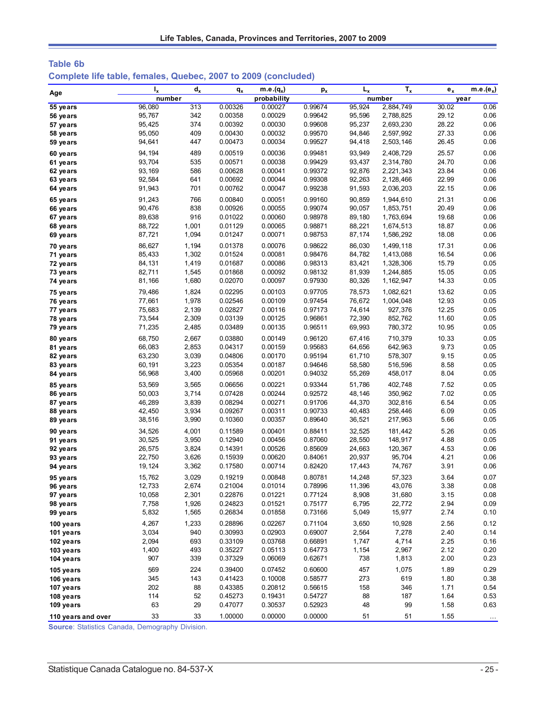| <b>Table 6b</b>                                                |  |  |  |
|----------------------------------------------------------------|--|--|--|
| Complete life table, females, Quebec, 2007 to 2009 (concluded) |  |  |  |

| Age                  | $I_{x}$          | $d_{x}$        | $q_{x}$            | $m.e.(q_x)$        | $p_{x}$            | $L_{x}$          | $T_{x}$            | $e_{x}$        | $m.e.(e_x)$  |
|----------------------|------------------|----------------|--------------------|--------------------|--------------------|------------------|--------------------|----------------|--------------|
|                      | number           |                |                    | probability        |                    |                  | number             |                | year         |
| 55 years             | 96,080           | 313            | 0.00326            | 0.00027            | 0.99674            | 95,924           | 2,884,749          | 30.02          | 0.06         |
| 56 years             | 95,767           | 342            | 0.00358            | 0.00029            | 0.99642            | 95,596           | 2,788,825          | 29.12          | 0.06         |
| 57 years             | 95,425           | 374            | 0.00392            | 0.00030            | 0.99608            | 95,237           | 2,693,230          | 28.22          | 0.06         |
| 58 years             | 95,050           | 409            | 0.00430            | 0.00032            | 0.99570            | 94,846           | 2,597,992          | 27.33          | 0.06         |
| 59 years             | 94,641           | 447            | 0.00473            | 0.00034            | 0.99527            | 94,418           | 2,503,146          | 26.45          | 0.06         |
| 60 years             | 94,194           | 489            | 0.00519            | 0.00036            | 0.99481            | 93,949           | 2,408,729          | 25.57          | 0.06         |
| 61 years             | 93,704           | 535            | 0.00571            | 0.00038            | 0.99429            | 93,437           | 2,314,780          | 24.70          | 0.06         |
| 62 years             | 93,169           | 586            | 0.00628            | 0.00041            | 0.99372            | 92,876           | 2,221,343          | 23.84          | 0.06         |
| 63 years             | 92,584           | 641            | 0.00692            | 0.00044            | 0.99308            | 92,263           | 2,128,466          | 22.99          | 0.06         |
| 64 years             | 91,943           | 701            | 0.00762            | 0.00047            | 0.99238            | 91,593           | 2,036,203          | 22.15          | 0.06         |
| 65 years             | 91,243           | 766            | 0.00840            | 0.00051            | 0.99160            | 90,859           | 1,944,610          | 21.31          | 0.06         |
| 66 years             | 90,476           | 838            | 0.00926            | 0.00055            | 0.99074            | 90,057           | 1,853,751          | 20.49          | 0.06         |
| 67 years             | 89,638           | 916            | 0.01022            | 0.00060            | 0.98978            | 89,180           | 1,763,694          | 19.68          | 0.06         |
| 68 years             | 88,722           | 1,001          | 0.01129            | 0.00065            | 0.98871            | 88,221           | 1,674,513          | 18.87          | 0.06         |
| 69 years             | 87,721           | 1,094          | 0.01247            | 0.00071            | 0.98753            | 87,174           | 1,586,292          | 18.08          | 0.06         |
| 70 years             | 86,627           | 1,194          | 0.01378            | 0.00076            | 0.98622            | 86,030           | 1,499,118          | 17.31          | 0.06         |
| 71 years             | 85,433           | 1,302          | 0.01524            | 0.00081            | 0.98476            | 84,782           | 1,413,088          | 16.54          | 0.06         |
| 72 years             | 84,131           | 1,419          | 0.01687            | 0.00086            | 0.98313            | 83,421           | 1,328,306          | 15.79          | 0.05         |
| 73 years             | 82,711           | 1,545          | 0.01868            | 0.00092            | 0.98132            | 81,939           | 1,244,885          | 15.05          | 0.05         |
| 74 years             | 81,166           | 1,680          | 0.02070            | 0.00097            | 0.97930            | 80,326           | 1,162,947          | 14.33          | 0.05         |
| 75 years             | 79,486           | 1,824          | 0.02295            | 0.00103            | 0.97705            | 78,573           | 1,082,621          | 13.62          | 0.05         |
| 76 years             | 77,661           | 1,978          | 0.02546            | 0.00109            | 0.97454            | 76,672           | 1,004,048          | 12.93          | 0.05         |
| 77 years             | 75,683           | 2,139          | 0.02827            | 0.00116            | 0.97173            | 74,614           | 927,376            | 12.25          | 0.05         |
| 78 years<br>79 years | 73,544<br>71,235 | 2,309<br>2,485 | 0.03139<br>0.03489 | 0.00125<br>0.00135 | 0.96861<br>0.96511 | 72,390<br>69,993 | 852,762<br>780,372 | 11.60<br>10.95 | 0.05<br>0.05 |
|                      |                  |                |                    |                    |                    |                  |                    |                |              |
| 80 years             | 68,750           | 2,667          | 0.03880            | 0.00149            | 0.96120            | 67,416           | 710,379            | 10.33          | 0.05         |
| 81 years             | 66,083           | 2,853          | 0.04317            | 0.00159            | 0.95683            | 64,656           | 642,963            | 9.73           | 0.05<br>0.05 |
| 82 years<br>83 years | 63,230<br>60,191 | 3,039<br>3,223 | 0.04806<br>0.05354 | 0.00170<br>0.00187 | 0.95194<br>0.94646 | 61,710<br>58,580 | 578,307<br>516,596 | 9.15<br>8.58   | 0.05         |
| 84 years             | 56,968           | 3,400          | 0.05968            | 0.00201            | 0.94032            | 55,269           | 458,017            | 8.04           | 0.05         |
|                      |                  |                |                    |                    |                    |                  |                    |                |              |
| 85 years             | 53,569<br>50,003 | 3,565<br>3,714 | 0.06656<br>0.07428 | 0.00221<br>0.00244 | 0.93344<br>0.92572 | 51,786<br>48,146 | 402,748<br>350,962 | 7.52<br>7.02   | 0.05<br>0.05 |
| 86 years<br>87 years | 46,289           | 3,839          | 0.08294            | 0.00271            | 0.91706            | 44,370           | 302,816            | 6.54           | 0.05         |
| 88 years             | 42,450           | 3,934          | 0.09267            | 0.00311            | 0.90733            | 40,483           | 258,446            | 6.09           | 0.05         |
| 89 years             | 38,516           | 3,990          | 0.10360            | 0.00357            | 0.89640            | 36,521           | 217,963            | 5.66           | 0.05         |
| 90 years             | 34,526           | 4,001          | 0.11589            | 0.00401            | 0.88411            | 32,525           | 181,442            | 5.26           | 0.05         |
| 91 years             | 30,525           | 3,950          | 0.12940            | 0.00456            | 0.87060            | 28,550           | 148,917            | 4.88           | 0.05         |
| 92 years             | 26,575           | 3,824          | 0.14391            | 0.00526            | 0.85609            | 24,663           | 120,367            | 4.53           | 0.06         |
| 93 years             | 22,750           | 3,626          | 0.15939            | 0.00620            | 0.84061            | 20,937           | 95,704             | 4.21           | 0.06         |
| 94 years             | 19,124           | 3,362          | 0.17580            | 0.00714            | 0.82420            | 17,443           | 74,767             | 3.91           | 0.06         |
| 95 years             | 15,762           | 3,029          | 0.19219            | 0.00848            | 0.80781            | 14,248           | 57,323             | 3.64           | 0.07         |
| 96 years             | 12,733           | 2,674          | 0.21004            | 0.01014            | 0.78996            | 11,396           | 43,076             | 3.38           | 0.08         |
| 97 years             | 10,058           | 2,301          | 0.22876            | 0.01221            | 0.77124            | 8,908            | 31,680             | 3.15           | 0.08         |
| 98 years             | 7,758            | 1,926          | 0.24823            | 0.01521            | 0.75177            | 6,795            | 22,772             | 2.94           | 0.09         |
| 99 years             | 5,832            | 1,565          | 0.26834            | 0.01858            | 0.73166            | 5,049            | 15,977             | 2.74           | 0.10         |
| 100 years            | 4,267            | 1,233          | 0.28896            | 0.02267            | 0.71104            | 3,650            | 10,928             | 2.56           | 0.12         |
| 101 years            | 3,034            | 940            | 0.30993            | 0.02903            | 0.69007            | 2,564            | 7,278              | 2.40           | 0.14         |
| 102 years            | 2,094            | 693            | 0.33109            | 0.03768            | 0.66891            | 1,747            | 4,714              | 2.25           | 0.16         |
| 103 years            | 1,400            | 493            | 0.35227            | 0.05113            | 0.64773            | 1,154            | 2,967              | 2.12           | 0.20         |
| 104 years            | 907              | 339            | 0.37329            | 0.06069            | 0.62671            | 738              | 1,813              | 2.00           | 0.23         |
| 105 years            | 569              | 224            | 0.39400            | 0.07452            | 0.60600            | 457              | 1,075              | 1.89           | 0.29         |
| 106 years            | 345              | 143            | 0.41423            | 0.10008            | 0.58577            | 273              | 619                | 1.80           | 0.38         |
| 107 years            | 202              | 88             | 0.43385            | 0.20812            | 0.56615            | 158              | 346                | 1.71           | 0.54         |
| 108 years            | 114              | 52             | 0.45273            | 0.19431            | 0.54727            | 88               | 187                | 1.64           | 0.53         |
| 109 years            | 63               | 29             | 0.47077            | 0.30537            | 0.52923            | 48               | 99                 | 1.58           | 0.63         |
| 110 years and over   | 33               | 33             | 1.00000            | 0.00000            | 0.00000            | 51               | 51                 | 1.55           |              |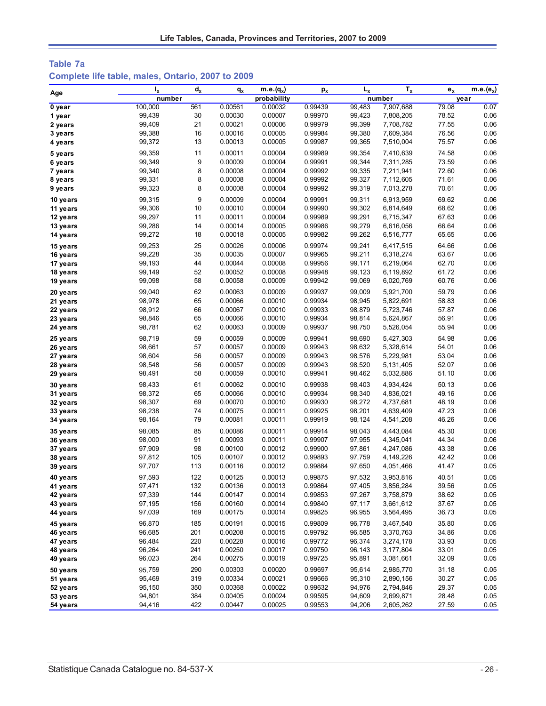## **Table 7a Complete life table, males, Ontario, 2007 to 2009**

| Age                  | $I_{x}$          | $d_{x}$ | $q_{x}$ | $m.e.(q_x)$ | $p_{x}$ | $L_{x}$          | $T_{x}$                | $e_x$ | $m.e.(e_x)$ |
|----------------------|------------------|---------|---------|-------------|---------|------------------|------------------------|-------|-------------|
|                      | number           |         |         | probability |         |                  | number                 | year  |             |
| 0 year               | 100,000          | 561     | 0.00561 | 0.00032     | 0.99439 | 99,483           | 7,907,688              | 79.08 | 0.07        |
| 1 year               | 99,439           | 30      | 0.00030 | 0.00007     | 0.99970 | 99,423           | 7,808,205              | 78.52 | 0.06        |
| 2 years              | 99,409           | 21      | 0.00021 | 0.00006     | 0.99979 | 99,399           | 7,708,782              | 77.55 | 0.06        |
| 3 years              | 99,388           | 16      | 0.00016 | 0.00005     | 0.99984 | 99,380           | 7,609,384              | 76.56 | 0.06        |
| 4 years              | 99,372           | 13      | 0.00013 | 0.00005     | 0.99987 | 99,365           | 7,510,004              | 75.57 | 0.06        |
| 5 years              | 99,359           | 11      | 0.00011 | 0.00004     | 0.99989 | 99,354           | 7,410,639              | 74.58 | 0.06        |
| 6 years              | 99,349           | 9       | 0.00009 | 0.00004     | 0.99991 | 99,344           | 7,311,285              | 73.59 | 0.06        |
| 7 years              | 99,340           | 8       | 0.00008 | 0.00004     | 0.99992 | 99,335           | 7,211,941              | 72.60 | 0.06        |
| 8 years              | 99,331           | 8       | 0.00008 | 0.00004     | 0.99992 | 99,327           | 7,112,605              | 71.61 | 0.06        |
| 9 years              | 99,323           | 8       | 0.00008 | 0.00004     | 0.99992 | 99,319           | 7,013,278              | 70.61 | 0.06        |
| 10 years             | 99,315           | 9       | 0.00009 | 0.00004     | 0.99991 | 99,311           | 6,913,959              | 69.62 | 0.06        |
| 11 years             | 99,306           | 10      | 0.00010 | 0.00004     | 0.99990 | 99,302           | 6,814,649              | 68.62 | 0.06        |
| 12 years             | 99,297           | 11      | 0.00011 | 0.00004     | 0.99989 | 99,291           | 6,715,347              | 67.63 | 0.06        |
| 13 years             | 99,286           | 14      | 0.00014 | 0.00005     | 0.99986 | 99,279           | 6,616,056              | 66.64 | 0.06        |
| 14 years             | 99,272           | 18      | 0.00018 | 0.00005     | 0.99982 | 99,262           | 6,516,777              | 65.65 | 0.06        |
| 15 years             | 99,253           | 25      | 0.00026 | 0.00006     | 0.99974 | 99,241           | 6,417,515              | 64.66 | 0.06        |
| 16 years             | 99,228           | 35      | 0.00035 | 0.00007     | 0.99965 | 99,211           | 6,318,274              | 63.67 | 0.06        |
| 17 years             | 99,193           | 44      | 0.00044 | 0.00008     | 0.99956 | 99,171           | 6,219,064              | 62.70 | 0.06        |
| 18 years             | 99,149           | 52      | 0.00052 | 0.00008     | 0.99948 | 99,123           | 6,119,892              | 61.72 | 0.06        |
| 19 years             | 99,098           | 58      | 0.00058 | 0.00009     | 0.99942 | 99,069           | 6,020,769              | 60.76 | 0.06        |
|                      |                  | 62      | 0.00063 | 0.00009     | 0.99937 | 99,009           |                        | 59.79 | 0.06        |
| 20 years             | 99,040           | 65      | 0.00066 | 0.00010     | 0.99934 | 98,945           | 5,921,700<br>5,822,691 | 58.83 | 0.06        |
| 21 years             | 98,978           | 66      | 0.00067 | 0.00010     | 0.99933 |                  |                        | 57.87 | 0.06        |
| 22 years             | 98,912           | 65      | 0.00066 | 0.00010     | 0.99934 | 98,879<br>98,814 | 5,723,746              | 56.91 | 0.06        |
| 23 years<br>24 years | 98,846<br>98,781 | 62      | 0.00063 | 0.00009     | 0.99937 | 98,750           | 5,624,867<br>5,526,054 | 55.94 | 0.06        |
|                      |                  |         |         |             |         |                  |                        |       |             |
| 25 years             | 98,719           | 59      | 0.00059 | 0.00009     | 0.99941 | 98,690           | 5,427,303              | 54.98 | 0.06        |
| 26 years             | 98,661           | 57      | 0.00057 | 0.00009     | 0.99943 | 98,632           | 5,328,614              | 54.01 | 0.06        |
| 27 years             | 98,604           | 56      | 0.00057 | 0.00009     | 0.99943 | 98,576           | 5,229,981              | 53.04 | 0.06        |
| 28 years             | 98,548           | 56      | 0.00057 | 0.00009     | 0.99943 | 98,520           | 5, 131, 405            | 52.07 | 0.06        |
| 29 years             | 98,491           | 58      | 0.00059 | 0.00010     | 0.99941 | 98,462           | 5,032,886              | 51.10 | 0.06        |
| 30 years             | 98,433           | 61      | 0.00062 | 0.00010     | 0.99938 | 98,403           | 4,934,424              | 50.13 | 0.06        |
| 31 years             | 98,372           | 65      | 0.00066 | 0.00010     | 0.99934 | 98,340           | 4,836,021              | 49.16 | 0.06        |
| 32 years             | 98,307           | 69      | 0.00070 | 0.00010     | 0.99930 | 98,272           | 4,737,681              | 48.19 | 0.06        |
| 33 years             | 98,238           | 74      | 0.00075 | 0.00011     | 0.99925 | 98,201           | 4,639,409              | 47.23 | 0.06        |
| 34 years             | 98,164           | 79      | 0.00081 | 0.00011     | 0.99919 | 98,124           | 4,541,208              | 46.26 | 0.06        |
| 35 years             | 98,085           | 85      | 0.00086 | 0.00011     | 0.99914 | 98,043           | 4,443,084              | 45.30 | 0.06        |
| 36 years             | 98,000           | 91      | 0.00093 | 0.00011     | 0.99907 | 97,955           | 4,345,041              | 44.34 | 0.06        |
| 37 years             | 97,909           | 98      | 0.00100 | 0.00012     | 0.99900 | 97,861           | 4,247,086              | 43.38 | 0.06        |
| 38 years             | 97,812           | 105     | 0.00107 | 0.00012     | 0.99893 | 97,759           | 4, 149, 226            | 42.42 | 0.06        |
| 39 years             | 97,707           | 113     | 0.00116 | 0.00012     | 0.99884 | 97,650           | 4,051,466              | 41.47 | 0.05        |
| 40 years             | 97,593           | 122     | 0.00125 | 0.00013     | 0.99875 | 97,532           | 3,953,816              | 40.51 | 0.05        |
| 41 years             | 97,471           | 132     | 0.00136 | 0.00013     | 0.99864 | 97,405           | 3,856,284              | 39.56 | 0.05        |
| 42 years             | 97,339           | 144     | 0.00147 | 0.00014     | 0.99853 | 97,267           | 3,758,879              | 38.62 | 0.05        |
| 43 years             | 97,195           | 156     | 0.00160 | 0.00014     | 0.99840 | 97,117           | 3,661,612              | 37.67 | 0.05        |
| 44 years             | 97,039           | 169     | 0.00175 | 0.00014     | 0.99825 | 96,955           | 3,564,495              | 36.73 | 0.05        |
| 45 years             | 96,870           | 185     | 0.00191 | 0.00015     | 0.99809 | 96,778           | 3,467,540              | 35.80 | 0.05        |
| 46 years             | 96,685           | 201     | 0.00208 | 0.00015     | 0.99792 | 96,585           | 3,370,763              | 34.86 | 0.05        |
| 47 years             | 96,484           | 220     | 0.00228 | 0.00016     | 0.99772 | 96,374           | 3,274,178              | 33.93 | 0.05        |
| 48 years             | 96,264           | 241     | 0.00250 | 0.00017     | 0.99750 | 96, 143          | 3, 177, 804            | 33.01 | 0.05        |
| 49 years             | 96,023           | 264     | 0.00275 | 0.00019     | 0.99725 | 95,891           | 3,081,661              | 32.09 | 0.05        |
| 50 years             | 95,759           | 290     | 0.00303 | 0.00020     | 0.99697 | 95,614           | 2,985,770              | 31.18 | 0.05        |
| 51 years             | 95,469           | 319     | 0.00334 | 0.00021     | 0.99666 | 95,310           | 2,890,156              | 30.27 | 0.05        |
| 52 years             | 95,150           | 350     | 0.00368 | 0.00022     | 0.99632 | 94,976           | 2,794,846              | 29.37 | 0.05        |
| 53 years             | 94,801           | 384     | 0.00405 | 0.00024     | 0.99595 | 94,609           | 2,699,871              | 28.48 | 0.05        |
| 54 years             | 94,416           | 422     | 0.00447 | 0.00025     | 0.99553 | 94,206           | 2,605,262              | 27.59 | 0.05        |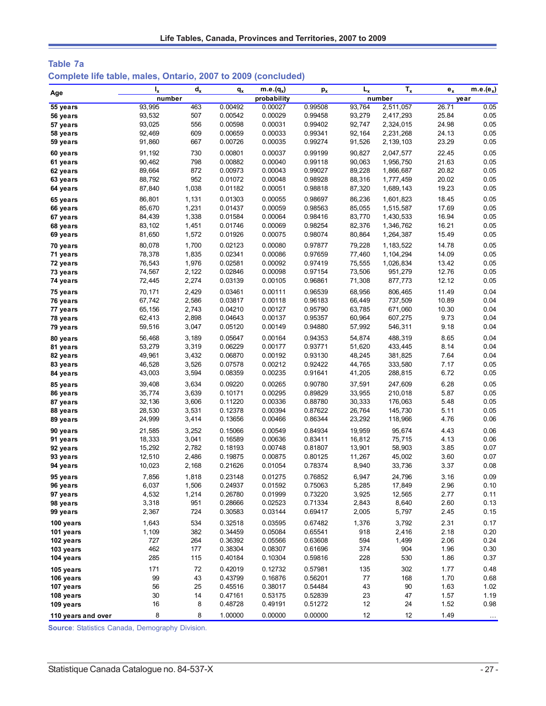| Table 7a                                                      |  |
|---------------------------------------------------------------|--|
| Complete life table, males, Ontario, 2007 to 2009 (concluded) |  |

| Age                | $I_x$  | $d_{x}$ | $q_{x}$ | $m.e.(q_x)$ | p <sub>x</sub> | $L_{x}$ | $T_{x}$   | $e_{x}$ | $m.e.(e_x)$ |
|--------------------|--------|---------|---------|-------------|----------------|---------|-----------|---------|-------------|
|                    | number |         |         | probability |                |         | number    |         | year        |
| 55 years           | 93,995 | 463     | 0.00492 | 0.00027     | 0.99508        | 93,764  | 2,511,057 | 26.71   | 0.05        |
| 56 years           | 93,532 | 507     | 0.00542 | 0.00029     | 0.99458        | 93,279  | 2,417,293 | 25.84   | 0.05        |
| 57 years           | 93,025 | 556     | 0.00598 | 0.00031     | 0.99402        | 92,747  | 2,324,015 | 24.98   | 0.05        |
| 58 years           | 92,469 | 609     | 0.00659 | 0.00033     | 0.99341        | 92,164  | 2,231,268 | 24.13   | 0.05        |
| 59 years           | 91,860 | 667     | 0.00726 | 0.00035     | 0.99274        | 91,526  | 2,139,103 | 23.29   | 0.05        |
| 60 years           | 91,192 | 730     | 0.00801 | 0.00037     | 0.99199        | 90,827  | 2,047,577 | 22.45   | 0.05        |
| 61 years           | 90,462 | 798     | 0.00882 | 0.00040     | 0.99118        | 90,063  | 1,956,750 | 21.63   | 0.05        |
| 62 years           | 89,664 | 872     | 0.00973 | 0.00043     | 0.99027        | 89,228  | 1,866,687 | 20.82   | 0.05        |
| 63 years           | 88,792 | 952     | 0.01072 | 0.00048     | 0.98928        | 88,316  | 1,777,459 | 20.02   | 0.05        |
| 64 years           | 87,840 | 1,038   | 0.01182 | 0.00051     | 0.98818        | 87,320  | 1,689,143 | 19.23   | 0.05        |
| 65 years           | 86,801 | 1,131   | 0.01303 | 0.00055     | 0.98697        | 86,236  | 1,601,823 | 18.45   | 0.05        |
| 66 years           | 85,670 | 1,231   | 0.01437 | 0.00059     | 0.98563        | 85,055  | 1,515,587 | 17.69   | 0.05        |
| 67 years           | 84,439 | 1,338   | 0.01584 | 0.00064     | 0.98416        | 83,770  | 1,430,533 | 16.94   | 0.05        |
| 68 years           | 83,102 | 1,451   | 0.01746 | 0.00069     | 0.98254        | 82,376  | 1,346,762 | 16.21   | 0.05        |
| 69 years           | 81,650 | 1,572   | 0.01926 | 0.00075     | 0.98074        | 80,864  | 1,264,387 | 15.49   | 0.05        |
| 70 years           | 80,078 | 1,700   | 0.02123 | 0.00080     | 0.97877        | 79,228  | 1,183,522 | 14.78   | 0.05        |
| 71 years           | 78,378 | 1,835   | 0.02341 | 0.00086     | 0.97659        | 77,460  | 1,104,294 | 14.09   | 0.05        |
| 72 years           | 76,543 | 1,976   | 0.02581 | 0.00092     | 0.97419        | 75,555  | 1,026,834 | 13.42   | 0.05        |
| 73 years           | 74,567 | 2,122   | 0.02846 | 0.00098     | 0.97154        | 73,506  | 951,279   | 12.76   | 0.05        |
| 74 years           | 72,445 | 2,274   | 0.03139 | 0.00105     | 0.96861        | 71,308  | 877,773   | 12.12   | 0.05        |
| 75 years           | 70,171 | 2,429   | 0.03461 | 0.00111     | 0.96539        | 68,956  | 806,465   | 11.49   | 0.04        |
| 76 years           | 67,742 | 2,586   | 0.03817 | 0.00118     | 0.96183        | 66,449  | 737,509   | 10.89   | 0.04        |
| 77 years           | 65,156 | 2,743   | 0.04210 | 0.00127     | 0.95790        | 63,785  | 671,060   | 10.30   | 0.04        |
| 78 years           | 62,413 | 2,898   | 0.04643 | 0.00137     | 0.95357        | 60,964  | 607,275   | 9.73    | 0.04        |
| 79 years           | 59,516 | 3,047   | 0.05120 | 0.00149     | 0.94880        | 57,992  | 546,311   | 9.18    | 0.04        |
| 80 years           | 56,468 | 3,189   | 0.05647 | 0.00164     | 0.94353        | 54,874  | 488,319   | 8.65    | 0.04        |
| 81 years           | 53,279 | 3,319   | 0.06229 | 0.00177     | 0.93771        | 51,620  | 433,445   | 8.14    | 0.04        |
| 82 years           | 49,961 | 3,432   | 0.06870 | 0.00192     | 0.93130        | 48,245  | 381,825   | 7.64    | 0.04        |
| 83 years           | 46,528 | 3,526   | 0.07578 | 0.00212     | 0.92422        | 44,765  | 333,580   | 7.17    | 0.05        |
| 84 years           | 43,003 | 3,594   | 0.08359 | 0.00235     | 0.91641        | 41,205  | 288,815   | 6.72    | 0.05        |
| 85 years           | 39,408 | 3,634   | 0.09220 | 0.00265     | 0.90780        | 37,591  | 247,609   | 6.28    | 0.05        |
| 86 years           | 35,774 | 3,639   | 0.10171 | 0.00295     | 0.89829        | 33,955  | 210,018   | 5.87    | 0.05        |
| 87 years           | 32,136 | 3,606   | 0.11220 | 0.00336     | 0.88780        | 30,333  | 176,063   | 5.48    | 0.05        |
| 88 years           | 28,530 | 3,531   | 0.12378 | 0.00394     | 0.87622        | 26,764  | 145,730   | 5.11    | 0.05        |
| 89 years           | 24,999 | 3,414   | 0.13656 | 0.00466     | 0.86344        | 23,292  | 118,966   | 4.76    | 0.06        |
| 90 years           | 21,585 | 3,252   | 0.15066 | 0.00549     | 0.84934        | 19,959  | 95,674    | 4.43    | 0.06        |
| 91 years           | 18,333 | 3,041   | 0.16589 | 0.00636     | 0.83411        | 16,812  | 75,715    | 4.13    | 0.06        |
| 92 years           | 15,292 | 2,782   | 0.18193 | 0.00748     | 0.81807        | 13,901  | 58,903    | 3.85    | 0.07        |
| 93 years           | 12,510 | 2,486   | 0.19875 | 0.00875     | 0.80125        | 11,267  | 45,002    | 3.60    | 0.07        |
| 94 years           | 10,023 | 2,168   | 0.21626 | 0.01054     | 0.78374        | 8,940   | 33,736    | 3.37    | 0.08        |
| 95 years           | 7,856  | 1,818   | 0.23148 | 0.01275     | 0.76852        | 6,947   | 24,796    | 3.16    | 0.09        |
| 96 years           | 6,037  | 1,506   | 0.24937 | 0.01592     | 0.75063        | 5,285   | 17,849    | 2.96    | 0.10        |
| 97 years           | 4,532  | 1,214   | 0.26780 | 0.01999     | 0.73220        | 3,925   | 12,565    | 2.77    | 0.11        |
| 98 years           | 3,318  | 951     | 0.28666 | 0.02523     | 0.71334        | 2,843   | 8,640     | 2.60    | 0.13        |
| 99 years           | 2,367  | 724     | 0.30583 | 0.03144     | 0.69417        | 2,005   | 5,797     | 2.45    | 0.15        |
| 100 years          | 1,643  | 534     | 0.32518 | 0.03595     | 0.67482        | 1,376   | 3,792     | 2.31    | 0.17        |
| 101 years          | 1,109  | 382     | 0.34459 | 0.05084     | 0.65541        | 918     | 2,416     | 2.18    | 0.20        |
| 102 years          | 727    | 264     | 0.36392 | 0.05566     | 0.63608        | 594     | 1,499     | 2.06    | 0.24        |
| 103 years          | 462    | 177     | 0.38304 | 0.08307     | 0.61696        | 374     | 904       | 1.96    | 0.30        |
| 104 years          | 285    | 115     | 0.40184 | 0.10304     | 0.59816        | 228     | 530       | 1.86    | 0.37        |
| 105 years          | 171    | 72      | 0.42019 | 0.12732     | 0.57981        | 135     | 302       | 1.77    | 0.48        |
| 106 years          | 99     | 43      | 0.43799 | 0.16876     | 0.56201        | 77      | 168       | 1.70    | 0.68        |
| 107 years          | 56     | 25      | 0.45516 | 0.38017     | 0.54484        | 43      | 90        | 1.63    | 1.02        |
| 108 years          | $30\,$ | 14      | 0.47161 | 0.53175     | 0.52839        | 23      | 47        | 1.57    | 1.19        |
| 109 years          | 16     | 8       | 0.48728 | 0.49191     | 0.51272        | 12      | 24        | 1.52    | 0.98        |
| 110 years and over | 8      | 8       | 1.00000 | 0.00000     | 0.00000        | 12      | 12        | 1.49    | $\ldots$    |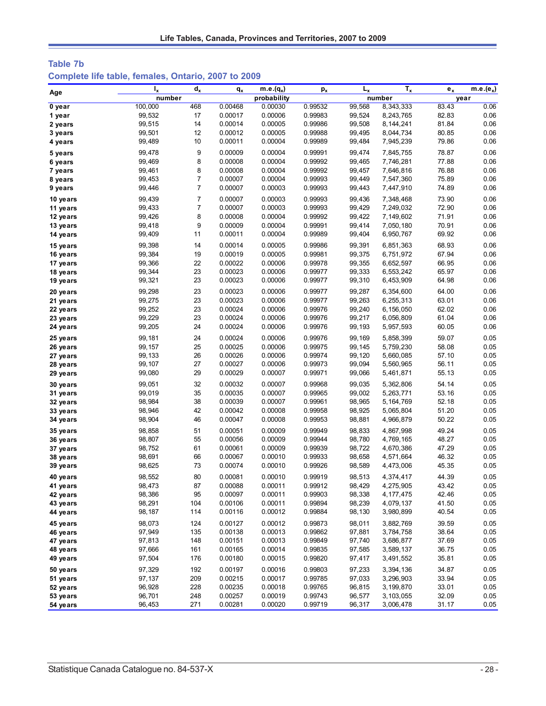# **Table 7b Complete life table, females, Ontario, 2007 to 2009**

|          | $I_{x}$ | $d_{x}$        | $q_{x}$ | $m.e.(q_x)$ | $p_{x}$ | $L_{x}$ | $T_{x}$   | $e_{x}$ | $m.e.(e_x)$ |
|----------|---------|----------------|---------|-------------|---------|---------|-----------|---------|-------------|
| Age      | number  |                |         | probability |         |         | number    |         | year        |
| 0 year   | 100,000 | 468            | 0.00468 | 0.00030     | 0.99532 | 99.568  | 8,343,333 | 83.43   | 0.06        |
| 1 year   | 99,532  | 17             | 0.00017 | 0.00006     | 0.99983 | 99,524  | 8,243,765 | 82.83   | 0.06        |
| 2 years  | 99,515  | 14             | 0.00014 | 0.00005     | 0.99986 | 99,508  | 8,144,241 | 81.84   | 0.06        |
| 3 years  | 99,501  | 12             | 0.00012 | 0.00005     | 0.99988 | 99,495  | 8,044,734 | 80.85   | 0.06        |
| 4 years  | 99,489  | 10             | 0.00011 | 0.00004     | 0.99989 | 99,484  | 7,945,239 | 79.86   | 0.06        |
| 5 years  | 99,478  | 9              | 0.00009 | 0.00004     | 0.99991 | 99,474  | 7,845,755 | 78.87   | 0.06        |
| 6 years  | 99,469  | 8              | 0.00008 | 0.00004     | 0.99992 | 99,465  | 7,746,281 | 77.88   | 0.06        |
| 7 years  | 99,461  | 8              | 0.00008 | 0.00004     | 0.99992 | 99,457  | 7,646,816 | 76.88   | 0.06        |
| 8 years  | 99,453  | 7              | 0.00007 | 0.00004     | 0.99993 | 99,449  | 7,547,360 | 75.89   | 0.06        |
| 9 years  | 99,446  | $\overline{7}$ | 0.00007 | 0.00003     | 0.99993 | 99,443  | 7,447,910 | 74.89   | 0.06        |
| 10 years | 99,439  | $\overline{7}$ | 0.00007 | 0.00003     | 0.99993 | 99,436  | 7,348,468 | 73.90   | 0.06        |
| 11 years | 99,433  | $\overline{7}$ | 0.00007 | 0.00003     | 0.99993 | 99,429  | 7,249,032 | 72.90   | 0.06        |
| 12 years | 99,426  | 8              | 0.00008 | 0.00004     | 0.99992 | 99,422  | 7,149,602 | 71.91   | 0.06        |
| 13 years | 99,418  | 9              | 0.00009 | 0.00004     | 0.99991 | 99,414  | 7,050,180 | 70.91   | 0.06        |
| 14 years | 99,409  | 11             | 0.00011 | 0.00004     | 0.99989 | 99,404  | 6,950,767 | 69.92   | 0.06        |
| 15 years | 99,398  | 14             | 0.00014 | 0.00005     | 0.99986 | 99,391  | 6,851,363 | 68.93   | 0.06        |
| 16 years | 99,384  | 19             | 0.00019 | 0.00005     | 0.99981 | 99,375  | 6,751,972 | 67.94   | 0.06        |
| 17 years | 99,366  | 22             | 0.00022 | 0.00006     | 0.99978 | 99,355  | 6,652,597 | 66.95   | 0.06        |
| 18 years | 99,344  | 23             | 0.00023 | 0.00006     | 0.99977 | 99,333  | 6,553,242 | 65.97   | 0.06        |
| 19 years | 99,321  | 23             | 0.00023 | 0.00006     | 0.99977 | 99,310  | 6,453,909 | 64.98   | 0.06        |
| 20 years | 99,298  | 23             | 0.00023 | 0.00006     | 0.99977 | 99,287  | 6,354,600 | 64.00   | 0.06        |
| 21 years | 99,275  | 23             | 0.00023 | 0.00006     | 0.99977 | 99,263  | 6,255,313 | 63.01   | 0.06        |
| 22 years | 99,252  | 23             | 0.00024 | 0.00006     | 0.99976 | 99,240  | 6,156,050 | 62.02   | 0.06        |
| 23 years | 99,229  | 23             | 0.00024 | 0.00006     | 0.99976 | 99,217  | 6,056,809 | 61.04   | 0.06        |
| 24 years | 99,205  | 24             | 0.00024 | 0.00006     | 0.99976 | 99,193  | 5,957,593 | 60.05   | 0.06        |
| 25 years | 99,181  | 24             | 0.00024 | 0.00006     | 0.99976 | 99,169  | 5,858,399 | 59.07   | 0.05        |
| 26 years | 99, 157 | 25             | 0.00025 | 0.00006     | 0.99975 | 99,145  | 5,759,230 | 58.08   | 0.05        |
| 27 years | 99,133  | 26             | 0.00026 | 0.00006     | 0.99974 | 99,120  | 5,660,085 | 57.10   | 0.05        |
| 28 years | 99,107  | 27             | 0.00027 | 0.00006     | 0.99973 | 99,094  | 5,560,965 | 56.11   | 0.05        |
| 29 years | 99,080  | 29             | 0.00029 | 0.00007     | 0.99971 | 99,066  | 5,461,871 | 55.13   | 0.05        |
| 30 years | 99,051  | 32             | 0.00032 | 0.00007     | 0.99968 | 99,035  | 5,362,806 | 54.14   | 0.05        |
| 31 years | 99,019  | 35             | 0.00035 | 0.00007     | 0.99965 | 99,002  | 5,263,771 | 53.16   | 0.05        |
| 32 years | 98,984  | 38             | 0.00039 | 0.00007     | 0.99961 | 98,965  | 5,164,769 | 52.18   | 0.05        |
| 33 years | 98,946  | 42             | 0.00042 | 0.00008     | 0.99958 | 98,925  | 5,065,804 | 51.20   | 0.05        |
| 34 years | 98,904  | 46             | 0.00047 | 0.00008     | 0.99953 | 98,881  | 4,966,879 | 50.22   | 0.05        |
| 35 years | 98,858  | 51             | 0.00051 | 0.00009     | 0.99949 | 98,833  | 4,867,998 | 49.24   | 0.05        |
| 36 years | 98,807  | 55             | 0.00056 | 0.00009     | 0.99944 | 98,780  | 4,769,165 | 48.27   | 0.05        |
| 37 years | 98,752  | 61             | 0.00061 | 0.00009     | 0.99939 | 98,722  | 4,670,386 | 47.29   | 0.05        |
| 38 years | 98,691  | 66             | 0.00067 | 0.00010     | 0.99933 | 98,658  | 4,571,664 | 46.32   | 0.05        |
| 39 years | 98,625  | 73             | 0.00074 | 0.00010     | 0.99926 | 98,589  | 4,473,006 | 45.35   | 0.05        |
| 40 years | 98,552  | 80             | 0.00081 | 0.00010     | 0.99919 | 98,513  | 4,374,417 | 44.39   | 0.05        |
| 41 years | 98,473  | 87             | 0.00088 | 0.00011     | 0.99912 | 98,429  | 4,275,905 | 43.42   | 0.05        |
| 42 years | 98,386  | 95             | 0.00097 | 0.00011     | 0.99903 | 98,338  | 4,177,475 | 42.46   | 0.05        |
| 43 years | 98,291  | 104            | 0.00106 | 0.00011     | 0.99894 | 98,239  | 4,079,137 | 41.50   | 0.05        |
| 44 years | 98,187  | 114            | 0.00116 | 0.00012     | 0.99884 | 98,130  | 3,980,899 | 40.54   | 0.05        |
| 45 years | 98,073  | 124            | 0.00127 | 0.00012     | 0.99873 | 98,011  | 3,882,769 | 39.59   | 0.05        |
| 46 years | 97,949  | 135            | 0.00138 | 0.00013     | 0.99862 | 97,881  | 3,784,758 | 38.64   | 0.05        |
| 47 years | 97,813  | 148            | 0.00151 | 0.00013     | 0.99849 | 97,740  | 3,686,877 | 37.69   | 0.05        |
| 48 years | 97,666  | 161            | 0.00165 | 0.00014     | 0.99835 | 97,585  | 3,589,137 | 36.75   | 0.05        |
| 49 years | 97,504  | 176            | 0.00180 | 0.00015     | 0.99820 | 97,417  | 3,491,552 | 35.81   | 0.05        |
| 50 years | 97,329  | 192            | 0.00197 | 0.00016     | 0.99803 | 97,233  | 3,394,136 | 34.87   | 0.05        |
| 51 years | 97,137  | 209            | 0.00215 | 0.00017     | 0.99785 | 97,033  | 3,296,903 | 33.94   | 0.05        |
| 52 years | 96,928  | 228            | 0.00235 | 0.00018     | 0.99765 | 96,815  | 3,199,870 | 33.01   | 0.05        |
| 53 years | 96,701  | 248            | 0.00257 | 0.00019     | 0.99743 | 96,577  | 3,103,055 | 32.09   | 0.05        |
| 54 years | 96,453  | 271            | 0.00281 | 0.00020     | 0.99719 | 96,317  | 3,006,478 | 31.17   | 0.05        |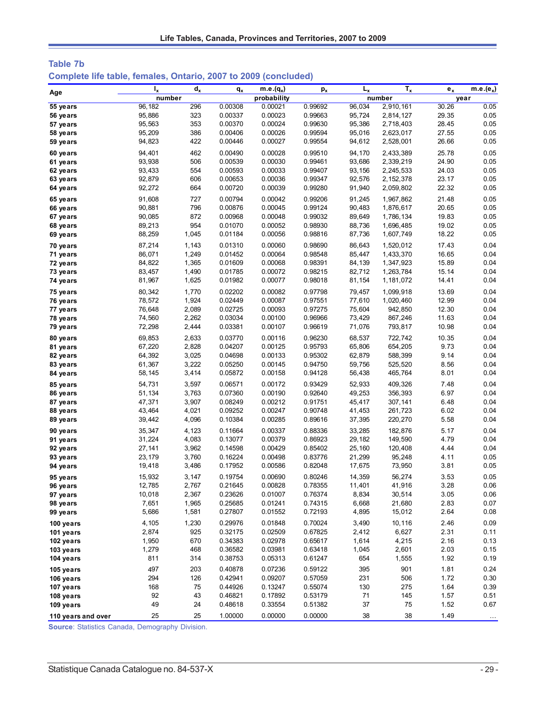| Table 7b                                                        |  |  |  |
|-----------------------------------------------------------------|--|--|--|
| Complete life table, females, Ontario, 2007 to 2009 (concluded) |  |  |  |

| Age                | ı,     | $d_{x}$ | qx      | m.e. $(q_x)$ | $p_{x}$ | $L_{x}$ | $T_{x}$     | $e_x$ | $m.e.(e_x)$ |
|--------------------|--------|---------|---------|--------------|---------|---------|-------------|-------|-------------|
|                    | number |         |         | probability  |         |         | number      |       | year        |
| 55 years           | 96,182 | 296     | 0.00308 | 0.00021      | 0.99692 | 96,034  | 2,910,161   | 30.26 | 0.05        |
| 56 years           | 95,886 | 323     | 0.00337 | 0.00023      | 0.99663 | 95,724  | 2,814,127   | 29.35 | 0.05        |
| 57 years           | 95,563 | 353     | 0.00370 | 0.00024      | 0.99630 | 95,386  | 2,718,403   | 28.45 | 0.05        |
| 58 years           | 95,209 | 386     | 0.00406 | 0.00026      | 0.99594 | 95,016  | 2,623,017   | 27.55 | 0.05        |
| 59 years           | 94,823 | 422     | 0.00446 | 0.00027      | 0.99554 | 94,612  | 2,528,001   | 26.66 | 0.05        |
| 60 years           | 94,401 | 462     | 0.00490 | 0.00028      | 0.99510 | 94,170  | 2,433,389   | 25.78 | 0.05        |
| 61 years           | 93,938 | 506     | 0.00539 | 0.00030      | 0.99461 | 93,686  | 2,339,219   | 24.90 | 0.05        |
| 62 years           | 93,433 | 554     | 0.00593 | 0.00033      | 0.99407 | 93,156  | 2,245,533   | 24.03 | 0.05        |
| 63 years           | 92,879 | 606     | 0.00653 | 0.00036      | 0.99347 | 92,576  | 2, 152, 378 | 23.17 | 0.05        |
| 64 years           | 92,272 | 664     | 0.00720 | 0.00039      | 0.99280 | 91,940  | 2,059,802   | 22.32 | 0.05        |
| 65 years           | 91,608 | 727     | 0.00794 | 0.00042      | 0.99206 | 91,245  | 1,967,862   | 21.48 | 0.05        |
| 66 years           | 90,881 | 796     | 0.00876 | 0.00045      | 0.99124 | 90,483  | 1,876,617   | 20.65 | 0.05        |
| 67 years           | 90,085 | 872     | 0.00968 | 0.00048      | 0.99032 | 89,649  | 1,786,134   | 19.83 | 0.05        |
| 68 years           | 89,213 | 954     | 0.01070 | 0.00052      | 0.98930 | 88,736  | 1,696,485   | 19.02 | 0.05        |
| 69 years           | 88,259 | 1,045   | 0.01184 | 0.00056      | 0.98816 | 87,736  | 1,607,749   | 18.22 | 0.05        |
| 70 years           | 87,214 | 1,143   | 0.01310 | 0.00060      | 0.98690 | 86,643  | 1,520,012   | 17.43 | 0.04        |
| 71 years           | 86,071 | 1,249   | 0.01452 | 0.00064      | 0.98548 | 85,447  | 1,433,370   | 16.65 | 0.04        |
| 72 years           | 84,822 | 1,365   | 0.01609 | 0.00068      | 0.98391 | 84,139  | 1,347,923   | 15.89 | 0.04        |
| 73 years           | 83,457 | 1,490   | 0.01785 | 0.00072      | 0.98215 | 82,712  | 1,263,784   | 15.14 | 0.04        |
| 74 years           | 81,967 | 1,625   | 0.01982 | 0.00077      | 0.98018 | 81,154  | 1,181,072   | 14.41 | 0.04        |
| 75 years           | 80,342 | 1,770   | 0.02202 | 0.00082      | 0.97798 | 79,457  | 1,099,918   | 13.69 | 0.04        |
| 76 years           | 78,572 | 1,924   | 0.02449 | 0.00087      | 0.97551 | 77,610  | 1,020,460   | 12.99 | 0.04        |
| 77 years           | 76,648 | 2,089   | 0.02725 | 0.00093      | 0.97275 | 75,604  | 942,850     | 12.30 | 0.04        |
| 78 years           | 74,560 | 2,262   | 0.03034 | 0.00100      | 0.96966 | 73,429  | 867,246     | 11.63 | 0.04        |
| 79 years           | 72,298 | 2,444   | 0.03381 | 0.00107      | 0.96619 | 71,076  | 793,817     | 10.98 | 0.04        |
| 80 years           | 69,853 | 2,633   | 0.03770 | 0.00116      | 0.96230 | 68,537  | 722,742     | 10.35 | 0.04        |
| 81 years           | 67,220 | 2,828   | 0.04207 | 0.00125      | 0.95793 | 65,806  | 654,205     | 9.73  | 0.04        |
| 82 years           | 64,392 | 3,025   | 0.04698 | 0.00133      | 0.95302 | 62,879  | 588,399     | 9.14  | 0.04        |
| 83 years           | 61,367 | 3,222   | 0.05250 | 0.00145      | 0.94750 | 59,756  | 525,520     | 8.56  | 0.04        |
| 84 years           | 58,145 | 3,414   | 0.05872 | 0.00158      | 0.94128 | 56,438  | 465,764     | 8.01  | 0.04        |
| 85 years           | 54,731 | 3,597   | 0.06571 | 0.00172      | 0.93429 | 52,933  | 409,326     | 7.48  | 0.04        |
| 86 years           | 51,134 | 3,763   | 0.07360 | 0.00190      | 0.92640 | 49,253  | 356,393     | 6.97  | 0.04        |
| 87 years           | 47,371 | 3,907   | 0.08249 | 0.00212      | 0.91751 | 45,417  | 307,141     | 6.48  | 0.04        |
| 88 years           | 43,464 | 4,021   | 0.09252 | 0.00247      | 0.90748 | 41,453  | 261,723     | 6.02  | 0.04        |
| 89 years           | 39,442 | 4,096   | 0.10384 | 0.00285      | 0.89616 | 37,395  | 220,270     | 5.58  | 0.04        |
| 90 years           | 35,347 | 4,123   | 0.11664 | 0.00337      | 0.88336 | 33,285  | 182,876     | 5.17  | 0.04        |
| 91 years           | 31,224 | 4,083   | 0.13077 | 0.00379      | 0.86923 | 29,182  | 149,590     | 4.79  | 0.04        |
| 92 years           | 27,141 | 3,962   | 0.14598 | 0.00429      | 0.85402 | 25,160  | 120,408     | 4.44  | 0.04        |
| 93 years           | 23,179 | 3,760   | 0.16224 | 0.00498      | 0.83776 | 21,299  | 95,248      | 4.11  | 0.05        |
| 94 years           | 19,418 | 3,486   | 0.17952 | 0.00586      | 0.82048 | 17,675  | 73,950      | 3.81  | 0.05        |
| 95 years           | 15,932 | 3,147   | 0.19754 | 0.00690      | 0.80246 | 14,359  | 56,274      | 3.53  | 0.05        |
| 96 years           | 12,785 | 2,767   | 0.21645 | 0.00828      | 0.78355 | 11,401  | 41,916      | 3.28  | 0.06        |
| 97 years           | 10,018 | 2,367   | 0.23626 | 0.01007      | 0.76374 | 8,834   | 30,514      | 3.05  | 0.06        |
| 98 years           | 7,651  | 1,965   | 0.25685 | 0.01241      | 0.74315 | 6,668   | 21,680      | 2.83  | 0.07        |
| 99 years           | 5,686  | 1,581   | 0.27807 | 0.01552      | 0.72193 | 4,895   | 15,012      | 2.64  | 0.08        |
| 100 years          | 4,105  | 1,230   | 0.29976 | 0.01848      | 0.70024 | 3,490   | 10,116      | 2.46  | 0.09        |
| 101 years          | 2,874  | 925     | 0.32175 | 0.02509      | 0.67825 | 2,412   | 6,627       | 2.31  | 0.11        |
| 102 years          | 1,950  | 670     | 0.34383 | 0.02978      | 0.65617 | 1,614   | 4,215       | 2.16  | 0.13        |
| 103 years          | 1,279  | 468     | 0.36582 | 0.03981      | 0.63418 | 1,045   | 2,601       | 2.03  | 0.15        |
| 104 years          | 811    | 314     | 0.38753 | 0.05313      | 0.61247 | 654     | 1,555       | 1.92  | 0.19        |
| 105 years          | 497    | 203     | 0.40878 | 0.07236      | 0.59122 | 395     | 901         | 1.81  | 0.24        |
| 106 years          | 294    | 126     | 0.42941 | 0.09207      | 0.57059 | 231     | 506         | 1.72  | 0.30        |
| 107 years          | 168    | 75      | 0.44926 | 0.13247      | 0.55074 | 130     | 275         | 1.64  | 0.39        |
| 108 years          | 92     | 43      | 0.46821 | 0.17892      | 0.53179 | 71      | 145         | 1.57  | 0.51        |
| 109 years          | 49     | 24      | 0.48618 | 0.33554      | 0.51382 | 37      | 75          | 1.52  | 0.67        |
| 110 years and over | 25     | 25      | 1.00000 | 0.00000      | 0.00000 | 38      | 38          | 1.49  | $\ldots$    |
|                    |        |         |         |              |         |         |             |       |             |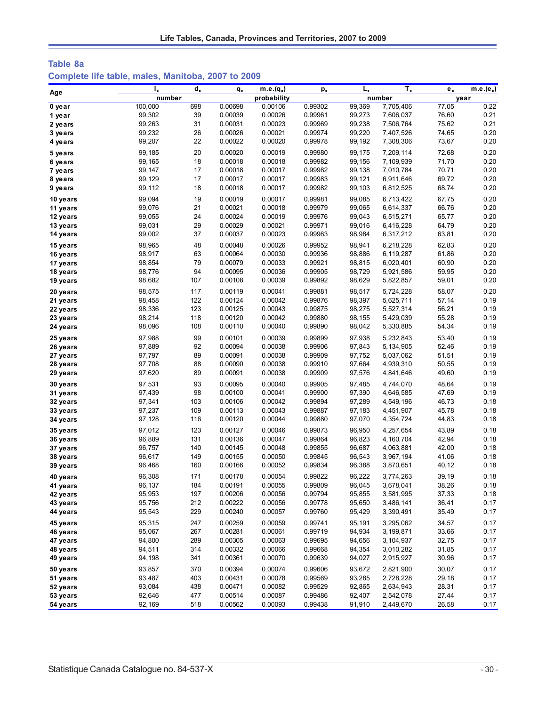## **Table 8a Complete life table, males, Manitoba, 2007 to 2009**

| Age                  | $I_{x}$          | $d_{x}$    | $q_{x}$            | $m.e.(q_x)$        | $p_{x}$            | $L_{x}$          | $T_{x}$                | $e_x$          | $m.e.(e_x)$  |
|----------------------|------------------|------------|--------------------|--------------------|--------------------|------------------|------------------------|----------------|--------------|
|                      | number           |            |                    | probability        |                    |                  | number                 |                | year         |
| 0 year               | 100,000          | 698        | 0.00698            | 0.00106            | 0.99302            | 99,369           | 7,705,406              | 77.05          | 0.22         |
| 1 year               | 99,302           | 39         | 0.00039            | 0.00026            | 0.99961            | 99,273           | 7,606,037              | 76.60          | 0.21         |
| 2 years              | 99,263           | 31         | 0.00031            | 0.00023            | 0.99969            | 99,238           | 7,506,764              | 75.62          | 0.21         |
| 3 years              | 99,232           | 26         | 0.00026            | 0.00021            | 0.99974            | 99,220           | 7,407,526              | 74.65          | 0.20         |
| 4 years              | 99,207           | 22         | 0.00022            | 0.00020            | 0.99978            | 99,192           | 7,308,306              | 73.67          | 0.20         |
| 5 years              | 99,185           | 20         | 0.00020            | 0.00019            | 0.99980            | 99,175           | 7,209,114              | 72.68          | 0.20         |
| 6 years              | 99,165           | 18         | 0.00018            | 0.00018            | 0.99982            | 99,156           | 7,109,939              | 71.70          | 0.20         |
| 7 years              | 99,147           | 17         | 0.00018            | 0.00017            | 0.99982            | 99,138           | 7,010,784              | 70.71          | 0.20         |
| 8 years              | 99,129           | 17         | 0.00017            | 0.00017            | 0.99983            | 99,121           | 6,911,646              | 69.72          | 0.20         |
| 9 years              | 99,112           | 18         | 0.00018            | 0.00017            | 0.99982            | 99,103           | 6,812,525              | 68.74          | 0.20         |
| 10 years             | 99,094           | 19         | 0.00019            | 0.00017            | 0.99981            | 99,085           | 6,713,422              | 67.75          | 0.20         |
| 11 years             | 99,076           | 21         | 0.00021            | 0.00018            | 0.99979            | 99,065           | 6,614,337              | 66.76          | 0.20         |
| 12 years             | 99,055           | 24         | 0.00024            | 0.00019            | 0.99976            | 99,043           | 6,515,271              | 65.77          | 0.20         |
| 13 years             | 99,031           | 29         | 0.00029            | 0.00021            | 0.99971            | 99,016           | 6,416,228              | 64.79          | 0.20         |
| 14 years             | 99,002           | 37         | 0.00037            | 0.00023            | 0.99963            | 98,984           | 6,317,212              | 63.81          | 0.20         |
| 15 years             | 98,965           | 48         | 0.00048            | 0.00026            | 0.99952            | 98,941           | 6,218,228              | 62.83          | 0.20         |
| 16 years             | 98,917           | 63         | 0.00064            | 0.00030            | 0.99936            | 98,886           | 6,119,287              | 61.86          | 0.20         |
| 17 years             | 98,854           | 79         | 0.00079            | 0.00033            | 0.99921            | 98,815           | 6,020,401              | 60.90          | 0.20         |
| 18 years             | 98,776           | 94         | 0.00095            | 0.00036            | 0.99905            | 98,729           | 5,921,586              | 59.95          | 0.20         |
| 19 years             | 98,682           | 107        | 0.00108            | 0.00039            | 0.99892            | 98,629           | 5,822,857              | 59.01          | 0.20         |
| 20 years             | 98.575           | 117        | 0.00119            | 0.00041            | 0.99881            | 98,517           | 5,724,228              | 58.07          | 0.20         |
| 21 years             | 98,458           | 122        | 0.00124            | 0.00042            | 0.99876            | 98,397           | 5,625,711              | 57.14          | 0.19         |
| 22 years             | 98,336           | 123        | 0.00125            | 0.00043            | 0.99875            | 98,275           | 5,527,314              | 56.21          | 0.19         |
| 23 years             | 98,214           | 118        | 0.00120            | 0.00042            | 0.99880            | 98,155           | 5,429,039              | 55.28          | 0.19         |
| 24 years             | 98,096           | 108        | 0.00110            | 0.00040            | 0.99890            | 98,042           | 5,330,885              | 54.34          | 0.19         |
|                      |                  |            |                    |                    |                    |                  |                        |                |              |
| 25 years             | 97,988           | 99<br>92   | 0.00101            | 0.00039            | 0.99899            | 97,938           | 5,232,843              | 53.40          | 0.19<br>0.19 |
| 26 years             | 97,889           | 89         | 0.00094            | 0.00038            | 0.99906            | 97,843           | 5,134,905              | 52.46          | 0.19         |
| 27 years             | 97,797<br>97,708 | 88         | 0.00091<br>0.00090 | 0.00038<br>0.00038 | 0.99909<br>0.99910 | 97,752<br>97,664 | 5,037,062<br>4,939,310 | 51.51<br>50.55 | 0.19         |
| 28 years<br>29 years | 97,620           | 89         | 0.00091            | 0.00038            | 0.99909            | 97,576           | 4,841,646              | 49.60          | 0.19         |
|                      |                  | 93         |                    |                    |                    |                  |                        | 48.64          | 0.19         |
| 30 years             | 97,531           | 98         | 0.00095            | 0.00040            | 0.99905            | 97,485           | 4,744,070              |                | 0.19         |
| 31 years             | 97,439           | 103        | 0.00100            | 0.00041<br>0.00042 | 0.99900<br>0.99894 | 97,390           | 4,646,585              | 47.69          | 0.18         |
| 32 years             | 97,341<br>97,237 | 109        | 0.00106<br>0.00113 | 0.00043            | 0.99887            | 97,289<br>97,183 | 4,549,196              | 46.73<br>45.78 | 0.18         |
| 33 years<br>34 years | 97,128           | 116        | 0.00120            | 0.00044            | 0.99880            | 97,070           | 4,451,907<br>4,354,724 | 44.83          | 0.18         |
|                      |                  |            |                    |                    |                    |                  |                        |                |              |
| 35 years             | 97,012           | 123<br>131 | 0.00127<br>0.00136 | 0.00046<br>0.00047 | 0.99873<br>0.99864 | 96,950           | 4,257,654              | 43.89<br>42.94 | 0.18<br>0.18 |
| 36 years             | 96,889           | 140        |                    |                    |                    | 96,823           | 4,160,704              |                | 0.18         |
| 37 years             | 96,757<br>96,617 | 149        | 0.00145<br>0.00155 | 0.00048<br>0.00050 | 0.99855<br>0.99845 | 96,687<br>96,543 | 4,063,881              | 42.00<br>41.06 | 0.18         |
| 38 years<br>39 years | 96,468           | 160        | 0.00166            | 0.00052            | 0.99834            | 96,388           | 3,967,194<br>3,870,651 | 40.12          | 0.18         |
|                      |                  |            |                    |                    |                    |                  |                        |                |              |
| 40 years             | 96,308           | 171        | 0.00178            | 0.00054            | 0.99822            | 96,222           | 3,774,263              | 39.19          | 0.18         |
| 41 years             | 96,137           | 184        | 0.00191            | 0.00055            | 0.99809            | 96,045           | 3,678,041              | 38.26          | 0.18         |
| 42 years             | 95,953           | 197        | 0.00206            | 0.00056            | 0.99794            | 95,855           | 3,581,995              | 37.33          | 0.18         |
| 43 years             | 95,756           | 212        | 0.00222            | 0.00056            | 0.99778            | 95,650           | 3,486,141              | 36.41          | 0.17         |
| 44 years             | 95,543           | 229        | 0.00240            | 0.00057            | 0.99760            | 95,429           | 3,390,491              | 35.49          | 0.17         |
| 45 years             | 95,315           | 247        | 0.00259            | 0.00059            | 0.99741            | 95,191           | 3,295,062              | 34.57          | 0.17         |
| 46 years             | 95,067           | 267        | 0.00281            | 0.00061            | 0.99719            | 94,934           | 3,199,871              | 33.66          | 0.17         |
| 47 years             | 94,800           | 289        | 0.00305            | 0.00063            | 0.99695            | 94,656           | 3,104,937              | 32.75          | 0.17         |
| 48 years             | 94,511           | 314        | 0.00332            | 0.00066            | 0.99668            | 94,354           | 3,010,282              | 31.85          | 0.17         |
| 49 years             | 94,198           | 341        | 0.00361            | 0.00070            | 0.99639            | 94,027           | 2,915,927              | 30.96          | 0.17         |
| 50 years             | 93,857           | 370        | 0.00394            | 0.00074            | 0.99606            | 93,672           | 2,821,900              | 30.07          | 0.17         |
| 51 years             | 93,487           | 403        | 0.00431            | 0.00078            | 0.99569            | 93,285           | 2,728,228              | 29.18          | 0.17         |
| 52 years             | 93,084           | 438        | 0.00471            | 0.00082            | 0.99529            | 92,865           | 2,634,943              | 28.31          | 0.17         |
| 53 years             | 92,646           | 477        | 0.00514            | 0.00087            | 0.99486            | 92,407           | 2,542,078              | 27.44          | 0.17         |
| 54 years             | 92,169           | 518        | 0.00562            | 0.00093            | 0.99438            | 91,910           | 2,449,670              | 26.58          | 0.17         |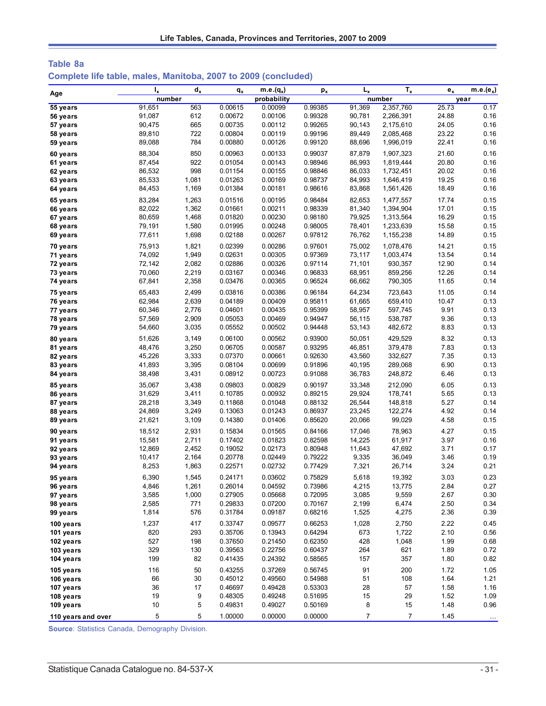| Table 8a                                                       |  |  |  |
|----------------------------------------------------------------|--|--|--|
| Complete life table, males, Manitoba, 2007 to 2009 (concluded) |  |  |  |

| Age                  | $I_{x}$          | $d_x$          | $q_{x}$            | $m.e.(q_x)$        | $p_{x}$            | $L_{x}$          | $T_{x}$            | $e_{x}$        | $m.e.(e_x)$   |
|----------------------|------------------|----------------|--------------------|--------------------|--------------------|------------------|--------------------|----------------|---------------|
|                      | number           |                |                    | probability        |                    |                  | number             |                | year          |
| 55 years             | 91,651           | 563            | 0.00615            | 0.00099            | 0.99385            | 91,369           | 2,357,760          | 25.73          | 0.17          |
| 56 years             | 91,087           | 612            | 0.00672            | 0.00106            | 0.99328            | 90.781           | 2,266,391          | 24.88          | 0.16          |
| 57 years             | 90,475           | 665            | 0.00735            | 0.00112            | 0.99265            | 90,143           | 2,175,610          | 24.05          | 0.16          |
| 58 years             | 89,810           | 722            | 0.00804            | 0.00119            | 0.99196            | 89,449           | 2,085,468          | 23.22          | 0.16          |
| 59 years             | 89,088           | 784            | 0.00880            | 0.00126            | 0.99120            | 88,696           | 1,996,019          | 22.41          | 0.16          |
| 60 years             | 88,304           | 850            | 0.00963            | 0.00133            | 0.99037            | 87,879           | 1,907,323          | 21.60          | 0.16          |
| 61 years             | 87,454           | 922            | 0.01054            | 0.00143            | 0.98946            | 86,993           | 1,819,444          | 20.80          | 0.16          |
| 62 years             | 86,532           | 998            | 0.01154            | 0.00155            | 0.98846            | 86,033           | 1,732,451          | 20.02          | 0.16          |
| 63 years             | 85,533           | 1,081          | 0.01263            | 0.00169            | 0.98737            | 84,993           | 1,646,419          | 19.25          | 0.16          |
| 64 years             | 84,453           | 1,169          | 0.01384            | 0.00181            | 0.98616            | 83,868           | 1,561,426          | 18.49          | 0.16          |
| 65 years             | 83,284           | 1,263          | 0.01516            | 0.00195            | 0.98484            | 82,653           | 1,477,557          | 17.74          | 0.15          |
| 66 years             | 82,022           | 1,362          | 0.01661            | 0.00211            | 0.98339            | 81,340           | 1,394,904          | 17.01          | 0.15          |
| 67 years             | 80,659           | 1,468          | 0.01820            | 0.00230            | 0.98180            | 79,925           | 1,313,564          | 16.29          | 0.15          |
| 68 years             | 79,191<br>77,611 | 1,580<br>1,698 | 0.01995<br>0.02188 | 0.00248<br>0.00267 | 0.98005<br>0.97812 | 78,401<br>76,762 | 1,233,639          | 15.58<br>14.89 | 0.15<br>0.15  |
| 69 years             |                  |                |                    |                    |                    |                  | 1,155,238          |                |               |
| 70 years             | 75,913           | 1,821          | 0.02399            | 0.00286            | 0.97601            | 75,002           | 1,078,476          | 14.21          | 0.15          |
| 71 years             | 74,092           | 1,949          | 0.02631            | 0.00305            | 0.97369            | 73,117           | 1,003,474          | 13.54          | 0.14          |
| 72 years             | 72,142           | 2,082          | 0.02886            | 0.00326            | 0.97114            | 71,101           | 930,357            | 12.90          | 0.14          |
| 73 years             | 70,060           | 2,219          | 0.03167            | 0.00346            | 0.96833<br>0.96524 | 68,951           | 859,256            | 12.26          | 0.14          |
| 74 years             | 67,841           | 2,358          | 0.03476            | 0.00365            |                    | 66,662           | 790,305            | 11.65          | 0.14          |
| 75 years             | 65,483           | 2,499          | 0.03816            | 0.00386            | 0.96184            | 64,234           | 723,643            | 11.05          | 0.14          |
| 76 years             | 62,984           | 2,639          | 0.04189            | 0.00409            | 0.95811            | 61,665           | 659,410            | 10.47          | 0.13          |
| 77 years             | 60,346           | 2,776          | 0.04601            | 0.00435            | 0.95399            | 58,957           | 597,745            | 9.91           | 0.13          |
| 78 years             | 57,569<br>54,660 | 2,909<br>3,035 | 0.05053<br>0.05552 | 0.00469<br>0.00502 | 0.94947<br>0.94448 | 56,115<br>53,143 | 538,787<br>482,672 | 9.36<br>8.83   | 0.13<br>0.13  |
| 79 years             |                  |                |                    |                    |                    |                  |                    |                |               |
| 80 years             | 51,626           | 3,149          | 0.06100            | 0.00562            | 0.93900            | 50,051           | 429,529            | 8.32           | 0.13          |
| 81 years             | 48,476           | 3,250          | 0.06705            | 0.00587            | 0.93295            | 46,851           | 379,478            | 7.83           | 0.13<br>0.13  |
| 82 years             | 45,226<br>41,893 | 3,333<br>3,395 | 0.07370<br>0.08104 | 0.00661<br>0.00699 | 0.92630<br>0.91896 | 43,560<br>40,195 | 332,627<br>289,068 | 7.35<br>6.90   | 0.13          |
| 83 years<br>84 years | 38,498           | 3,431          | 0.08912            | 0.00723            | 0.91088            | 36,783           | 248,872            | 6.46           | 0.13          |
|                      |                  |                |                    |                    |                    |                  |                    |                |               |
| 85 years             | 35,067<br>31,629 | 3,438<br>3,411 | 0.09803<br>0.10785 | 0.00829<br>0.00932 | 0.90197<br>0.89215 | 33,348<br>29,924 | 212,090<br>178,741 | 6.05<br>5.65   | 0.13<br>0.13  |
| 86 years<br>87 years | 28,218           | 3,349          | 0.11868            | 0.01048            | 0.88132            | 26,544           | 148,818            | 5.27           | 0.14          |
| 88 years             | 24,869           | 3,249          | 0.13063            | 0.01243            | 0.86937            | 23,245           | 122,274            | 4.92           | 0.14          |
| 89 years             | 21,621           | 3,109          | 0.14380            | 0.01406            | 0.85620            | 20,066           | 99,029             | 4.58           | 0.15          |
| 90 years             | 18,512           | 2,931          | 0.15834            | 0.01565            | 0.84166            | 17,046           | 78,963             | 4.27           | 0.15          |
| 91 years             | 15,581           | 2,711          | 0.17402            | 0.01823            | 0.82598            | 14,225           | 61,917             | 3.97           | 0.16          |
| 92 years             | 12,869           | 2,452          | 0.19052            | 0.02173            | 0.80948            | 11,643           | 47,692             | 3.71           | 0.17          |
| 93 years             | 10,417           | 2,164          | 0.20778            | 0.02449            | 0.79222            | 9,335            | 36,049             | 3.46           | 0.19          |
| 94 years             | 8,253            | 1,863          | 0.22571            | 0.02732            | 0.77429            | 7,321            | 26,714             | 3.24           | 0.21          |
| 95 years             | 6,390            | 1,545          | 0.24171            | 0.03602            | 0.75829            | 5,618            | 19,392             | 3.03           | 0.23          |
| 96 years             | 4,846            | 1,261          | 0.26014            | 0.04592            | 0.73986            | 4,215            | 13,775             | 2.84           | 0.27          |
| 97 years             | 3,585            | 1,000          | 0.27905            | 0.05668            | 0.72095            | 3,085            | 9,559              | 2.67           | 0.30          |
| 98 years             | 2,585            | 771            | 0.29833            | 0.07200            | 0.70167            | 2,199            | 6,474              | 2.50           | 0.34          |
| 99 years             | 1,814            | 576            | 0.31784            | 0.09187            | 0.68216            | 1,525            | 4,275              | 2.36           | 0.39          |
| 100 years            | 1,237            | 417            | 0.33747            | 0.09577            | 0.66253            | 1,028            | 2,750              | 2.22           | 0.45          |
| 101 years            | 820              | 293            | 0.35706            | 0.13943            | 0.64294            | 673              | 1,722              | 2.10           | 0.56          |
| 102 years            | 527              | 198            | 0.37650            | 0.21450            | 0.62350            | 428              | 1,048              | 1.99           | 0.68          |
| 103 years            | 329              | 130            | 0.39563            | 0.22756            | 0.60437            | 264              | 621                | 1.89           | 0.72          |
| 104 years            | 199              | 82             | 0.41435            | 0.24392            | 0.58565            | 157              | 357                | 1.80           | 0.82          |
| 105 years            | 116              | 50             | 0.43255            | 0.37269            | 0.56745            | 91               | 200                | 1.72           | 1.05          |
| 106 years            | 66               | 30             | 0.45012            | 0.49560            | 0.54988            | 51               | 108                | 1.64           | 1.21          |
| 107 years            | 36               | 17             | 0.46697            | 0.49428            | 0.53303            | 28               | 57                 | 1.58           | 1.16          |
| 108 years            | 19               | 9              | 0.48305            | 0.49248            | 0.51695            | 15               | 29                 | 1.52           | 1.09          |
| 109 years            | 10               | 5              | 0.49831            | 0.49027            | 0.50169            | 8                | 15                 | 1.48           | 0.96          |
| 110 years and over   | 5                | 5              | 1.00000            | 0.00000            | 0.00000            | $\overline{7}$   | $\overline{7}$     | 1.45           | $\sim$ $\sim$ |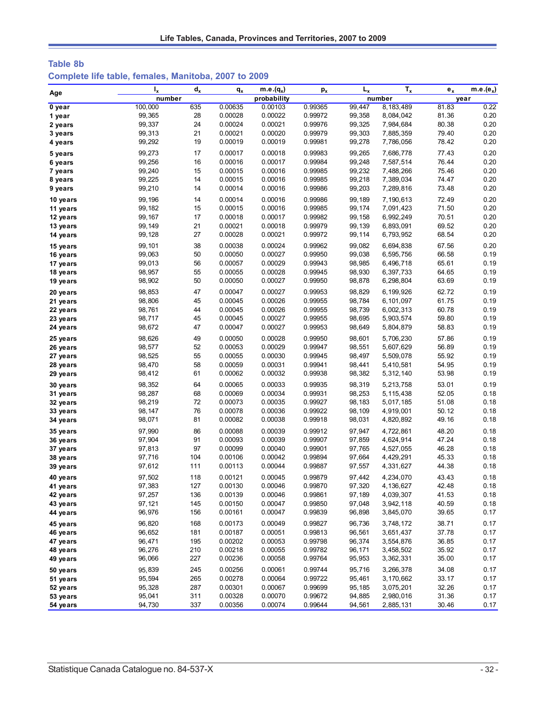## **Table 8b Complete life table, females, Manitoba, 2007 to 2009**

|          | $I_{x}$ | $d_{x}$ | $q_{x}$ | $m.e.(q_x)$ | $p_{x}$ | $L_{x}$ | $T_{x}$   | $e_{x}$ | $m.e.(e_x)$ |
|----------|---------|---------|---------|-------------|---------|---------|-----------|---------|-------------|
| Age      | number  |         |         | probability |         |         | number    | year    |             |
| 0 year   | 100,000 | 635     | 0.00635 | 0.00103     | 0.99365 | 99,447  | 8,183,489 | 81.83   | 0.22        |
| 1 year   | 99,365  | 28      | 0.00028 | 0.00022     | 0.99972 | 99,358  | 8,084,042 | 81.36   | 0.20        |
| 2 years  | 99,337  | 24      | 0.00024 | 0.00021     | 0.99976 | 99,325  | 7,984,684 | 80.38   | 0.20        |
| 3 years  | 99,313  | 21      | 0.00021 | 0.00020     | 0.99979 | 99,303  | 7,885,359 | 79.40   | 0.20        |
| 4 years  | 99,292  | 19      | 0.00019 | 0.00019     | 0.99981 | 99,278  | 7,786,056 | 78.42   | 0.20        |
| 5 years  | 99,273  | 17      | 0.00017 | 0.00018     | 0.99983 | 99,265  | 7,686,778 | 77.43   | 0.20        |
| 6 years  | 99,256  | 16      | 0.00016 | 0.00017     | 0.99984 | 99,248  | 7,587,514 | 76.44   | 0.20        |
| 7 years  | 99,240  | 15      | 0.00015 | 0.00016     | 0.99985 | 99,232  | 7,488,266 | 75.46   | 0.20        |
| 8 years  | 99,225  | 14      | 0.00015 | 0.00016     | 0.99985 | 99,218  | 7,389,034 | 74.47   | 0.20        |
| 9 years  | 99,210  | 14      | 0.00014 | 0.00016     | 0.99986 | 99,203  | 7,289,816 | 73.48   | 0.20        |
| 10 years | 99,196  | 14      | 0.00014 | 0.00016     | 0.99986 | 99,189  | 7,190,613 | 72.49   | 0.20        |
| 11 years | 99,182  | 15      | 0.00015 | 0.00016     | 0.99985 | 99,174  | 7,091,423 | 71.50   | 0.20        |
| 12 years | 99, 167 | 17      | 0.00018 | 0.00017     | 0.99982 | 99,158  | 6,992,249 | 70.51   | 0.20        |
| 13 years | 99,149  | 21      | 0.00021 | 0.00018     | 0.99979 | 99,139  | 6,893,091 | 69.52   | 0.20        |
| 14 years | 99,128  | 27      | 0.00028 | 0.00021     | 0.99972 | 99,114  | 6,793,952 | 68.54   | 0.20        |
| 15 years | 99,101  | 38      | 0.00038 | 0.00024     | 0.99962 | 99,082  | 6,694,838 | 67.56   | 0.20        |
| 16 years | 99,063  | 50      | 0.00050 | 0.00027     | 0.99950 | 99,038  | 6,595,756 | 66.58   | 0.19        |
| 17 years | 99,013  | 56      | 0.00057 | 0.00029     | 0.99943 | 98,985  | 6,496,718 | 65.61   | 0.19        |
| 18 years | 98,957  | 55      | 0.00055 | 0.00028     | 0.99945 | 98,930  | 6,397,733 | 64.65   | 0.19        |
| 19 years | 98,902  | 50      | 0.00050 | 0.00027     | 0.99950 | 98,878  | 6,298,804 | 63.69   | 0.19        |
| 20 years | 98,853  | 47      | 0.00047 | 0.00027     | 0.99953 | 98,829  | 6,199,926 | 62.72   | 0.19        |
| 21 years | 98,806  | 45      | 0.00045 | 0.00026     | 0.99955 | 98,784  | 6,101,097 | 61.75   | 0.19        |
| 22 years | 98,761  | 44      | 0.00045 | 0.00026     | 0.99955 | 98,739  | 6,002,313 | 60.78   | 0.19        |
| 23 years | 98,717  | 45      | 0.00045 | 0.00027     | 0.99955 | 98,695  | 5,903,574 | 59.80   | 0.19        |
| 24 years | 98,672  | 47      | 0.00047 | 0.00027     | 0.99953 | 98,649  | 5,804,879 | 58.83   | 0.19        |
| 25 years | 98,626  | 49      | 0.00050 | 0.00028     | 0.99950 | 98,601  | 5,706,230 | 57.86   | 0.19        |
| 26 years | 98,577  | 52      | 0.00053 | 0.00029     | 0.99947 | 98,551  | 5,607,629 | 56.89   | 0.19        |
| 27 years | 98,525  | 55      | 0.00055 | 0.00030     | 0.99945 | 98,497  | 5,509,078 | 55.92   | 0.19        |
| 28 years | 98,470  | 58      | 0.00059 | 0.00031     | 0.99941 | 98,441  | 5,410,581 | 54.95   | 0.19        |
| 29 years | 98,412  | 61      | 0.00062 | 0.00032     | 0.99938 | 98,382  | 5,312,140 | 53.98   | 0.19        |
| 30 years | 98,352  | 64      | 0.00065 | 0.00033     | 0.99935 | 98,319  | 5,213,758 | 53.01   | 0.19        |
| 31 years | 98,287  | 68      | 0.00069 | 0.00034     | 0.99931 | 98,253  | 5,115,438 | 52.05   | 0.18        |
| 32 years | 98,219  | 72      | 0.00073 | 0.00035     | 0.99927 | 98,183  | 5,017,185 | 51.08   | 0.18        |
| 33 years | 98,147  | 76      | 0.00078 | 0.00036     | 0.99922 | 98,109  | 4,919,001 | 50.12   | 0.18        |
| 34 years | 98,071  | 81      | 0.00082 | 0.00038     | 0.99918 | 98,031  | 4,820,892 | 49.16   | 0.18        |
| 35 years | 97,990  | 86      | 0.00088 | 0.00039     | 0.99912 | 97,947  | 4,722,861 | 48.20   | 0.18        |
| 36 years | 97,904  | 91      | 0.00093 | 0.00039     | 0.99907 | 97,859  | 4,624,914 | 47.24   | 0.18        |
| 37 years | 97,813  | 97      | 0.00099 | 0.00040     | 0.99901 | 97,765  | 4,527,055 | 46.28   | 0.18        |
| 38 years | 97,716  | 104     | 0.00106 | 0.00042     | 0.99894 | 97,664  | 4,429,291 | 45.33   | 0.18        |
| 39 years | 97,612  | 111     | 0.00113 | 0.00044     | 0.99887 | 97,557  | 4,331,627 | 44.38   | 0.18        |
| 40 years | 97,502  | 118     | 0.00121 | 0.00045     | 0.99879 | 97,442  | 4,234,070 | 43.43   | 0.18        |
| 41 years | 97,383  | 127     | 0.00130 | 0.00046     | 0.99870 | 97,320  | 4,136,627 | 42.48   | 0.18        |
| 42 years | 97,257  | 136     | 0.00139 | 0.00046     | 0.99861 | 97,189  | 4,039,307 | 41.53   | 0.18        |
| 43 years | 97,121  | 145     | 0.00150 | 0.00047     | 0.99850 | 97,048  | 3,942,118 | 40.59   | 0.18        |
| 44 years | 96,976  | 156     | 0.00161 | 0.00047     | 0.99839 | 96,898  | 3,845,070 | 39.65   | 0.17        |
| 45 years | 96,820  | 168     | 0.00173 | 0.00049     | 0.99827 | 96,736  | 3,748,172 | 38.71   | 0.17        |
| 46 years | 96,652  | 181     | 0.00187 | 0.00051     | 0.99813 | 96,561  | 3,651,437 | 37.78   | 0.17        |
| 47 years | 96,471  | 195     | 0.00202 | 0.00053     | 0.99798 | 96,374  | 3,554,876 | 36.85   | 0.17        |
| 48 years | 96,276  | 210     | 0.00218 | 0.00055     | 0.99782 | 96,171  | 3,458,502 | 35.92   | 0.17        |
| 49 years | 96,066  | 227     | 0.00236 | 0.00058     | 0.99764 | 95,953  | 3,362,331 | 35.00   | 0.17        |
| 50 years | 95,839  | 245     | 0.00256 | 0.00061     | 0.99744 | 95,716  | 3,266,378 | 34.08   | 0.17        |
| 51 years | 95,594  | 265     | 0.00278 | 0.00064     | 0.99722 | 95,461  | 3,170,662 | 33.17   | 0.17        |
| 52 years | 95,328  | 287     | 0.00301 | 0.00067     | 0.99699 | 95,185  | 3,075,201 | 32.26   | 0.17        |
| 53 years | 95,041  | 311     | 0.00328 | 0.00070     | 0.99672 | 94,885  | 2,980,016 | 31.36   | 0.17        |
| 54 years | 94,730  | 337     | 0.00356 | 0.00074     | 0.99644 | 94,561  | 2,885,131 | 30.46   | 0.17        |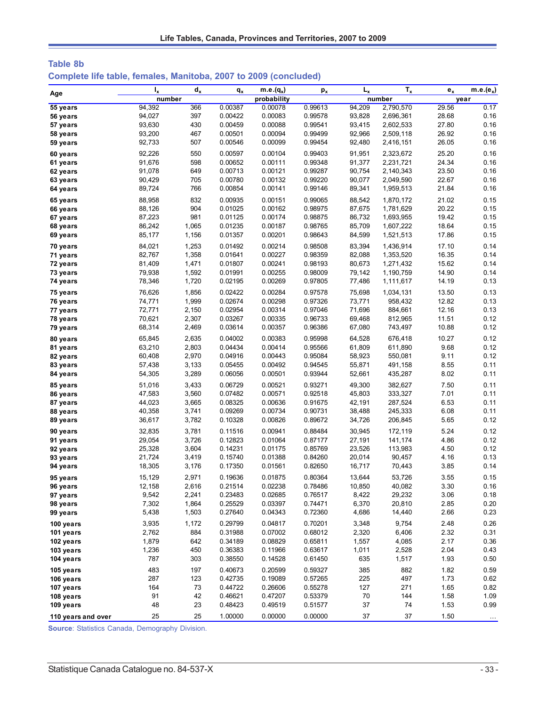| Table 8b                                                         |  |  |  |
|------------------------------------------------------------------|--|--|--|
| Complete life table, females, Manitoba, 2007 to 2009 (concluded) |  |  |  |
|                                                                  |  |  |  |

| Age                | $I_{x}$ | $d_x$ | $q_{x}$ | $\overline{\mathsf{m.e.}}(q_x)$ | $p_{x}$ | $L_{x}$ | $T_{x}$   | $e_{x}$ | $m.e.(e_x)$          |
|--------------------|---------|-------|---------|---------------------------------|---------|---------|-----------|---------|----------------------|
|                    | number  |       |         | probability                     |         |         | number    |         | year                 |
| 55 years           | 94,392  | 366   | 0.00387 | 0.00078                         | 0.99613 | 94,209  | 2,790,570 | 29.56   | 0.17                 |
| 56 years           | 94,027  | 397   | 0.00422 | 0.00083                         | 0.99578 | 93,828  | 2,696,361 | 28.68   | 0.16                 |
| 57 years           | 93,630  | 430   | 0.00459 | 0.00088                         | 0.99541 | 93,415  | 2,602,533 | 27.80   | 0.16                 |
| 58 years           | 93,200  | 467   | 0.00501 | 0.00094                         | 0.99499 | 92,966  | 2,509,118 | 26.92   | 0.16                 |
| 59 years           | 92,733  | 507   | 0.00546 | 0.00099                         | 0.99454 | 92,480  | 2,416,151 | 26.05   | 0.16                 |
| 60 years           | 92,226  | 550   | 0.00597 | 0.00104                         | 0.99403 | 91,951  | 2,323,672 | 25.20   | 0.16                 |
| 61 years           | 91,676  | 598   | 0.00652 | 0.00111                         | 0.99348 | 91,377  | 2,231,721 | 24.34   | 0.16                 |
| 62 years           | 91,078  | 649   | 0.00713 | 0.00121                         | 0.99287 | 90,754  | 2,140,343 | 23.50   | 0.16                 |
| 63 years           | 90,429  | 705   | 0.00780 | 0.00132                         | 0.99220 | 90,077  | 2,049,590 | 22.67   | 0.16                 |
| 64 years           | 89,724  | 766   | 0.00854 | 0.00141                         | 0.99146 | 89,341  | 1,959,513 | 21.84   | 0.16                 |
| 65 years           | 88,958  | 832   | 0.00935 | 0.00151                         | 0.99065 | 88,542  | 1,870,172 | 21.02   | 0.15                 |
| 66 years           | 88,126  | 904   | 0.01025 | 0.00162                         | 0.98975 | 87,675  | 1,781,629 | 20.22   | 0.15                 |
| 67 years           | 87,223  | 981   | 0.01125 | 0.00174                         | 0.98875 | 86,732  | 1,693,955 | 19.42   | 0.15                 |
| 68 years           | 86,242  | 1,065 | 0.01235 | 0.00187                         | 0.98765 | 85,709  | 1,607,222 | 18.64   | 0.15                 |
| 69 years           | 85,177  | 1,156 | 0.01357 | 0.00201                         | 0.98643 | 84,599  | 1,521,513 | 17.86   | 0.15                 |
| 70 years           | 84,021  | 1,253 | 0.01492 | 0.00214                         | 0.98508 | 83,394  | 1,436,914 | 17.10   | 0.14                 |
| 71 years           | 82,767  | 1,358 | 0.01641 | 0.00227                         | 0.98359 | 82,088  | 1,353,520 | 16.35   | 0.14                 |
| 72 years           | 81,409  | 1,471 | 0.01807 | 0.00241                         | 0.98193 | 80,673  | 1,271,432 | 15.62   | 0.14                 |
| 73 years           | 79,938  | 1,592 | 0.01991 | 0.00255                         | 0.98009 | 79,142  | 1,190,759 | 14.90   | 0.14                 |
| 74 years           | 78,346  | 1,720 | 0.02195 | 0.00269                         | 0.97805 | 77,486  | 1,111,617 | 14.19   | 0.13                 |
| 75 years           | 76,626  | 1,856 | 0.02422 | 0.00284                         | 0.97578 | 75,698  | 1,034,131 | 13.50   | 0.13                 |
| 76 years           | 74,771  | 1,999 | 0.02674 | 0.00298                         | 0.97326 | 73,771  | 958,432   | 12.82   | 0.13                 |
| 77 years           | 72,771  | 2,150 | 0.02954 | 0.00314                         | 0.97046 | 71,696  | 884,661   | 12.16   | 0.13                 |
| 78 years           | 70,621  | 2,307 | 0.03267 | 0.00335                         | 0.96733 | 69,468  | 812,965   | 11.51   | 0.12                 |
| 79 years           | 68,314  | 2,469 | 0.03614 | 0.00357                         | 0.96386 | 67,080  | 743,497   | 10.88   | 0.12                 |
| 80 years           | 65,845  | 2,635 | 0.04002 | 0.00383                         | 0.95998 | 64,528  | 676,418   | 10.27   | 0.12                 |
| 81 years           | 63,210  | 2,803 | 0.04434 | 0.00414                         | 0.95566 | 61,809  | 611,890   | 9.68    | 0.12                 |
| 82 years           | 60,408  | 2,970 | 0.04916 | 0.00443                         | 0.95084 | 58,923  | 550,081   | 9.11    | 0.12                 |
| 83 years           | 57,438  | 3,133 | 0.05455 | 0.00492                         | 0.94545 | 55,871  | 491,158   | 8.55    | 0.11                 |
| 84 years           | 54,305  | 3,289 | 0.06056 | 0.00501                         | 0.93944 | 52,661  | 435,287   | 8.02    | 0.11                 |
| 85 years           | 51,016  | 3,433 | 0.06729 | 0.00521                         | 0.93271 | 49,300  | 382,627   | 7.50    | 0.11                 |
| 86 years           | 47,583  | 3,560 | 0.07482 | 0.00571                         | 0.92518 | 45,803  | 333,327   | 7.01    | 0.11                 |
| 87 years           | 44,023  | 3,665 | 0.08325 | 0.00636                         | 0.91675 | 42,191  | 287,524   | 6.53    | 0.11                 |
| 88 years           | 40,358  | 3,741 | 0.09269 | 0.00734                         | 0.90731 | 38,488  | 245,333   | 6.08    | 0.11                 |
| 89 years           | 36,617  | 3,782 | 0.10328 | 0.00826                         | 0.89672 | 34,726  | 206,845   | 5.65    | 0.12                 |
| 90 years           | 32,835  | 3,781 | 0.11516 | 0.00941                         | 0.88484 | 30,945  | 172,119   | 5.24    | 0.12                 |
| 91 years           | 29,054  | 3,726 | 0.12823 | 0.01064                         | 0.87177 | 27,191  | 141,174   | 4.86    | 0.12                 |
| 92 years           | 25,328  | 3,604 | 0.14231 | 0.01175                         | 0.85769 | 23,526  | 113,983   | 4.50    | 0.12                 |
| 93 years           | 21,724  | 3,419 | 0.15740 | 0.01388                         | 0.84260 | 20,014  | 90,457    | 4.16    | 0.13                 |
| 94 years           | 18,305  | 3,176 | 0.17350 | 0.01561                         | 0.82650 | 16,717  | 70,443    | 3.85    | 0.14                 |
| 95 years           | 15,129  | 2,971 | 0.19636 | 0.01875                         | 0.80364 | 13,644  | 53,726    | 3.55    | 0.15                 |
| 96 years           | 12,158  | 2,616 | 0.21514 | 0.02238                         | 0.78486 | 10,850  | 40,082    | 3.30    | 0.16                 |
| 97 years           | 9,542   | 2,241 | 0.23483 | 0.02685                         | 0.76517 | 8,422   | 29,232    | 3.06    | 0.18                 |
| 98 years           | 7,302   | 1,864 | 0.25529 | 0.03397                         | 0.74471 | 6,370   | 20,810    | 2.85    | 0.20                 |
| 99 years           | 5,438   | 1,503 | 0.27640 | 0.04343                         | 0.72360 | 4,686   | 14,440    | 2.66    | 0.23                 |
| 100 years          | 3,935   | 1,172 | 0.29799 | 0.04817                         | 0.70201 | 3,348   | 9,754     | 2.48    | 0.26                 |
| 101 years          | 2,762   | 884   | 0.31988 | 0.07002                         | 0.68012 | 2,320   | 6,406     | 2.32    | 0.31                 |
| 102 years          | 1,879   | 642   | 0.34189 | 0.08829                         | 0.65811 | 1,557   | 4,085     | 2.17    | 0.36                 |
| 103 years          | 1,236   | 450   | 0.36383 | 0.11966                         | 0.63617 | 1,011   | 2,528     | 2.04    | 0.43                 |
| 104 years          | 787     | 303   | 0.38550 | 0.14528                         | 0.61450 | 635     | 1,517     | 1.93    | 0.50                 |
| 105 years          | 483     | 197   | 0.40673 | 0.20599                         | 0.59327 | 385     | 882       | 1.82    | 0.59                 |
| 106 years          | 287     | 123   | 0.42735 | 0.19089                         | 0.57265 | 225     | 497       | 1.73    | 0.62                 |
| 107 years          | 164     | 73    | 0.44722 | 0.26606                         | 0.55278 | 127     | 271       | 1.65    | 0.82                 |
| 108 years          | 91      | 42    | 0.46621 | 0.47207                         | 0.53379 | 70      | 144       | 1.58    | 1.09                 |
| 109 years          | 48      | 23    | 0.48423 | 0.49519                         | 0.51577 | 37      | 74        | 1.53    | 0.99                 |
| 110 years and over | 25      | 25    | 1.00000 | 0.00000                         | 0.00000 | 37      | $37\,$    | 1.50    | $\sim$ $\sim$ $\sim$ |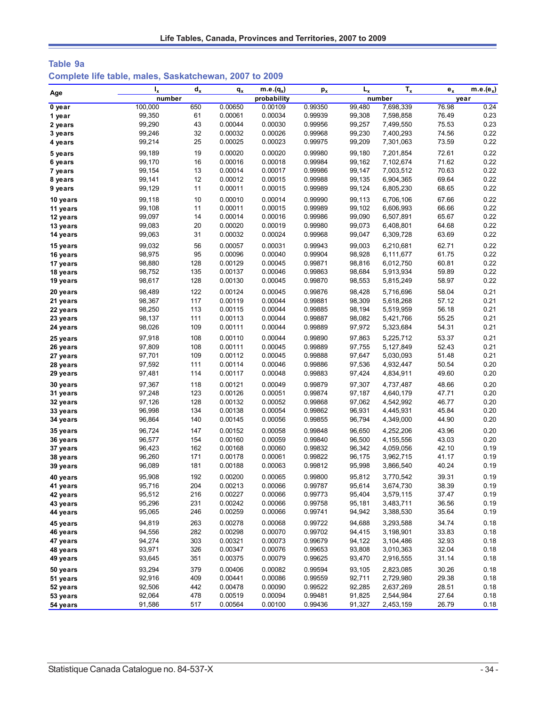| Table 9a |  |                                                        |  |
|----------|--|--------------------------------------------------------|--|
|          |  | Complete life table, males, Saskatchewan, 2007 to 2009 |  |

|          | $I_{x}$ | $d_x$ | $q_{x}$ | m.e. $(q_x)$ | $p_{x}$ | $L_{x}$ | $T_{x}$   | $e_{x}$ | $m.e.(e_x)$ |
|----------|---------|-------|---------|--------------|---------|---------|-----------|---------|-------------|
| Age      | number  |       |         | probability  |         |         | number    |         | year        |
| 0 year   | 100,000 | 650   | 0.00650 | 0.00109      | 0.99350 | 99,480  | 7,698,339 | 76.98   | 0.24        |
| 1 year   | 99,350  | 61    | 0.00061 | 0.00034      | 0.99939 | 99,308  | 7,598,858 | 76.49   | 0.23        |
| 2 years  | 99,290  | 43    | 0.00044 | 0.00030      | 0.99956 | 99,257  | 7,499,550 | 75.53   | 0.23        |
| 3 years  | 99,246  | 32    | 0.00032 | 0.00026      | 0.99968 | 99,230  | 7,400,293 | 74.56   | 0.22        |
| 4 years  | 99,214  | 25    | 0.00025 | 0.00023      | 0.99975 | 99,209  | 7,301,063 | 73.59   | 0.22        |
| 5 years  | 99,189  | 19    | 0.00020 | 0.00020      | 0.99980 | 99,180  | 7,201,854 | 72.61   | 0.22        |
| 6 years  | 99,170  | 16    | 0.00016 | 0.00018      | 0.99984 | 99,162  | 7,102,674 | 71.62   | 0.22        |
| 7 years  | 99,154  | 13    | 0.00014 | 0.00017      | 0.99986 | 99,147  | 7,003,512 | 70.63   | 0.22        |
| 8 years  | 99,141  | 12    | 0.00012 | 0.00015      | 0.99988 | 99,135  | 6,904,365 | 69.64   | 0.22        |
| 9 years  | 99,129  | 11    | 0.00011 | 0.00015      | 0.99989 | 99,124  | 6,805,230 | 68.65   | 0.22        |
| 10 years | 99,118  | 10    | 0.00010 | 0.00014      | 0.99990 | 99,113  | 6,706,106 | 67.66   | 0.22        |
| 11 years | 99,108  | 11    | 0.00011 | 0.00015      | 0.99989 | 99,102  | 6,606,993 | 66.66   | 0.22        |
| 12 years | 99,097  | 14    | 0.00014 | 0.00016      | 0.99986 | 99,090  | 6,507,891 | 65.67   | 0.22        |
| 13 years | 99,083  | 20    | 0.00020 | 0.00019      | 0.99980 | 99,073  | 6,408,801 | 64.68   | 0.22        |
| 14 years | 99,063  | 31    | 0.00032 | 0.00024      | 0.99968 | 99,047  | 6,309,728 | 63.69   | 0.22        |
| 15 years | 99,032  | 56    | 0.00057 | 0.00031      | 0.99943 | 99,003  | 6,210,681 | 62.71   | 0.22        |
| 16 years | 98,975  | 95    | 0.00096 | 0.00040      | 0.99904 | 98,928  | 6,111,677 | 61.75   | 0.22        |
| 17 years | 98,880  | 128   | 0.00129 | 0.00045      | 0.99871 | 98,816  | 6,012,750 | 60.81   | 0.22        |
| 18 years | 98,752  | 135   | 0.00137 | 0.00046      | 0.99863 | 98,684  | 5,913,934 | 59.89   | 0.22        |
| 19 years | 98,617  | 128   | 0.00130 | 0.00045      | 0.99870 | 98,553  | 5,815,249 | 58.97   | 0.22        |
| 20 years | 98,489  | 122   | 0.00124 | 0.00045      | 0.99876 | 98,428  | 5,716,696 | 58.04   | 0.21        |
| 21 years | 98,367  | 117   | 0.00119 | 0.00044      | 0.99881 | 98,309  | 5,618,268 | 57.12   | 0.21        |
| 22 years | 98,250  | 113   | 0.00115 | 0.00044      | 0.99885 | 98,194  | 5,519,959 | 56.18   | 0.21        |
| 23 years | 98,137  | 111   | 0.00113 | 0.00044      | 0.99887 | 98,082  | 5,421,766 | 55.25   | 0.21        |
| 24 years | 98,026  | 109   | 0.00111 | 0.00044      | 0.99889 | 97,972  | 5,323,684 | 54.31   | 0.21        |
| 25 years | 97,918  | 108   | 0.00110 | 0.00044      | 0.99890 | 97,863  | 5,225,712 | 53.37   | 0.21        |
| 26 years | 97,809  | 108   | 0.00111 | 0.00045      | 0.99889 | 97,755  | 5,127,849 | 52.43   | 0.21        |
| 27 years | 97,701  | 109   | 0.00112 | 0.00045      | 0.99888 | 97,647  | 5,030,093 | 51.48   | 0.21        |
| 28 years | 97,592  | 111   | 0.00114 | 0.00046      | 0.99886 | 97,536  | 4,932,447 | 50.54   | 0.20        |
| 29 years | 97,481  | 114   | 0.00117 | 0.00048      | 0.99883 | 97,424  | 4,834,911 | 49.60   | 0.20        |
| 30 years | 97,367  | 118   | 0.00121 | 0.00049      | 0.99879 | 97,307  | 4,737,487 | 48.66   | 0.20        |
| 31 years | 97,248  | 123   | 0.00126 | 0.00051      | 0.99874 | 97,187  | 4,640,179 | 47.71   | 0.20        |
| 32 years | 97,126  | 128   | 0.00132 | 0.00052      | 0.99868 | 97,062  | 4,542,992 | 46.77   | 0.20        |
| 33 years | 96,998  | 134   | 0.00138 | 0.00054      | 0.99862 | 96,931  | 4,445,931 | 45.84   | 0.20        |
| 34 years | 96,864  | 140   | 0.00145 | 0.00056      | 0.99855 | 96,794  | 4,349,000 | 44.90   | 0.20        |
| 35 years | 96,724  | 147   | 0.00152 | 0.00058      | 0.99848 | 96,650  | 4,252,206 | 43.96   | 0.20        |
| 36 years | 96,577  | 154   | 0.00160 | 0.00059      | 0.99840 | 96,500  | 4,155,556 | 43.03   | 0.20        |
| 37 years | 96,423  | 162   | 0.00168 | 0.00060      | 0.99832 | 96,342  | 4,059,056 | 42.10   | 0.19        |
| 38 years | 96,260  | 171   | 0.00178 | 0.00061      | 0.99822 | 96,175  | 3,962,715 | 41.17   | 0.19        |
| 39 years | 96,089  | 181   | 0.00188 | 0.00063      | 0.99812 | 95,998  | 3,866,540 | 40.24   | 0.19        |
| 40 years | 95,908  | 192   | 0.00200 | 0.00065      | 0.99800 | 95,812  | 3,770,542 | 39.31   | 0.19        |
| 41 years | 95,716  | 204   | 0.00213 | 0.00066      | 0.99787 | 95,614  | 3,674,730 | 38.39   | 0.19        |
| 42 years | 95,512  | 216   | 0.00227 | 0.00066      | 0.99773 | 95,404  | 3,579,115 | 37.47   | 0.19        |
| 43 years | 95,296  | 231   | 0.00242 | 0.00066      | 0.99758 | 95,181  | 3,483,711 | 36.56   | 0.19        |
| 44 years | 95,065  | 246   | 0.00259 | 0.00066      | 0.99741 | 94,942  | 3,388,530 | 35.64   | 0.19        |
| 45 years | 94,819  | 263   | 0.00278 | 0.00068      | 0.99722 | 94,688  | 3,293,588 | 34.74   | 0.18        |
| 46 years | 94,556  | 282   | 0.00298 | 0.00070      | 0.99702 | 94,415  | 3,198,901 | 33.83   | 0.18        |
| 47 years | 94,274  | 303   | 0.00321 | 0.00073      | 0.99679 | 94,122  | 3,104,486 | 32.93   | 0.18        |
| 48 years | 93,971  | 326   | 0.00347 | 0.00076      | 0.99653 | 93,808  | 3,010,363 | 32.04   | 0.18        |
| 49 years | 93,645  | 351   | 0.00375 | 0.00079      | 0.99625 | 93,470  | 2,916,555 | 31.14   | 0.18        |
| 50 years | 93,294  | 379   | 0.00406 | 0.00082      | 0.99594 | 93,105  | 2,823,085 | 30.26   | 0.18        |
| 51 years | 92,916  | 409   | 0.00441 | 0.00086      | 0.99559 | 92,711  | 2,729,980 | 29.38   | 0.18        |
| 52 years | 92,506  | 442   | 0.00478 | 0.00090      | 0.99522 | 92,285  | 2,637,269 | 28.51   | 0.18        |
| 53 years | 92,064  | 478   | 0.00519 | 0.00094      | 0.99481 | 91,825  | 2,544,984 | 27.64   | 0.18        |
| 54 years | 91,586  | 517   | 0.00564 | 0.00100      | 0.99436 | 91,327  | 2,453,159 | 26.79   | 0.18        |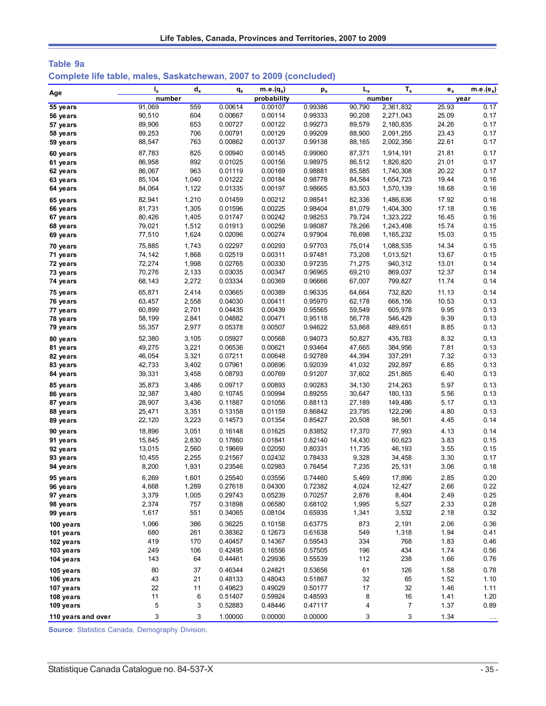| Table 9a |  |                                                                    |  |  |
|----------|--|--------------------------------------------------------------------|--|--|
|          |  | Complete life table, males, Saskatchewan, 2007 to 2009 (concluded) |  |  |

| Age                    | $I_{x}$  | $d_{x}$  | $q_{x}$            | $m.e.(q_x)$        | $p_{x}$            | $L_{x}$  | $T_{x}$        | $\mathbf{e}_{\mathbf{x}}$ | $m.e.(e_x)$  |
|------------------------|----------|----------|--------------------|--------------------|--------------------|----------|----------------|---------------------------|--------------|
|                        | number   |          |                    | probability        |                    |          | number         |                           | year         |
| 55 years               | 91,069   | 559      | 0.00614            | 0.00107            | 0.99386            | 90.790   | 2,361,832      | 25.93                     | 0.17         |
| 56 years               | 90,510   | 604      | 0.00667            | 0.00114            | 0.99333            | 90,208   | 2,271,043      | 25.09                     | 0.17         |
| 57 years               | 89,906   | 653      | 0.00727            | 0.00122            | 0.99273            | 89,579   | 2,180,835      | 24.26                     | 0.17         |
| 58 years               | 89,253   | 706      | 0.00791            | 0.00129            | 0.99209            | 88,900   | 2,091,255      | 23.43                     | 0.17         |
| 59 years               | 88,547   | 763      | 0.00862            | 0.00137            | 0.99138            | 88,165   | 2,002,356      | 22.61                     | 0.17         |
| 60 years               | 87,783   | 825      | 0.00940            | 0.00145            | 0.99060            | 87,371   | 1,914,191      | 21.81                     | 0.17         |
| 61 years               | 86,958   | 892      | 0.01025            | 0.00156            | 0.98975            | 86,512   | 1,826,820      | 21.01                     | 0.17         |
| 62 years               | 86,067   | 963      | 0.01119            | 0.00169            | 0.98881            | 85,585   | 1,740,308      | 20.22                     | 0.17         |
| 63 years               | 85,104   | 1,040    | 0.01222            | 0.00184            | 0.98778            | 84,584   | 1,654,723      | 19.44                     | 0.16         |
| 64 years               | 84,064   | 1,122    | 0.01335            | 0.00197            | 0.98665            | 83,503   | 1,570,139      | 18.68                     | 0.16         |
| 65 years               | 82,941   | 1,210    | 0.01459            | 0.00212            | 0.98541            | 82,336   | 1,486,636      | 17.92                     | 0.16         |
| 66 years               | 81,731   | 1,305    | 0.01596            | 0.00225            | 0.98404            | 81,079   | 1,404,300      | 17.18                     | 0.16         |
| 67 years               | 80,426   | 1,405    | 0.01747            | 0.00242            | 0.98253            | 79,724   | 1,323,222      | 16.45                     | 0.16         |
| 68 years               | 79,021   | 1,512    | 0.01913            | 0.00256            | 0.98087            | 78,266   | 1,243,498      | 15.74                     | 0.15         |
| 69 years               | 77,510   | 1,624    | 0.02096            | 0.00274            | 0.97904            | 76,698   | 1,165,232      | 15.03                     | 0.15         |
| 70 years               | 75,885   | 1,743    | 0.02297            | 0.00293            | 0.97703            | 75,014   | 1,088,535      | 14.34                     | 0.15         |
| 71 years               | 74,142   | 1,868    | 0.02519            | 0.00311            | 0.97481            | 73,208   | 1,013,521      | 13.67                     | 0.15         |
| 72 years               | 72,274   | 1,998    | 0.02765            | 0.00330            | 0.97235            | 71,275   | 940,312        | 13.01                     | 0.14         |
| 73 years               | 70,276   | 2,133    | 0.03035            | 0.00347            | 0.96965            | 69,210   | 869,037        | 12.37                     | 0.14         |
| 74 years               | 68,143   | 2,272    | 0.03334            | 0.00369            | 0.96666            | 67,007   | 799,827        | 11.74                     | 0.14         |
| 75 years               | 65,871   | 2,414    | 0.03665            | 0.00389            | 0.96335            | 64,664   | 732,820        | 11.13                     | 0.14         |
| 76 years               | 63,457   | 2,558    | 0.04030            | 0.00411            | 0.95970            | 62,178   | 668,156        | 10.53                     | 0.13         |
| 77 years               | 60,899   | 2,701    | 0.04435            | 0.00439            | 0.95565            | 59,549   | 605,978        | 9.95                      | 0.13         |
| 78 years               | 58,199   | 2,841    | 0.04882            | 0.00471            | 0.95118            | 56,778   | 546,429        | 9.39                      | 0.13         |
| 79 years               | 55,357   | 2,977    | 0.05378            | 0.00507            | 0.94622            | 53,868   | 489,651        | 8.85                      | 0.13         |
| 80 years               | 52,380   | 3,105    | 0.05927            | 0.00568            | 0.94073            | 50,827   | 435,783        | 8.32                      | 0.13         |
| 81 years               | 49,275   | 3,221    | 0.06536            | 0.00621            | 0.93464            | 47,665   | 384,956        | 7.81                      | 0.13         |
| 82 years               | 46,054   | 3,321    | 0.07211            | 0.00648            | 0.92789            | 44,394   | 337,291        | 7.32                      | 0.13         |
| 83 years               | 42,733   | 3,402    | 0.07961            | 0.00696            | 0.92039            | 41,032   | 292,897        | 6.85                      | 0.13         |
| 84 years               | 39,331   | 3,458    | 0.08793            | 0.00769            | 0.91207            | 37,602   | 251,865        | 6.40                      | 0.13         |
| 85 years               | 35,873   | 3,486    | 0.09717            | 0.00893            | 0.90283            | 34,130   | 214,263        | 5.97                      | 0.13         |
| 86 years               | 32,387   | 3,480    | 0.10745            | 0.00994            | 0.89255            | 30,647   | 180,133        | 5.56                      | 0.13         |
| 87 years               | 28,907   | 3,436    | 0.11887            | 0.01056            | 0.88113            | 27,189   | 149,486        | 5.17                      | 0.13         |
| 88 years               | 25,471   | 3,351    | 0.13158            | 0.01159            | 0.86842            | 23,795   | 122,296        | 4.80                      | 0.13         |
| 89 years               | 22,120   | 3,223    | 0.14573            | 0.01354            | 0.85427            | 20,508   | 98,501         | 4.45                      | 0.14         |
| 90 years               | 18,896   | 3,051    | 0.16148            | 0.01625            | 0.83852            | 17,370   | 77,993         | 4.13                      | 0.14         |
| 91 years               | 15,845   | 2,830    | 0.17860            | 0.01841            | 0.82140            | 14,430   | 60,623         | 3.83                      | 0.15         |
| 92 years               | 13,015   | 2,560    | 0.19669            | 0.02050            | 0.80331            | 11,735   | 46,193         | 3.55                      | 0.15         |
| 93 years               | 10,455   | 2,255    | 0.21567            | 0.02432            | 0.78433            | 9,328    | 34,458         | 3.30                      | 0.17         |
| 94 years               | 8,200    | 1,931    | 0.23546            | 0.02983            | 0.76454            | 7,235    | 25,131         | 3.06                      | 0.18         |
| 95 years               | 6,269    | 1,601    | 0.25540            | 0.03556            | 0.74460            | 5,469    | 17,896         | 2.85                      | 0.20         |
| 96 years               | 4,668    | 1,289    | 0.27618            | 0.04300            | 0.72382            | 4,024    | 12,427         | 2.66                      | 0.22         |
| 97 years               | 3,379    | 1,005    | 0.29743            | 0.05239            | 0.70257            | 2,876    | 8,404          | 2.49                      | 0.25         |
| 98 years               | 2,374    | 757      | 0.31898            | 0.06580            | 0.68102            | 1,995    | 5,527          | 2.33                      | 0.28         |
| 99 years               | 1,617    | 551      | 0.34065            | 0.08104            | 0.65935            | 1,341    | 3,532          | 2.18                      | 0.32         |
| 100 years              | 1,066    | 386      | 0.36225            | 0.10158            | 0.63775            | 873      | 2,191          | 2.06                      | 0.36         |
| 101 years              | 680      | 261      | 0.38362            | 0.12673            | 0.61638            | 549      | 1,318          | 1.94                      | 0.41         |
| 102 years              | 419      | 170      | 0.40457            | 0.14367            | 0.59543            | 334      | 768            | 1.83                      | 0.46         |
| 103 years              | 249      | 106      | 0.42495            | 0.16556            | 0.57505            | 196      | 434            | 1.74                      | 0.56         |
| 104 years              | 143      | 64       | 0.44461            | 0.29936            | 0.55539            | 112      | 238            | 1.66                      | 0.76         |
|                        |          |          |                    |                    |                    |          |                |                           |              |
| 105 years              | 80       | 37       | 0.46344            | 0.24821            | 0.53656            | 61       | 126            | 1.58                      | 0.78         |
| 106 years<br>107 years | 43<br>22 | 21<br>11 | 0.48133<br>0.49823 | 0.48043<br>0.49029 | 0.51867<br>0.50177 | 32<br>17 | 65<br>32       | 1.52<br>1.46              | 1.10<br>1.11 |
|                        | 11       | 6        | 0.51407            | 0.59924            | 0.48593            | 8        | 16             | 1.41                      | 1.20         |
| 108 years              | 5        | 3        | 0.52883            | 0.48446            | 0.47117            | 4        | $\overline{7}$ | 1.37                      | 0.89         |
| 109 years              |          |          |                    |                    |                    |          |                |                           |              |
| 110 years and over     | 3        | 3        | 1.00000            | 0.00000            | 0.00000            | 3        | 3              | 1.34                      | $\ldots$     |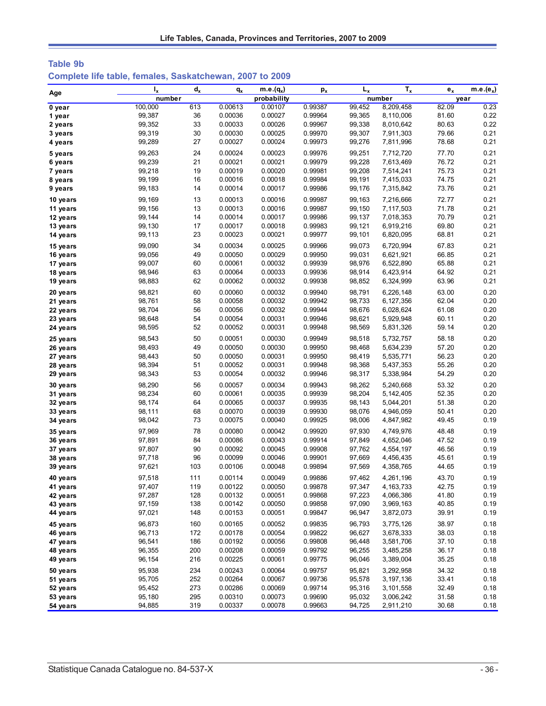| Table 9b                                                 |  |  |
|----------------------------------------------------------|--|--|
| Complete life table, females, Saskatchewan, 2007 to 2009 |  |  |

|                      | $I_{x}$          | $d_{x}$    | $q_{x}$            | m.e. $(q_x)$       | $p_{x}$            | $L_{x}$          | $T_{x}$                | $e_x$          | $m.e.(e_x)$  |
|----------------------|------------------|------------|--------------------|--------------------|--------------------|------------------|------------------------|----------------|--------------|
| Age                  | number           |            |                    | probability        |                    |                  | number                 |                | year         |
| 0 year               | 100,000          | 613        | 0.00613            | 0.00107            | 0.99387            | 99,452           | 8,209,458              | 82.09          | 0.23         |
| 1 year               | 99,387           | 36         | 0.00036            | 0.00027            | 0.99964            | 99,365           | 8,110,006              | 81.60          | 0.22         |
| 2 years              | 99,352           | 33         | 0.00033            | 0.00026            | 0.99967            | 99,338           | 8,010,642              | 80.63          | 0.22         |
| 3 years              | 99,319           | 30         | 0.00030            | 0.00025            | 0.99970            | 99,307           | 7,911,303              | 79.66          | 0.21         |
| 4 years              | 99,289           | 27         | 0.00027            | 0.00024            | 0.99973            | 99,276           | 7,811,996              | 78.68          | 0.21         |
| 5 years              | 99,263           | 24         | 0.00024            | 0.00023            | 0.99976            | 99,251           | 7,712,720              | 77.70          | 0.21         |
| 6 years              | 99,239           | 21         | 0.00021            | 0.00021            | 0.99979            | 99,228           | 7,613,469              | 76.72          | 0.21         |
| 7 years              | 99,218           | 19         | 0.00019            | 0.00020            | 0.99981            | 99,208           | 7,514,241              | 75.73          | 0.21         |
| 8 years              | 99,199           | 16         | 0.00016            | 0.00018            | 0.99984            | 99,191           | 7,415,033              | 74.75          | 0.21         |
| 9 years              | 99,183           | 14         | 0.00014            | 0.00017            | 0.99986            | 99,176           | 7,315,842              | 73.76          | 0.21         |
| 10 years             | 99,169           | 13         | 0.00013            | 0.00016            | 0.99987            | 99,163           | 7,216,666              | 72.77          | 0.21         |
| 11 years             | 99,156           | 13         | 0.00013            | 0.00016            | 0.99987            | 99,150           | 7,117,503              | 71.78          | 0.21         |
| 12 years             | 99,144           | 14         | 0.00014            | 0.00017            | 0.99986            | 99,137           | 7,018,353              | 70.79          | 0.21         |
| 13 years             | 99,130           | 17         | 0.00017            | 0.00018            | 0.99983            | 99,121           | 6,919,216              | 69.80          | 0.21         |
| 14 years             | 99,113           | 23         | 0.00023            | 0.00021            | 0.99977            | 99,101           | 6,820,095              | 68.81          | 0.21         |
| 15 years             | 99,090           | 34         | 0.00034            | 0.00025            | 0.99966            | 99,073           | 6,720,994              | 67.83          | 0.21         |
| 16 years             | 99,056           | 49         | 0.00050            | 0.00029            | 0.99950            | 99,031           | 6,621,921              | 66.85          | 0.21         |
| 17 years             | 99,007           | 60         | 0.00061            | 0.00032            | 0.99939            | 98,976           | 6,522,890              | 65.88          | 0.21         |
| 18 years             | 98,946           | 63         | 0.00064            | 0.00033            | 0.99936            | 98,914           | 6,423,914              | 64.92          | 0.21         |
| 19 years             | 98,883           | 62         | 0.00062            | 0.00032            | 0.99938            | 98,852           | 6,324,999              | 63.96          | 0.21         |
| 20 years             | 98,821           | 60         | 0.00060            | 0.00032            | 0.99940            | 98,791           | 6,226,148              | 63.00          | 0.20         |
| 21 years             | 98,761           | 58         | 0.00058            | 0.00032            | 0.99942            | 98,733           | 6,127,356              | 62.04          | 0.20         |
| 22 years             | 98,704           | 56         | 0.00056            | 0.00032            | 0.99944            | 98,676           | 6,028,624              | 61.08          | 0.20         |
| 23 years             | 98,648           | 54         | 0.00054            | 0.00031            | 0.99946            | 98,621           | 5,929,948              | 60.11          | 0.20         |
| 24 years             | 98,595           | 52         | 0.00052            | 0.00031            | 0.99948            | 98,569           | 5,831,326              | 59.14          | 0.20         |
| 25 years             | 98,543           | 50         | 0.00051            | 0.00030            | 0.99949            | 98,518           | 5,732,757              | 58.18          | 0.20         |
| 26 years             | 98,493           | 49         | 0.00050            | 0.00030            | 0.99950            | 98,468           | 5,634,239              | 57.20          | 0.20         |
| 27 years             | 98,443           | 50         | 0.00050            | 0.00031            | 0.99950            | 98,419           | 5,535,771              | 56.23          | 0.20         |
| 28 years             | 98,394           | 51         | 0.00052            | 0.00031            | 0.99948            | 98,368           | 5,437,353              | 55.26          | 0.20         |
| 29 years             | 98,343           | 53         | 0.00054            | 0.00032            | 0.99946            | 98,317           | 5,338,984              | 54.29          | 0.20         |
| 30 years             | 98,290           | 56         | 0.00057            | 0.00034            | 0.99943            | 98,262           | 5,240,668              | 53.32          | 0.20         |
| 31 years             | 98,234           | 60         | 0.00061            | 0.00035            | 0.99939            | 98,204           | 5,142,405              | 52.35          | 0.20         |
| 32 years             | 98,174           | 64         | 0.00065            | 0.00037            | 0.99935            | 98,143           | 5,044,201              | 51.38          | 0.20         |
| 33 years             | 98,111           | 68         | 0.00070            | 0.00039            | 0.99930            | 98,076           | 4,946,059              | 50.41          | 0.20         |
| 34 years             | 98,042           | 73         | 0.00075            | 0.00040            | 0.99925            | 98,006           | 4,847,982              | 49.45          | 0.19         |
| 35 years             | 97,969           | 78         | 0.00080            | 0.00042            | 0.99920            | 97,930           | 4,749,976              | 48.48          | 0.19         |
| 36 years             | 97,891           | 84         | 0.00086            | 0.00043            | 0.99914            | 97,849           | 4,652,046              | 47.52          | 0.19         |
| 37 years             | 97,807           | 90         | 0.00092            | 0.00045            | 0.99908            | 97,762           | 4,554,197              | 46.56          | 0.19         |
| 38 years             | 97,718           | 96         | 0.00099            | 0.00046            | 0.99901            | 97,669           | 4,456,435              | 45.61          | 0.19         |
| 39 years             | 97,621           | 103        | 0.00106            | 0.00048            | 0.99894            | 97,569           | 4,358,765              | 44.65          | 0.19         |
| 40 years             | 97,518           | 111        | 0.00114            | 0.00049            | 0.99886            | 97,462           | 4,261,196              | 43.70          | 0.19         |
| 41 years             | 97,407           | 119        | 0.00122            | 0.00050            | 0.99878            | 97,347           | 4,163,733              | 42.75          | 0.19         |
| 42 years             | 97,287           | 128        | 0.00132            | 0.00051            | 0.99868            | 97,223           | 4,066,386              | 41.80          | 0.19         |
| 43 years             | 97,159           | 138        | 0.00142            | 0.00050            | 0.99858            | 97,090           | 3,969,163              | 40.85          | 0.19         |
| 44 years             | 97,021           | 148        | 0.00153            | 0.00051            | 0.99847            | 96,947           | 3,872,073              | 39.91          | 0.19         |
| 45 years             | 96,873           | 160        | 0.00165            | 0.00052            | 0.99835            | 96,793           | 3,775,126              | 38.97          | 0.18         |
| 46 years             | 96,713           | 172        | 0.00178            | 0.00054            | 0.99822            | 96,627           | 3,678,333              | 38.03          | 0.18         |
| 47 years             | 96,541           | 186        | 0.00192            | 0.00056            | 0.99808            | 96,448           | 3,581,706              | 37.10          | 0.18         |
| 48 years             | 96,355           | 200<br>216 | 0.00208<br>0.00225 | 0.00059            | 0.99792<br>0.99775 | 96,255<br>96,046 | 3,485,258              | 36.17          | 0.18         |
| 49 years             | 96,154           |            |                    | 0.00061            |                    |                  | 3,389,004              | 35.25          | 0.18         |
| 50 years             | 95,938           | 234        | 0.00243            | 0.00064            | 0.99757            | 95,821           | 3,292,958              | 34.32          | 0.18         |
| 51 years             | 95,705           | 252        | 0.00264            | 0.00067            | 0.99736            | 95,578           | 3,197,136              | 33.41          | 0.18         |
| 52 years             | 95,452           | 273        | 0.00286            | 0.00069            | 0.99714            | 95,316           | 3,101,558              | 32.49          | 0.18         |
| 53 years<br>54 years | 95,180<br>94,885 | 295<br>319 | 0.00310<br>0.00337 | 0.00073<br>0.00078 | 0.99690<br>0.99663 | 95,032<br>94,725 | 3,006,242<br>2,911,210 | 31.58<br>30.68 | 0.18<br>0.18 |
|                      |                  |            |                    |                    |                    |                  |                        |                |              |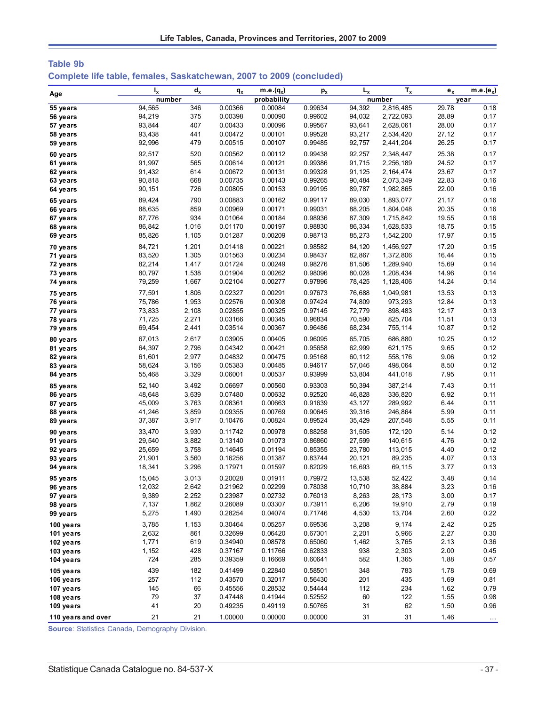| <b>Table 9b</b>                                                      |  |  |  |
|----------------------------------------------------------------------|--|--|--|
| Complete life table, females, Saskatchewan, 2007 to 2009 (concluded) |  |  |  |

|                      | $I_{x}$          | $d_x$          | $q_{x}$            | $m.e.(q_x)$        | $p_{x}$            | $L_{x}$          | $T_{x}$                | $e_{x}$        | $m.e.(e_x)$  |
|----------------------|------------------|----------------|--------------------|--------------------|--------------------|------------------|------------------------|----------------|--------------|
| Age                  | number           |                |                    | probability        |                    |                  | number                 |                | year         |
| 55 years             | 94,565           | 346            | 0.00366            | 0.00084            | 0.99634            | 94,392           | 2,816,485              | 29.78          | 0.18         |
| 56 years             | 94,219           | 375            | 0.00398            | 0.00090            | 0.99602            | 94,032           | 2,722,093              | 28.89          | 0.17         |
| 57 years             | 93,844           | 407            | 0.00433            | 0.00096            | 0.99567            | 93,641           | 2,628,061              | 28.00          | 0.17         |
| 58 years             | 93,438           | 441            | 0.00472            | 0.00101            | 0.99528            | 93,217           | 2,534,420              | 27.12          | 0.17         |
| 59 years             | 92,996           | 479            | 0.00515            | 0.00107            | 0.99485            | 92,757           | 2,441,204              | 26.25          | 0.17         |
| 60 years             | 92,517           | 520            | 0.00562            | 0.00112            | 0.99438            | 92,257           | 2,348,447              | 25.38          | 0.17         |
| 61 years             | 91,997           | 565            | 0.00614            | 0.00121            | 0.99386            | 91,715           | 2,256,189              | 24.52          | 0.17         |
| 62 years             | 91,432           | 614            | 0.00672            | 0.00131            | 0.99328            | 91,125           | 2,164,474              | 23.67          | 0.17         |
| 63 years             | 90,818           | 668            | 0.00735            | 0.00143            | 0.99265            | 90,484           | 2,073,349              | 22.83          | 0.16         |
| 64 years             | 90,151           | 726            | 0.00805            | 0.00153            | 0.99195            | 89,787           | 1,982,865              | 22.00          | 0.16         |
| 65 years             | 89,424           | 790            | 0.00883            | 0.00162            | 0.99117            | 89,030           | 1,893,077              | 21.17          | 0.16         |
| 66 years             | 88,635           | 859            | 0.00969            | 0.00171            | 0.99031            | 88,205           | 1,804,048              | 20.35          | 0.16         |
| 67 years             | 87,776           | 934            | 0.01064            | 0.00184            | 0.98936            | 87,309           | 1,715,842              | 19.55          | 0.16         |
| 68 years             | 86,842           | 1,016          | 0.01170            | 0.00197            | 0.98830            | 86,334           | 1,628,533              | 18.75          | 0.15         |
| 69 years             | 85,826           | 1,105          | 0.01287            | 0.00209            | 0.98713            | 85,273           | 1,542,200              | 17.97          | 0.15         |
| 70 years             | 84,721           | 1,201          | 0.01418            | 0.00221            | 0.98582            | 84,120           | 1,456,927              | 17.20          | 0.15         |
| 71 years             | 83,520           | 1,305          | 0.01563            | 0.00234            | 0.98437            | 82,867           | 1,372,806              | 16.44          | 0.15         |
| 72 years             | 82,214           | 1,417          | 0.01724<br>0.01904 | 0.00249            | 0.98276            | 81,506           | 1,289,940              | 15.69          | 0.14<br>0.14 |
| 73 years             | 80,797<br>79,259 | 1,538<br>1,667 | 0.02104            | 0.00262<br>0.00277 | 0.98096<br>0.97896 | 80,028<br>78,425 | 1,208,434<br>1,128,406 | 14.96<br>14.24 | 0.14         |
| 74 years             |                  |                |                    |                    |                    |                  |                        |                |              |
| 75 years             | 77,591           | 1,806          | 0.02327            | 0.00291            | 0.97673            | 76,688           | 1,049,981              | 13.53          | 0.13         |
| 76 years             | 75,786<br>73,833 | 1,953<br>2,108 | 0.02576<br>0.02855 | 0.00308<br>0.00325 | 0.97424<br>0.97145 | 74,809<br>72,779 | 973,293<br>898,483     | 12.84<br>12.17 | 0.13<br>0.13 |
| 77 years<br>78 years | 71,725           | 2,271          | 0.03166            | 0.00345            | 0.96834            | 70,590           | 825,704                | 11.51          | 0.13         |
| 79 years             | 69,454           | 2,441          | 0.03514            | 0.00367            | 0.96486            | 68,234           | 755,114                | 10.87          | 0.12         |
|                      | 67,013           | 2,617          | 0.03905            | 0.00405            | 0.96095            | 65,705           | 686,880                | 10.25          | 0.12         |
| 80 years<br>81 years | 64,397           | 2,796          | 0.04342            | 0.00421            | 0.95658            | 62,999           | 621,175                | 9.65           | 0.12         |
| 82 years             | 61,601           | 2,977          | 0.04832            | 0.00475            | 0.95168            | 60,112           | 558,176                | 9.06           | 0.12         |
| 83 years             | 58,624           | 3,156          | 0.05383            | 0.00485            | 0.94617            | 57,046           | 498,064                | 8.50           | 0.12         |
| 84 years             | 55,468           | 3,329          | 0.06001            | 0.00537            | 0.93999            | 53,804           | 441,018                | 7.95           | 0.11         |
| 85 years             | 52,140           | 3,492          | 0.06697            | 0.00560            | 0.93303            | 50,394           | 387,214                | 7.43           | 0.11         |
| 86 years             | 48,648           | 3,639          | 0.07480            | 0.00632            | 0.92520            | 46,828           | 336,820                | 6.92           | 0.11         |
| 87 years             | 45,009           | 3,763          | 0.08361            | 0.00663            | 0.91639            | 43,127           | 289,992                | 6.44           | 0.11         |
| 88 years             | 41,246           | 3,859          | 0.09355            | 0.00769            | 0.90645            | 39,316           | 246,864                | 5.99           | 0.11         |
| 89 years             | 37,387           | 3,917          | 0.10476            | 0.00824            | 0.89524            | 35,429           | 207,548                | 5.55           | 0.11         |
| 90 years             | 33,470           | 3,930          | 0.11742            | 0.00978            | 0.88258            | 31,505           | 172,120                | 5.14           | 0.12         |
| 91 years             | 29,540           | 3,882          | 0.13140            | 0.01073            | 0.86860            | 27,599           | 140,615                | 4.76           | 0.12         |
| 92 years             | 25,659           | 3,758          | 0.14645            | 0.01194            | 0.85355            | 23,780           | 113,015                | 4.40           | 0.12         |
| 93 years             | 21,901           | 3,560          | 0.16256            | 0.01387            | 0.83744            | 20,121           | 89,235                 | 4.07           | 0.13         |
| 94 years             | 18,341           | 3,296          | 0.17971            | 0.01597            | 0.82029            | 16,693           | 69,115                 | 3.77           | 0.13         |
| 95 years             | 15,045           | 3,013          | 0.20028            | 0.01911            | 0.79972            | 13,538           | 52,422                 | 3.48           | 0.14         |
| 96 years             | 12,032           | 2,642          | 0.21962            | 0.02299            | 0.78038            | 10,710           | 38,884                 | 3.23           | 0.16         |
| 97 years             | 9,389            | 2,252          | 0.23987            | 0.02732            | 0.76013            | 8,263            | 28,173                 | 3.00           | 0.17         |
| 98 years             | 7,137            | 1,862          | 0.26089            | 0.03307            | 0.73911            | 6,206            | 19,910                 | 2.79           | 0.19         |
| 99 years             | 5,275            | 1,490          | 0.28254            | 0.04074            | 0.71746            | 4,530            | 13,704                 | 2.60           | 0.22         |
| 100 years            | 3,785            | 1,153          | 0.30464            | 0.05257            | 0.69536            | 3,208            | 9,174                  | 2.42           | 0.25         |
| 101 years            | 2,632            | 861            | 0.32699            | 0.06420            | 0.67301            | 2,201            | 5,966                  | 2.27           | 0.30         |
| 102 years            | 1,771            | 619            | 0.34940            | 0.08578            | 0.65060            | 1,462            | 3,765                  | 2.13           | 0.36         |
| 103 years            | 1,152            | 428            | 0.37167            | 0.11766            | 0.62833            | 938              | 2,303                  | 2.00           | 0.45         |
| 104 years            | 724              | 285            | 0.39359            | 0.16669            | 0.60641            | 582              | 1,365                  | 1.88           | 0.57         |
| 105 years            | 439              | 182            | 0.41499            | 0.22840            | 0.58501            | 348              | 783                    | 1.78           | 0.69         |
| 106 years            | 257              | 112            | 0.43570            | 0.32017            | 0.56430            | 201              | 435                    | 1.69           | 0.81         |
| 107 years            | 145              | 66             | 0.45556            | 0.28532            | 0.54444            | 112              | 234                    | 1.62           | 0.79         |
| 108 years            | 79               | 37             | 0.47448            | 0.41944            | 0.52552            | 60               | 122                    | 1.55           | 0.98         |
| 109 years            | 41               | 20             | 0.49235            | 0.49119            | 0.50765            | 31               | 62                     | 1.50           | 0.96         |
| 110 years and over   | 21               | 21             | 1.00000            | 0.00000            | 0.00000            | 31               | 31                     | 1.46           | $\cdots$     |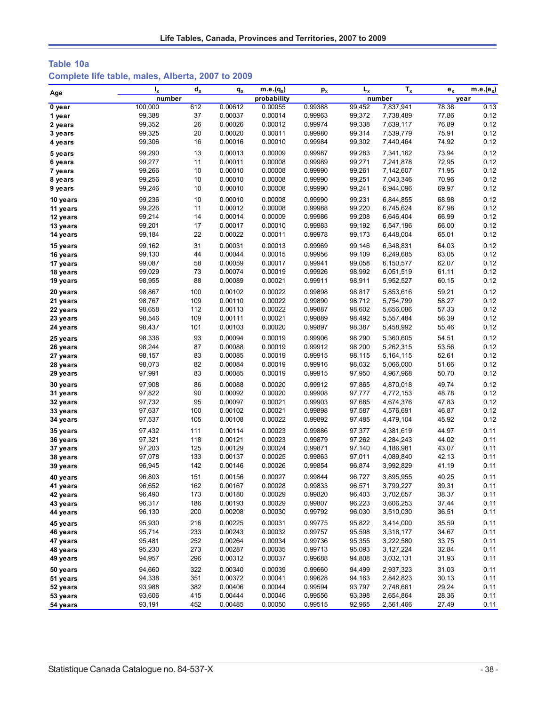# **Table 10a Complete life table, males, Alberta, 2007 to 2009**

|          | $I_{x}$ | $d_x$ | $q_{x}$ | $m.e.(q_x)$ | $p_{x}$ | $L_{x}$ | $T_{x}$   | $e_x$ | $m.e.(e_x)$ |
|----------|---------|-------|---------|-------------|---------|---------|-----------|-------|-------------|
| Age      | number  |       |         | probability |         |         | number    | year  |             |
| 0 year   | 100,000 | 612   | 0.00612 | 0.00055     | 0.99388 | 99,452  | 7,837,941 | 78.38 | 0.13        |
| 1 year   | 99,388  | 37    | 0.00037 | 0.00014     | 0.99963 | 99,372  | 7,738,489 | 77.86 | 0.12        |
| 2 years  | 99,352  | 26    | 0.00026 | 0.00012     | 0.99974 | 99,338  | 7,639,117 | 76.89 | 0.12        |
| 3 years  | 99,325  | 20    | 0.00020 | 0.00011     | 0.99980 | 99,314  | 7,539,779 | 75.91 | 0.12        |
| 4 years  | 99,306  | 16    | 0.00016 | 0.00010     | 0.99984 | 99,302  | 7,440,464 | 74.92 | 0.12        |
| 5 years  | 99,290  | 13    | 0.00013 | 0.00009     | 0.99987 | 99,283  | 7,341,162 | 73.94 | 0.12        |
| 6 years  | 99,277  | 11    | 0.00011 | 0.00008     | 0.99989 | 99,271  | 7,241,878 | 72.95 | 0.12        |
| 7 years  | 99,266  | 10    | 0.00010 | 0.00008     | 0.99990 | 99,261  | 7,142,607 | 71.95 | 0.12        |
| 8 years  | 99,256  | 10    | 0.00010 | 0.00008     | 0.99990 | 99,251  | 7,043,346 | 70.96 | 0.12        |
| 9 years  | 99,246  | 10    | 0.00010 | 0.00008     | 0.99990 | 99,241  | 6,944,096 | 69.97 | 0.12        |
| 10 years | 99,236  | 10    | 0.00010 | 0.00008     | 0.99990 | 99,231  | 6,844,855 | 68.98 | 0.12        |
| 11 years | 99,226  | 11    | 0.00012 | 0.00008     | 0.99988 | 99,220  | 6,745,624 | 67.98 | 0.12        |
| 12 years | 99,214  | 14    | 0.00014 | 0.00009     | 0.99986 | 99,208  | 6,646,404 | 66.99 | 0.12        |
| 13 years | 99,201  | 17    | 0.00017 | 0.00010     | 0.99983 | 99,192  | 6,547,196 | 66.00 | 0.12        |
| 14 years | 99,184  | 22    | 0.00022 | 0.00011     | 0.99978 | 99,173  | 6,448,004 | 65.01 | 0.12        |
| 15 years | 99,162  | 31    | 0.00031 | 0.00013     | 0.99969 | 99,146  | 6,348,831 | 64.03 | 0.12        |
| 16 years | 99,130  | 44    | 0.00044 | 0.00015     | 0.99956 | 99,109  | 6,249,685 | 63.05 | 0.12        |
| 17 years | 99,087  | 58    | 0.00059 | 0.00017     | 0.99941 | 99,058  | 6,150,577 | 62.07 | 0.12        |
| 18 years | 99,029  | 73    | 0.00074 | 0.00019     | 0.99926 | 98,992  | 6,051,519 | 61.11 | 0.12        |
| 19 years | 98,955  | 88    | 0.00089 | 0.00021     | 0.99911 | 98,911  | 5,952,527 | 60.15 | 0.12        |
| 20 years | 98,867  | 100   | 0.00102 | 0.00022     | 0.99898 | 98,817  | 5,853,616 | 59.21 | 0.12        |
| 21 years | 98,767  | 109   | 0.00110 | 0.00022     | 0.99890 | 98,712  | 5,754,799 | 58.27 | 0.12        |
| 22 years | 98,658  | 112   | 0.00113 | 0.00022     | 0.99887 | 98,602  | 5,656,086 | 57.33 | 0.12        |
| 23 years | 98,546  | 109   | 0.00111 | 0.00021     | 0.99889 | 98,492  | 5,557,484 | 56.39 | 0.12        |
| 24 years | 98,437  | 101   | 0.00103 | 0.00020     | 0.99897 | 98,387  | 5,458,992 | 55.46 | 0.12        |
| 25 years | 98,336  | 93    | 0.00094 | 0.00019     | 0.99906 | 98,290  | 5,360,605 | 54.51 | 0.12        |
| 26 years | 98,244  | 87    | 0.00088 | 0.00019     | 0.99912 | 98,200  | 5,262,315 | 53.56 | 0.12        |
| 27 years | 98,157  | 83    | 0.00085 | 0.00019     | 0.99915 | 98,115  | 5,164,115 | 52.61 | 0.12        |
| 28 years | 98,073  | 82    | 0.00084 | 0.00019     | 0.99916 | 98,032  | 5,066,000 | 51.66 | 0.12        |
| 29 years | 97,991  | 83    | 0.00085 | 0.00019     | 0.99915 | 97,950  | 4,967,968 | 50.70 | 0.12        |
| 30 years | 97,908  | 86    | 0.00088 | 0.00020     | 0.99912 | 97,865  | 4,870,018 | 49.74 | 0.12        |
| 31 years | 97,822  | 90    | 0.00092 | 0.00020     | 0.99908 | 97,777  | 4,772,153 | 48.78 | 0.12        |
| 32 years | 97,732  | 95    | 0.00097 | 0.00021     | 0.99903 | 97,685  | 4,674,376 | 47.83 | 0.12        |
| 33 years | 97,637  | 100   | 0.00102 | 0.00021     | 0.99898 | 97,587  | 4,576,691 | 46.87 | 0.12        |
| 34 years | 97,537  | 105   | 0.00108 | 0.00022     | 0.99892 | 97,485  | 4,479,104 | 45.92 | 0.12        |
| 35 years | 97,432  | 111   | 0.00114 | 0.00023     | 0.99886 | 97,377  | 4,381,619 | 44.97 | 0.11        |
| 36 years | 97,321  | 118   | 0.00121 | 0.00023     | 0.99879 | 97,262  | 4,284,243 | 44.02 | 0.11        |
| 37 years | 97,203  | 125   | 0.00129 | 0.00024     | 0.99871 | 97,140  | 4,186,981 | 43.07 | 0.11        |
| 38 years | 97,078  | 133   | 0.00137 | 0.00025     | 0.99863 | 97,011  | 4,089,840 | 42.13 | 0.11        |
| 39 years | 96,945  | 142   | 0.00146 | 0.00026     | 0.99854 | 96,874  | 3,992,829 | 41.19 | 0.11        |
| 40 years | 96,803  | 151   | 0.00156 | 0.00027     | 0.99844 | 96,727  | 3,895,955 | 40.25 | 0.11        |
| 41 years | 96,652  | 162   | 0.00167 | 0.00028     | 0.99833 | 96,571  | 3,799,227 | 39.31 | 0.11        |
| 42 years | 96,490  | 173   | 0.00180 | 0.00029     | 0.99820 | 96,403  | 3,702,657 | 38.37 | 0.11        |
| 43 years | 96,317  | 186   | 0.00193 | 0.00029     | 0.99807 | 96,223  | 3,606,253 | 37.44 | 0.11        |
| 44 years | 96,130  | 200   | 0.00208 | 0.00030     | 0.99792 | 96,030  | 3,510,030 | 36.51 | 0.11        |
| 45 years | 95,930  | 216   | 0.00225 | 0.00031     | 0.99775 | 95,822  | 3,414,000 | 35.59 | 0.11        |
| 46 years | 95,714  | 233   | 0.00243 | 0.00032     | 0.99757 | 95,598  | 3,318,177 | 34.67 | 0.11        |
| 47 years | 95,481  | 252   | 0.00264 | 0.00034     | 0.99736 | 95,355  | 3,222,580 | 33.75 | 0.11        |
| 48 years | 95,230  | 273   | 0.00287 | 0.00035     | 0.99713 | 95,093  | 3,127,224 | 32.84 | 0.11        |
| 49 years | 94,957  | 296   | 0.00312 | 0.00037     | 0.99688 | 94,808  | 3,032,131 | 31.93 | 0.11        |
| 50 years | 94,660  | 322   | 0.00340 | 0.00039     | 0.99660 | 94,499  | 2,937,323 | 31.03 | 0.11        |
| 51 years | 94,338  | 351   | 0.00372 | 0.00041     | 0.99628 | 94,163  | 2,842,823 | 30.13 | 0.11        |
| 52 years | 93,988  | 382   | 0.00406 | 0.00044     | 0.99594 | 93,797  | 2,748,661 | 29.24 | 0.11        |
| 53 years | 93,606  | 415   | 0.00444 | 0.00046     | 0.99556 | 93,398  | 2,654,864 | 28.36 | 0.11        |
| 54 years | 93,191  | 452   | 0.00485 | 0.00050     | 0.99515 | 92,965  | 2,561,466 | 27.49 | 0.11        |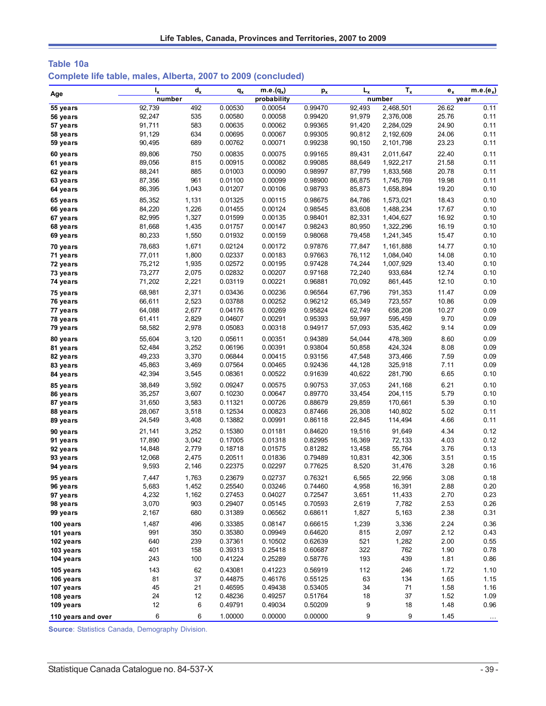| Table 10a                                                     |  |  |
|---------------------------------------------------------------|--|--|
| Complete life table, males, Alberta, 2007 to 2009 (concluded) |  |  |

| Age                    | $I_{x}$         | $d_{x}$      | $q_{x}$            | $m.e.(q_x)$        | $p_{x}$            | $L_{x}$         | $T_{x}$        | $e_{x}$      | $m.e.(e_x)$          |
|------------------------|-----------------|--------------|--------------------|--------------------|--------------------|-----------------|----------------|--------------|----------------------|
|                        | number          |              |                    | probability        |                    |                 | number         |              | year                 |
| 55 years               | 92,739          | 492          | 0.00530            | 0.00054            | 0.99470            | 92,493          | 2,468,501      | 26.62        | 0.11                 |
| 56 years               | 92,247          | 535          | 0.00580            | 0.00058            | 0.99420            | 91,979          | 2,376,008      | 25.76        | 0.11                 |
| 57 years               | 91,711          | 583          | 0.00635            | 0.00062            | 0.99365            | 91,420          | 2,284,029      | 24.90        | 0.11                 |
| 58 years               | 91,129          | 634          | 0.00695            | 0.00067            | 0.99305            | 90,812          | 2,192,609      | 24.06        | 0.11                 |
| 59 years               | 90,495          | 689          | 0.00762            | 0.00071            | 0.99238            | 90,150          | 2,101,798      | 23.23        | 0.11                 |
| 60 years               | 89,806          | 750          | 0.00835            | 0.00075            | 0.99165            | 89,431          | 2,011,647      | 22.40        | 0.11                 |
| 61 years               | 89,056          | 815          | 0.00915            | 0.00082            | 0.99085            | 88,649          | 1,922,217      | 21.58        | 0.11                 |
| 62 years               | 88,241          | 885          | 0.01003            | 0.00090            | 0.98997            | 87,799          | 1,833,568      | 20.78        | 0.11                 |
| 63 years               | 87,356          | 961          | 0.01100            | 0.00099            | 0.98900            | 86,875          | 1,745,769      | 19.98        | 0.11                 |
| 64 years               | 86,395          | 1,043        | 0.01207            | 0.00106            | 0.98793            | 85,873          | 1,658,894      | 19.20        | 0.10                 |
| 65 years               | 85,352          | 1,131        | 0.01325            | 0.00115            | 0.98675            | 84,786          | 1,573,021      | 18.43        | 0.10                 |
| 66 years               | 84,220          | 1,226        | 0.01455            | 0.00124            | 0.98545            | 83,608          | 1,488,234      | 17.67        | 0.10                 |
| 67 years               | 82,995          | 1,327        | 0.01599            | 0.00135            | 0.98401            | 82,331          | 1,404,627      | 16.92        | 0.10                 |
| 68 years               | 81,668          | 1,435        | 0.01757            | 0.00147            | 0.98243            | 80,950          | 1,322,296      | 16.19        | 0.10                 |
| 69 years               | 80,233          | 1,550        | 0.01932            | 0.00159            | 0.98068            | 79,458          | 1,241,345      | 15.47        | 0.10                 |
| 70 years               | 78,683          | 1,671        | 0.02124            | 0.00172            | 0.97876            | 77,847          | 1,161,888      | 14.77        | 0.10                 |
| 71 years               | 77,011          | 1,800        | 0.02337            | 0.00183            | 0.97663            | 76,112          | 1,084,040      | 14.08        | 0.10                 |
| 72 years               | 75,212          | 1,935        | 0.02572            | 0.00195            | 0.97428            | 74,244          | 1,007,929      | 13.40        | 0.10                 |
| 73 years               | 73,277          | 2,075        | 0.02832            | 0.00207            | 0.97168            | 72,240          | 933,684        | 12.74        | 0.10                 |
| 74 years               | 71,202          | 2,221        | 0.03119            | 0.00221            | 0.96881            | 70,092          | 861,445        | 12.10        | 0.10                 |
| 75 years               | 68,981          | 2,371        | 0.03436            | 0.00236            | 0.96564            | 67,796          | 791,353        | 11.47        | 0.09                 |
| 76 years               | 66,611          | 2,523        | 0.03788            | 0.00252            | 0.96212            | 65,349          | 723,557        | 10.86        | 0.09                 |
| 77 years               | 64,088          | 2,677        | 0.04176            | 0.00269            | 0.95824            | 62,749          | 658,208        | 10.27        | 0.09                 |
| 78 years               | 61,411          | 2,829        | 0.04607            | 0.00291            | 0.95393            | 59,997          | 595,459        | 9.70         | 0.09                 |
| 79 years               | 58,582          | 2,978        | 0.05083            | 0.00318            | 0.94917            | 57,093          | 535,462        | 9.14         | 0.09                 |
| 80 years               | 55,604          | 3,120        | 0.05611            | 0.00351            | 0.94389            | 54,044          | 478,369        | 8.60         | 0.09                 |
| 81 years               | 52,484          | 3,252        | 0.06196            | 0.00391            | 0.93804            | 50,858          | 424,324        | 8.08         | 0.09                 |
| 82 years               | 49,233          | 3,370        | 0.06844            | 0.00415            | 0.93156            | 47,548          | 373,466        | 7.59         | 0.09                 |
| 83 years               | 45,863          | 3,469        | 0.07564            | 0.00465            | 0.92436            | 44,128          | 325,918        | 7.11         | 0.09                 |
| 84 years               | 42,394          | 3,545        | 0.08361            | 0.00522            | 0.91639            | 40,622          | 281,790        | 6.65         | 0.10                 |
| 85 years               | 38,849          | 3,592        | 0.09247            | 0.00575            | 0.90753            | 37,053          | 241,168        | 6.21         | 0.10                 |
| 86 years               | 35,257          | 3,607        | 0.10230            | 0.00647            | 0.89770            | 33,454          | 204,115        | 5.79         | 0.10                 |
| 87 years               | 31,650          | 3,583        | 0.11321            | 0.00726            | 0.88679            | 29,859          | 170,661        | 5.39         | 0.10                 |
| 88 years               | 28,067          | 3,518        | 0.12534            | 0.00823            | 0.87466            | 26,308          | 140,802        | 5.02         | 0.11                 |
| 89 years               | 24,549          | 3,408        | 0.13882            | 0.00991            | 0.86118            | 22,845          | 114,494        | 4.66         | 0.11                 |
| 90 years               | 21,141          | 3,252        | 0.15380            | 0.01181            | 0.84620            | 19,516          | 91,649         | 4.34         | 0.12                 |
| 91 years               | 17,890          | 3,042        | 0.17005            | 0.01318            | 0.82995            | 16,369          | 72,133         | 4.03         | 0.12                 |
| 92 years               | 14,848          | 2,779        | 0.18718            | 0.01575            | 0.81282            | 13,458          | 55,764         | 3.76         | 0.13                 |
| 93 years               | 12,068<br>9,593 | 2,475        | 0.20511<br>0.22375 | 0.01836<br>0.02297 | 0.79489<br>0.77625 | 10,831<br>8,520 | 42,306         | 3.51<br>3.28 | 0.15<br>0.16         |
| 94 years               |                 | 2,146        |                    |                    |                    |                 | 31,476         |              |                      |
| 95 years               | 7,447           | 1,763        | 0.23679            | 0.02737            | 0.76321            | 6,565           | 22,956         | 3.08         | 0.18                 |
| 96 years               | 5,683           | 1,452        | 0.25540            | 0.03246            | 0.74460            | 4,958           | 16,391         | 2.88         | 0.20                 |
| 97 years               | 4,232           | 1,162<br>903 | 0.27453            | 0.04027            | 0.72547            | 3,651           | 11,433         | 2.70         | 0.23                 |
| 98 years               | 3,070<br>2,167  | 680          | 0.29407<br>0.31389 | 0.05145<br>0.06562 | 0.70593<br>0.68611 | 2,619<br>1,827  | 7,782<br>5,163 | 2.53<br>2.38 | 0.26<br>0.31         |
| 99 years               |                 |              |                    |                    |                    |                 |                |              |                      |
| 100 years              | 1,487           | 496          | 0.33385            | 0.08147            | 0.66615            | 1,239           | 3,336          | 2.24         | 0.36                 |
| 101 years              | 991             | 350          | 0.35380            | 0.09949            | 0.64620            | 815             | 2,097          | 2.12         | 0.43                 |
| 102 years<br>103 years | 640<br>401      | 239<br>158   | 0.37361<br>0.39313 | 0.10502<br>0.25418 | 0.62639<br>0.60687 | 521<br>322      | 1,282<br>762   | 2.00<br>1.90 | 0.55<br>0.78         |
| 104 years              | 243             | 100          | 0.41224            | 0.25289            | 0.58776            | 193             | 439            | 1.81         | 0.86                 |
|                        |                 |              |                    |                    |                    |                 |                |              |                      |
| 105 years              | 143             | 62           | 0.43081            | 0.41223            | 0.56919            | 112             | 246            | 1.72         | 1.10                 |
| 106 years              | 81<br>45        | 37<br>21     | 0.44875<br>0.46595 | 0.46176<br>0.49438 | 0.55125<br>0.53405 | 63<br>34        | 134<br>71      | 1.65<br>1.58 | 1.15<br>1.16         |
| 107 years<br>108 years | 24              | 12           | 0.48236            | 0.49257            | 0.51764            | 18              | 37             | 1.52         | 1.09                 |
| 109 years              | 12              | 6            | 0.49791            | 0.49034            | 0.50209            | 9               | 18             | 1.48         | 0.96                 |
|                        |                 |              |                    |                    |                    |                 |                |              |                      |
| 110 years and over     | 6               | 6            | 1.00000            | 0.00000            | 0.00000            | 9               | 9              | 1.45         | $\sim$ $\sim$ $\sim$ |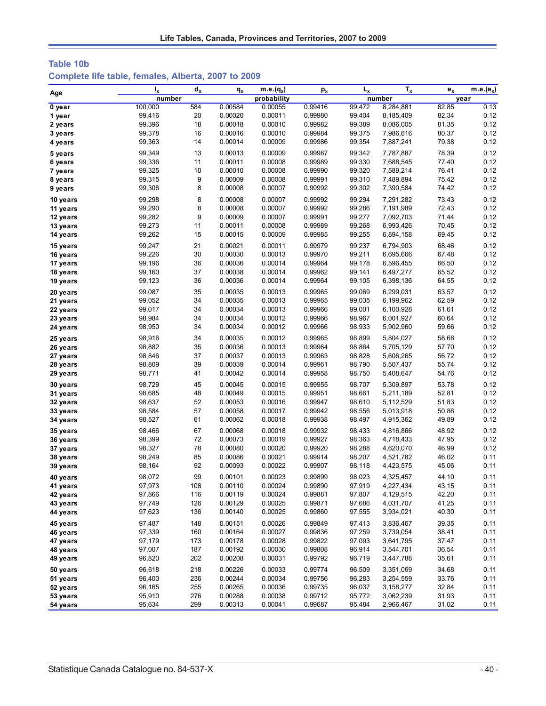# **Table 10b Complete life table, females, Alberta, 2007 to 2009**

| Age                  | $I_{x}$          | $\mathbf{d}_{\mathbf{x}}$ | $q_{x}$            | $m.e.(q_x)$        | $p_{x}$            | $L_{x}$          | $T_{x}$                | $e_{x}$        | $m.e.(e_x)$  |
|----------------------|------------------|---------------------------|--------------------|--------------------|--------------------|------------------|------------------------|----------------|--------------|
|                      | number           |                           |                    | probability        |                    |                  | number                 |                | year         |
| 0 year               | 100,000          | 584                       | 0.00584            | 0.00055            | 0.99416            | 99,472           | 8,284,881              | 82.85          | 0.13         |
| 1 year               | 99,416           | 20                        | 0.00020            | 0.00011            | 0.99980            | 99,404           | 8,185,409              | 82.34          | 0.12         |
| 2 years              | 99,396           | 18                        | 0.00018            | 0.00010            | 0.99982            | 99,389           | 8,086,005              | 81.35          | 0.12         |
| 3 years              | 99,378           | 16                        | 0.00016            | 0.00010            | 0.99984            | 99,375           | 7,986,616              | 80.37          | 0.12         |
| 4 years              | 99,363           | 14                        | 0.00014            | 0.00009            | 0.99986            | 99,354           | 7,887,241              | 79.38          | 0.12         |
| 5 years              | 99,349           | 13                        | 0.00013            | 0.00009            | 0.99987            | 99,342           | 7,787,887              | 78.39          | 0.12         |
| 6 years              | 99,336           | 11                        | 0.00011            | 0.00008            | 0.99989            | 99,330           | 7,688,545              | 77.40          | 0.12         |
| 7 years              | 99,325           | 10                        | 0.00010            | 0.00008            | 0.99990            | 99,320           | 7,589,214              | 76.41          | 0.12         |
| 8 years              | 99,315           | 9                         | 0.00009            | 0.00008            | 0.99991            | 99,310           | 7,489,894              | 75.42          | 0.12         |
| 9 years              | 99,306           | 8                         | 0.00008            | 0.00007            | 0.99992            | 99,302           | 7,390,584              | 74.42          | 0.12         |
| 10 years             | 99,298           | 8                         | 0.00008            | 0.00007            | 0.99992            | 99,294           | 7,291,282              | 73.43          | 0.12         |
| 11 years             | 99,290           | 8                         | 0.00008            | 0.00007            | 0.99992            | 99,286           | 7,191,989              | 72.43          | 0.12         |
| 12 years             | 99,282           | 9                         | 0.00009            | 0.00007            | 0.99991            | 99,277           | 7,092,703              | 71.44          | 0.12         |
| 13 years             | 99,273           | 11                        | 0.00011            | 0.00008            | 0.99989            | 99,268           | 6,993,426              | 70.45          | 0.12         |
| 14 years             | 99,262           | 15                        | 0.00015            | 0.00009            | 0.99985            | 99,255           | 6,894,158              | 69.45          | 0.12         |
| 15 years             | 99,247           | 21                        | 0.00021            | 0.00011            | 0.99979            | 99,237           | 6,794,903              | 68.46          | 0.12         |
| 16 years             | 99,226           | 30                        | 0.00030            | 0.00013            | 0.99970            | 99,211           | 6,695,666              | 67.48          | 0.12         |
| 17 years             | 99,196           | 36                        | 0.00036            | 0.00014            | 0.99964            | 99,178           | 6,596,455              | 66.50          | 0.12         |
| 18 years             | 99,160           | 37                        | 0.00038            | 0.00014            | 0.99962            | 99,141           | 6,497,277              | 65.52          | 0.12         |
| 19 years             | 99,123           | 36                        | 0.00036            | 0.00014            | 0.99964            | 99,105           | 6,398,136              | 64.55          | 0.12         |
|                      | 99,087           | 35                        | 0.00035            | 0.00013            | 0.99965            | 99,069           | 6,299,031              | 63.57          | 0.12         |
| 20 years<br>21 years | 99,052           | 34                        | 0.00035            | 0.00013            | 0.99965            | 99,035           | 6,199,962              | 62.59          | 0.12         |
| 22 years             | 99,017           | 34                        | 0.00034            | 0.00013            | 0.99966            | 99,001           | 6,100,928              | 61.61          | 0.12         |
| 23 years             | 98,984           | 34                        | 0.00034            | 0.00012            | 0.99966            | 98,967           | 6,001,927              | 60.64          | 0.12         |
| 24 years             | 98,950           | 34                        | 0.00034            | 0.00012            | 0.99966            | 98,933           | 5,902,960              | 59.66          | 0.12         |
|                      |                  |                           |                    |                    |                    |                  |                        |                |              |
| 25 years             | 98,916           | 34                        | 0.00035            | 0.00012            | 0.99965            | 98,899           | 5,804,027              | 58.68          | 0.12         |
| 26 years             | 98,882           | 35                        | 0.00036            | 0.00013            | 0.99964            | 98,864           | 5,705,129              | 57.70          | 0.12         |
| 27 years             | 98,846<br>98,809 | 37<br>39                  | 0.00037<br>0.00039 | 0.00013<br>0.00014 | 0.99963<br>0.99961 | 98,828<br>98,790 | 5,606,265<br>5,507,437 | 56.72<br>55.74 | 0.12<br>0.12 |
| 28 years<br>29 years | 98,771           | 41                        | 0.00042            | 0.00014            | 0.99958            | 98,750           | 5,408,647              | 54.76          | 0.12         |
|                      |                  |                           |                    |                    |                    |                  |                        |                |              |
| 30 years             | 98,729           | 45                        | 0.00045            | 0.00015            | 0.99955            | 98,707           | 5,309,897              | 53.78          | 0.12         |
| 31 years             | 98,685           | 48                        | 0.00049            | 0.00015            | 0.99951            | 98,661           | 5,211,189              | 52.81          | 0.12         |
| 32 years             | 98,637<br>98,584 | 52<br>57                  | 0.00053<br>0.00058 | 0.00016<br>0.00017 | 0.99947<br>0.99942 | 98,610<br>98,556 | 5,112,529              | 51.83<br>50.86 | 0.12<br>0.12 |
| 33 years             | 98,527           | 61                        | 0.00062            | 0.00018            | 0.99938            | 98,497           | 5,013,918<br>4,915,362 | 49.89          | 0.12         |
| 34 years             |                  |                           |                    |                    |                    |                  |                        |                |              |
| 35 years             | 98,466           | 67                        | 0.00068            | 0.00018            | 0.99932            | 98,433           | 4,816,866              | 48.92          | 0.12         |
| 36 years             | 98,399           | 72                        | 0.00073            | 0.00019            | 0.99927            | 98,363           | 4,718,433              | 47.95          | 0.12<br>0.12 |
| 37 years             | 98,327<br>98,249 | 78                        | 0.00080            | 0.00020            | 0.99920            | 98,288           | 4,620,070              | 46.99          | 0.11         |
| 38 years             |                  | 85<br>92                  | 0.00086            | 0.00021            | 0.99914            | 98,207           | 4,521,782              | 46.02          | 0.11         |
| 39 years             | 98,164           |                           | 0.00093            | 0.00022            | 0.99907            | 98,118           | 4,423,575              | 45.06          |              |
| 40 years             | 98,072           | 99                        | 0.00101            | 0.00023            | 0.99899            | 98,023           | 4,325,457              | 44.10          | 0.11         |
| 41 years             | 97,973           | 108                       | 0.00110            | 0.00024            | 0.99890            | 97,919           | 4,227,434              | 43.15          | 0.11         |
| 42 years             | 97,866           | 116                       | 0.00119            | 0.00024            | 0.99881            | 97,807           | 4,129,515              | 42.20          | 0.11         |
| 43 years             | 97,749           | 126                       | 0.00129            | 0.00025            | 0.99871            | 97,686           | 4,031,707              | 41.25          | 0.11         |
| 44 years             | 97,623           | 136                       | 0.00140            | 0.00025            | 0.99860            | 97,555           | 3,934,021              | 40.30          | 0.11         |
| 45 years             | 97,487           | 148                       | 0.00151            | 0.00026            | 0.99849            | 97,413           | 3,836,467              | 39.35          | 0.11         |
| 46 years             | 97,339           | 160                       | 0.00164            | 0.00027            | 0.99836            | 97,259           | 3,739,054              | 38.41          | 0.11         |
| 47 years             | 97,179           | 173                       | 0.00178            | 0.00028            | 0.99822            | 97,093           | 3,641,795              | 37.47          | 0.11         |
| 48 years             | 97,007           | 187                       | 0.00192            | 0.00030            | 0.99808            | 96,914           | 3,544,701              | 36.54          | 0.11         |
| 49 years             | 96,820           | 202                       | 0.00208            | 0.00031            | 0.99792            | 96,719           | 3,447,788              | 35.61          | 0.11         |
| 50 years             | 96,618           | 218                       | 0.00226            | 0.00033            | 0.99774            | 96,509           | 3,351,069              | 34.68          | 0.11         |
| 51 years             | 96,400           | 236                       | 0.00244            | 0.00034            | 0.99756            | 96,283           | 3,254,559              | 33.76          | 0.11         |
| 52 years             | 96,165           | 255                       | 0.00265            | 0.00036            | 0.99735            | 96,037           | 3,158,277              | 32.84          | 0.11         |
| 53 years             | 95,910           | 276                       | 0.00288            | 0.00038            | 0.99712            | 95,772           | 3,062,239              | 31.93          | 0.11         |
| 54 years             | 95,634           | 299                       | 0.00313            | 0.00041            | 0.99687            | 95,484           | 2,966,467              | 31.02          | 0.11         |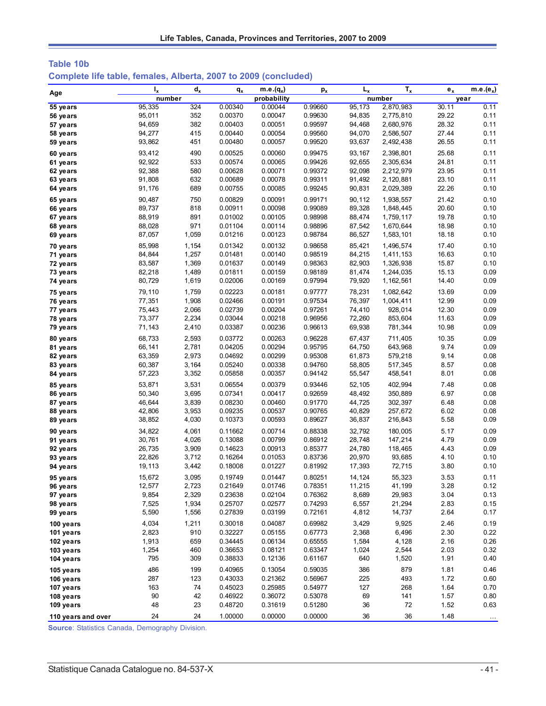| Table 10b                                                       |  |  |
|-----------------------------------------------------------------|--|--|
| Complete life table, females, Alberta, 2007 to 2009 (concluded) |  |  |

| Age                    | $I_{x}$          | $d_{x}$      | $q_{x}$            | $m.e.(q_x)$        | $p_{x}$            | $L_{x}$          | $T_{x}$          | $e_{x}$      | $m.e.(e_x)$          |
|------------------------|------------------|--------------|--------------------|--------------------|--------------------|------------------|------------------|--------------|----------------------|
|                        | number           |              |                    | probability        |                    |                  | number           |              | year                 |
| 55 years               | 95,335           | 324          | 0.00340            | 0.00044            | 0.99660            | 95,173           | 2,870,983        | 30.11        | 0.11                 |
| 56 years               | 95,011           | 352          | 0.00370            | 0.00047            | 0.99630            | 94,835           | 2,775,810        | 29.22        | 0.11                 |
| 57 years               | 94,659           | 382          | 0.00403            | 0.00051            | 0.99597            | 94,468           | 2,680,976        | 28.32        | 0.11                 |
| 58 years               | 94,277           | 415          | 0.00440            | 0.00054            | 0.99560            | 94,070           | 2,586,507        | 27.44        | 0.11                 |
| 59 years               | 93,862           | 451          | 0.00480            | 0.00057            | 0.99520            | 93,637           | 2,492,438        | 26.55        | 0.11                 |
| 60 years               | 93,412           | 490          | 0.00525            | 0.00060            | 0.99475            | 93,167           | 2,398,801        | 25.68        | 0.11                 |
| 61 years               | 92,922           | 533          | 0.00574            | 0.00065            | 0.99426            | 92,655           | 2,305,634        | 24.81        | 0.11                 |
| 62 years               | 92,388           | 580          | 0.00628            | 0.00071            | 0.99372            | 92,098           | 2,212,979        | 23.95        | 0.11                 |
| 63 years               | 91,808           | 632          | 0.00689            | 0.00078            | 0.99311            | 91,492           | 2,120,881        | 23.10        | 0.11                 |
| 64 years               | 91,176           | 689          | 0.00755            | 0.00085            | 0.99245            | 90,831           | 2,029,389        | 22.26        | 0.10                 |
| 65 years               | 90,487           | 750          | 0.00829            | 0.00091            | 0.99171            | 90.112           | 1,938,557        | 21.42        | 0.10                 |
| 66 years               | 89,737           | 818          | 0.00911            | 0.00098            | 0.99089            | 89,328           | 1,848,445        | 20.60        | 0.10                 |
| 67 years               | 88,919           | 891          | 0.01002            | 0.00105            | 0.98998            | 88,474           | 1,759,117        | 19.78        | 0.10                 |
| 68 years               | 88,028           | 971          | 0.01104            | 0.00114            | 0.98896            | 87,542           | 1,670,644        | 18.98        | 0.10                 |
| 69 years               | 87,057           | 1,059        | 0.01216            | 0.00123            | 0.98784            | 86,527           | 1,583,101        | 18.18        | 0.10                 |
| 70 years               | 85,998           | 1,154        | 0.01342            | 0.00132            | 0.98658            | 85,421           | 1,496,574        | 17.40        | 0.10                 |
| 71 years               | 84,844           | 1,257        | 0.01481            | 0.00140            | 0.98519            | 84,215           | 1,411,153        | 16.63        | 0.10                 |
| 72 years               | 83,587           | 1,369        | 0.01637            | 0.00149            | 0.98363            | 82,903           | 1,326,938        | 15.87        | 0.10                 |
| 73 years               | 82,218           | 1,489        | 0.01811            | 0.00159            | 0.98189            | 81,474           | 1,244,035        | 15.13        | 0.09                 |
| 74 years               | 80,729           | 1,619        | 0.02006            | 0.00169            | 0.97994            | 79,920           | 1,162,561        | 14.40        | 0.09                 |
| 75 years               | 79,110           | 1,759        | 0.02223            | 0.00181            | 0.97777            | 78,231           | 1,082,642        | 13.69        | 0.09                 |
| 76 years               | 77,351           | 1,908        | 0.02466            | 0.00191            | 0.97534            | 76,397           | 1,004,411        | 12.99        | 0.09                 |
| 77 years               | 75,443           | 2,066        | 0.02739            | 0.00204            | 0.97261            | 74,410           | 928,014          | 12.30        | 0.09                 |
| 78 years               | 73,377           | 2,234        | 0.03044            | 0.00218            | 0.96956            | 72,260           | 853,604          | 11.63        | 0.09                 |
| 79 years               | 71,143           | 2,410        | 0.03387            | 0.00236            | 0.96613            | 69,938           | 781,344          | 10.98        | 0.09                 |
| 80 years               | 68,733           | 2,593        | 0.03772            | 0.00263            | 0.96228            | 67,437           | 711,405          | 10.35        | 0.09                 |
| 81 years               | 66,141           | 2,781        | 0.04205            | 0.00294            | 0.95795            | 64,750           | 643,968          | 9.74         | 0.09                 |
| 82 years               | 63,359           | 2,973        | 0.04692            | 0.00299            | 0.95308            | 61,873           | 579,218          | 9.14         | 0.08                 |
| 83 years               | 60,387           | 3,164        | 0.05240            | 0.00338            | 0.94760            | 58,805           | 517,345          | 8.57         | 0.08                 |
| 84 years               | 57,223           | 3,352        | 0.05858            | 0.00357            | 0.94142            | 55,547           | 458,541          | 8.01         | 0.08                 |
| 85 years               | 53,871           | 3,531        | 0.06554            | 0.00379            | 0.93446            | 52,105           | 402,994          | 7.48         | 0.08                 |
| 86 years               | 50,340           | 3,695        | 0.07341            | 0.00417            | 0.92659            | 48,492           | 350,889          | 6.97         | 0.08                 |
| 87 years               | 46,644           | 3,839        | 0.08230            | 0.00460            | 0.91770            | 44,725           | 302,397          | 6.48         | 0.08                 |
| 88 years               | 42,806           | 3,953        | 0.09235            | 0.00537            | 0.90765            | 40,829           | 257,672          | 6.02         | 0.08                 |
| 89 years               | 38,852           | 4,030        | 0.10373            | 0.00593            | 0.89627            | 36,837           | 216,843          | 5.58         | 0.09                 |
| 90 years               | 34,822           | 4,061        | 0.11662            | 0.00714            | 0.88338            | 32,792           | 180,005          | 5.17         | 0.09                 |
| 91 years               | 30,761           | 4,026        | 0.13088            | 0.00799            | 0.86912            | 28,748           | 147,214          | 4.79         | 0.09                 |
| 92 years               | 26,735           | 3,909        | 0.14623            | 0.00913            | 0.85377            | 24,780           | 118,465          | 4.43         | 0.09                 |
| 93 years               | 22,826           | 3,712        | 0.16264            | 0.01053            | 0.83736            | 20,970           | 93,685           | 4.10         | 0.10                 |
| 94 years               | 19,113           | 3,442        | 0.18008            | 0.01227            | 0.81992            | 17,393           | 72,715           | 3.80         | 0.10                 |
|                        |                  | 3,095        |                    |                    | 0.80251            |                  |                  | 3.53         | 0.11                 |
| 95 years<br>96 years   | 15,672<br>12,577 | 2,723        | 0.19749<br>0.21649 | 0.01447<br>0.01746 | 0.78351            | 14,124<br>11,215 | 55,323<br>41,199 | 3.28         | 0.12                 |
| 97 years               | 9,854            | 2,329        | 0.23638            | 0.02104            | 0.76362            | 8,689            | 29,983           | 3.04         | 0.13                 |
| 98 years               | 7,525            | 1,934        | 0.25707            | 0.02577            | 0.74293            | 6,557            | 21,294           | 2.83         | 0.15                 |
| 99 years               | 5,590            | 1,556        | 0.27839            | 0.03199            | 0.72161            | 4,812            | 14,737           | 2.64         | 0.17                 |
|                        |                  |              |                    |                    |                    |                  |                  |              |                      |
| 100 years              | 4,034            | 1,211<br>910 | 0.30018<br>0.32227 | 0.04087<br>0.05155 | 0.69982            | 3,429            | 9,925            | 2.46         | 0.19                 |
| 101 years              | 2,823            | 659          |                    |                    | 0.67773            | 2,368            | 6,496            | 2.30         | 0.22                 |
| 102 years<br>103 years | 1,913<br>1,254   | 460          | 0.34445<br>0.36653 | 0.06134<br>0.08121 | 0.65555<br>0.63347 | 1,584<br>1,024   | 4,128<br>2,544   | 2.16<br>2.03 | 0.26<br>0.32         |
| 104 years              | 795              | 309          | 0.38833            | 0.12136            | 0.61167            | 640              | 1,520            | 1.91         | 0.40                 |
|                        |                  |              |                    |                    |                    |                  |                  |              |                      |
| 105 years              | 486              | 199          | 0.40965            | 0.13054            | 0.59035            | 386              | 879              | 1.81         | 0.46                 |
| 106 years              | 287              | 123          | 0.43033<br>0.45023 | 0.21362            | 0.56967            | 225              | 493              | 1.72         | 0.60                 |
| 107 years              | 163<br>90        | 74           | 0.46922            | 0.25985            | 0.54977<br>0.53078 | 127              | 268              | 1.64         | 0.70                 |
| 108 years              | 48               | 42<br>23     | 0.48720            | 0.36072<br>0.31619 | 0.51280            | 69<br>36         | 141<br>72        | 1.57<br>1.52 | 0.80<br>0.63         |
| 109 years              |                  |              |                    |                    |                    |                  |                  |              |                      |
| 110 years and over     | 24               | 24           | 1.00000            | 0.00000            | 0.00000            | 36               | 36               | 1.48         | $\sim$ $\sim$ $\sim$ |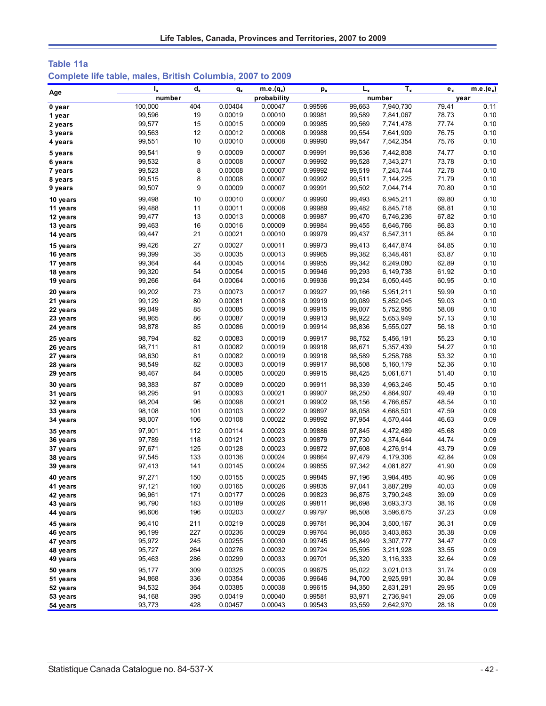| Table 11a |  |  |                                                            |  |  |
|-----------|--|--|------------------------------------------------------------|--|--|
|           |  |  | Complete life table, males, British Columbia, 2007 to 2009 |  |  |

| Age                  | $I_x$            | $d_{x}$    | $q_{x}$            | m.e. $(q_x)$       | $p_{x}$            | $L_{x}$          | $T_{x}$                | $e_x$          | m.e.( $e_x$ ) |
|----------------------|------------------|------------|--------------------|--------------------|--------------------|------------------|------------------------|----------------|---------------|
|                      | number           |            |                    | probability        |                    |                  | number                 |                | year          |
| 0 year               | 100,000          | 404        | 0.00404            | 0.00047            | 0.99596            | 99,663           | 7,940,730              | 79.41          | 0.11          |
| 1 year               | 99,596           | 19         | 0.00019            | 0.00010            | 0.99981            | 99,589           | 7,841,067              | 78.73          | 0.10          |
| 2 years              | 99,577           | 15         | 0.00015            | 0.00009            | 0.99985            | 99,569           | 7,741,478              | 77.74          | 0.10          |
| 3 years              | 99,563           | 12         | 0.00012            | 0.00008            | 0.99988            | 99,554           | 7,641,909              | 76.75          | 0.10          |
| 4 years              | 99,551           | 10         | 0.00010            | 0.00008            | 0.99990            | 99,547           | 7,542,354              | 75.76          | 0.10          |
| 5 years              | 99,541           | 9          | 0.00009            | 0.00007            | 0.99991            | 99,536           | 7,442,808              | 74.77          | 0.10          |
| 6 years              | 99,532           | 8          | 0.00008            | 0.00007            | 0.99992            | 99,528           | 7,343,271              | 73.78          | 0.10          |
| 7 years              | 99,523           | 8          | 0.00008            | 0.00007            | 0.99992            | 99,519           | 7,243,744              | 72.78          | 0.10          |
| 8 years              | 99,515           | 8          | 0.00008            | 0.00007            | 0.99992            | 99,511           | 7,144,225              | 71.79          | 0.10          |
| 9 years              | 99,507           | 9          | 0.00009            | 0.00007            | 0.99991            | 99,502           | 7,044,714              | 70.80          | 0.10          |
| 10 years             | 99,498           | 10         | 0.00010            | 0.00007            | 0.99990            | 99,493           | 6,945,211              | 69.80          | 0.10          |
| 11 years             | 99,488           | 11         | 0.00011            | 0.00008            | 0.99989            | 99,482           | 6,845,718              | 68.81          | 0.10          |
| 12 years             | 99,477           | 13         | 0.00013            | 0.00008            | 0.99987            | 99,470           | 6,746,236              | 67.82          | 0.10          |
| 13 years             | 99,463           | 16         | 0.00016            | 0.00009            | 0.99984            | 99,455           | 6,646,766              | 66.83          | 0.10          |
| 14 years             | 99,447           | 21         | 0.00021            | 0.00010            | 0.99979            | 99,437           | 6,547,311              | 65.84          | 0.10          |
| 15 years             | 99,426           | 27         | 0.00027            | 0.00011            | 0.99973            | 99,413           | 6,447,874              | 64.85          | 0.10          |
| 16 years             | 99,399           | 35         | 0.00035            | 0.00013            | 0.99965            | 99,382           | 6,348,461              | 63.87          | 0.10          |
| 17 years             | 99,364           | 44         | 0.00045            | 0.00014            | 0.99955            | 99,342           | 6,249,080              | 62.89          | 0.10          |
| 18 years             | 99,320           | 54         | 0.00054            | 0.00015            | 0.99946            | 99,293           | 6,149,738              | 61.92          | 0.10          |
| 19 years             | 99,266           | 64         | 0.00064            | 0.00016            | 0.99936            | 99,234           | 6,050,445              | 60.95          | 0.10          |
| 20 years             | 99,202           | 73         | 0.00073            | 0.00017            | 0.99927            | 99,166           | 5,951,211              | 59.99          | 0.10          |
| 21 years             | 99,129           | 80         | 0.00081            | 0.00018            | 0.99919            | 99,089           | 5,852,045              | 59.03          | 0.10          |
| 22 years             | 99,049           | 85         | 0.00085            | 0.00019            | 0.99915            | 99,007           | 5,752,956              | 58.08          | 0.10          |
| 23 years             | 98,965           | 86         | 0.00087            | 0.00019            | 0.99913            | 98,922           | 5,653,949              | 57.13          | 0.10          |
| 24 years             | 98,878           | 85         | 0.00086            | 0.00019            | 0.99914            | 98,836           | 5,555,027              | 56.18          | 0.10          |
| 25 years             | 98,794           | 82         | 0.00083            | 0.00019            | 0.99917            | 98,752           | 5,456,191              | 55.23          | 0.10          |
| 26 years             | 98,711           | 81         | 0.00082            | 0.00019            | 0.99918            | 98,671           | 5,357,439              | 54.27          | 0.10          |
| 27 years             | 98,630           | 81         | 0.00082            | 0.00019            | 0.99918            | 98,589           | 5,258,768              | 53.32          | 0.10          |
| 28 years             | 98,549           | 82         | 0.00083            | 0.00019            | 0.99917            | 98,508           | 5,160,179              | 52.36          | 0.10          |
| 29 years             | 98,467           | 84         | 0.00085            | 0.00020            | 0.99915            | 98,425           | 5,061,671              | 51.40          | 0.10          |
| 30 years             | 98,383           | 87         | 0.00089            | 0.00020            | 0.99911            | 98,339           | 4,963,246              | 50.45          | 0.10          |
| 31 years             | 98,295           | 91         | 0.00093            | 0.00021            | 0.99907            | 98,250           | 4,864,907              | 49.49          | 0.10          |
| 32 years             | 98,204           | 96         | 0.00098            | 0.00021            | 0.99902            | 98,156           | 4,766,657              | 48.54          | 0.10          |
| 33 years             | 98,108           | 101        | 0.00103            | 0.00022            | 0.99897            | 98,058           | 4,668,501              | 47.59          | 0.09          |
| 34 years             | 98,007           | 106        | 0.00108            | 0.00022            | 0.99892            | 97,954           | 4,570,444              | 46.63          | 0.09          |
| 35 years             | 97,901           | 112        | 0.00114            | 0.00023            | 0.99886            | 97,845           | 4,472,489              | 45.68          | 0.09          |
| 36 years             | 97,789           | 118        | 0.00121            | 0.00023            | 0.99879            | 97,730           | 4,374,644              | 44.74          | 0.09          |
| 37 years             | 97,671           | 125        | 0.00128            | 0.00023            | 0.99872            | 97,608           | 4,276,914              | 43.79          | 0.09          |
| 38 years             | 97,545           | 133        | 0.00136            | 0.00024            | 0.99864            | 97,479           | 4,179,306              | 42.84          | 0.09          |
| 39 years             | 97,413           | 141        | 0.00145            | 0.00024            | 0.99855            | 97,342           | 4,081,827              | 41.90          | 0.09          |
|                      | 97,271           | 150        | 0.00155            | 0.00025            | 0.99845            | 97,196           | 3,984,485              | 40.96          | 0.09          |
| 40 years<br>41 years | 97,121           | 160        | 0.00165            | 0.00026            | 0.99835            | 97,041           | 3,887,289              | 40.03          | 0.09          |
| 42 years             | 96,961           | 171        | 0.00177            | 0.00026            | 0.99823            | 96,875           | 3,790,248              | 39.09          | 0.09          |
| 43 years             | 96,790           | 183        | 0.00189            | 0.00026            | 0.99811            | 96,698           | 3,693,373              | 38.16          | 0.09          |
| 44 years             | 96,606           | 196        | 0.00203            | 0.00027            | 0.99797            | 96,508           | 3,596,675              | 37.23          | 0.09          |
| 45 years             | 96,410           | 211        | 0.00219            | 0.00028            | 0.99781            | 96,304           |                        | 36.31          | 0.09          |
|                      | 96,199           |            |                    |                    |                    |                  | 3,500,167              |                |               |
| 46 years<br>47 years | 95,972           | 227<br>245 | 0.00236<br>0.00255 | 0.00029<br>0.00030 | 0.99764<br>0.99745 | 96,085<br>95,849 | 3,403,863<br>3,307,777 | 35.38<br>34.47 | 0.09<br>0.09  |
| 48 years             | 95,727           | 264        | 0.00276            | 0.00032            | 0.99724            | 95,595           | 3,211,928              | 33.55          | 0.09          |
| 49 years             | 95,463           | 286        | 0.00299            | 0.00033            | 0.99701            | 95,320           | 3,116,333              | 32.64          | 0.09          |
|                      |                  |            |                    |                    |                    |                  |                        |                |               |
| 50 years             | 95,177           | 309        | 0.00325            | 0.00035            | 0.99675            | 95,022           | 3,021,013              | 31.74          | 0.09          |
| 51 years             | 94,868           | 336        | 0.00354            | 0.00036            | 0.99646            | 94,700           | 2,925,991              | 30.84          | 0.09          |
| 52 years             | 94,532           | 364        | 0.00385            | 0.00038<br>0.00040 | 0.99615            | 94,350           | 2,831,291              | 29.95          | 0.09          |
| 53 years<br>54 years | 94,168<br>93,773 | 395<br>428 | 0.00419<br>0.00457 | 0.00043            | 0.99581<br>0.99543 | 93,971<br>93,559 | 2,736,941<br>2,642,970 | 29.06<br>28.18 | 0.09<br>0.09  |
|                      |                  |            |                    |                    |                    |                  |                        |                |               |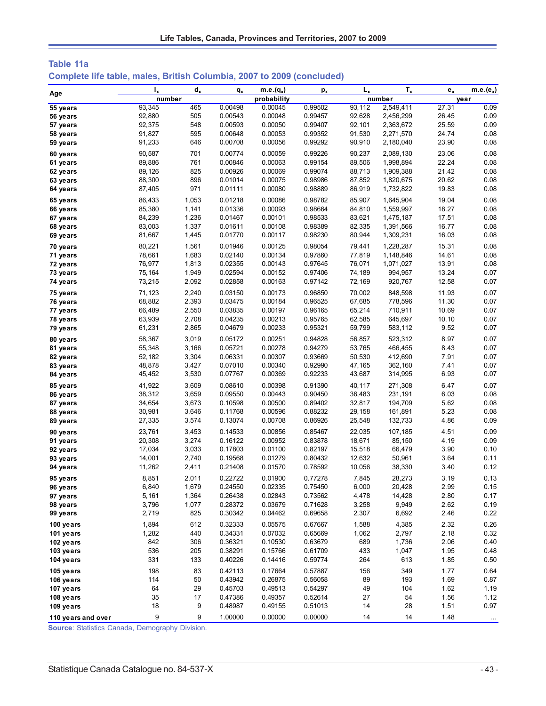| Table 11a                                                              |  |
|------------------------------------------------------------------------|--|
| Complete life table, males, British Columbia, 2007 to 2009 (concluded) |  |

|                      | $I_{x}$          | $\mathbf{d}_{\mathbf{x}}$ | $q_{x}$            | $m.e.(q_x)$        | $p_{x}$            | $L_{x}$          | $T_{x}$                | $e_{x}$        | m.e.( $e_x$ ) |
|----------------------|------------------|---------------------------|--------------------|--------------------|--------------------|------------------|------------------------|----------------|---------------|
| Age                  | number           |                           |                    | probability        |                    |                  | number                 |                | year          |
| 55 years             | 93,345           | 465                       | 0.00498            | 0.00045            | 0.99502            | 93,112           | 2,549,411              | 27.31          | 0.09          |
| 56 years             | 92,880           | 505                       | 0.00543            | 0.00048            | 0.99457            | 92,628           | 2,456,299              | 26.45          | 0.09          |
| 57 years             | 92,375           | 548                       | 0.00593            | 0.00050            | 0.99407            | 92,101           | 2,363,672              | 25.59          | 0.09          |
| 58 years             | 91,827           | 595                       | 0.00648            | 0.00053            | 0.99352            | 91,530           | 2,271,570              | 24.74          | 0.08          |
| 59 years             | 91,233           | 646                       | 0.00708            | 0.00056            | 0.99292            | 90,910           | 2,180,040              | 23.90          | 0.08          |
| 60 years             | 90,587           | 701                       | 0.00774            | 0.00059            | 0.99226            | 90,237           | 2,089,130              | 23.06          | 0.08          |
| 61 years             | 89,886           | 761                       | 0.00846            | 0.00063            | 0.99154            | 89,506           | 1,998,894              | 22.24          | 0.08          |
| 62 years             | 89,126           | 825                       | 0.00926            | 0.00069            | 0.99074            | 88,713           | 1,909,388              | 21.42          | 0.08          |
| 63 years             | 88,300           | 896                       | 0.01014            | 0.00075            | 0.98986            | 87,852           | 1,820,675              | 20.62          | 0.08          |
| 64 years             | 87,405           | 971                       | 0.01111            | 0.00080            | 0.98889            | 86,919           | 1,732,822              | 19.83          | 0.08          |
| 65 years             | 86.433           | 1,053                     | 0.01218            | 0.00086            | 0.98782            | 85,907           | 1,645,904              | 19.04          | 0.08          |
| 66 years             | 85,380           | 1,141                     | 0.01336            | 0.00093            | 0.98664            | 84,810           | 1,559,997              | 18.27          | 0.08          |
| 67 years             | 84,239           | 1,236                     | 0.01467            | 0.00101            | 0.98533            | 83,621           | 1,475,187              | 17.51          | 0.08          |
| 68 years             | 83,003<br>81,667 | 1,337<br>1,445            | 0.01611<br>0.01770 | 0.00108<br>0.00117 | 0.98389<br>0.98230 | 82,335<br>80,944 | 1,391,566<br>1,309,231 | 16.77<br>16.03 | 0.08<br>0.08  |
| 69 years             |                  |                           |                    |                    |                    |                  |                        |                |               |
| 70 years             | 80,221           | 1,561                     | 0.01946            | 0.00125            | 0.98054            | 79,441           | 1,228,287              | 15.31          | 0.08          |
| 71 years             | 78,661           | 1,683                     | 0.02140            | 0.00134            | 0.97860            | 77,819           | 1,148,846              | 14.61          | 0.08          |
| 72 years             | 76,977           | 1,813<br>1,949            | 0.02355<br>0.02594 | 0.00143<br>0.00152 | 0.97645<br>0.97406 | 76,071<br>74,189 | 1,071,027<br>994,957   | 13.91<br>13.24 | 0.08<br>0.07  |
| 73 years             | 75,164<br>73,215 | 2,092                     | 0.02858            | 0.00163            | 0.97142            | 72,169           | 920,767                | 12.58          | 0.07          |
| 74 years             |                  |                           |                    |                    |                    |                  |                        |                |               |
| 75 years             | 71,123           | 2,240                     | 0.03150<br>0.03475 | 0.00173            | 0.96850            | 70,002<br>67,685 | 848,598                | 11.93<br>11.30 | 0.07<br>0.07  |
| 76 years<br>77 years | 68,882<br>66,489 | 2,393<br>2,550            | 0.03835            | 0.00184<br>0.00197 | 0.96525<br>0.96165 | 65,214           | 778,596<br>710,911     | 10.69          | 0.07          |
| 78 years             | 63,939           | 2,708                     | 0.04235            | 0.00213            | 0.95765            | 62,585           | 645,697                | 10.10          | 0.07          |
| 79 years             | 61,231           | 2,865                     | 0.04679            | 0.00233            | 0.95321            | 59,799           | 583,112                | 9.52           | 0.07          |
|                      | 58,367           |                           | 0.05172            |                    | 0.94828            |                  | 523,312                |                | 0.07          |
| 80 years<br>81 years | 55,348           | 3,019<br>3,166            | 0.05721            | 0.00251<br>0.00278 | 0.94279            | 56,857<br>53,765 | 466,455                | 8.97<br>8.43   | 0.07          |
| 82 years             | 52,182           | 3,304                     | 0.06331            | 0.00307            | 0.93669            | 50,530           | 412,690                | 7.91           | 0.07          |
| 83 years             | 48,878           | 3,427                     | 0.07010            | 0.00340            | 0.92990            | 47,165           | 362,160                | 7.41           | 0.07          |
| 84 years             | 45,452           | 3,530                     | 0.07767            | 0.00369            | 0.92233            | 43,687           | 314,995                | 6.93           | 0.07          |
| 85 years             | 41,922           | 3,609                     | 0.08610            | 0.00398            | 0.91390            | 40,117           | 271,308                | 6.47           | 0.07          |
| 86 years             | 38,312           | 3,659                     | 0.09550            | 0.00443            | 0.90450            | 36,483           | 231,191                | 6.03           | 0.08          |
| 87 years             | 34,654           | 3,673                     | 0.10598            | 0.00500            | 0.89402            | 32,817           | 194,709                | 5.62           | 0.08          |
| 88 years             | 30,981           | 3,646                     | 0.11768            | 0.00596            | 0.88232            | 29,158           | 161,891                | 5.23           | 0.08          |
| 89 years             | 27,335           | 3,574                     | 0.13074            | 0.00708            | 0.86926            | 25,548           | 132,733                | 4.86           | 0.09          |
| 90 years             | 23,761           | 3,453                     | 0.14533            | 0.00856            | 0.85467            | 22,035           | 107,185                | 4.51           | 0.09          |
| 91 years             | 20,308           | 3,274                     | 0.16122            | 0.00952            | 0.83878            | 18,671           | 85,150                 | 4.19           | 0.09          |
| 92 years             | 17,034           | 3,033                     | 0.17803            | 0.01100            | 0.82197            | 15,518           | 66,479                 | 3.90           | 0.10          |
| 93 years             | 14,001           | 2,740                     | 0.19568            | 0.01279            | 0.80432            | 12,632           | 50,961                 | 3.64           | 0.11          |
| 94 years             | 11,262           | 2,411                     | 0.21408            | 0.01570            | 0.78592            | 10,056           | 38,330                 | 3.40           | 0.12          |
| 95 years             | 8,851            | 2,011                     | 0.22722            | 0.01900            | 0.77278            | 7,845            | 28,273                 | 3.19           | 0.13          |
| 96 years             | 6,840            | 1,679                     | 0.24550            | 0.02335            | 0.75450            | 6,000            | 20,428                 | 2.99           | 0.15          |
| 97 years             | 5,161            | 1,364                     | 0.26438            | 0.02843            | 0.73562            | 4,478            | 14,428                 | 2.80           | 0.17          |
| 98 years             | 3,796            | 1,077                     | 0.28372            | 0.03679            | 0.71628            | 3,258            | 9,949                  | 2.62           | 0.19          |
| 99 years             | 2,719            | 825                       | 0.30342            | 0.04462            | 0.69658            | 2,307            | 6,692                  | 2.46           | 0.22          |
| 100 years            | 1,894            | 612                       | 0.32333            | 0.05575            | 0.67667            | 1,588            | 4,385                  | 2.32           | 0.26          |
| 101 years            | 1,282            | 440                       | 0.34331            | 0.07032            | 0.65669            | 1,062            | 2,797                  | 2.18           | 0.32          |
| 102 years            | 842              | 306                       | 0.36321            | 0.10530            | 0.63679            | 689              | 1,736                  | 2.06           | 0.40          |
| 103 years            | 536              | 205                       | 0.38291            | 0.15766            | 0.61709            | 433              | 1,047                  | 1.95           | 0.48          |
| 104 years            | 331              | 133                       | 0.40226            | 0.14416            | 0.59774            | 264              | 613                    | 1.85           | 0.50          |
| 105 years            | 198              | 83                        | 0.42113            | 0.17664            | 0.57887            | 156              | 349                    | 1.77           | 0.64          |
| 106 years            | 114              | 50                        | 0.43942            | 0.26875            | 0.56058            | 89               | 193                    | 1.69           | 0.87          |
| 107 years            | 64               | 29                        | 0.45703            | 0.49513            | 0.54297            | 49               | 104                    | 1.62           | 1.19          |
| 108 years            | 35               | 17                        | 0.47386            | 0.49357            | 0.52614            | 27               | 54                     | 1.56           | 1.12          |
| 109 years            | 18               | 9                         | 0.48987            | 0.49155            | 0.51013            | 14               | 28                     | 1.51           | 0.97          |
| 110 years and over   | 9                | 9                         | 1.00000            | 0.00000            | 0.00000            | 14               | 14                     | 1.48           |               |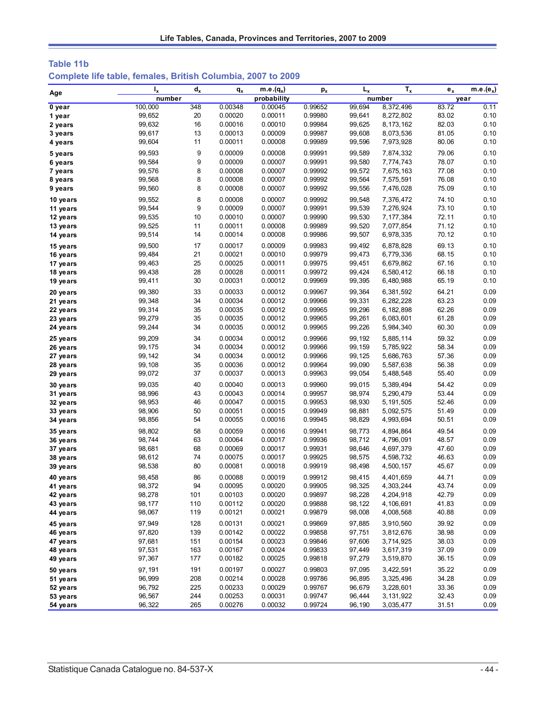| Table 11b |  |                                                              |  |
|-----------|--|--------------------------------------------------------------|--|
|           |  | Complete life table, females, British Columbia, 2007 to 2009 |  |

|          | $I_{x}$ | $d_{x}$ | $q_{x}$ | $m.e.(q_x)$ | $p_{x}$ | $L_{x}$ | $T_{x}$     | $e_{x}$ | $m.e.(e_x)$ |
|----------|---------|---------|---------|-------------|---------|---------|-------------|---------|-------------|
| Age      | number  |         |         | probability |         |         | number      | year    |             |
| 0 year   | 100,000 | 348     | 0.00348 | 0.00045     | 0.99652 | 99,694  | 8,372,496   | 83.72   | 0.11        |
| 1 year   | 99,652  | 20      | 0.00020 | 0.00011     | 0.99980 | 99,641  | 8,272,802   | 83.02   | 0.10        |
| 2 years  | 99,632  | 16      | 0.00016 | 0.00010     | 0.99984 | 99,625  | 8, 173, 162 | 82.03   | 0.10        |
| 3 years  | 99,617  | 13      | 0.00013 | 0.00009     | 0.99987 | 99,608  | 8,073,536   | 81.05   | 0.10        |
| 4 years  | 99,604  | 11      | 0.00011 | 0.00008     | 0.99989 | 99,596  | 7,973,928   | 80.06   | 0.10        |
| 5 years  | 99,593  | 9       | 0.00009 | 0.00008     | 0.99991 | 99,589  | 7,874,332   | 79.06   | 0.10        |
| 6 years  | 99,584  | 9       | 0.00009 | 0.00007     | 0.99991 | 99,580  | 7,774,743   | 78.07   | 0.10        |
| 7 years  | 99,576  | 8       | 0.00008 | 0.00007     | 0.99992 | 99,572  | 7,675,163   | 77.08   | 0.10        |
| 8 years  | 99,568  | 8       | 0.00008 | 0.00007     | 0.99992 | 99,564  | 7,575,591   | 76.08   | 0.10        |
| 9 years  | 99,560  | 8       | 0.00008 | 0.00007     | 0.99992 | 99,556  | 7,476,028   | 75.09   | 0.10        |
| 10 years | 99,552  | 8       | 0.00008 | 0.00007     | 0.99992 | 99,548  | 7,376,472   | 74.10   | 0.10        |
| 11 years | 99,544  | 9       | 0.00009 | 0.00007     | 0.99991 | 99,539  | 7,276,924   | 73.10   | 0.10        |
| 12 years | 99,535  | 10      | 0.00010 | 0.00007     | 0.99990 | 99,530  | 7,177,384   | 72.11   | 0.10        |
| 13 years | 99,525  | 11      | 0.00011 | 0.00008     | 0.99989 | 99,520  | 7,077,854   | 71.12   | 0.10        |
| 14 years | 99,514  | 14      | 0.00014 | 0.00008     | 0.99986 | 99,507  | 6,978,335   | 70.12   | 0.10        |
| 15 years | 99,500  | 17      | 0.00017 | 0.00009     | 0.99983 | 99,492  | 6,878,828   | 69.13   | 0.10        |
| 16 years | 99,484  | 21      | 0.00021 | 0.00010     | 0.99979 | 99,473  | 6,779,336   | 68.15   | 0.10        |
| 17 years | 99,463  | 25      | 0.00025 | 0.00011     | 0.99975 | 99,451  | 6,679,862   | 67.16   | 0.10        |
| 18 years | 99,438  | 28      | 0.00028 | 0.00011     | 0.99972 | 99,424  | 6,580,412   | 66.18   | 0.10        |
| 19 years | 99,411  | 30      | 0.00031 | 0.00012     | 0.99969 | 99,395  | 6,480,988   | 65.19   | 0.10        |
| 20 years | 99,380  | 33      | 0.00033 | 0.00012     | 0.99967 | 99,364  | 6,381,592   | 64.21   | 0.09        |
| 21 years | 99,348  | 34      | 0.00034 | 0.00012     | 0.99966 | 99,331  | 6,282,228   | 63.23   | 0.09        |
| 22 years | 99,314  | 35      | 0.00035 | 0.00012     | 0.99965 | 99,296  | 6,182,898   | 62.26   | 0.09        |
| 23 years | 99,279  | 35      | 0.00035 | 0.00012     | 0.99965 | 99,261  | 6,083,601   | 61.28   | 0.09        |
| 24 years | 99,244  | 34      | 0.00035 | 0.00012     | 0.99965 | 99,226  | 5,984,340   | 60.30   | 0.09        |
| 25 years | 99,209  | 34      | 0.00034 | 0.00012     | 0.99966 | 99,192  | 5,885,114   | 59.32   | 0.09        |
| 26 years | 99, 175 | 34      | 0.00034 | 0.00012     | 0.99966 | 99, 159 | 5,785,922   | 58.34   | 0.09        |
| 27 years | 99, 142 | 34      | 0.00034 | 0.00012     | 0.99966 | 99, 125 | 5,686,763   | 57.36   | 0.09        |
| 28 years | 99,108  | 35      | 0.00036 | 0.00012     | 0.99964 | 99,090  | 5,587,638   | 56.38   | 0.09        |
| 29 years | 99,072  | 37      | 0.00037 | 0.00013     | 0.99963 | 99,054  | 5,488,548   | 55.40   | 0.09        |
| 30 years | 99,035  | 40      | 0.00040 | 0.00013     | 0.99960 | 99,015  | 5,389,494   | 54.42   | 0.09        |
| 31 years | 98,996  | 43      | 0.00043 | 0.00014     | 0.99957 | 98,974  | 5,290,479   | 53.44   | 0.09        |
| 32 years | 98,953  | 46      | 0.00047 | 0.00015     | 0.99953 | 98,930  | 5,191,505   | 52.46   | 0.09        |
| 33 years | 98,906  | 50      | 0.00051 | 0.00015     | 0.99949 | 98,881  | 5,092,575   | 51.49   | 0.09        |
| 34 years | 98,856  | 54      | 0.00055 | 0.00016     | 0.99945 | 98,829  | 4,993,694   | 50.51   | 0.09        |
| 35 years | 98,802  | 58      | 0.00059 | 0.00016     | 0.99941 | 98,773  | 4,894,864   | 49.54   | 0.09        |
| 36 years | 98,744  | 63      | 0.00064 | 0.00017     | 0.99936 | 98,712  | 4,796,091   | 48.57   | 0.09        |
| 37 years | 98,681  | 68      | 0.00069 | 0.00017     | 0.99931 | 98,646  | 4,697,379   | 47.60   | 0.09        |
| 38 years | 98,612  | 74      | 0.00075 | 0.00017     | 0.99925 | 98,575  | 4,598,732   | 46.63   | 0.09        |
| 39 years | 98,538  | 80      | 0.00081 | 0.00018     | 0.99919 | 98,498  | 4,500,157   | 45.67   | 0.09        |
| 40 years | 98,458  | 86      | 0.00088 | 0.00019     | 0.99912 | 98,415  | 4,401,659   | 44.71   | 0.09        |
| 41 years | 98,372  | 94      | 0.00095 | 0.00020     | 0.99905 | 98,325  | 4,303,244   | 43.74   | 0.09        |
| 42 years | 98,278  | 101     | 0.00103 | 0.00020     | 0.99897 | 98,228  | 4,204,918   | 42.79   | 0.09        |
| 43 years | 98,177  | 110     | 0.00112 | 0.00020     | 0.99888 | 98,122  | 4,106,691   | 41.83   | 0.09        |
| 44 years | 98,067  | 119     | 0.00121 | 0.00021     | 0.99879 | 98,008  | 4,008,568   | 40.88   | 0.09        |
| 45 years | 97,949  | 128     | 0.00131 | 0.00021     | 0.99869 | 97,885  | 3,910,560   | 39.92   | 0.09        |
| 46 years | 97,820  | 139     | 0.00142 | 0.00022     | 0.99858 | 97,751  | 3,812,676   | 38.98   | 0.09        |
| 47 years | 97,681  | 151     | 0.00154 | 0.00023     | 0.99846 | 97,606  | 3,714,925   | 38.03   | 0.09        |
| 48 years | 97,531  | 163     | 0.00167 | 0.00024     | 0.99833 | 97,449  | 3,617,319   | 37.09   | 0.09        |
| 49 years | 97,367  | 177     | 0.00182 | 0.00025     | 0.99818 | 97,279  | 3,519,870   | 36.15   | 0.09        |
| 50 years | 97, 191 | 191     | 0.00197 | 0.00027     | 0.99803 | 97,095  | 3,422,591   | 35.22   | 0.09        |
| 51 years | 96,999  | 208     | 0.00214 | 0.00028     | 0.99786 | 96,895  | 3,325,496   | 34.28   | 0.09        |
| 52 years | 96,792  | 225     | 0.00233 | 0.00029     | 0.99767 | 96,679  | 3,228,601   | 33.36   | 0.09        |
| 53 years | 96,567  | 244     | 0.00253 | 0.00031     | 0.99747 | 96,444  | 3,131,922   | 32.43   | 0.09        |
| 54 years | 96,322  | 265     | 0.00276 | 0.00032     | 0.99724 | 96,190  | 3,035,477   | 31.51   | 0.09        |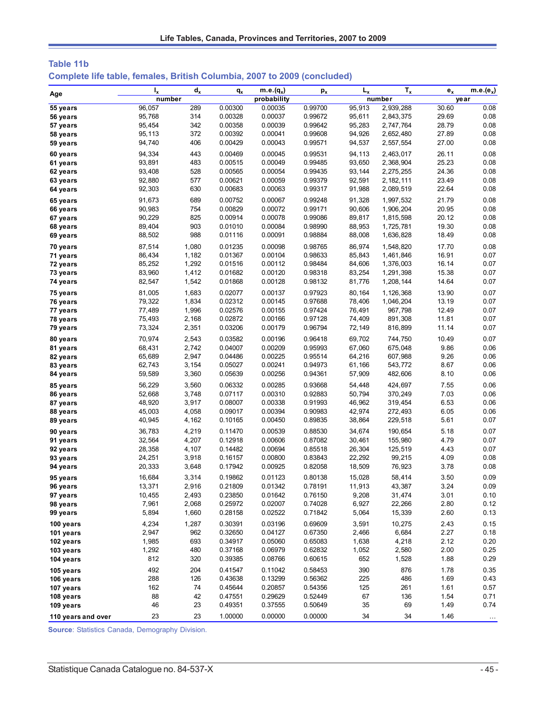| Complete life table, females, British Columbia, 2007 to 2009 (concluded) | Table 11b |  |  |  |
|--------------------------------------------------------------------------|-----------|--|--|--|
|                                                                          |           |  |  |  |

| Age                | $I_{x}$ | $d_{x}$ | $q_{x}$ | $m.e.(q_x)$ | $p_{x}$ | $L_{x}$ | $T_{x}$   | $\mathbf{e}_{\mathbf{x}}$ | $m.e.(e_x)$     |
|--------------------|---------|---------|---------|-------------|---------|---------|-----------|---------------------------|-----------------|
|                    | number  |         |         | probability |         |         | number    |                           | year            |
| 55 years           | 96,057  | 289     | 0.00300 | 0.00035     | 0.99700 | 95.913  | 2,939,288 | 30.60                     | 0.08            |
| 56 years           | 95,768  | 314     | 0.00328 | 0.00037     | 0.99672 | 95,611  | 2,843,375 | 29.69                     | 0.08            |
| 57 years           | 95,454  | 342     | 0.00358 | 0.00039     | 0.99642 | 95,283  | 2,747,764 | 28.79                     | 0.08            |
| 58 years           | 95,113  | 372     | 0.00392 | 0.00041     | 0.99608 | 94,926  | 2,652,480 | 27.89                     | 0.08            |
| 59 years           | 94,740  | 406     | 0.00429 | 0.00043     | 0.99571 | 94,537  | 2,557,554 | 27.00                     | 0.08            |
| 60 years           | 94,334  | 443     | 0.00469 | 0.00045     | 0.99531 | 94,113  | 2,463,017 | 26.11                     | 0.08            |
| 61 years           | 93,891  | 483     | 0.00515 | 0.00049     | 0.99485 | 93,650  | 2,368,904 | 25.23                     | 0.08            |
| 62 years           | 93,408  | 528     | 0.00565 | 0.00054     | 0.99435 | 93,144  | 2,275,255 | 24.36                     | 0.08            |
| 63 years           | 92,880  | 577     | 0.00621 | 0.00059     | 0.99379 | 92,591  | 2,182,111 | 23.49                     | 0.08            |
| 64 years           | 92,303  | 630     | 0.00683 | 0.00063     | 0.99317 | 91,988  | 2,089,519 | 22.64                     | 0.08            |
| 65 years           | 91,673  | 689     | 0.00752 | 0.00067     | 0.99248 | 91,328  | 1,997,532 | 21.79                     | 0.08            |
| 66 years           | 90,983  | 754     | 0.00829 | 0.00072     | 0.99171 | 90,606  | 1,906,204 | 20.95                     | 0.08            |
| 67 years           | 90,229  | 825     | 0.00914 | 0.00078     | 0.99086 | 89,817  | 1,815,598 | 20.12                     | 0.08            |
| 68 years           | 89,404  | 903     | 0.01010 | 0.00084     | 0.98990 | 88,953  | 1,725,781 | 19.30                     | 0.08            |
| 69 years           | 88,502  | 988     | 0.01116 | 0.00091     | 0.98884 | 88,008  | 1,636,828 | 18.49                     | 0.08            |
| 70 years           | 87,514  | 1,080   | 0.01235 | 0.00098     | 0.98765 | 86,974  | 1,548,820 | 17.70                     | 0.08            |
| 71 years           | 86,434  | 1,182   | 0.01367 | 0.00104     | 0.98633 | 85,843  | 1,461,846 | 16.91                     | 0.07            |
| 72 years           | 85,252  | 1,292   | 0.01516 | 0.00112     | 0.98484 | 84,606  | 1,376,003 | 16.14                     | 0.07            |
| 73 years           | 83,960  | 1,412   | 0.01682 | 0.00120     | 0.98318 | 83,254  | 1,291,398 | 15.38                     | 0.07            |
| 74 years           | 82,547  | 1,542   | 0.01868 | 0.00128     | 0.98132 | 81,776  | 1,208,144 | 14.64                     | 0.07            |
| 75 years           | 81,005  | 1,683   | 0.02077 | 0.00137     | 0.97923 | 80,164  | 1,126,368 | 13.90                     | 0.07            |
| 76 years           | 79,322  | 1,834   | 0.02312 | 0.00145     | 0.97688 | 78,406  | 1,046,204 | 13.19                     | 0.07            |
| 77 years           | 77,489  | 1,996   | 0.02576 | 0.00155     | 0.97424 | 76,491  | 967,798   | 12.49                     | 0.07            |
| 78 years           | 75,493  | 2,168   | 0.02872 | 0.00166     | 0.97128 | 74,409  | 891,308   | 11.81                     | 0.07            |
| 79 years           | 73,324  | 2,351   | 0.03206 | 0.00179     | 0.96794 | 72,149  | 816,899   | 11.14                     | 0.07            |
| 80 years           | 70,974  | 2,543   | 0.03582 | 0.00196     | 0.96418 | 69,702  | 744,750   | 10.49                     | 0.07            |
| 81 years           | 68,431  | 2,742   | 0.04007 | 0.00209     | 0.95993 | 67,060  | 675,048   | 9.86                      | 0.06            |
| 82 years           | 65,689  | 2,947   | 0.04486 | 0.00225     | 0.95514 | 64,216  | 607,988   | 9.26                      | 0.06            |
| 83 years           | 62,743  | 3,154   | 0.05027 | 0.00241     | 0.94973 | 61,166  | 543,772   | 8.67                      | 0.06            |
| 84 years           | 59,589  | 3,360   | 0.05639 | 0.00256     | 0.94361 | 57,909  | 482,606   | 8.10                      | 0.06            |
| 85 years           | 56,229  | 3,560   | 0.06332 | 0.00285     | 0.93668 | 54,448  | 424,697   | 7.55                      | 0.06            |
| 86 years           | 52,668  | 3,748   | 0.07117 | 0.00310     | 0.92883 | 50,794  | 370,249   | 7.03                      | 0.06            |
| 87 years           | 48,920  | 3,917   | 0.08007 | 0.00338     | 0.91993 | 46,962  | 319,454   | 6.53                      | 0.06            |
| 88 years           | 45,003  | 4,058   | 0.09017 | 0.00394     | 0.90983 | 42,974  | 272,493   | 6.05                      | 0.06            |
| 89 years           | 40,945  | 4,162   | 0.10165 | 0.00450     | 0.89835 | 38,864  | 229,518   | 5.61                      | 0.07            |
| 90 years           | 36,783  | 4,219   | 0.11470 | 0.00539     | 0.88530 | 34,674  | 190,654   | 5.18                      | 0.07            |
| 91 years           | 32,564  | 4,207   | 0.12918 | 0.00606     | 0.87082 | 30,461  | 155,980   | 4.79                      | 0.07            |
| 92 years           | 28,358  | 4,107   | 0.14482 | 0.00694     | 0.85518 | 26,304  | 125,519   | 4.43                      | 0.07            |
| 93 years           | 24,251  | 3,918   | 0.16157 | 0.00800     | 0.83843 | 22,292  | 99,215    | 4.09                      | 0.08            |
| 94 years           | 20,333  | 3,648   | 0.17942 | 0.00925     | 0.82058 | 18,509  | 76,923    | 3.78                      | 0.08            |
| 95 years           | 16,684  | 3,314   | 0.19862 | 0.01123     | 0.80138 | 15,028  | 58,414    | 3.50                      | 0.09            |
| 96 years           | 13,371  | 2,916   | 0.21809 | 0.01342     | 0.78191 | 11,913  | 43,387    | 3.24                      | 0.09            |
| 97 years           | 10,455  | 2,493   | 0.23850 | 0.01642     | 0.76150 | 9,208   | 31,474    | 3.01                      | 0.10            |
| 98 years           | 7,961   | 2,068   | 0.25972 | 0.02007     | 0.74028 | 6,927   | 22,266    | 2.80                      | 0.12            |
| 99 years           | 5,894   | 1,660   | 0.28158 | 0.02522     | 0.71842 | 5,064   | 15,339    | 2.60                      | 0.13            |
| 100 years          | 4,234   | 1,287   | 0.30391 | 0.03196     | 0.69609 | 3,591   | 10,275    | 2.43                      | 0.15            |
| 101 years          | 2,947   | 962     | 0.32650 | 0.04127     | 0.67350 | 2,466   | 6,684     | 2.27                      | 0.18            |
| 102 years          | 1,985   | 693     | 0.34917 | 0.05060     | 0.65083 | 1,638   | 4,218     | 2.12                      | 0.20            |
| 103 years          | 1,292   | 480     | 0.37168 | 0.06979     | 0.62832 | 1,052   | 2,580     | 2.00                      | 0.25            |
| 104 years          | 812     | 320     | 0.39385 | 0.08766     | 0.60615 | 652     | 1,528     | 1.88                      | 0.29            |
| 105 years          | 492     | 204     | 0.41547 | 0.11042     | 0.58453 | 390     | 876       | 1.78                      | 0.35            |
| 106 years          | 288     | 126     | 0.43638 | 0.13299     | 0.56362 | 225     | 486       | 1.69                      | 0.43            |
| 107 years          | 162     | 74      | 0.45644 | 0.20857     | 0.54356 | 125     | 261       | 1.61                      | 0.57            |
| 108 years          | 88      | 42      | 0.47551 | 0.29629     | 0.52449 | 67      | 136       | 1.54                      | 0.71            |
| 109 years          | 46      | 23      | 0.49351 | 0.37555     | 0.50649 | 35      | 69        | 1.49                      | 0.74            |
| 110 years and over | 23      | 23      | 1.00000 | 0.00000     | 0.00000 | 34      | 34        | 1.46                      | $\sim$ - $\sim$ |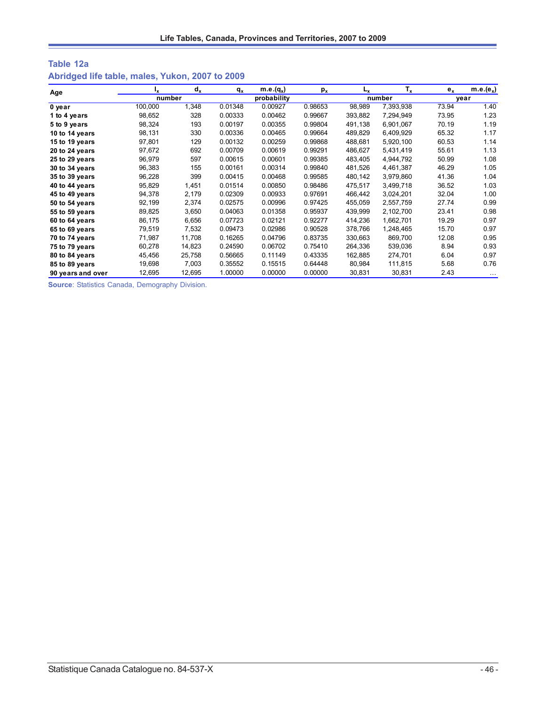## **Table 12a Abridged life table, males, Yukon, 2007 to 2009**

| Age               | ı,      | $d_x$  | q <sub>x</sub> | $m.e.(q_x)$ | $p_{x}$ | L <sub>x</sub> | $T_{x}$   | $e_{x}$ | $m.e.(e_x)$ |
|-------------------|---------|--------|----------------|-------------|---------|----------------|-----------|---------|-------------|
|                   | number  |        |                | probability |         |                | number    |         | year        |
| $0$ year          | 100,000 | 1,348  | 0.01348        | 0.00927     | 0.98653 | 98,989         | 7,393,938 | 73.94   | 1.40        |
| 1 to 4 years      | 98,652  | 328    | 0.00333        | 0.00462     | 0.99667 | 393,882        | 7,294,949 | 73.95   | 1.23        |
| 5 to 9 years      | 98,324  | 193    | 0.00197        | 0.00355     | 0.99804 | 491,138        | 6,901,067 | 70.19   | 1.19        |
| 10 to 14 years    | 98,131  | 330    | 0.00336        | 0.00465     | 0.99664 | 489,829        | 6,409,929 | 65.32   | 1.17        |
| 15 to 19 years    | 97,801  | 129    | 0.00132        | 0.00259     | 0.99868 | 488,681        | 5,920,100 | 60.53   | 1.14        |
| 20 to 24 years    | 97,672  | 692    | 0.00709        | 0.00619     | 0.99291 | 486,627        | 5,431,419 | 55.61   | 1.13        |
| 25 to 29 years    | 96,979  | 597    | 0.00615        | 0.00601     | 0.99385 | 483,405        | 4,944,792 | 50.99   | 1.08        |
| 30 to 34 years    | 96,383  | 155    | 0.00161        | 0.00314     | 0.99840 | 481,526        | 4,461,387 | 46.29   | 1.05        |
| 35 to 39 years    | 96,228  | 399    | 0.00415        | 0.00468     | 0.99585 | 480,142        | 3,979,860 | 41.36   | 1.04        |
| 40 to 44 years    | 95,829  | 1,451  | 0.01514        | 0.00850     | 0.98486 | 475,517        | 3,499,718 | 36.52   | 1.03        |
| 45 to 49 years    | 94,378  | 2,179  | 0.02309        | 0.00933     | 0.97691 | 466.442        | 3,024,201 | 32.04   | 1.00        |
| 50 to 54 years    | 92,199  | 2,374  | 0.02575        | 0.00996     | 0.97425 | 455,059        | 2,557,759 | 27.74   | 0.99        |
| 55 to 59 years    | 89,825  | 3,650  | 0.04063        | 0.01358     | 0.95937 | 439,999        | 2,102,700 | 23.41   | 0.98        |
| 60 to 64 years    | 86,175  | 6,656  | 0.07723        | 0.02121     | 0.92277 | 414,236        | 1,662,701 | 19.29   | 0.97        |
| 65 to 69 years    | 79,519  | 7,532  | 0.09473        | 0.02986     | 0.90528 | 378,766        | 1,248,465 | 15.70   | 0.97        |
| 70 to 74 years    | 71,987  | 11,708 | 0.16265        | 0.04796     | 0.83735 | 330,663        | 869,700   | 12.08   | 0.95        |
| 75 to 79 years    | 60,278  | 14,823 | 0.24590        | 0.06702     | 0.75410 | 264,336        | 539,036   | 8.94    | 0.93        |
| 80 to 84 years    | 45,456  | 25,758 | 0.56665        | 0.11149     | 0.43335 | 162,885        | 274,701   | 6.04    | 0.97        |
| 85 to 89 years    | 19,698  | 7,003  | 0.35552        | 0.15515     | 0.64448 | 80,984         | 111,815   | 5.68    | 0.76        |
| 90 years and over | 12,695  | 12,695 | 1.00000        | 0.00000     | 0.00000 | 30,831         | 30,831    | 2.43    | $\cdots$    |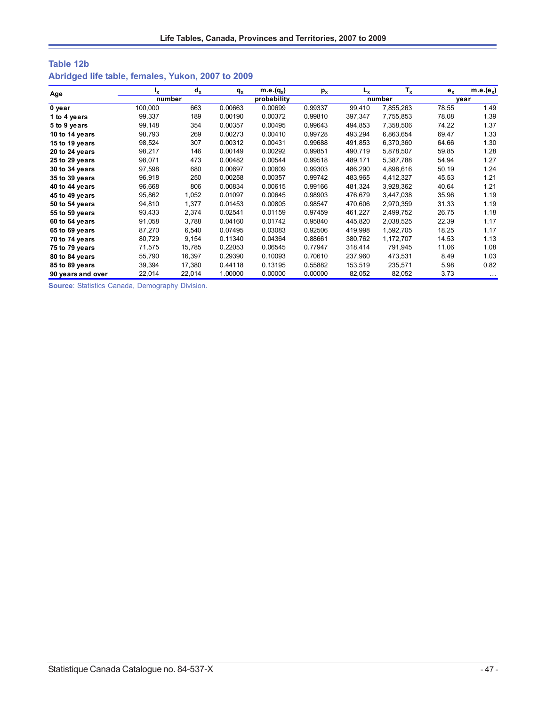## **Table 12b Abridged life table, females, Yukon, 2007 to 2009**

| Age               | Ιx.     | $d_x$  | $q_{x}$ | m.e. $(q_x)$ | $p_{x}$ | L <sub>x</sub> | $T_{x}$   | $e_{x}$ | $m.e.(e_x)$ |
|-------------------|---------|--------|---------|--------------|---------|----------------|-----------|---------|-------------|
|                   | number  |        |         | probability  |         |                | number    |         | vear        |
| 0 year            | 100,000 | 663    | 0.00663 | 0.00699      | 0.99337 | 99.410         | 7,855,263 | 78.55   | 1.49        |
| 1 to 4 years      | 99,337  | 189    | 0.00190 | 0.00372      | 0.99810 | 397,347        | 7,755,853 | 78.08   | 1.39        |
| 5 to 9 years      | 99,148  | 354    | 0.00357 | 0.00495      | 0.99643 | 494,853        | 7,358,506 | 74.22   | 1.37        |
| 10 to 14 years    | 98,793  | 269    | 0.00273 | 0.00410      | 0.99728 | 493,294        | 6,863,654 | 69.47   | 1.33        |
| 15 to 19 years    | 98,524  | 307    | 0.00312 | 0.00431      | 0.99688 | 491.853        | 6,370,360 | 64.66   | 1.30        |
| 20 to 24 years    | 98,217  | 146    | 0.00149 | 0.00292      | 0.99851 | 490,719        | 5,878,507 | 59.85   | 1.28        |
| 25 to 29 years    | 98,071  | 473    | 0.00482 | 0.00544      | 0.99518 | 489,171        | 5,387,788 | 54.94   | 1.27        |
| 30 to 34 years    | 97,598  | 680    | 0.00697 | 0.00609      | 0.99303 | 486,290        | 4,898,616 | 50.19   | 1.24        |
| 35 to 39 years    | 96,918  | 250    | 0.00258 | 0.00357      | 0.99742 | 483,965        | 4,412,327 | 45.53   | 1.21        |
| 40 to 44 years    | 96,668  | 806    | 0.00834 | 0.00615      | 0.99166 | 481.324        | 3,928,362 | 40.64   | 1.21        |
| 45 to 49 years    | 95,862  | 1,052  | 0.01097 | 0.00645      | 0.98903 | 476,679        | 3,447,038 | 35.96   | 1.19        |
| 50 to 54 years    | 94,810  | 1,377  | 0.01453 | 0.00805      | 0.98547 | 470,606        | 2,970,359 | 31.33   | 1.19        |
| 55 to 59 years    | 93,433  | 2,374  | 0.02541 | 0.01159      | 0.97459 | 461,227        | 2,499,752 | 26.75   | 1.18        |
| 60 to 64 years    | 91,058  | 3,788  | 0.04160 | 0.01742      | 0.95840 | 445.820        | 2,038,525 | 22.39   | 1.17        |
| 65 to 69 years    | 87,270  | 6,540  | 0.07495 | 0.03083      | 0.92506 | 419,998        | 1,592,705 | 18.25   | 1.17        |
| 70 to 74 years    | 80,729  | 9,154  | 0.11340 | 0.04364      | 0.88661 | 380,762        | 1,172,707 | 14.53   | 1.13        |
| 75 to 79 years    | 71,575  | 15,785 | 0.22053 | 0.06545      | 0.77947 | 318,414        | 791,945   | 11.06   | 1.08        |
| 80 to 84 years    | 55,790  | 16,397 | 0.29390 | 0.10093      | 0.70610 | 237,960        | 473,531   | 8.49    | 1.03        |
| 85 to 89 years    | 39,394  | 17,380 | 0.44118 | 0.13195      | 0.55882 | 153,519        | 235,571   | 5.98    | 0.82        |
| 90 years and over | 22,014  | 22,014 | 1.00000 | 0.00000      | 0.00000 | 82,052         | 82,052    | 3.73    | $\cdots$    |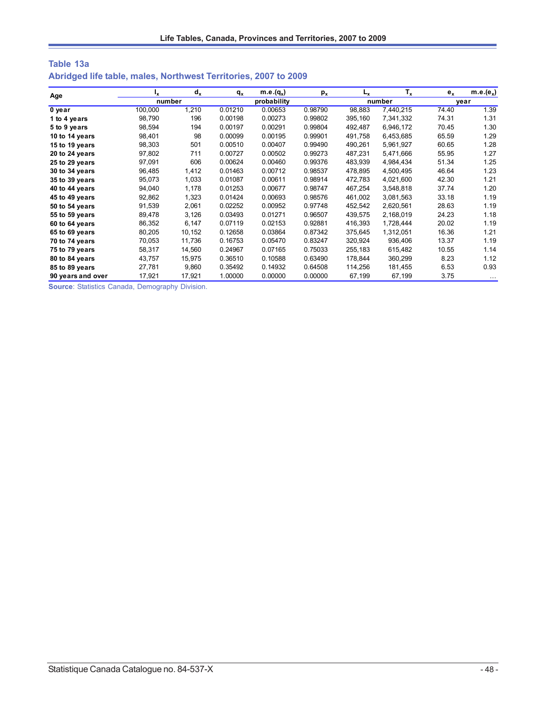| Table 13a                                                       |  |  |  |
|-----------------------------------------------------------------|--|--|--|
| Abridged life table, males, Northwest Territories, 2007 to 2009 |  |  |  |

| Age               | ١x      | $d_x$  | $q_{x}$ | $m.e.(q_x)$ | $p_{x}$ | L <sub>v</sub> | $T_{x}$   | $e_{x}$ | $m.e.(e_x)$ |
|-------------------|---------|--------|---------|-------------|---------|----------------|-----------|---------|-------------|
|                   | number  |        |         | probability |         |                | number    |         | vear        |
| 0 year            | 100,000 | .210   | 0.01210 | 0.00653     | 0.98790 | 98,883         | 7,440,215 | 74.40   | 1.39        |
| 1 to 4 years      | 98,790  | 196    | 0.00198 | 0.00273     | 0.99802 | 395,160        | 7,341,332 | 74.31   | 1.31        |
| 5 to 9 years      | 98,594  | 194    | 0.00197 | 0.00291     | 0.99804 | 492,487        | 6,946,172 | 70.45   | 1.30        |
| 10 to 14 years    | 98,401  | 98     | 0.00099 | 0.00195     | 0.99901 | 491,758        | 6,453,685 | 65.59   | 1.29        |
| 15 to 19 years    | 98,303  | 501    | 0.00510 | 0.00407     | 0.99490 | 490,261        | 5,961,927 | 60.65   | 1.28        |
| 20 to 24 years    | 97,802  | 711    | 0.00727 | 0.00502     | 0.99273 | 487,231        | 5,471,666 | 55.95   | 1.27        |
| 25 to 29 years    | 97,091  | 606    | 0.00624 | 0.00460     | 0.99376 | 483.939        | 4,984,434 | 51.34   | 1.25        |
| 30 to 34 years    | 96,485  | 1,412  | 0.01463 | 0.00712     | 0.98537 | 478,895        | 4,500,495 | 46.64   | 1.23        |
| 35 to 39 years    | 95,073  | 1,033  | 0.01087 | 0.00611     | 0.98914 | 472,783        | 4,021,600 | 42.30   | 1.21        |
| 40 to 44 years    | 94,040  | 1,178  | 0.01253 | 0.00677     | 0.98747 | 467,254        | 3,548,818 | 37.74   | 1.20        |
| 45 to 49 years    | 92,862  | 1,323  | 0.01424 | 0.00693     | 0.98576 | 461,002        | 3,081,563 | 33.18   | 1.19        |
| 50 to 54 years    | 91,539  | 2,061  | 0.02252 | 0.00952     | 0.97748 | 452,542        | 2,620,561 | 28.63   | 1.19        |
| 55 to 59 years    | 89,478  | 3,126  | 0.03493 | 0.01271     | 0.96507 | 439,575        | 2,168,019 | 24.23   | 1.18        |
| 60 to 64 years    | 86,352  | 6,147  | 0.07119 | 0.02153     | 0.92881 | 416.393        | 1,728,444 | 20.02   | 1.19        |
| 65 to 69 years    | 80,205  | 10,152 | 0.12658 | 0.03864     | 0.87342 | 375,645        | 1,312,051 | 16.36   | 1.21        |
| 70 to 74 years    | 70,053  | 11,736 | 0.16753 | 0.05470     | 0.83247 | 320,924        | 936,406   | 13.37   | 1.19        |
| 75 to 79 years    | 58,317  | 14,560 | 0.24967 | 0.07165     | 0.75033 | 255,183        | 615,482   | 10.55   | 1.14        |
| 80 to 84 years    | 43,757  | 15,975 | 0.36510 | 0.10588     | 0.63490 | 178,844        | 360,299   | 8.23    | 1.12        |
| 85 to 89 years    | 27,781  | 9,860  | 0.35492 | 0.14932     | 0.64508 | 114,256        | 181,455   | 6.53    | 0.93        |
| 90 years and over | 17,921  | 17,921 | 1.00000 | 0.00000     | 0.00000 | 67,199         | 67,199    | 3.75    |             |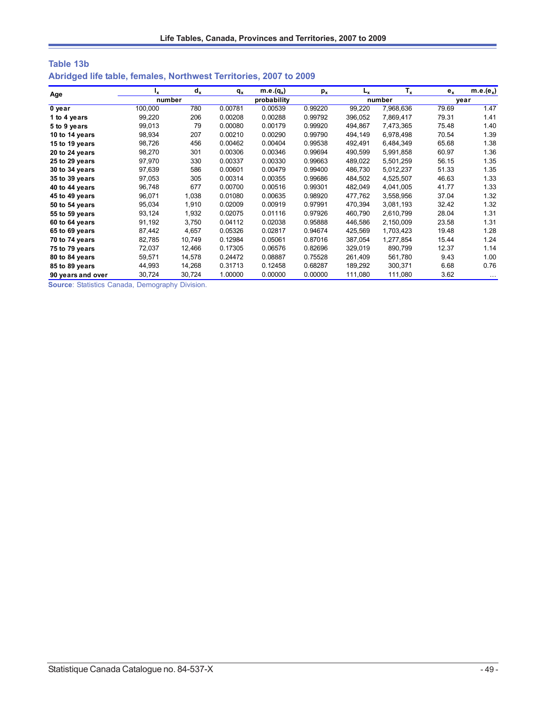| Table 13b                                                         |  |  |  |
|-------------------------------------------------------------------|--|--|--|
| Abridged life table, females, Northwest Territories, 2007 to 2009 |  |  |  |

| Age               | ı,      | $d_{x}$ | $q_{x}$ | $m.e.(q_x)$ | $p_{x}$ | L <sub>x</sub> | $T_{x}$   | $e_{x}$ | $m.e.(e_x)$ |
|-------------------|---------|---------|---------|-------------|---------|----------------|-----------|---------|-------------|
|                   | number  |         |         | probability |         |                | number    |         | year        |
| 0 year            | 100,000 | 780     | 0.00781 | 0.00539     | 0.99220 | 99.220         | 7,968,636 | 79.69   | 1.47        |
| 1 to 4 years      | 99,220  | 206     | 0.00208 | 0.00288     | 0.99792 | 396,052        | 7,869,417 | 79.31   | 1.41        |
| 5 to 9 years      | 99,013  | 79      | 0.00080 | 0.00179     | 0.99920 | 494,867        | 7,473,365 | 75.48   | 1.40        |
| 10 to 14 years    | 98,934  | 207     | 0.00210 | 0.00290     | 0.99790 | 494,149        | 6,978,498 | 70.54   | 1.39        |
| 15 to 19 years    | 98,726  | 456     | 0.00462 | 0.00404     | 0.99538 | 492,491        | 6,484,349 | 65.68   | 1.38        |
| 20 to 24 years    | 98,270  | 301     | 0.00306 | 0.00346     | 0.99694 | 490,599        | 5,991,858 | 60.97   | 1.36        |
| 25 to 29 years    | 97,970  | 330     | 0.00337 | 0.00330     | 0.99663 | 489,022        | 5,501,259 | 56.15   | 1.35        |
| 30 to 34 years    | 97,639  | 586     | 0.00601 | 0.00479     | 0.99400 | 486,730        | 5,012,237 | 51.33   | 1.35        |
| 35 to 39 years    | 97,053  | 305     | 0.00314 | 0.00355     | 0.99686 | 484,502        | 4,525,507 | 46.63   | 1.33        |
| 40 to 44 years    | 96,748  | 677     | 0.00700 | 0.00516     | 0.99301 | 482,049        | 4,041,005 | 41.77   | 1.33        |
| 45 to 49 years    | 96,071  | 1,038   | 0.01080 | 0.00635     | 0.98920 | 477,762        | 3,558,956 | 37.04   | 1.32        |
| 50 to 54 years    | 95,034  | 1,910   | 0.02009 | 0.00919     | 0.97991 | 470,394        | 3,081,193 | 32.42   | 1.32        |
| 55 to 59 years    | 93,124  | 1,932   | 0.02075 | 0.01116     | 0.97926 | 460,790        | 2,610,799 | 28.04   | 1.31        |
| 60 to 64 years    | 91,192  | 3,750   | 0.04112 | 0.02038     | 0.95888 | 446.586        | 2,150,009 | 23.58   | 1.31        |
| 65 to 69 years    | 87,442  | 4,657   | 0.05326 | 0.02817     | 0.94674 | 425,569        | 1,703,423 | 19.48   | 1.28        |
| 70 to 74 years    | 82,785  | 10,749  | 0.12984 | 0.05061     | 0.87016 | 387,054        | 1,277,854 | 15.44   | 1.24        |
| 75 to 79 years    | 72,037  | 12,466  | 0.17305 | 0.06576     | 0.82696 | 329,019        | 890,799   | 12.37   | 1.14        |
| 80 to 84 years    | 59,571  | 14,578  | 0.24472 | 0.08887     | 0.75528 | 261,409        | 561,780   | 9.43    | 1.00        |
| 85 to 89 years    | 44,993  | 14,268  | 0.31713 | 0.12458     | 0.68287 | 189,292        | 300,371   | 6.68    | 0.76        |
| 90 years and over | 30,724  | 30,724  | 1.00000 | 0.00000     | 0.00000 | 111,080        | 111,080   | 3.62    | $\cdots$    |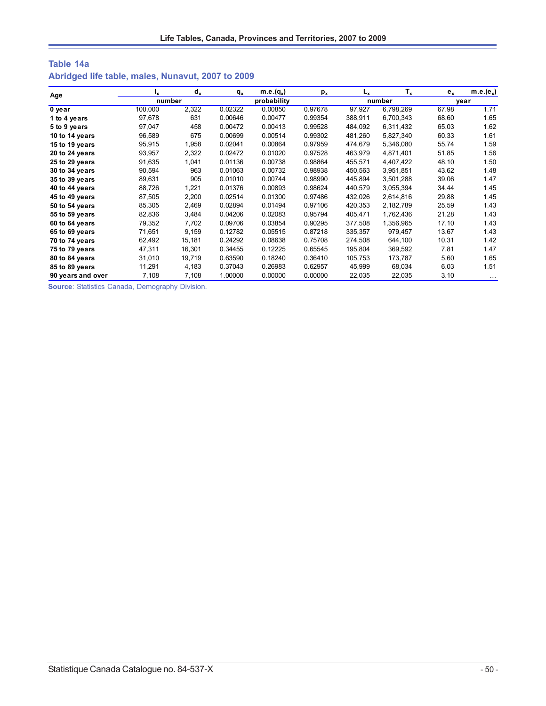# **Table 14a Abridged life table, males, Nunavut, 2007 to 2009**

| Age               | Ιx.     | $d_x$  | $q_{x}$     | m.e. $(q_x)$ | $p_{x}$ | L <sub>x</sub> | $T_{x}$   | $e_{x}$ | $m.e.(e_x)$ |
|-------------------|---------|--------|-------------|--------------|---------|----------------|-----------|---------|-------------|
|                   | number  |        | probability |              |         | number         |           | vear    |             |
| 0 year            | 100,000 | 2,322  | 0.02322     | 0.00850      | 0.97678 | 97,927         | 6,798,269 | 67.98   | 1.71        |
| 1 to 4 years      | 97,678  | 631    | 0.00646     | 0.00477      | 0.99354 | 388,911        | 6,700,343 | 68.60   | 1.65        |
| 5 to 9 years      | 97,047  | 458    | 0.00472     | 0.00413      | 0.99528 | 484,092        | 6,311,432 | 65.03   | 1.62        |
| 10 to 14 years    | 96,589  | 675    | 0.00699     | 0.00514      | 0.99302 | 481,260        | 5,827,340 | 60.33   | 1.61        |
| 15 to 19 years    | 95,915  | 1,958  | 0.02041     | 0.00864      | 0.97959 | 474.679        | 5,346,080 | 55.74   | 1.59        |
| 20 to 24 years    | 93,957  | 2,322  | 0.02472     | 0.01020      | 0.97528 | 463,979        | 4,871,401 | 51.85   | 1.56        |
| 25 to 29 years    | 91,635  | 1,041  | 0.01136     | 0.00738      | 0.98864 | 455,571        | 4,407,422 | 48.10   | 1.50        |
| 30 to 34 years    | 90,594  | 963    | 0.01063     | 0.00732      | 0.98938 | 450,563        | 3,951,851 | 43.62   | 1.48        |
| 35 to 39 years    | 89,631  | 905    | 0.01010     | 0.00744      | 0.98990 | 445,894        | 3,501,288 | 39.06   | 1.47        |
| 40 to 44 years    | 88,726  | 1,221  | 0.01376     | 0.00893      | 0.98624 | 440,579        | 3,055,394 | 34.44   | 1.45        |
| 45 to 49 years    | 87,505  | 2,200  | 0.02514     | 0.01300      | 0.97486 | 432.026        | 2,614,816 | 29.88   | 1.45        |
| 50 to 54 years    | 85,305  | 2,469  | 0.02894     | 0.01494      | 0.97106 | 420,353        | 2,182,789 | 25.59   | 1.43        |
| 55 to 59 years    | 82,836  | 3,484  | 0.04206     | 0.02083      | 0.95794 | 405,471        | 1,762,436 | 21.28   | 1.43        |
| 60 to 64 years    | 79,352  | 7,702  | 0.09706     | 0.03854      | 0.90295 | 377.508        | 1,356,965 | 17.10   | 1.43        |
| 65 to 69 years    | 71,651  | 9,159  | 0.12782     | 0.05515      | 0.87218 | 335,357        | 979,457   | 13.67   | 1.43        |
| 70 to 74 years    | 62,492  | 15,181 | 0.24292     | 0.08638      | 0.75708 | 274,508        | 644,100   | 10.31   | 1.42        |
| 75 to 79 years    | 47,311  | 16,301 | 0.34455     | 0.12225      | 0.65545 | 195,804        | 369,592   | 7.81    | 1.47        |
| 80 to 84 years    | 31,010  | 19,719 | 0.63590     | 0.18240      | 0.36410 | 105,753        | 173,787   | 5.60    | 1.65        |
| 85 to 89 years    | 11,291  | 4,183  | 0.37043     | 0.26983      | 0.62957 | 45,999         | 68,034    | 6.03    | 1.51        |
| 90 years and over | 7,108   | 7,108  | 1.00000     | 0.00000      | 0.00000 | 22,035         | 22,035    | 3.10    | $\cdots$    |